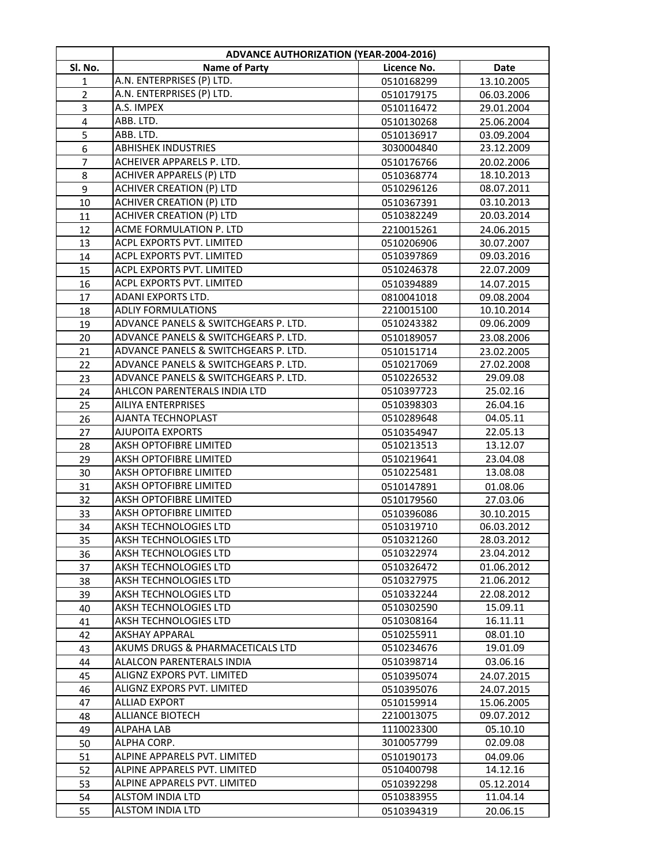|                | <b>ADVANCE AUTHORIZATION (YEAR-2004-2016)</b>           |                          |                          |
|----------------|---------------------------------------------------------|--------------------------|--------------------------|
| Sl. No.        | <b>Name of Party</b>                                    | Licence No.              | <b>Date</b>              |
| 1              | A.N. ENTERPRISES (P) LTD.                               | 0510168299               | 13.10.2005               |
| $\overline{2}$ | A.N. ENTERPRISES (P) LTD.                               | 0510179175               | 06.03.2006               |
| 3              | A.S. IMPEX                                              | 0510116472               | 29.01.2004               |
| $\pmb{4}$      | ABB. LTD.                                               | 0510130268               | 25.06.2004               |
| 5              | ABB. LTD.                                               | 0510136917               | 03.09.2004               |
| 6              | <b>ABHISHEK INDUSTRIES</b>                              | 3030004840               | 23.12.2009               |
| $\overline{7}$ | ACHEIVER APPARELS P. LTD.                               | 0510176766               | 20.02.2006               |
| 8              | <b>ACHIVER APPARELS (P) LTD</b>                         | 0510368774               | 18.10.2013               |
| 9              | <b>ACHIVER CREATION (P) LTD</b>                         | 0510296126               | 08.07.2011               |
| 10             | <b>ACHIVER CREATION (P) LTD</b>                         | 0510367391               | 03.10.2013               |
| 11             | <b>ACHIVER CREATION (P) LTD</b>                         | 0510382249               | 20.03.2014               |
| 12             | ACME FORMULATION P. LTD                                 | 2210015261               | 24.06.2015               |
| 13             | ACPL EXPORTS PVT. LIMITED                               | 0510206906               | 30.07.2007               |
| 14             | ACPL EXPORTS PVT. LIMITED                               | 0510397869               | 09.03.2016               |
| 15             | ACPL EXPORTS PVT. LIMITED                               | 0510246378               | 22.07.2009               |
| 16             | ACPL EXPORTS PVT. LIMITED                               | 0510394889               | 14.07.2015               |
| 17             | ADANI EXPORTS LTD.                                      | 0810041018               | 09.08.2004               |
| 18             | <b>ADLIY FORMULATIONS</b>                               | 2210015100               | 10.10.2014               |
| 19             | ADVANCE PANELS & SWITCHGEARS P. LTD.                    | 0510243382               | 09.06.2009               |
| 20             | ADVANCE PANELS & SWITCHGEARS P. LTD.                    | 0510189057               | 23.08.2006               |
| 21             | ADVANCE PANELS & SWITCHGEARS P. LTD.                    | 0510151714               | 23.02.2005               |
| 22             | ADVANCE PANELS & SWITCHGEARS P. LTD.                    | 0510217069               | 27.02.2008               |
| 23             | ADVANCE PANELS & SWITCHGEARS P. LTD.                    | 0510226532               | 29.09.08                 |
| 24             | AHLCON PARENTERALS INDIA LTD                            | 0510397723               | 25.02.16                 |
| 25             | <b>AILIYA ENTERPRISES</b>                               | 0510398303               | 26.04.16                 |
| 26             | AJANTA TECHNOPLAST                                      | 0510289648               | 04.05.11                 |
| 27             | <b>AJUPOITA EXPORTS</b>                                 | 0510354947               | 22.05.13                 |
| 28             | AKSH OPTOFIBRE LIMITED                                  | 0510213513               | 13.12.07                 |
| 29             | <b>AKSH OPTOFIBRE LIMITED</b>                           | 0510219641               | 23.04.08                 |
| 30             | AKSH OPTOFIBRE LIMITED                                  | 0510225481               | 13.08.08                 |
| 31             | <b>AKSH OPTOFIBRE LIMITED</b>                           | 0510147891               | 01.08.06                 |
| 32             | <b>AKSH OPTOFIBRE LIMITED</b><br>AKSH OPTOFIBRE LIMITED | 0510179560               | 27.03.06                 |
| 33             | AKSH TECHNOLOGIES LTD                                   | 0510396086<br>0510319710 | 30.10.2015<br>06.03.2012 |
| 34             | AKSH TECHNOLOGIES LTD                                   | 0510321260               | 28.03.2012               |
| 35             | AKSH TECHNOLOGIES LTD                                   | 0510322974               | 23.04.2012               |
| 36<br>37       | <b>AKSH TECHNOLOGIES LTD</b>                            | 0510326472               | 01.06.2012               |
| 38             | AKSH TECHNOLOGIES LTD                                   | 0510327975               | 21.06.2012               |
| 39             | AKSH TECHNOLOGIES LTD                                   | 0510332244               | 22.08.2012               |
| 40             | AKSH TECHNOLOGIES LTD                                   | 0510302590               | 15.09.11                 |
| 41             | AKSH TECHNOLOGIES LTD                                   | 0510308164               | 16.11.11                 |
| 42             | <b>AKSHAY APPARAL</b>                                   | 0510255911               | 08.01.10                 |
| 43             | AKUMS DRUGS & PHARMACETICALS LTD                        | 0510234676               | 19.01.09                 |
| 44             | ALALCON PARENTERALS INDIA                               | 0510398714               | 03.06.16                 |
| 45             | ALIGNZ EXPORS PVT. LIMITED                              | 0510395074               | 24.07.2015               |
| 46             | ALIGNZ EXPORS PVT. LIMITED                              | 0510395076               | 24.07.2015               |
| 47             | <b>ALLIAD EXPORT</b>                                    | 0510159914               | 15.06.2005               |
| 48             | <b>ALLIANCE BIOTECH</b>                                 | 2210013075               | 09.07.2012               |
| 49             | ALPAHA LAB                                              | 1110023300               | 05.10.10                 |
| 50             | ALPHA CORP.                                             | 3010057799               | 02.09.08                 |
| 51             | ALPINE APPARELS PVT. LIMITED                            | 0510190173               | 04.09.06                 |
| 52             | ALPINE APPARELS PVT. LIMITED                            | 0510400798               | 14.12.16                 |
| 53             | ALPINE APPARELS PVT. LIMITED                            | 0510392298               | 05.12.2014               |
| 54             | ALSTOM INDIA LTD                                        | 0510383955               | 11.04.14                 |
| 55             | ALSTOM INDIA LTD                                        | 0510394319               | 20.06.15                 |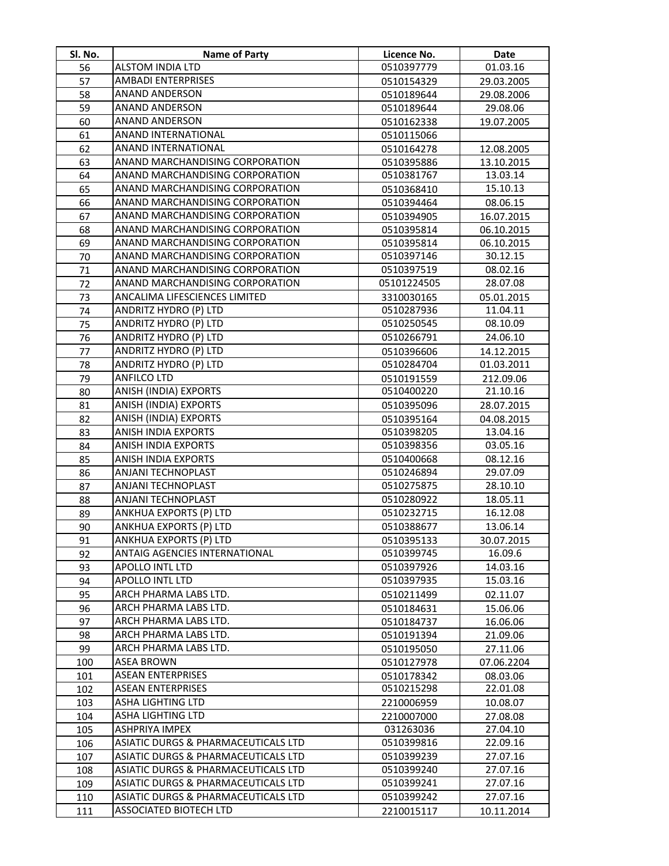| SI. No.  | Name of Party                                  | Licence No.              | Date                   |
|----------|------------------------------------------------|--------------------------|------------------------|
| 56       | <b>ALSTOM INDIA LTD</b>                        | 0510397779               | 01.03.16               |
| 57       | <b>AMBADI ENTERPRISES</b>                      | 0510154329               | 29.03.2005             |
| 58       | <b>ANAND ANDERSON</b>                          | 0510189644               | 29.08.2006             |
| 59       | <b>ANAND ANDERSON</b>                          | 0510189644               | 29.08.06               |
| 60       | <b>ANAND ANDERSON</b>                          | 0510162338               | 19.07.2005             |
| 61       | ANAND INTERNATIONAL                            | 0510115066               |                        |
| 62       | ANAND INTERNATIONAL                            | 0510164278               | 12.08.2005             |
| 63       | ANAND MARCHANDISING CORPORATION                | 0510395886               | 13.10.2015             |
| 64       | ANAND MARCHANDISING CORPORATION                | 0510381767               | 13.03.14               |
| 65       | ANAND MARCHANDISING CORPORATION                | 0510368410               | 15.10.13               |
| 66       | ANAND MARCHANDISING CORPORATION                | 0510394464               | 08.06.15               |
| 67       | ANAND MARCHANDISING CORPORATION                | 0510394905               | 16.07.2015             |
| 68       | ANAND MARCHANDISING CORPORATION                | 0510395814               | 06.10.2015             |
| 69       | ANAND MARCHANDISING CORPORATION                | 0510395814               | 06.10.2015             |
| 70       | ANAND MARCHANDISING CORPORATION                | 0510397146               | 30.12.15               |
| 71       | ANAND MARCHANDISING CORPORATION                | 0510397519               | 08.02.16               |
| 72       | ANAND MARCHANDISING CORPORATION                | 05101224505              | 28.07.08               |
| 73       | ANCALIMA LIFESCIENCES LIMITED                  | 3310030165               | 05.01.2015             |
| 74       | ANDRITZ HYDRO (P) LTD                          | 0510287936               | 11.04.11               |
| 75       | ANDRITZ HYDRO (P) LTD                          | 0510250545               | 08.10.09               |
| 76       | ANDRITZ HYDRO (P) LTD                          | 0510266791               | 24.06.10               |
| 77       | ANDRITZ HYDRO (P) LTD                          | 0510396606               | 14.12.2015             |
| 78       | ANDRITZ HYDRO (P) LTD                          | 0510284704               | 01.03.2011             |
| 79       | <b>ANFILCO LTD</b>                             | 0510191559               | 212.09.06              |
| 80       | <b>ANISH (INDIA) EXPORTS</b>                   | 0510400220               | 21.10.16               |
| 81       | ANISH (INDIA) EXPORTS                          | 0510395096               | 28.07.2015             |
| 82       | ANISH (INDIA) EXPORTS                          | 0510395164               | 04.08.2015             |
| 83       | ANISH INDIA EXPORTS                            | 0510398205               | 13.04.16               |
| 84       | <b>ANISH INDIA EXPORTS</b>                     | 0510398356               | 03.05.16               |
| 85       | <b>ANISH INDIA EXPORTS</b>                     | 0510400668               | 08.12.16               |
| 86       | ANJANI TECHNOPLAST                             | 0510246894               | 29.07.09               |
| 87       | ANJANI TECHNOPLAST                             | 0510275875               | 28.10.10               |
| 88       | <b>ANJANI TECHNOPLAST</b>                      | 0510280922               | 18.05.11               |
| 89       | ANKHUA EXPORTS (P) LTD                         | 0510232715               | 16.12.08               |
| 90       | ANKHUA EXPORTS (P) LTD                         | 0510388677               | 13.06.14               |
| 91       | <b>ANKHUA EXPORTS (P) LTD</b>                  | 0510395133               | 30.07.2015             |
| 92       | ANTAIG AGENCIES INTERNATIONAL                  | 0510399745               | 16.09.6                |
| 93       | APOLLO INTL LTD                                | 0510397926               | 14.03.16               |
| 94       | <b>APOLLO INTL LTD</b>                         | 0510397935               | 15.03.16               |
| 95       | ARCH PHARMA LABS LTD.                          | 0510211499               | 02.11.07               |
| 96<br>97 | ARCH PHARMA LABS LTD.<br>ARCH PHARMA LABS LTD. | 0510184631               | 15.06.06               |
|          | ARCH PHARMA LABS LTD.                          | 0510184737               | 16.06.06               |
| 98<br>99 | ARCH PHARMA LABS LTD.                          | 0510191394               | 21.09.06               |
| 100      | <b>ASEA BROWN</b>                              | 0510195050               | 27.11.06<br>07.06.2204 |
| 101      | <b>ASEAN ENTERPRISES</b>                       | 0510127978<br>0510178342 | 08.03.06               |
| 102      | ASEAN ENTERPRISES                              | 0510215298               | 22.01.08               |
| 103      | ASHA LIGHTING LTD                              | 2210006959               | 10.08.07               |
| 104      | ASHA LIGHTING LTD                              | 2210007000               | 27.08.08               |
| 105      | ASHPRIYA IMPEX                                 | 031263036                | 27.04.10               |
| 106      | ASIATIC DURGS & PHARMACEUTICALS LTD            | 0510399816               | 22.09.16               |
| 107      | ASIATIC DURGS & PHARMACEUTICALS LTD            | 0510399239               | 27.07.16               |
| 108      | ASIATIC DURGS & PHARMACEUTICALS LTD            | 0510399240               | 27.07.16               |
| 109      | ASIATIC DURGS & PHARMACEUTICALS LTD            | 0510399241               | 27.07.16               |
| 110      | ASIATIC DURGS & PHARMACEUTICALS LTD            | 0510399242               | 27.07.16               |
| 111      | ASSOCIATED BIOTECH LTD                         | 2210015117               | 10.11.2014             |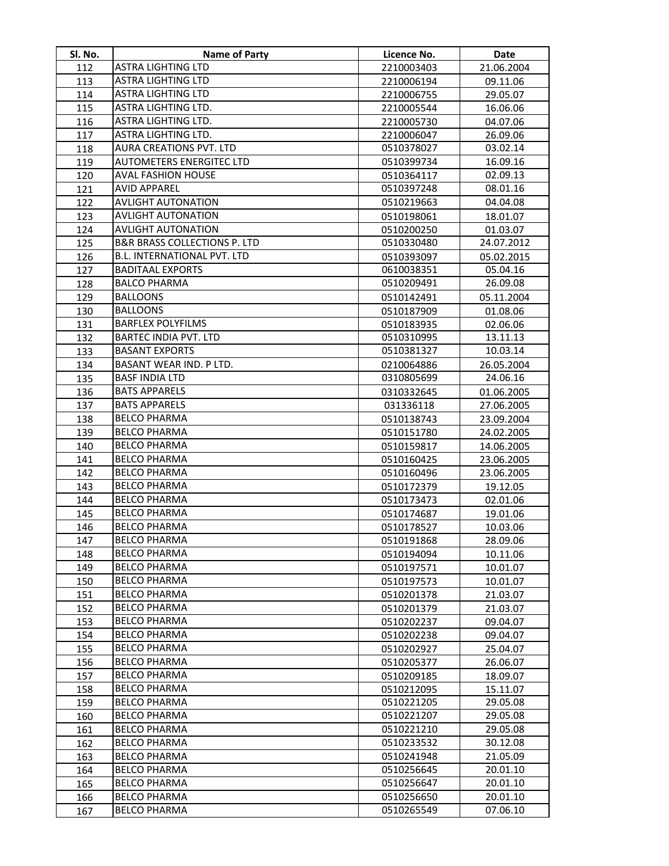| Sl. No. | <b>Name of Party</b>            | Licence No. | <b>Date</b> |
|---------|---------------------------------|-------------|-------------|
| 112     | ASTRA LIGHTING LTD              | 2210003403  | 21.06.2004  |
| 113     | ASTRA LIGHTING LTD              | 2210006194  | 09.11.06    |
| 114     | ASTRA LIGHTING LTD              | 2210006755  | 29.05.07    |
| 115     | ASTRA LIGHTING LTD.             | 2210005544  | 16.06.06    |
| 116     | ASTRA LIGHTING LTD.             | 2210005730  | 04.07.06    |
| 117     | ASTRA LIGHTING LTD.             | 2210006047  | 26.09.06    |
| 118     | AURA CREATIONS PVT. LTD         | 0510378027  | 03.02.14    |
| 119     | <b>AUTOMETERS ENERGITEC LTD</b> | 0510399734  | 16.09.16    |
| 120     | <b>AVAL FASHION HOUSE</b>       | 0510364117  | 02.09.13    |
| 121     | <b>AVID APPAREL</b>             | 0510397248  | 08.01.16    |
| 122     | <b>AVLIGHT AUTONATION</b>       | 0510219663  | 04.04.08    |
| 123     | <b>AVLIGHT AUTONATION</b>       | 0510198061  | 18.01.07    |
| 124     | <b>AVLIGHT AUTONATION</b>       | 0510200250  | 01.03.07    |
| 125     | B&R BRASS COLLECTIONS P. LTD    | 0510330480  | 24.07.2012  |
| 126     | B.L. INTERNATIONAL PVT. LTD     | 0510393097  | 05.02.2015  |
| 127     | <b>BADITAAL EXPORTS</b>         | 0610038351  | 05.04.16    |
| 128     | <b>BALCO PHARMA</b>             | 0510209491  | 26.09.08    |
| 129     | <b>BALLOONS</b>                 | 0510142491  | 05.11.2004  |
| 130     | <b>BALLOONS</b>                 | 0510187909  | 01.08.06    |
| 131     | <b>BARFLEX POLYFILMS</b>        | 0510183935  | 02.06.06    |
| 132     | <b>BARTEC INDIA PVT. LTD</b>    | 0510310995  | 13.11.13    |
| 133     | <b>BASANT EXPORTS</b>           | 0510381327  | 10.03.14    |
| 134     | BASANT WEAR IND. P LTD.         | 0210064886  | 26.05.2004  |
| 135     | <b>BASF INDIA LTD</b>           | 0310805699  | 24.06.16    |
| 136     | <b>BATS APPARELS</b>            | 0310332645  | 01.06.2005  |
| 137     | <b>BATS APPARELS</b>            | 031336118   | 27.06.2005  |
| 138     | <b>BELCO PHARMA</b>             | 0510138743  | 23.09.2004  |
| 139     | <b>BELCO PHARMA</b>             | 0510151780  | 24.02.2005  |
| 140     | <b>BELCO PHARMA</b>             | 0510159817  | 14.06.2005  |
| 141     | <b>BELCO PHARMA</b>             | 0510160425  | 23.06.2005  |
| 142     | <b>BELCO PHARMA</b>             | 0510160496  | 23.06.2005  |
| 143     | <b>BELCO PHARMA</b>             | 0510172379  | 19.12.05    |
| 144     | <b>BELCO PHARMA</b>             | 0510173473  | 02.01.06    |
| 145     | <b>BELCO PHARMA</b>             | 0510174687  | 19.01.06    |
| 146     | <b>BELCO PHARMA</b>             | 0510178527  | 10.03.06    |
| 147     | <b>BELCO PHARMA</b>             | 0510191868  | 28.09.06    |
| 148     | <b>BELCO PHARMA</b>             | 0510194094  | 10.11.06    |
| 149     | <b>BELCO PHARMA</b>             | 0510197571  | 10.01.07    |
| 150     | <b>BELCO PHARMA</b>             | 0510197573  | 10.01.07    |
| 151     | <b>BELCO PHARMA</b>             | 0510201378  | 21.03.07    |
| 152     | <b>BELCO PHARMA</b>             | 0510201379  | 21.03.07    |
| 153     | <b>BELCO PHARMA</b>             | 0510202237  | 09.04.07    |
| 154     | <b>BELCO PHARMA</b>             | 0510202238  | 09.04.07    |
| 155     | <b>BELCO PHARMA</b>             | 0510202927  | 25.04.07    |
| 156     | <b>BELCO PHARMA</b>             | 0510205377  | 26.06.07    |
| 157     | <b>BELCO PHARMA</b>             | 0510209185  | 18.09.07    |
| 158     | <b>BELCO PHARMA</b>             | 0510212095  | 15.11.07    |
| 159     | <b>BELCO PHARMA</b>             | 0510221205  | 29.05.08    |
| 160     | <b>BELCO PHARMA</b>             | 0510221207  | 29.05.08    |
| 161     | <b>BELCO PHARMA</b>             | 0510221210  | 29.05.08    |
| 162     | <b>BELCO PHARMA</b>             | 0510233532  | 30.12.08    |
| 163     | <b>BELCO PHARMA</b>             | 0510241948  | 21.05.09    |
| 164     | <b>BELCO PHARMA</b>             | 0510256645  | 20.01.10    |
| 165     | <b>BELCO PHARMA</b>             | 0510256647  | 20.01.10    |
| 166     | <b>BELCO PHARMA</b>             | 0510256650  | 20.01.10    |
| 167     | <b>BELCO PHARMA</b>             | 0510265549  | 07.06.10    |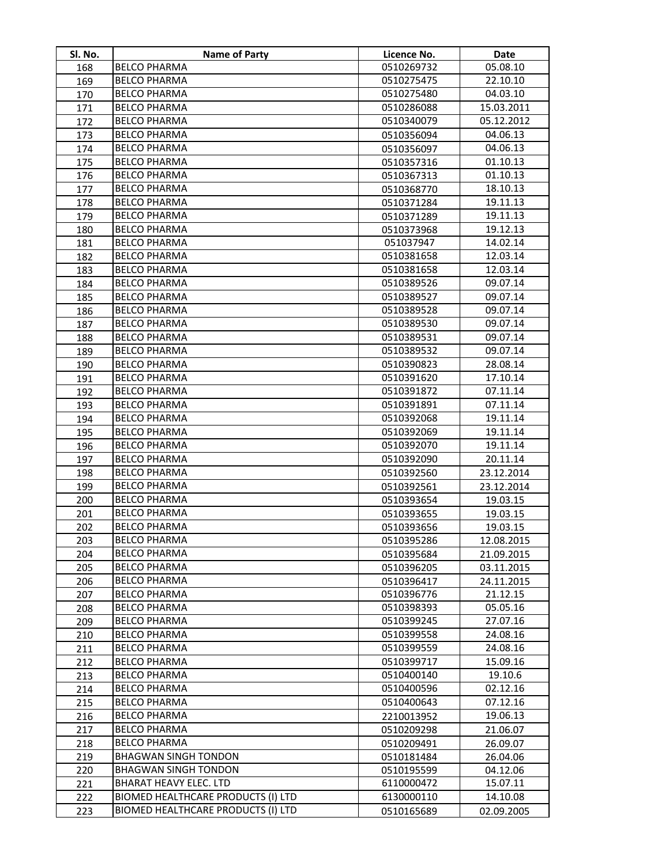| Sl. No.    | <b>Name of Party</b>                               | Licence No.              | Date                 |
|------------|----------------------------------------------------|--------------------------|----------------------|
| 168        | <b>BELCO PHARMA</b>                                | 0510269732               | 05.08.10             |
| 169        | <b>BELCO PHARMA</b>                                | 0510275475               | 22.10.10             |
| 170        | <b>BELCO PHARMA</b>                                | 0510275480               | 04.03.10             |
| 171        | <b>BELCO PHARMA</b>                                | 0510286088               | 15.03.2011           |
| 172        | <b>BELCO PHARMA</b>                                | 0510340079               | 05.12.2012           |
| 173        | <b>BELCO PHARMA</b>                                | 0510356094               | 04.06.13             |
| 174        | <b>BELCO PHARMA</b>                                | 0510356097               | 04.06.13             |
| 175        | <b>BELCO PHARMA</b>                                | 0510357316               | 01.10.13             |
| 176        | <b>BELCO PHARMA</b>                                | 0510367313               | 01.10.13             |
| 177        | <b>BELCO PHARMA</b>                                | 0510368770               | 18.10.13             |
| 178        | <b>BELCO PHARMA</b>                                | 0510371284               | 19.11.13             |
| 179        | <b>BELCO PHARMA</b>                                | 0510371289               | 19.11.13             |
| 180        | <b>BELCO PHARMA</b>                                | 0510373968               | 19.12.13             |
| 181        | <b>BELCO PHARMA</b>                                | 051037947                | 14.02.14             |
| 182        | <b>BELCO PHARMA</b>                                | 0510381658               | 12.03.14             |
| 183        | <b>BELCO PHARMA</b>                                | 0510381658               | 12.03.14             |
| 184        | <b>BELCO PHARMA</b>                                | 0510389526               | 09.07.14             |
| 185        | <b>BELCO PHARMA</b>                                | 0510389527               | 09.07.14             |
| 186        | <b>BELCO PHARMA</b>                                | 0510389528               | 09.07.14             |
| 187        | <b>BELCO PHARMA</b>                                | 0510389530               | 09.07.14             |
| 188        | <b>BELCO PHARMA</b>                                | 0510389531               | 09.07.14             |
| 189        | <b>BELCO PHARMA</b>                                | 0510389532               | 09.07.14             |
| 190        | <b>BELCO PHARMA</b>                                | 0510390823               | 28.08.14             |
| 191        | <b>BELCO PHARMA</b>                                | 0510391620               | 17.10.14             |
| 192        | <b>BELCO PHARMA</b>                                | 0510391872               | 07.11.14             |
| 193        | <b>BELCO PHARMA</b>                                | 0510391891               | 07.11.14             |
| 194        | <b>BELCO PHARMA</b>                                | 0510392068               | 19.11.14             |
| 195        | <b>BELCO PHARMA</b>                                | 0510392069               | 19.11.14             |
| 196        | <b>BELCO PHARMA</b>                                | 0510392070               | 19.11.14             |
| 197        | <b>BELCO PHARMA</b>                                | 0510392090               | 20.11.14             |
| 198        | <b>BELCO PHARMA</b>                                | 0510392560               | 23.12.2014           |
| 199        | <b>BELCO PHARMA</b>                                | 0510392561               | 23.12.2014           |
| 200        | <b>BELCO PHARMA</b>                                | 0510393654               | 19.03.15             |
| 201        | <b>BELCO PHARMA</b>                                | 0510393655               | 19.03.15             |
| 202        | <b>BELCO PHARMA</b>                                | 0510393656               | 19.03.15             |
| 203        | <b>BELCO PHARMA</b>                                | 0510395286               | 12.08.2015           |
| 204        | <b>BELCO PHARMA</b>                                | 0510395684               | 21.09.2015           |
| 205        | <b>BELCO PHARMA</b>                                | 0510396205               | 03.11.2015           |
| 206        | <b>BELCO PHARMA</b>                                | 0510396417               | 24.11.2015           |
| 207        | <b>BELCO PHARMA</b>                                | 0510396776               | 21.12.15             |
| 208        | <b>BELCO PHARMA</b>                                | 0510398393               | 05.05.16             |
| 209        | <b>BELCO PHARMA</b>                                | 0510399245               | 27.07.16             |
| 210        | <b>BELCO PHARMA</b>                                | 0510399558               | 24.08.16             |
| 211        | <b>BELCO PHARMA</b>                                | 0510399559               | 24.08.16             |
| 212        | <b>BELCO PHARMA</b>                                | 0510399717               | 15.09.16             |
| 213        | <b>BELCO PHARMA</b>                                | 0510400140               | 19.10.6              |
| 214        | <b>BELCO PHARMA</b>                                | 0510400596               | 02.12.16             |
| 215        | <b>BELCO PHARMA</b>                                | 0510400643               | 07.12.16             |
| 216        | <b>BELCO PHARMA</b>                                | 2210013952               | 19.06.13             |
| 217        | <b>BELCO PHARMA</b>                                | 0510209298               | 21.06.07             |
| 218        | <b>BELCO PHARMA</b><br><b>BHAGWAN SINGH TONDON</b> | 0510209491               | 26.09.07             |
| 219        | <b>BHAGWAN SINGH TONDON</b>                        | 0510181484               | 26.04.06             |
| 220        | <b>BHARAT HEAVY ELEC. LTD</b>                      | 0510195599<br>6110000472 | 04.12.06<br>15.07.11 |
| 221<br>222 | BIOMED HEALTHCARE PRODUCTS (I) LTD                 | 6130000110               | 14.10.08             |
| 223        | BIOMED HEALTHCARE PRODUCTS (I) LTD                 | 0510165689               | 02.09.2005           |
|            |                                                    |                          |                      |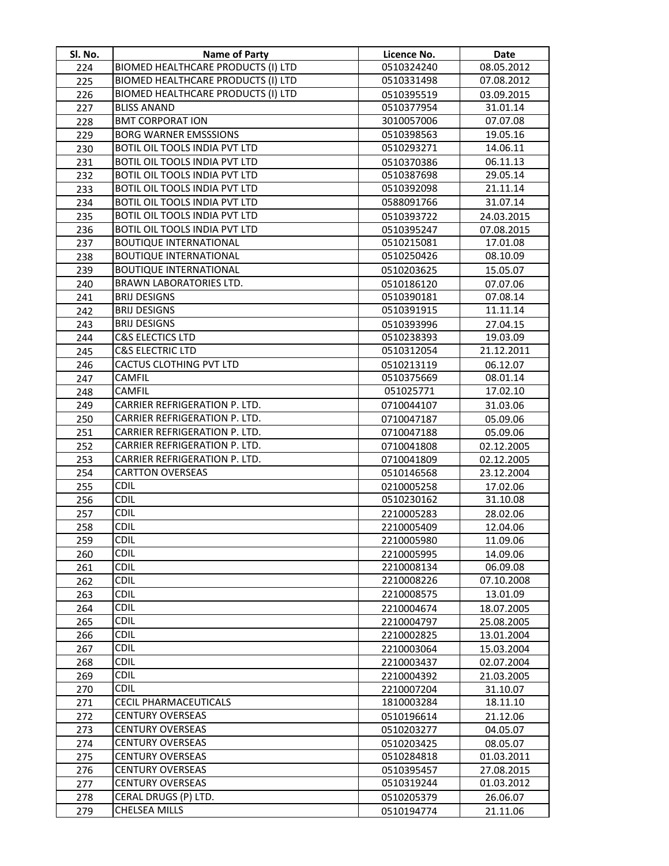| SI. No.    | <b>Name of Party</b>                               | Licence No.              | <b>Date</b>              |
|------------|----------------------------------------------------|--------------------------|--------------------------|
| 224        | BIOMED HEALTHCARE PRODUCTS (I) LTD                 | 0510324240               | 08.05.2012               |
| 225        | BIOMED HEALTHCARE PRODUCTS (I) LTD                 | 0510331498               | 07.08.2012               |
| 226        | BIOMED HEALTHCARE PRODUCTS (I) LTD                 | 0510395519               | 03.09.2015               |
| 227        | <b>BLISS ANAND</b>                                 | 0510377954               | 31.01.14                 |
| 228        | <b>BMT CORPORAT ION</b>                            | 3010057006               | 07.07.08                 |
| 229        | <b>BORG WARNER EMSSSIONS</b>                       | 0510398563               | 19.05.16                 |
| 230        | BOTIL OIL TOOLS INDIA PVT LTD                      | 0510293271               | 14.06.11                 |
| 231        | BOTIL OIL TOOLS INDIA PVT LTD                      | 0510370386               | 06.11.13                 |
| 232        | BOTIL OIL TOOLS INDIA PVT LTD                      | 0510387698               | 29.05.14                 |
| 233        | BOTIL OIL TOOLS INDIA PVT LTD                      | 0510392098               | 21.11.14                 |
| 234        | BOTIL OIL TOOLS INDIA PVT LTD                      | 0588091766               | 31.07.14                 |
| 235        | BOTIL OIL TOOLS INDIA PVT LTD                      | 0510393722               | 24.03.2015               |
| 236        | BOTIL OIL TOOLS INDIA PVT LTD                      | 0510395247               | 07.08.2015               |
| 237        | <b>BOUTIQUE INTERNATIONAL</b>                      | 0510215081               | 17.01.08                 |
| 238        | <b>BOUTIQUE INTERNATIONAL</b>                      | 0510250426               | 08.10.09                 |
| 239        | <b>BOUTIQUE INTERNATIONAL</b>                      | 0510203625               | 15.05.07                 |
| 240        | BRAWN LABORATORIES LTD.                            | 0510186120               | 07.07.06                 |
| 241        | <b>BRIJ DESIGNS</b>                                | 0510390181               | 07.08.14                 |
| 242        | <b>BRIJ DESIGNS</b>                                | 0510391915               | 11.11.14                 |
| 243        | <b>BRIJ DESIGNS</b>                                | 0510393996               | 27.04.15                 |
| 244        | <b>C&amp;S ELECTICS LTD</b>                        | 0510238393               | 19.03.09                 |
| 245        | <b>C&amp;S ELECTRIC LTD</b>                        | 0510312054               | 21.12.2011               |
| 246        | CACTUS CLOTHING PVT LTD                            | 0510213119               | 06.12.07                 |
| 247        | <b>CAMFIL</b>                                      | 0510375669               | 08.01.14                 |
| 248        | <b>CAMFIL</b>                                      | 051025771                | 17.02.10                 |
| 249        | CARRIER REFRIGERATION P. LTD.                      | 0710044107               | 31.03.06                 |
| 250        | CARRIER REFRIGERATION P. LTD.                      | 0710047187               | 05.09.06                 |
| 251        | CARRIER REFRIGERATION P. LTD.                      | 0710047188               | 05.09.06                 |
| 252        | CARRIER REFRIGERATION P. LTD.                      | 0710041808               | 02.12.2005               |
| 253        | CARRIER REFRIGERATION P. LTD.                      | 0710041809               | 02.12.2005               |
| 254        | <b>CARTTON OVERSEAS</b>                            | 0510146568               | 23.12.2004               |
| 255        | <b>CDIL</b>                                        | 0210005258               | 17.02.06                 |
| 256        | <b>CDIL</b>                                        | 0510230162               | 31.10.08                 |
| 257        | <b>CDIL</b>                                        | 2210005283               | 28.02.06                 |
| 258        | <b>CDIL</b>                                        | 2210005409               | 12.04.06                 |
| 259        | CDIL                                               | 2210005980               | 11.09.06                 |
| 260        | <b>CDIL</b>                                        | 2210005995               | 14.09.06                 |
| 261        | <b>CDIL</b>                                        | 2210008134               | 06.09.08                 |
| 262        | <b>CDIL</b>                                        | 2210008226               | 07.10.2008               |
| 263        | <b>CDIL</b>                                        | 2210008575               | 13.01.09                 |
| 264        | <b>CDIL</b>                                        | 2210004674               | 18.07.2005               |
| 265        | <b>CDIL</b>                                        | 2210004797               | 25.08.2005               |
| 266        | <b>CDIL</b>                                        | 2210002825               | 13.01.2004               |
| 267        | <b>CDIL</b>                                        | 2210003064               | 15.03.2004               |
| 268        | <b>CDIL</b>                                        | 2210003437               | 02.07.2004               |
| 269        | <b>CDIL</b>                                        | 2210004392               | 21.03.2005               |
| 270        | <b>CDIL</b>                                        | 2210007204               | 31.10.07                 |
| 271        | CECIL PHARMACEUTICALS                              | 1810003284               | 18.11.10                 |
| 272        | <b>CENTURY OVERSEAS</b>                            | 0510196614               | 21.12.06                 |
| 273        | <b>CENTURY OVERSEAS</b>                            | 0510203277               | 04.05.07                 |
| 274        | <b>CENTURY OVERSEAS</b><br><b>CENTURY OVERSEAS</b> | 0510203425               | 08.05.07                 |
| 275        |                                                    | 0510284818               | 01.03.2011               |
| 276        | <b>CENTURY OVERSEAS</b><br><b>CENTURY OVERSEAS</b> | 0510395457<br>0510319244 | 27.08.2015<br>01.03.2012 |
| 277<br>278 | CERAL DRUGS (P) LTD.                               | 0510205379               |                          |
| 279        | <b>CHELSEA MILLS</b>                               | 0510194774               | 26.06.07<br>21.11.06     |
|            |                                                    |                          |                          |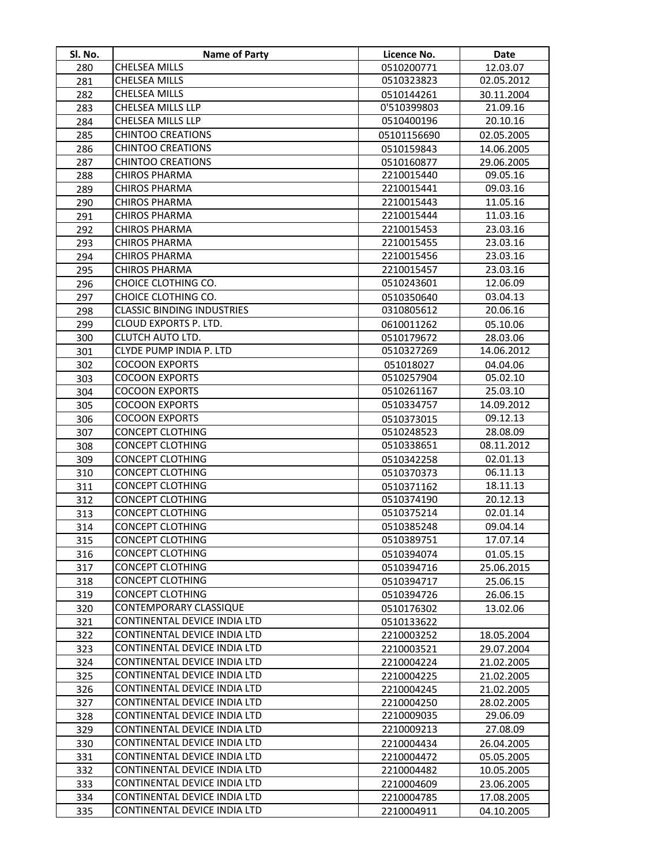| Sl. No.    | <b>Name of Party</b>                               | Licence No.              | Date                     |
|------------|----------------------------------------------------|--------------------------|--------------------------|
| 280        | CHELSEA MILLS                                      | 0510200771               | 12.03.07                 |
| 281        | CHELSEA MILLS                                      | 0510323823               | 02.05.2012               |
| 282        | CHELSEA MILLS                                      | 0510144261               | 30.11.2004               |
| 283        | CHELSEA MILLS LLP                                  | 0'510399803              | 21.09.16                 |
| 284        | CHELSEA MILLS LLP                                  | 0510400196               | 20.10.16                 |
| 285        | <b>CHINTOO CREATIONS</b>                           | 05101156690              | 02.05.2005               |
| 286        | <b>CHINTOO CREATIONS</b>                           | 0510159843               | 14.06.2005               |
| 287        | <b>CHINTOO CREATIONS</b>                           | 0510160877               | 29.06.2005               |
| 288        | <b>CHIROS PHARMA</b>                               | 2210015440               | 09.05.16                 |
| 289        | <b>CHIROS PHARMA</b>                               | 2210015441               | 09.03.16                 |
| 290        | <b>CHIROS PHARMA</b>                               | 2210015443               | 11.05.16                 |
| 291        | <b>CHIROS PHARMA</b>                               | 2210015444               | 11.03.16                 |
| 292        | <b>CHIROS PHARMA</b>                               | 2210015453               | 23.03.16                 |
| 293        | <b>CHIROS PHARMA</b>                               | 2210015455               | 23.03.16                 |
| 294        | <b>CHIROS PHARMA</b>                               | 2210015456               | 23.03.16                 |
| 295        | CHIROS PHARMA                                      | 2210015457               | 23.03.16                 |
| 296        | CHOICE CLOTHING CO.                                | 0510243601               | 12.06.09                 |
| 297        | CHOICE CLOTHING CO.                                | 0510350640               | 03.04.13                 |
| 298        | <b>CLASSIC BINDING INDUSTRIES</b>                  | 0310805612               | 20.06.16                 |
| 299        | CLOUD EXPORTS P. LTD.                              | 0610011262               | 05.10.06                 |
| 300        | <b>CLUTCH AUTO LTD.</b>                            | 0510179672               | 28.03.06                 |
| 301        | CLYDE PUMP INDIA P. LTD                            | 0510327269               | 14.06.2012               |
| 302        | <b>COCOON EXPORTS</b>                              | 051018027                | 04.04.06                 |
| 303        | <b>COCOON EXPORTS</b>                              | 0510257904               | 05.02.10                 |
| 304        | <b>COCOON EXPORTS</b>                              | 0510261167               | 25.03.10                 |
| 305        | <b>COCOON EXPORTS</b>                              | 0510334757               | 14.09.2012               |
| 306        | <b>COCOON EXPORTS</b>                              | 0510373015               | 09.12.13                 |
| 307        | <b>CONCEPT CLOTHING</b>                            | 0510248523               | 28.08.09                 |
| 308        | <b>CONCEPT CLOTHING</b>                            | 0510338651               | 08.11.2012               |
| 309        | <b>CONCEPT CLOTHING</b>                            | 0510342258               | 02.01.13                 |
| 310        | <b>CONCEPT CLOTHING</b>                            | 0510370373               | 06.11.13                 |
| 311        | <b>CONCEPT CLOTHING</b>                            | 0510371162               | 18.11.13                 |
| 312        | <b>CONCEPT CLOTHING</b>                            | 0510374190               | 20.12.13                 |
| 313        | <b>CONCEPT CLOTHING</b>                            | 0510375214               | 02.01.14                 |
| 314        | <b>CONCEPT CLOTHING</b>                            | 0510385248               | 09.04.14                 |
| 315        | <b>CONCEPT CLOTHING</b>                            | 0510389751               | 17.07.14                 |
| 316        | <b>CONCEPT CLOTHING</b>                            | 0510394074               | 01.05.15                 |
| 317        | <b>CONCEPT CLOTHING</b><br><b>CONCEPT CLOTHING</b> | 0510394716               | 25.06.2015               |
| 318        | <b>CONCEPT CLOTHING</b>                            | 0510394717               | 25.06.15                 |
| 319        | CONTEMPORARY CLASSIQUE                             | 0510394726               | 26.06.15                 |
| 320        | CONTINENTAL DEVICE INDIA LTD                       | 0510176302               | 13.02.06                 |
| 321<br>322 | CONTINENTAL DEVICE INDIA LTD                       | 0510133622<br>2210003252 |                          |
| 323        | CONTINENTAL DEVICE INDIA LTD                       |                          | 18.05.2004<br>29.07.2004 |
| 324        | CONTINENTAL DEVICE INDIA LTD                       | 2210003521<br>2210004224 | 21.02.2005               |
| 325        | CONTINENTAL DEVICE INDIA LTD                       | 2210004225               | 21.02.2005               |
| 326        | CONTINENTAL DEVICE INDIA LTD                       | 2210004245               |                          |
| 327        | CONTINENTAL DEVICE INDIA LTD                       | 2210004250               | 21.02.2005<br>28.02.2005 |
| 328        | CONTINENTAL DEVICE INDIA LTD                       | 2210009035               | 29.06.09                 |
| 329        | CONTINENTAL DEVICE INDIA LTD                       | 2210009213               | 27.08.09                 |
| 330        | CONTINENTAL DEVICE INDIA LTD                       | 2210004434               | 26.04.2005               |
| 331        | CONTINENTAL DEVICE INDIA LTD                       | 2210004472               | 05.05.2005               |
| 332        | CONTINENTAL DEVICE INDIA LTD                       | 2210004482               | 10.05.2005               |
| 333        | CONTINENTAL DEVICE INDIA LTD                       | 2210004609               | 23.06.2005               |
| 334        | CONTINENTAL DEVICE INDIA LTD                       | 2210004785               | 17.08.2005               |
| 335        | CONTINENTAL DEVICE INDIA LTD                       | 2210004911               | 04.10.2005               |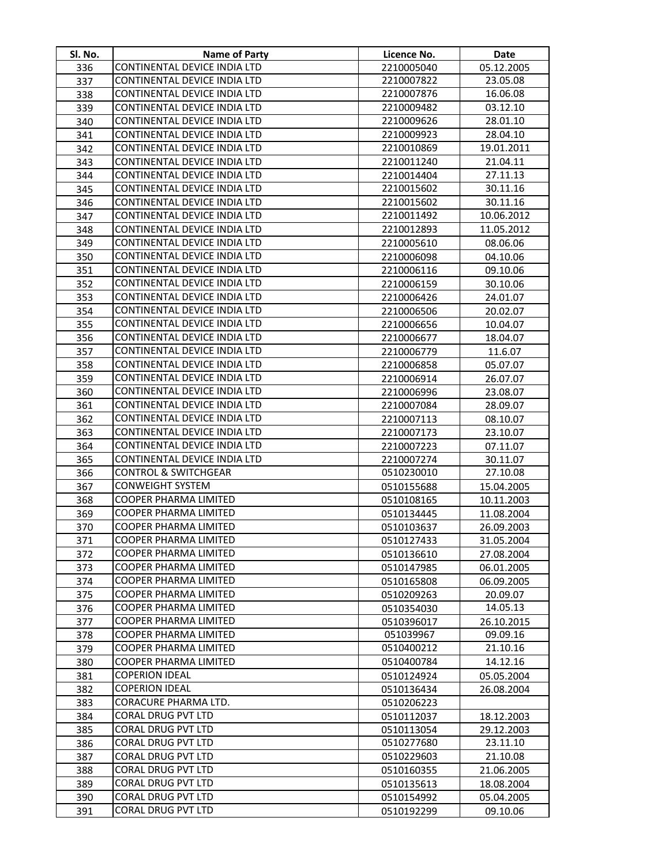| Sl. No.    | <b>Name of Party</b>                           | Licence No.              | Date       |
|------------|------------------------------------------------|--------------------------|------------|
| 336        | CONTINENTAL DEVICE INDIA LTD                   | 2210005040               | 05.12.2005 |
| 337        | CONTINENTAL DEVICE INDIA LTD                   | 2210007822               | 23.05.08   |
| 338        | CONTINENTAL DEVICE INDIA LTD                   | 2210007876               | 16.06.08   |
| 339        | CONTINENTAL DEVICE INDIA LTD                   | 2210009482               | 03.12.10   |
| 340        | CONTINENTAL DEVICE INDIA LTD                   | 2210009626               | 28.01.10   |
| 341        | CONTINENTAL DEVICE INDIA LTD                   | 2210009923               | 28.04.10   |
| 342        | CONTINENTAL DEVICE INDIA LTD                   | 2210010869               | 19.01.2011 |
| 343        | CONTINENTAL DEVICE INDIA LTD                   | 2210011240               | 21.04.11   |
| 344        | CONTINENTAL DEVICE INDIA LTD                   | 2210014404               | 27.11.13   |
| 345        | CONTINENTAL DEVICE INDIA LTD                   | 2210015602               | 30.11.16   |
| 346        | CONTINENTAL DEVICE INDIA LTD                   | 2210015602               | 30.11.16   |
| 347        | CONTINENTAL DEVICE INDIA LTD                   | 2210011492               | 10.06.2012 |
| 348        | CONTINENTAL DEVICE INDIA LTD                   | 2210012893               | 11.05.2012 |
| 349        | CONTINENTAL DEVICE INDIA LTD                   | 2210005610               | 08.06.06   |
| 350        | CONTINENTAL DEVICE INDIA LTD                   | 2210006098               | 04.10.06   |
| 351        | CONTINENTAL DEVICE INDIA LTD                   | 2210006116               | 09.10.06   |
| 352        | CONTINENTAL DEVICE INDIA LTD                   | 2210006159               | 30.10.06   |
| 353        | CONTINENTAL DEVICE INDIA LTD                   | 2210006426               | 24.01.07   |
| 354        | CONTINENTAL DEVICE INDIA LTD                   | 2210006506               | 20.02.07   |
| 355        | CONTINENTAL DEVICE INDIA LTD                   | 2210006656               | 10.04.07   |
| 356        | CONTINENTAL DEVICE INDIA LTD                   | 2210006677               | 18.04.07   |
| 357        | CONTINENTAL DEVICE INDIA LTD                   | 2210006779               | 11.6.07    |
| 358        | CONTINENTAL DEVICE INDIA LTD                   | 2210006858               | 05.07.07   |
| 359        | CONTINENTAL DEVICE INDIA LTD                   | 2210006914               | 26.07.07   |
| 360        | CONTINENTAL DEVICE INDIA LTD                   | 2210006996               | 23.08.07   |
| 361        | CONTINENTAL DEVICE INDIA LTD                   | 2210007084               | 28.09.07   |
| 362        | CONTINENTAL DEVICE INDIA LTD                   | 2210007113               | 08.10.07   |
| 363        | CONTINENTAL DEVICE INDIA LTD                   | 2210007173               | 23.10.07   |
| 364        | CONTINENTAL DEVICE INDIA LTD                   | 2210007223               | 07.11.07   |
| 365        | CONTINENTAL DEVICE INDIA LTD                   | 2210007274               | 30.11.07   |
| 366        | <b>CONTROL &amp; SWITCHGEAR</b>                | 0510230010               | 27.10.08   |
| 367        | CONWEIGHT SYSTEM                               | 0510155688               | 15.04.2005 |
| 368        | COOPER PHARMA LIMITED                          | 0510108165               | 10.11.2003 |
| 369        | COOPER PHARMA LIMITED                          | 0510134445               | 11.08.2004 |
| 370        | COOPER PHARMA LIMITED                          | 0510103637               | 26.09.2003 |
| 371        | <b>COOPER PHARMA LIMITED</b>                   | 0510127433               | 31.05.2004 |
| 372        | <b>COOPER PHARMA LIMITED</b>                   | 0510136610               | 27.08.2004 |
| 373        | COOPER PHARMA LIMITED                          | 0510147985               | 06.01.2005 |
| 374        | <b>COOPER PHARMA LIMITED</b>                   | 0510165808               | 06.09.2005 |
| 375        | <b>COOPER PHARMA LIMITED</b>                   | 0510209263               | 20.09.07   |
| 376        | COOPER PHARMA LIMITED                          | 0510354030               | 14.05.13   |
| 377        | COOPER PHARMA LIMITED                          | 0510396017               | 26.10.2015 |
| 378        | <b>COOPER PHARMA LIMITED</b>                   | 051039967                | 09.09.16   |
| 379        | COOPER PHARMA LIMITED                          | 0510400212               | 21.10.16   |
| 380        | COOPER PHARMA LIMITED                          | 0510400784               | 14.12.16   |
| 381        | <b>COPERION IDEAL</b><br><b>COPERION IDEAL</b> | 0510124924               | 05.05.2004 |
| 382        | CORACURE PHARMA LTD.                           | 0510136434               | 26.08.2004 |
| 383<br>384 | CORAL DRUG PVT LTD                             | 0510206223<br>0510112037 | 18.12.2003 |
| 385        | CORAL DRUG PVT LTD                             | 0510113054               | 29.12.2003 |
| 386        | CORAL DRUG PVT LTD                             | 0510277680               | 23.11.10   |
| 387        | CORAL DRUG PVT LTD                             | 0510229603               | 21.10.08   |
| 388        | CORAL DRUG PVT LTD                             | 0510160355               | 21.06.2005 |
| 389        | CORAL DRUG PVT LTD                             | 0510135613               | 18.08.2004 |
| 390        | CORAL DRUG PVT LTD                             | 0510154992               | 05.04.2005 |
| 391        | CORAL DRUG PVT LTD                             | 0510192299               | 09.10.06   |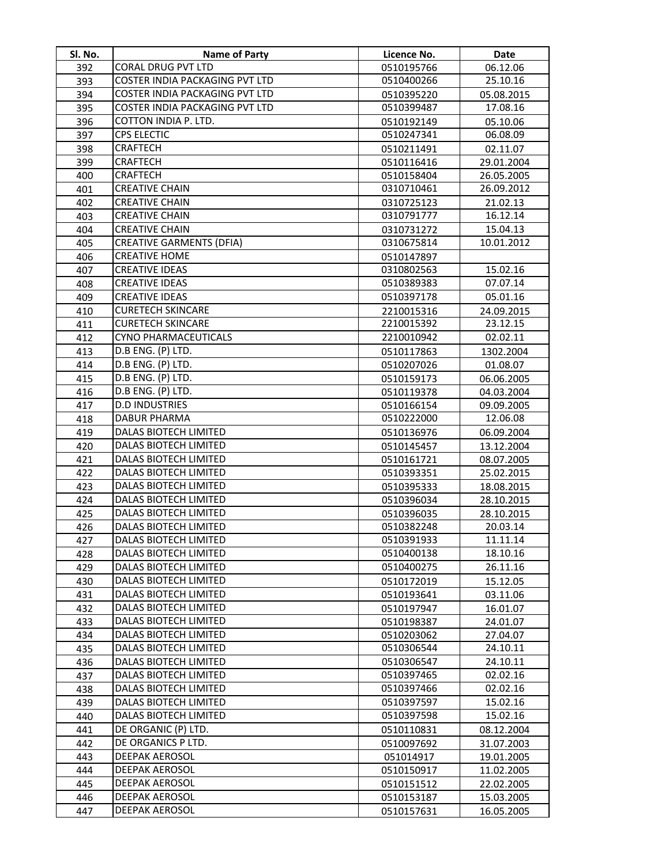| SI. No.    | <b>Name of Party</b>                                  | Licence No.              | <b>Date</b>          |
|------------|-------------------------------------------------------|--------------------------|----------------------|
| 392        | <b>CORAL DRUG PVT LTD</b>                             | 0510195766               | 06.12.06             |
| 393        | COSTER INDIA PACKAGING PVT LTD                        | 0510400266               | 25.10.16             |
| 394        | COSTER INDIA PACKAGING PVT LTD                        | 0510395220               | 05.08.2015           |
| 395        | COSTER INDIA PACKAGING PVT LTD                        | 0510399487               | 17.08.16             |
| 396        | COTTON INDIA P. LTD.                                  | 0510192149               | 05.10.06             |
| 397        | <b>CPS ELECTIC</b>                                    | 0510247341               | 06.08.09             |
| 398        | <b>CRAFTECH</b>                                       | 0510211491               | 02.11.07             |
| 399        | <b>CRAFTECH</b>                                       | 0510116416               | 29.01.2004           |
| 400        | <b>CRAFTECH</b>                                       | 0510158404               | 26.05.2005           |
| 401        | <b>CREATIVE CHAIN</b>                                 | 0310710461               | 26.09.2012           |
| 402        | <b>CREATIVE CHAIN</b>                                 | 0310725123               | 21.02.13             |
| 403        | <b>CREATIVE CHAIN</b>                                 | 0310791777               | 16.12.14             |
| 404        | <b>CREATIVE CHAIN</b>                                 | 0310731272               | 15.04.13             |
| 405        | <b>CREATIVE GARMENTS (DFIA)</b>                       | 0310675814               | 10.01.2012           |
| 406        | <b>CREATIVE HOME</b>                                  | 0510147897               |                      |
| 407        | <b>CREATIVE IDEAS</b>                                 | 0310802563               | 15.02.16             |
| 408        | <b>CREATIVE IDEAS</b>                                 | 0510389383               | 07.07.14             |
| 409        | <b>CREATIVE IDEAS</b>                                 | 0510397178               | 05.01.16             |
| 410        | <b>CURETECH SKINCARE</b>                              | 2210015316               | 24.09.2015           |
| 411        | <b>CURETECH SKINCARE</b>                              | 2210015392               | 23.12.15             |
| 412        | <b>CYNO PHARMACEUTICALS</b>                           | 2210010942               | 02.02.11             |
| 413        | D.B ENG. (P) LTD.                                     | 0510117863               | 1302.2004            |
| 414        | D.B ENG. (P) LTD.                                     | 0510207026               | 01.08.07             |
| 415        | D.B ENG. (P) LTD.                                     | 0510159173               | 06.06.2005           |
| 416        | D.B ENG. (P) LTD.                                     | 0510119378               | 04.03.2004           |
| 417        | <b>D.D INDUSTRIES</b>                                 | 0510166154               | 09.09.2005           |
| 418        | <b>DABUR PHARMA</b>                                   | 0510222000               | 12.06.08             |
| 419        | DALAS BIOTECH LIMITED                                 | 0510136976               | 06.09.2004           |
| 420        | DALAS BIOTECH LIMITED                                 | 0510145457               | 13.12.2004           |
| 421        | DALAS BIOTECH LIMITED                                 | 0510161721               | 08.07.2005           |
| 422        | DALAS BIOTECH LIMITED                                 | 0510393351               | 25.02.2015           |
| 423        | <b>DALAS BIOTECH LIMITED</b>                          | 0510395333               | 18.08.2015           |
| 424        | <b>DALAS BIOTECH LIMITED</b>                          | 0510396034               | 28.10.2015           |
| 425        | DALAS BIOTECH LIMITED                                 | 0510396035               | 28.10.2015           |
| 426        | DALAS BIOTECH LIMITED                                 | 0510382248               | 20.03.14             |
| 427        | DALAS BIOTECH LIMITED                                 | 0510391933               | 11.11.14             |
| 428        | DALAS BIOTECH LIMITED<br><b>DALAS BIOTECH LIMITED</b> | 0510400138               | 18.10.16             |
| 429        | DALAS BIOTECH LIMITED                                 | 0510400275               | 26.11.16             |
| 430<br>431 | DALAS BIOTECH LIMITED                                 | 0510172019<br>0510193641 | 15.12.05<br>03.11.06 |
| 432        | <b>DALAS BIOTECH LIMITED</b>                          | 0510197947               | 16.01.07             |
| 433        | DALAS BIOTECH LIMITED                                 | 0510198387               | 24.01.07             |
| 434        | DALAS BIOTECH LIMITED                                 | 0510203062               | 27.04.07             |
| 435        | DALAS BIOTECH LIMITED                                 | 0510306544               | 24.10.11             |
| 436        | <b>DALAS BIOTECH LIMITED</b>                          | 0510306547               | 24.10.11             |
| 437        | DALAS BIOTECH LIMITED                                 | 0510397465               | 02.02.16             |
| 438        | DALAS BIOTECH LIMITED                                 | 0510397466               | 02.02.16             |
| 439        | DALAS BIOTECH LIMITED                                 | 0510397597               | 15.02.16             |
| 440        | DALAS BIOTECH LIMITED                                 | 0510397598               | 15.02.16             |
| 441        | DE ORGANIC (P) LTD.                                   | 0510110831               | 08.12.2004           |
| 442        | DE ORGANICS P LTD.                                    | 0510097692               | 31.07.2003           |
| 443        | <b>DEEPAK AEROSOL</b>                                 | 051014917                | 19.01.2005           |
| 444        | DEEPAK AEROSOL                                        | 0510150917               | 11.02.2005           |
| 445        | DEEPAK AEROSOL                                        | 0510151512               | 22.02.2005           |
| 446        | DEEPAK AEROSOL                                        | 0510153187               | 15.03.2005           |
| 447        | <b>DEEPAK AEROSOL</b>                                 | 0510157631               | 16.05.2005           |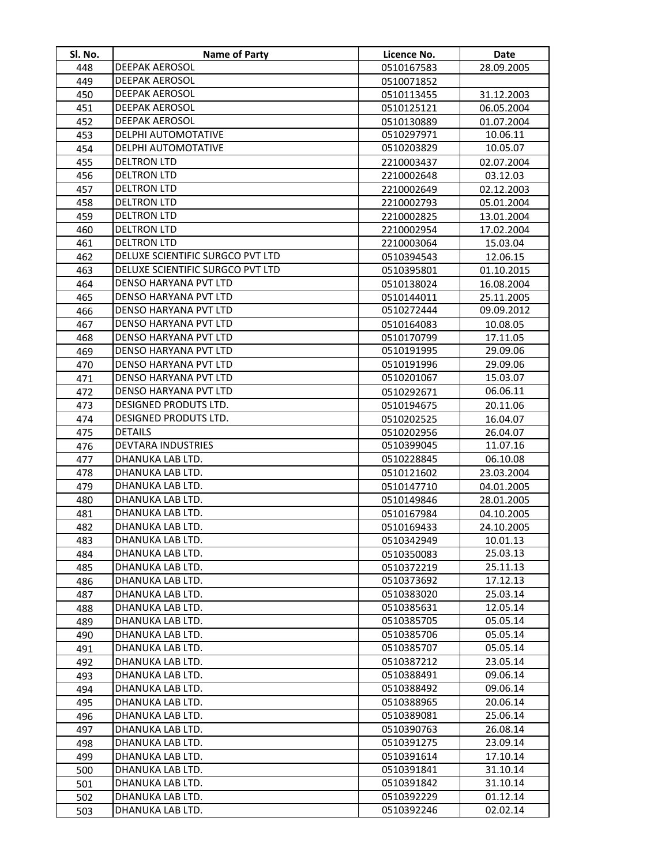| DEEPAK AEROSOL<br>448<br>28.09.2005<br>0510167583<br><b>DEEPAK AEROSOL</b><br>449<br>0510071852<br>DEEPAK AEROSOL<br>450<br>0510113455<br>31.12.2003<br>DEEPAK AEROSOL<br>451<br>0510125121<br>06.05.2004<br><b>DEEPAK AEROSOL</b><br>452<br>0510130889<br>01.07.2004<br>DELPHI AUTOMOTATIVE<br>0510297971<br>10.06.11<br>453<br>DELPHI AUTOMOTATIVE<br>10.05.07<br>0510203829<br>454<br><b>DELTRON LTD</b><br>455<br>2210003437<br>02.07.2004<br><b>DELTRON LTD</b><br>456<br>2210002648<br>03.12.03<br><b>DELTRON LTD</b><br>457<br>02.12.2003<br>2210002649<br><b>DELTRON LTD</b><br>458<br>05.01.2004<br>2210002793<br>459<br><b>DELTRON LTD</b><br>2210002825<br>13.01.2004<br><b>DELTRON LTD</b><br>460<br>17.02.2004<br>2210002954<br><b>DELTRON LTD</b><br>461<br>2210003064<br>15.03.04<br>DELUXE SCIENTIFIC SURGCO PVT LTD<br>462<br>0510394543<br>12.06.15<br>DELUXE SCIENTIFIC SURGCO PVT LTD<br>463<br>0510395801<br>01.10.2015<br>DENSO HARYANA PVT LTD<br>464<br>0510138024<br>16.08.2004<br>DENSO HARYANA PVT LTD<br>465<br>0510144011<br>25.11.2005<br>DENSO HARYANA PVT LTD<br>0510272444<br>09.09.2012<br>466<br>DENSO HARYANA PVT LTD<br>467<br>0510164083<br>10.08.05<br>DENSO HARYANA PVT LTD<br>468<br>0510170799<br>17.11.05<br>DENSO HARYANA PVT LTD<br>0510191995<br>29.09.06<br>469<br>DENSO HARYANA PVT LTD<br>0510191996<br>29.09.06<br>470<br>DENSO HARYANA PVT LTD<br>15.03.07<br>0510201067<br>471<br>DENSO HARYANA PVT LTD<br>06.06.11<br>472<br>0510292671<br>DESIGNED PRODUTS LTD.<br>473<br>20.11.06<br>0510194675<br>DESIGNED PRODUTS LTD.<br>474<br>0510202525<br>16.04.07<br><b>DETAILS</b><br>475<br>0510202956<br>26.04.07<br><b>DEVTARA INDUSTRIES</b><br>11.07.16<br>476<br>0510399045<br>DHANUKA LAB LTD.<br>477<br>0510228845<br>06.10.08<br>DHANUKA LAB LTD.<br>478<br>0510121602<br>23.03.2004<br>DHANUKA LAB LTD.<br>479<br>0510147710<br>04.01.2005<br>DHANUKA LAB LTD.<br>480<br>0510149846<br>28.01.2005<br>DHANUKA LAB LTD.<br>481<br>0510167984<br>04.10.2005<br>DHANUKA LAB LTD.<br>482<br>0510169433<br>24.10.2005<br>483<br>DHANUKA LAB LTD.<br>0510342949<br>10.01.13<br>DHANUKA LAB LTD.<br>25.03.13<br>484<br>0510350083<br>DHANUKA LAB LTD.<br>25.11.13<br>485<br>0510372219<br>DHANUKA LAB LTD.<br>17.12.13<br>0510373692<br>486<br>25.03.14<br>DHANUKA LAB LTD.<br>0510383020<br>487<br>DHANUKA LAB LTD.<br>0510385631<br>12.05.14<br>488<br>DHANUKA LAB LTD.<br>0510385705<br>05.05.14<br>489<br>DHANUKA LAB LTD.<br>0510385706<br>05.05.14<br>490<br>DHANUKA LAB LTD. |
|---------------------------------------------------------------------------------------------------------------------------------------------------------------------------------------------------------------------------------------------------------------------------------------------------------------------------------------------------------------------------------------------------------------------------------------------------------------------------------------------------------------------------------------------------------------------------------------------------------------------------------------------------------------------------------------------------------------------------------------------------------------------------------------------------------------------------------------------------------------------------------------------------------------------------------------------------------------------------------------------------------------------------------------------------------------------------------------------------------------------------------------------------------------------------------------------------------------------------------------------------------------------------------------------------------------------------------------------------------------------------------------------------------------------------------------------------------------------------------------------------------------------------------------------------------------------------------------------------------------------------------------------------------------------------------------------------------------------------------------------------------------------------------------------------------------------------------------------------------------------------------------------------------------------------------------------------------------------------------------------------------------------------------------------------------------------------------------------------------------------------------------------------------------------------------------------------------------------------------------------------------------------------------------------------------------------------------------------------------------------------------------------------------------------------------------------------------------------------------------------------------------------------------------|
|                                                                                                                                                                                                                                                                                                                                                                                                                                                                                                                                                                                                                                                                                                                                                                                                                                                                                                                                                                                                                                                                                                                                                                                                                                                                                                                                                                                                                                                                                                                                                                                                                                                                                                                                                                                                                                                                                                                                                                                                                                                                                                                                                                                                                                                                                                                                                                                                                                                                                                                                       |
|                                                                                                                                                                                                                                                                                                                                                                                                                                                                                                                                                                                                                                                                                                                                                                                                                                                                                                                                                                                                                                                                                                                                                                                                                                                                                                                                                                                                                                                                                                                                                                                                                                                                                                                                                                                                                                                                                                                                                                                                                                                                                                                                                                                                                                                                                                                                                                                                                                                                                                                                       |
|                                                                                                                                                                                                                                                                                                                                                                                                                                                                                                                                                                                                                                                                                                                                                                                                                                                                                                                                                                                                                                                                                                                                                                                                                                                                                                                                                                                                                                                                                                                                                                                                                                                                                                                                                                                                                                                                                                                                                                                                                                                                                                                                                                                                                                                                                                                                                                                                                                                                                                                                       |
|                                                                                                                                                                                                                                                                                                                                                                                                                                                                                                                                                                                                                                                                                                                                                                                                                                                                                                                                                                                                                                                                                                                                                                                                                                                                                                                                                                                                                                                                                                                                                                                                                                                                                                                                                                                                                                                                                                                                                                                                                                                                                                                                                                                                                                                                                                                                                                                                                                                                                                                                       |
|                                                                                                                                                                                                                                                                                                                                                                                                                                                                                                                                                                                                                                                                                                                                                                                                                                                                                                                                                                                                                                                                                                                                                                                                                                                                                                                                                                                                                                                                                                                                                                                                                                                                                                                                                                                                                                                                                                                                                                                                                                                                                                                                                                                                                                                                                                                                                                                                                                                                                                                                       |
|                                                                                                                                                                                                                                                                                                                                                                                                                                                                                                                                                                                                                                                                                                                                                                                                                                                                                                                                                                                                                                                                                                                                                                                                                                                                                                                                                                                                                                                                                                                                                                                                                                                                                                                                                                                                                                                                                                                                                                                                                                                                                                                                                                                                                                                                                                                                                                                                                                                                                                                                       |
|                                                                                                                                                                                                                                                                                                                                                                                                                                                                                                                                                                                                                                                                                                                                                                                                                                                                                                                                                                                                                                                                                                                                                                                                                                                                                                                                                                                                                                                                                                                                                                                                                                                                                                                                                                                                                                                                                                                                                                                                                                                                                                                                                                                                                                                                                                                                                                                                                                                                                                                                       |
|                                                                                                                                                                                                                                                                                                                                                                                                                                                                                                                                                                                                                                                                                                                                                                                                                                                                                                                                                                                                                                                                                                                                                                                                                                                                                                                                                                                                                                                                                                                                                                                                                                                                                                                                                                                                                                                                                                                                                                                                                                                                                                                                                                                                                                                                                                                                                                                                                                                                                                                                       |
|                                                                                                                                                                                                                                                                                                                                                                                                                                                                                                                                                                                                                                                                                                                                                                                                                                                                                                                                                                                                                                                                                                                                                                                                                                                                                                                                                                                                                                                                                                                                                                                                                                                                                                                                                                                                                                                                                                                                                                                                                                                                                                                                                                                                                                                                                                                                                                                                                                                                                                                                       |
|                                                                                                                                                                                                                                                                                                                                                                                                                                                                                                                                                                                                                                                                                                                                                                                                                                                                                                                                                                                                                                                                                                                                                                                                                                                                                                                                                                                                                                                                                                                                                                                                                                                                                                                                                                                                                                                                                                                                                                                                                                                                                                                                                                                                                                                                                                                                                                                                                                                                                                                                       |
|                                                                                                                                                                                                                                                                                                                                                                                                                                                                                                                                                                                                                                                                                                                                                                                                                                                                                                                                                                                                                                                                                                                                                                                                                                                                                                                                                                                                                                                                                                                                                                                                                                                                                                                                                                                                                                                                                                                                                                                                                                                                                                                                                                                                                                                                                                                                                                                                                                                                                                                                       |
|                                                                                                                                                                                                                                                                                                                                                                                                                                                                                                                                                                                                                                                                                                                                                                                                                                                                                                                                                                                                                                                                                                                                                                                                                                                                                                                                                                                                                                                                                                                                                                                                                                                                                                                                                                                                                                                                                                                                                                                                                                                                                                                                                                                                                                                                                                                                                                                                                                                                                                                                       |
|                                                                                                                                                                                                                                                                                                                                                                                                                                                                                                                                                                                                                                                                                                                                                                                                                                                                                                                                                                                                                                                                                                                                                                                                                                                                                                                                                                                                                                                                                                                                                                                                                                                                                                                                                                                                                                                                                                                                                                                                                                                                                                                                                                                                                                                                                                                                                                                                                                                                                                                                       |
|                                                                                                                                                                                                                                                                                                                                                                                                                                                                                                                                                                                                                                                                                                                                                                                                                                                                                                                                                                                                                                                                                                                                                                                                                                                                                                                                                                                                                                                                                                                                                                                                                                                                                                                                                                                                                                                                                                                                                                                                                                                                                                                                                                                                                                                                                                                                                                                                                                                                                                                                       |
|                                                                                                                                                                                                                                                                                                                                                                                                                                                                                                                                                                                                                                                                                                                                                                                                                                                                                                                                                                                                                                                                                                                                                                                                                                                                                                                                                                                                                                                                                                                                                                                                                                                                                                                                                                                                                                                                                                                                                                                                                                                                                                                                                                                                                                                                                                                                                                                                                                                                                                                                       |
|                                                                                                                                                                                                                                                                                                                                                                                                                                                                                                                                                                                                                                                                                                                                                                                                                                                                                                                                                                                                                                                                                                                                                                                                                                                                                                                                                                                                                                                                                                                                                                                                                                                                                                                                                                                                                                                                                                                                                                                                                                                                                                                                                                                                                                                                                                                                                                                                                                                                                                                                       |
|                                                                                                                                                                                                                                                                                                                                                                                                                                                                                                                                                                                                                                                                                                                                                                                                                                                                                                                                                                                                                                                                                                                                                                                                                                                                                                                                                                                                                                                                                                                                                                                                                                                                                                                                                                                                                                                                                                                                                                                                                                                                                                                                                                                                                                                                                                                                                                                                                                                                                                                                       |
|                                                                                                                                                                                                                                                                                                                                                                                                                                                                                                                                                                                                                                                                                                                                                                                                                                                                                                                                                                                                                                                                                                                                                                                                                                                                                                                                                                                                                                                                                                                                                                                                                                                                                                                                                                                                                                                                                                                                                                                                                                                                                                                                                                                                                                                                                                                                                                                                                                                                                                                                       |
|                                                                                                                                                                                                                                                                                                                                                                                                                                                                                                                                                                                                                                                                                                                                                                                                                                                                                                                                                                                                                                                                                                                                                                                                                                                                                                                                                                                                                                                                                                                                                                                                                                                                                                                                                                                                                                                                                                                                                                                                                                                                                                                                                                                                                                                                                                                                                                                                                                                                                                                                       |
|                                                                                                                                                                                                                                                                                                                                                                                                                                                                                                                                                                                                                                                                                                                                                                                                                                                                                                                                                                                                                                                                                                                                                                                                                                                                                                                                                                                                                                                                                                                                                                                                                                                                                                                                                                                                                                                                                                                                                                                                                                                                                                                                                                                                                                                                                                                                                                                                                                                                                                                                       |
|                                                                                                                                                                                                                                                                                                                                                                                                                                                                                                                                                                                                                                                                                                                                                                                                                                                                                                                                                                                                                                                                                                                                                                                                                                                                                                                                                                                                                                                                                                                                                                                                                                                                                                                                                                                                                                                                                                                                                                                                                                                                                                                                                                                                                                                                                                                                                                                                                                                                                                                                       |
|                                                                                                                                                                                                                                                                                                                                                                                                                                                                                                                                                                                                                                                                                                                                                                                                                                                                                                                                                                                                                                                                                                                                                                                                                                                                                                                                                                                                                                                                                                                                                                                                                                                                                                                                                                                                                                                                                                                                                                                                                                                                                                                                                                                                                                                                                                                                                                                                                                                                                                                                       |
|                                                                                                                                                                                                                                                                                                                                                                                                                                                                                                                                                                                                                                                                                                                                                                                                                                                                                                                                                                                                                                                                                                                                                                                                                                                                                                                                                                                                                                                                                                                                                                                                                                                                                                                                                                                                                                                                                                                                                                                                                                                                                                                                                                                                                                                                                                                                                                                                                                                                                                                                       |
|                                                                                                                                                                                                                                                                                                                                                                                                                                                                                                                                                                                                                                                                                                                                                                                                                                                                                                                                                                                                                                                                                                                                                                                                                                                                                                                                                                                                                                                                                                                                                                                                                                                                                                                                                                                                                                                                                                                                                                                                                                                                                                                                                                                                                                                                                                                                                                                                                                                                                                                                       |
|                                                                                                                                                                                                                                                                                                                                                                                                                                                                                                                                                                                                                                                                                                                                                                                                                                                                                                                                                                                                                                                                                                                                                                                                                                                                                                                                                                                                                                                                                                                                                                                                                                                                                                                                                                                                                                                                                                                                                                                                                                                                                                                                                                                                                                                                                                                                                                                                                                                                                                                                       |
|                                                                                                                                                                                                                                                                                                                                                                                                                                                                                                                                                                                                                                                                                                                                                                                                                                                                                                                                                                                                                                                                                                                                                                                                                                                                                                                                                                                                                                                                                                                                                                                                                                                                                                                                                                                                                                                                                                                                                                                                                                                                                                                                                                                                                                                                                                                                                                                                                                                                                                                                       |
|                                                                                                                                                                                                                                                                                                                                                                                                                                                                                                                                                                                                                                                                                                                                                                                                                                                                                                                                                                                                                                                                                                                                                                                                                                                                                                                                                                                                                                                                                                                                                                                                                                                                                                                                                                                                                                                                                                                                                                                                                                                                                                                                                                                                                                                                                                                                                                                                                                                                                                                                       |
|                                                                                                                                                                                                                                                                                                                                                                                                                                                                                                                                                                                                                                                                                                                                                                                                                                                                                                                                                                                                                                                                                                                                                                                                                                                                                                                                                                                                                                                                                                                                                                                                                                                                                                                                                                                                                                                                                                                                                                                                                                                                                                                                                                                                                                                                                                                                                                                                                                                                                                                                       |
|                                                                                                                                                                                                                                                                                                                                                                                                                                                                                                                                                                                                                                                                                                                                                                                                                                                                                                                                                                                                                                                                                                                                                                                                                                                                                                                                                                                                                                                                                                                                                                                                                                                                                                                                                                                                                                                                                                                                                                                                                                                                                                                                                                                                                                                                                                                                                                                                                                                                                                                                       |
|                                                                                                                                                                                                                                                                                                                                                                                                                                                                                                                                                                                                                                                                                                                                                                                                                                                                                                                                                                                                                                                                                                                                                                                                                                                                                                                                                                                                                                                                                                                                                                                                                                                                                                                                                                                                                                                                                                                                                                                                                                                                                                                                                                                                                                                                                                                                                                                                                                                                                                                                       |
|                                                                                                                                                                                                                                                                                                                                                                                                                                                                                                                                                                                                                                                                                                                                                                                                                                                                                                                                                                                                                                                                                                                                                                                                                                                                                                                                                                                                                                                                                                                                                                                                                                                                                                                                                                                                                                                                                                                                                                                                                                                                                                                                                                                                                                                                                                                                                                                                                                                                                                                                       |
|                                                                                                                                                                                                                                                                                                                                                                                                                                                                                                                                                                                                                                                                                                                                                                                                                                                                                                                                                                                                                                                                                                                                                                                                                                                                                                                                                                                                                                                                                                                                                                                                                                                                                                                                                                                                                                                                                                                                                                                                                                                                                                                                                                                                                                                                                                                                                                                                                                                                                                                                       |
|                                                                                                                                                                                                                                                                                                                                                                                                                                                                                                                                                                                                                                                                                                                                                                                                                                                                                                                                                                                                                                                                                                                                                                                                                                                                                                                                                                                                                                                                                                                                                                                                                                                                                                                                                                                                                                                                                                                                                                                                                                                                                                                                                                                                                                                                                                                                                                                                                                                                                                                                       |
|                                                                                                                                                                                                                                                                                                                                                                                                                                                                                                                                                                                                                                                                                                                                                                                                                                                                                                                                                                                                                                                                                                                                                                                                                                                                                                                                                                                                                                                                                                                                                                                                                                                                                                                                                                                                                                                                                                                                                                                                                                                                                                                                                                                                                                                                                                                                                                                                                                                                                                                                       |
|                                                                                                                                                                                                                                                                                                                                                                                                                                                                                                                                                                                                                                                                                                                                                                                                                                                                                                                                                                                                                                                                                                                                                                                                                                                                                                                                                                                                                                                                                                                                                                                                                                                                                                                                                                                                                                                                                                                                                                                                                                                                                                                                                                                                                                                                                                                                                                                                                                                                                                                                       |
|                                                                                                                                                                                                                                                                                                                                                                                                                                                                                                                                                                                                                                                                                                                                                                                                                                                                                                                                                                                                                                                                                                                                                                                                                                                                                                                                                                                                                                                                                                                                                                                                                                                                                                                                                                                                                                                                                                                                                                                                                                                                                                                                                                                                                                                                                                                                                                                                                                                                                                                                       |
|                                                                                                                                                                                                                                                                                                                                                                                                                                                                                                                                                                                                                                                                                                                                                                                                                                                                                                                                                                                                                                                                                                                                                                                                                                                                                                                                                                                                                                                                                                                                                                                                                                                                                                                                                                                                                                                                                                                                                                                                                                                                                                                                                                                                                                                                                                                                                                                                                                                                                                                                       |
|                                                                                                                                                                                                                                                                                                                                                                                                                                                                                                                                                                                                                                                                                                                                                                                                                                                                                                                                                                                                                                                                                                                                                                                                                                                                                                                                                                                                                                                                                                                                                                                                                                                                                                                                                                                                                                                                                                                                                                                                                                                                                                                                                                                                                                                                                                                                                                                                                                                                                                                                       |
|                                                                                                                                                                                                                                                                                                                                                                                                                                                                                                                                                                                                                                                                                                                                                                                                                                                                                                                                                                                                                                                                                                                                                                                                                                                                                                                                                                                                                                                                                                                                                                                                                                                                                                                                                                                                                                                                                                                                                                                                                                                                                                                                                                                                                                                                                                                                                                                                                                                                                                                                       |
|                                                                                                                                                                                                                                                                                                                                                                                                                                                                                                                                                                                                                                                                                                                                                                                                                                                                                                                                                                                                                                                                                                                                                                                                                                                                                                                                                                                                                                                                                                                                                                                                                                                                                                                                                                                                                                                                                                                                                                                                                                                                                                                                                                                                                                                                                                                                                                                                                                                                                                                                       |
|                                                                                                                                                                                                                                                                                                                                                                                                                                                                                                                                                                                                                                                                                                                                                                                                                                                                                                                                                                                                                                                                                                                                                                                                                                                                                                                                                                                                                                                                                                                                                                                                                                                                                                                                                                                                                                                                                                                                                                                                                                                                                                                                                                                                                                                                                                                                                                                                                                                                                                                                       |
|                                                                                                                                                                                                                                                                                                                                                                                                                                                                                                                                                                                                                                                                                                                                                                                                                                                                                                                                                                                                                                                                                                                                                                                                                                                                                                                                                                                                                                                                                                                                                                                                                                                                                                                                                                                                                                                                                                                                                                                                                                                                                                                                                                                                                                                                                                                                                                                                                                                                                                                                       |
|                                                                                                                                                                                                                                                                                                                                                                                                                                                                                                                                                                                                                                                                                                                                                                                                                                                                                                                                                                                                                                                                                                                                                                                                                                                                                                                                                                                                                                                                                                                                                                                                                                                                                                                                                                                                                                                                                                                                                                                                                                                                                                                                                                                                                                                                                                                                                                                                                                                                                                                                       |
| 0510385707<br>05.05.14<br>491<br>DHANUKA LAB LTD.                                                                                                                                                                                                                                                                                                                                                                                                                                                                                                                                                                                                                                                                                                                                                                                                                                                                                                                                                                                                                                                                                                                                                                                                                                                                                                                                                                                                                                                                                                                                                                                                                                                                                                                                                                                                                                                                                                                                                                                                                                                                                                                                                                                                                                                                                                                                                                                                                                                                                     |
| 23.05.14<br>492<br>0510387212                                                                                                                                                                                                                                                                                                                                                                                                                                                                                                                                                                                                                                                                                                                                                                                                                                                                                                                                                                                                                                                                                                                                                                                                                                                                                                                                                                                                                                                                                                                                                                                                                                                                                                                                                                                                                                                                                                                                                                                                                                                                                                                                                                                                                                                                                                                                                                                                                                                                                                         |
| DHANUKA LAB LTD.<br>0510388491<br>09.06.14<br>493                                                                                                                                                                                                                                                                                                                                                                                                                                                                                                                                                                                                                                                                                                                                                                                                                                                                                                                                                                                                                                                                                                                                                                                                                                                                                                                                                                                                                                                                                                                                                                                                                                                                                                                                                                                                                                                                                                                                                                                                                                                                                                                                                                                                                                                                                                                                                                                                                                                                                     |
| DHANUKA LAB LTD.<br>0510388492<br>09.06.14<br>494<br>DHANUKA LAB LTD.<br>0510388965                                                                                                                                                                                                                                                                                                                                                                                                                                                                                                                                                                                                                                                                                                                                                                                                                                                                                                                                                                                                                                                                                                                                                                                                                                                                                                                                                                                                                                                                                                                                                                                                                                                                                                                                                                                                                                                                                                                                                                                                                                                                                                                                                                                                                                                                                                                                                                                                                                                   |
| 20.06.14<br>495<br>DHANUKA LAB LTD.<br>0510389081<br>25.06.14<br>496                                                                                                                                                                                                                                                                                                                                                                                                                                                                                                                                                                                                                                                                                                                                                                                                                                                                                                                                                                                                                                                                                                                                                                                                                                                                                                                                                                                                                                                                                                                                                                                                                                                                                                                                                                                                                                                                                                                                                                                                                                                                                                                                                                                                                                                                                                                                                                                                                                                                  |
|                                                                                                                                                                                                                                                                                                                                                                                                                                                                                                                                                                                                                                                                                                                                                                                                                                                                                                                                                                                                                                                                                                                                                                                                                                                                                                                                                                                                                                                                                                                                                                                                                                                                                                                                                                                                                                                                                                                                                                                                                                                                                                                                                                                                                                                                                                                                                                                                                                                                                                                                       |
| DHANUKA LAB LTD.<br>0510390763<br>26.08.14<br>497<br>DHANUKA LAB LTD.<br>0510391275<br>23.09.14                                                                                                                                                                                                                                                                                                                                                                                                                                                                                                                                                                                                                                                                                                                                                                                                                                                                                                                                                                                                                                                                                                                                                                                                                                                                                                                                                                                                                                                                                                                                                                                                                                                                                                                                                                                                                                                                                                                                                                                                                                                                                                                                                                                                                                                                                                                                                                                                                                       |
| 498<br>499<br>DHANUKA LAB LTD.<br>0510391614<br>17.10.14                                                                                                                                                                                                                                                                                                                                                                                                                                                                                                                                                                                                                                                                                                                                                                                                                                                                                                                                                                                                                                                                                                                                                                                                                                                                                                                                                                                                                                                                                                                                                                                                                                                                                                                                                                                                                                                                                                                                                                                                                                                                                                                                                                                                                                                                                                                                                                                                                                                                              |
| DHANUKA LAB LTD.<br>0510391841<br>31.10.14<br>500                                                                                                                                                                                                                                                                                                                                                                                                                                                                                                                                                                                                                                                                                                                                                                                                                                                                                                                                                                                                                                                                                                                                                                                                                                                                                                                                                                                                                                                                                                                                                                                                                                                                                                                                                                                                                                                                                                                                                                                                                                                                                                                                                                                                                                                                                                                                                                                                                                                                                     |
| DHANUKA LAB LTD.<br>0510391842<br>31.10.14<br>501                                                                                                                                                                                                                                                                                                                                                                                                                                                                                                                                                                                                                                                                                                                                                                                                                                                                                                                                                                                                                                                                                                                                                                                                                                                                                                                                                                                                                                                                                                                                                                                                                                                                                                                                                                                                                                                                                                                                                                                                                                                                                                                                                                                                                                                                                                                                                                                                                                                                                     |
| 01.12.14<br>DHANUKA LAB LTD.<br>0510392229<br>502                                                                                                                                                                                                                                                                                                                                                                                                                                                                                                                                                                                                                                                                                                                                                                                                                                                                                                                                                                                                                                                                                                                                                                                                                                                                                                                                                                                                                                                                                                                                                                                                                                                                                                                                                                                                                                                                                                                                                                                                                                                                                                                                                                                                                                                                                                                                                                                                                                                                                     |
| DHANUKA LAB LTD.<br>02.02.14<br>0510392246<br>503                                                                                                                                                                                                                                                                                                                                                                                                                                                                                                                                                                                                                                                                                                                                                                                                                                                                                                                                                                                                                                                                                                                                                                                                                                                                                                                                                                                                                                                                                                                                                                                                                                                                                                                                                                                                                                                                                                                                                                                                                                                                                                                                                                                                                                                                                                                                                                                                                                                                                     |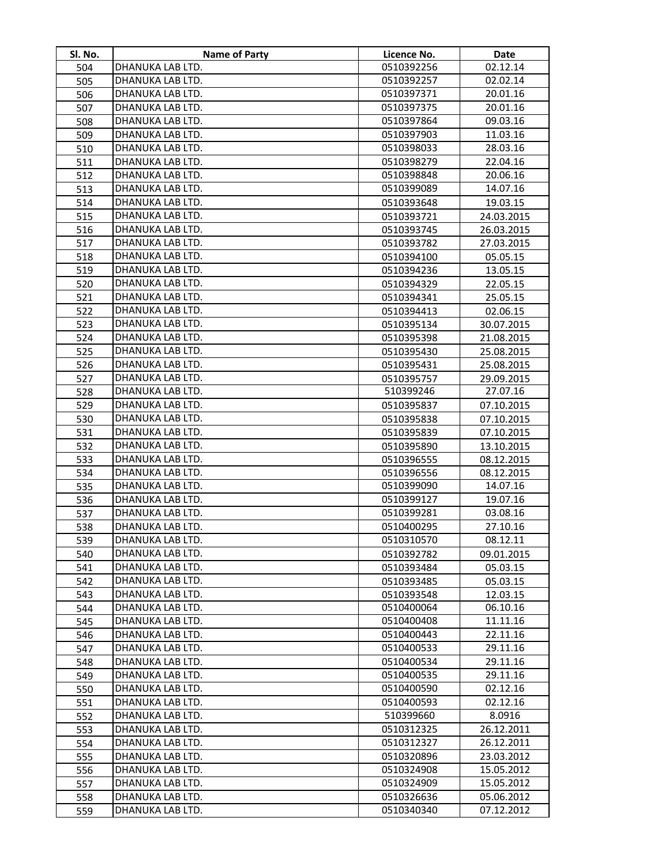| SI. No. | <b>Name of Party</b> | Licence No. | Date       |
|---------|----------------------|-------------|------------|
| 504     | DHANUKA LAB LTD.     | 0510392256  | 02.12.14   |
| 505     | DHANUKA LAB LTD.     | 0510392257  | 02.02.14   |
| 506     | DHANUKA LAB LTD.     | 0510397371  | 20.01.16   |
| 507     | DHANUKA LAB LTD.     | 0510397375  | 20.01.16   |
| 508     | DHANUKA LAB LTD.     | 0510397864  | 09.03.16   |
| 509     | DHANUKA LAB LTD.     | 0510397903  | 11.03.16   |
| 510     | DHANUKA LAB LTD.     | 0510398033  | 28.03.16   |
| 511     | DHANUKA LAB LTD.     | 0510398279  | 22.04.16   |
| 512     | DHANUKA LAB LTD.     | 0510398848  | 20.06.16   |
| 513     | DHANUKA LAB LTD.     | 0510399089  | 14.07.16   |
| 514     | DHANUKA LAB LTD.     | 0510393648  | 19.03.15   |
| 515     | DHANUKA LAB LTD.     | 0510393721  | 24.03.2015 |
| 516     | DHANUKA LAB LTD.     | 0510393745  | 26.03.2015 |
| 517     | DHANUKA LAB LTD.     | 0510393782  | 27.03.2015 |
| 518     | DHANUKA LAB LTD.     | 0510394100  | 05.05.15   |
| 519     | DHANUKA LAB LTD.     | 0510394236  | 13.05.15   |
| 520     | DHANUKA LAB LTD.     | 0510394329  | 22.05.15   |
| 521     | DHANUKA LAB LTD.     | 0510394341  | 25.05.15   |
| 522     | DHANUKA LAB LTD.     | 0510394413  | 02.06.15   |
| 523     | DHANUKA LAB LTD.     | 0510395134  | 30.07.2015 |
| 524     | DHANUKA LAB LTD.     | 0510395398  | 21.08.2015 |
| 525     | DHANUKA LAB LTD.     | 0510395430  | 25.08.2015 |
| 526     | DHANUKA LAB LTD.     | 0510395431  | 25.08.2015 |
| 527     | DHANUKA LAB LTD.     | 0510395757  | 29.09.2015 |
| 528     | DHANUKA LAB LTD.     | 510399246   | 27.07.16   |
| 529     | DHANUKA LAB LTD.     | 0510395837  | 07.10.2015 |
| 530     | DHANUKA LAB LTD.     | 0510395838  | 07.10.2015 |
| 531     | DHANUKA LAB LTD.     | 0510395839  | 07.10.2015 |
| 532     | DHANUKA LAB LTD.     | 0510395890  | 13.10.2015 |
| 533     | DHANUKA LAB LTD.     | 0510396555  | 08.12.2015 |
| 534     | DHANUKA LAB LTD.     | 0510396556  | 08.12.2015 |
| 535     | DHANUKA LAB LTD.     | 0510399090  | 14.07.16   |
| 536     | DHANUKA LAB LTD.     | 0510399127  | 19.07.16   |
| 537     | DHANUKA LAB LTD.     | 0510399281  | 03.08.16   |
| 538     | DHANUKA LAB LTD.     | 0510400295  | 27.10.16   |
| 539     | DHANUKA LAB LTD.     | 0510310570  | 08.12.11   |
| 540     | DHANUKA LAB LTD.     | 0510392782  | 09.01.2015 |
| 541     | DHANUKA LAB LTD.     | 0510393484  | 05.03.15   |
| 542     | DHANUKA LAB LTD.     | 0510393485  | 05.03.15   |
| 543     | DHANUKA LAB LTD.     | 0510393548  | 12.03.15   |
| 544     | DHANUKA LAB LTD.     | 0510400064  | 06.10.16   |
| 545     | DHANUKA LAB LTD.     | 0510400408  | 11.11.16   |
| 546     | DHANUKA LAB LTD.     | 0510400443  | 22.11.16   |
| 547     | DHANUKA LAB LTD.     | 0510400533  | 29.11.16   |
| 548     | DHANUKA LAB LTD.     | 0510400534  | 29.11.16   |
| 549     | DHANUKA LAB LTD.     | 0510400535  | 29.11.16   |
| 550     | DHANUKA LAB LTD.     | 0510400590  | 02.12.16   |
| 551     | DHANUKA LAB LTD.     | 0510400593  | 02.12.16   |
| 552     | DHANUKA LAB LTD.     | 510399660   | 8.0916     |
| 553     | DHANUKA LAB LTD.     | 0510312325  | 26.12.2011 |
| 554     | DHANUKA LAB LTD.     | 0510312327  | 26.12.2011 |
| 555     | DHANUKA LAB LTD.     | 0510320896  | 23.03.2012 |
| 556     | DHANUKA LAB LTD.     | 0510324908  | 15.05.2012 |
| 557     | DHANUKA LAB LTD.     | 0510324909  | 15.05.2012 |
| 558     | DHANUKA LAB LTD.     | 0510326636  | 05.06.2012 |
| 559     | DHANUKA LAB LTD.     | 0510340340  | 07.12.2012 |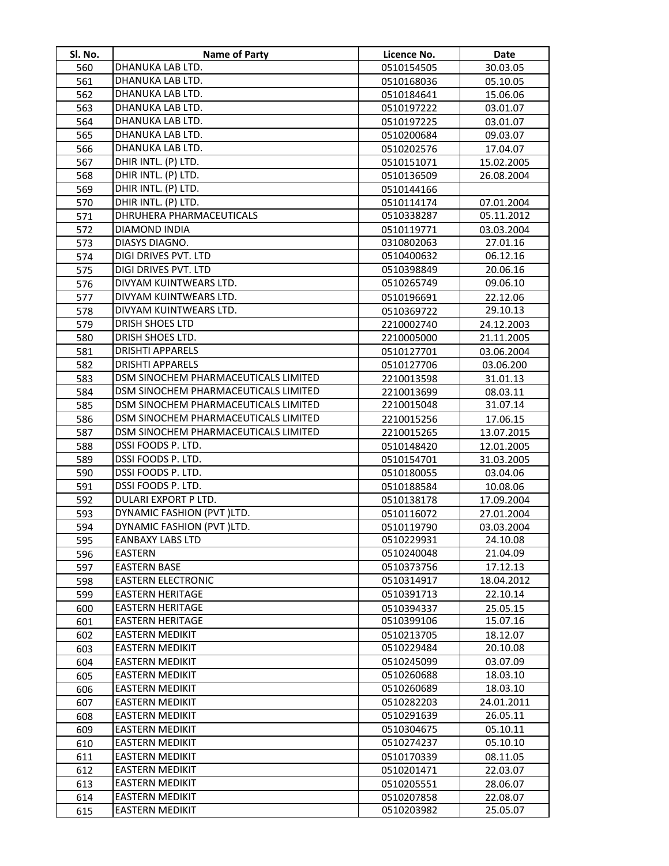| Sl. No. | <b>Name of Party</b>                 | Licence No. | Date       |
|---------|--------------------------------------|-------------|------------|
| 560     | DHANUKA LAB LTD.                     | 0510154505  | 30.03.05   |
| 561     | DHANUKA LAB LTD.                     | 0510168036  | 05.10.05   |
| 562     | DHANUKA LAB LTD.                     | 0510184641  | 15.06.06   |
| 563     | DHANUKA LAB LTD.                     | 0510197222  | 03.01.07   |
| 564     | DHANUKA LAB LTD.                     | 0510197225  | 03.01.07   |
| 565     | DHANUKA LAB LTD.                     | 0510200684  | 09.03.07   |
| 566     | DHANUKA LAB LTD.                     | 0510202576  | 17.04.07   |
| 567     | DHIR INTL. (P) LTD.                  | 0510151071  | 15.02.2005 |
| 568     | DHIR INTL. (P) LTD.                  | 0510136509  | 26.08.2004 |
| 569     | DHIR INTL. (P) LTD.                  | 0510144166  |            |
| 570     | DHIR INTL. (P) LTD.                  | 0510114174  | 07.01.2004 |
| 571     | DHRUHERA PHARMACEUTICALS             | 0510338287  | 05.11.2012 |
| 572     | DIAMOND INDIA                        | 0510119771  | 03.03.2004 |
| 573     | DIASYS DIAGNO.                       | 0310802063  | 27.01.16   |
| 574     | DIGI DRIVES PVT. LTD                 | 0510400632  | 06.12.16   |
| 575     | DIGI DRIVES PVT. LTD                 | 0510398849  | 20.06.16   |
| 576     | DIVYAM KUINTWEARS LTD.               | 0510265749  | 09.06.10   |
| 577     | DIVYAM KUINTWEARS LTD.               | 0510196691  | 22.12.06   |
| 578     | DIVYAM KUINTWEARS LTD.               | 0510369722  | 29.10.13   |
| 579     | <b>DRISH SHOES LTD</b>               | 2210002740  | 24.12.2003 |
| 580     | DRISH SHOES LTD.                     | 2210005000  | 21.11.2005 |
| 581     | <b>DRISHTI APPARELS</b>              | 0510127701  | 03.06.2004 |
| 582     | <b>DRISHTI APPARELS</b>              | 0510127706  | 03.06.200  |
| 583     | DSM SINOCHEM PHARMACEUTICALS LIMITED | 2210013598  | 31.01.13   |
| 584     | DSM SINOCHEM PHARMACEUTICALS LIMITED | 2210013699  | 08.03.11   |
| 585     | DSM SINOCHEM PHARMACEUTICALS LIMITED | 2210015048  | 31.07.14   |
| 586     | DSM SINOCHEM PHARMACEUTICALS LIMITED | 2210015256  | 17.06.15   |
| 587     | DSM SINOCHEM PHARMACEUTICALS LIMITED | 2210015265  | 13.07.2015 |
| 588     | DSSI FOODS P. LTD.                   | 0510148420  | 12.01.2005 |
| 589     | DSSI FOODS P. LTD.                   | 0510154701  | 31.03.2005 |
| 590     | DSSI FOODS P. LTD.                   | 0510180055  | 03.04.06   |
| 591     | DSSI FOODS P. LTD.                   | 0510188584  | 10.08.06   |
| 592     | DULARI EXPORT P LTD.                 | 0510138178  | 17.09.2004 |
| 593     | DYNAMIC FASHION (PVT)LTD.            | 0510116072  | 27.01.2004 |
| 594     | DYNAMIC FASHION (PVT)LTD.            | 0510119790  | 03.03.2004 |
| 595     | EANBAXY LABS LTD                     | 0510229931  | 24.10.08   |
| 596     | <b>EASTERN</b>                       | 0510240048  | 21.04.09   |
| 597     | <b>EASTERN BASE</b>                  | 0510373756  | 17.12.13   |
| 598     | <b>EASTERN ELECTRONIC</b>            | 0510314917  | 18.04.2012 |
| 599     | <b>EASTERN HERITAGE</b>              | 0510391713  | 22.10.14   |
| 600     | <b>EASTERN HERITAGE</b>              | 0510394337  | 25.05.15   |
| 601     | <b>EASTERN HERITAGE</b>              | 0510399106  | 15.07.16   |
| 602     | <b>EASTERN MEDIKIT</b>               | 0510213705  | 18.12.07   |
| 603     | <b>EASTERN MEDIKIT</b>               | 0510229484  | 20.10.08   |
| 604     | <b>EASTERN MEDIKIT</b>               | 0510245099  | 03.07.09   |
| 605     | <b>EASTERN MEDIKIT</b>               | 0510260688  | 18.03.10   |
| 606     | <b>EASTERN MEDIKIT</b>               | 0510260689  | 18.03.10   |
| 607     | <b>EASTERN MEDIKIT</b>               | 0510282203  | 24.01.2011 |
| 608     | <b>EASTERN MEDIKIT</b>               | 0510291639  | 26.05.11   |
| 609     | <b>EASTERN MEDIKIT</b>               | 0510304675  | 05.10.11   |
| 610     | <b>EASTERN MEDIKIT</b>               | 0510274237  | 05.10.10   |
| 611     | <b>EASTERN MEDIKIT</b>               | 0510170339  | 08.11.05   |
| 612     | EASTERN MEDIKIT                      | 0510201471  | 22.03.07   |
| 613     | EASTERN MEDIKIT                      | 0510205551  | 28.06.07   |
| 614     | EASTERN MEDIKIT                      | 0510207858  | 22.08.07   |
| 615     | <b>EASTERN MEDIKIT</b>               | 0510203982  | 25.05.07   |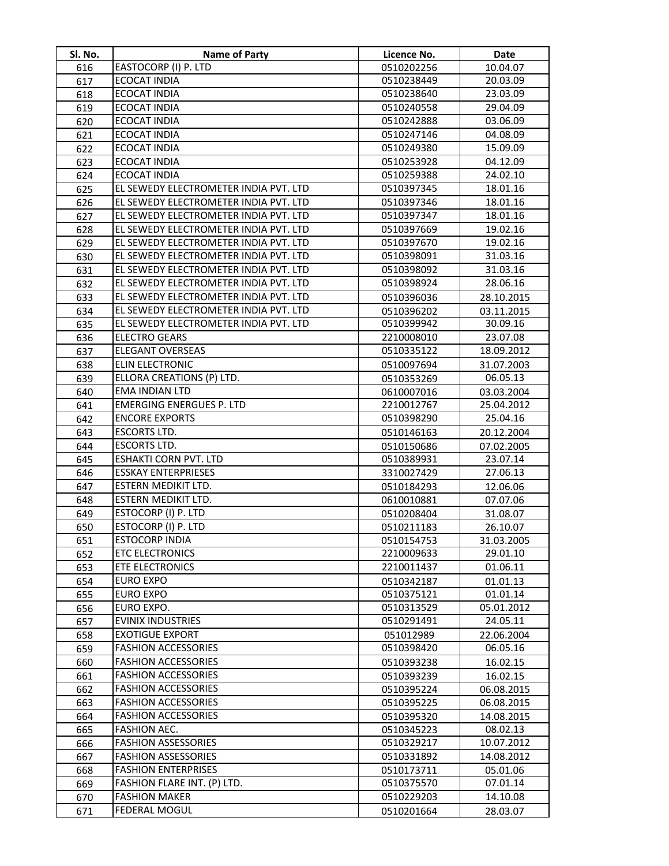| SI. No.    | <b>Name of Party</b>                       | Licence No.              | Date                     |
|------------|--------------------------------------------|--------------------------|--------------------------|
| 616        | EASTOCORP (I) P. LTD                       | 0510202256               | 10.04.07                 |
| 617        | <b>ECOCAT INDIA</b>                        | 0510238449               | 20.03.09                 |
| 618        | <b>ECOCAT INDIA</b>                        | 0510238640               | 23.03.09                 |
| 619        | <b>ECOCAT INDIA</b>                        | 0510240558               | 29.04.09                 |
| 620        | <b>ECOCAT INDIA</b>                        | 0510242888               | 03.06.09                 |
| 621        | <b>ECOCAT INDIA</b>                        | 0510247146               | 04.08.09                 |
| 622        | <b>ECOCAT INDIA</b>                        | 0510249380               | 15.09.09                 |
| 623        | <b>ECOCAT INDIA</b>                        | 0510253928               | 04.12.09                 |
| 624        | <b>ECOCAT INDIA</b>                        | 0510259388               | 24.02.10                 |
| 625        | EL SEWEDY ELECTROMETER INDIA PVT. LTD      | 0510397345               | 18.01.16                 |
| 626        | EL SEWEDY ELECTROMETER INDIA PVT. LTD      | 0510397346               | 18.01.16                 |
| 627        | EL SEWEDY ELECTROMETER INDIA PVT. LTD      | 0510397347               | 18.01.16                 |
| 628        | EL SEWEDY ELECTROMETER INDIA PVT. LTD      | 0510397669               | 19.02.16                 |
| 629        | EL SEWEDY ELECTROMETER INDIA PVT. LTD      | 0510397670               | 19.02.16                 |
| 630        | EL SEWEDY ELECTROMETER INDIA PVT. LTD      | 0510398091               | 31.03.16                 |
| 631        | EL SEWEDY ELECTROMETER INDIA PVT. LTD      | 0510398092               | 31.03.16                 |
| 632        | EL SEWEDY ELECTROMETER INDIA PVT. LTD      | 0510398924               | 28.06.16                 |
| 633        | EL SEWEDY ELECTROMETER INDIA PVT. LTD      | 0510396036               | 28.10.2015               |
| 634        | EL SEWEDY ELECTROMETER INDIA PVT. LTD      | 0510396202               | 03.11.2015               |
| 635        | EL SEWEDY ELECTROMETER INDIA PVT. LTD      | 0510399942               | 30.09.16                 |
| 636        | <b>ELECTRO GEARS</b>                       | 2210008010               | 23.07.08                 |
| 637        | <b>ELEGANT OVERSEAS</b>                    | 0510335122               | 18.09.2012               |
| 638        | ELIN ELECTRONIC                            | 0510097694               | 31.07.2003               |
| 639        | ELLORA CREATIONS (P) LTD.                  | 0510353269               | 06.05.13                 |
| 640        | <b>EMA INDIAN LTD</b>                      | 0610007016               | 03.03.2004               |
| 641        | <b>EMERGING ENERGUES P. LTD</b>            | 2210012767               | 25.04.2012               |
| 642        | <b>ENCORE EXPORTS</b>                      | 0510398290               | 25.04.16                 |
| 643        | <b>ESCORTS LTD.</b>                        | 0510146163               | 20.12.2004               |
| 644        | <b>ESCORTS LTD.</b>                        | 0510150686               | 07.02.2005               |
| 645        | <b>ESHAKTI CORN PVT. LTD</b>               | 0510389931               | 23.07.14                 |
| 646        | <b>ESSKAY ENTERPRIESES</b>                 | 3310027429               | 27.06.13                 |
| 647        | ESTERN MEDIKIT LTD.                        | 0510184293               | 12.06.06                 |
| 648        | ESTERN MEDIKIT LTD.                        | 0610010881               | 07.07.06                 |
| 649        | ESTOCORP (I) P. LTD                        | 0510208404               | 31.08.07                 |
| 650        | ESTOCORP (I) P. LTD                        | 0510211183               | 26.10.07                 |
| 651        | <b>ESTOCORP INDIA</b>                      | 0510154753               | 31.03.2005               |
| 652        | <b>ETC ELECTRONICS</b>                     | 2210009633               | 29.01.10                 |
| 653        | <b>ETE ELECTRONICS</b>                     | 2210011437               | 01.06.11                 |
| 654        | <b>EURO EXPO</b>                           | 0510342187               | 01.01.13                 |
| 655        | EURO EXPO                                  | 0510375121               | 01.01.14                 |
| 656        | EURO EXPO.                                 | 0510313529               | 05.01.2012               |
| 657        | <b>EVINIX INDUSTRIES</b>                   | 0510291491               | 24.05.11                 |
| 658        | <b>EXOTIGUE EXPORT</b>                     | 051012989                | 22.06.2004               |
| 659        | <b>FASHION ACCESSORIES</b>                 | 0510398420               | 06.05.16                 |
| 660        | <b>FASHION ACCESSORIES</b>                 | 0510393238               | 16.02.15                 |
| 661        | <b>FASHION ACCESSORIES</b>                 | 0510393239               | 16.02.15                 |
| 662        | <b>FASHION ACCESSORIES</b>                 | 0510395224               | 06.08.2015               |
| 663        | <b>FASHION ACCESSORIES</b>                 | 0510395225               | 06.08.2015               |
| 664        | <b>FASHION ACCESSORIES</b>                 | 0510395320               | 14.08.2015               |
| 665        | FASHION AEC.<br><b>FASHION ASSESSORIES</b> | 0510345223               | 08.02.13                 |
| 666        | <b>FASHION ASSESSORIES</b>                 | 0510329217<br>0510331892 | 10.07.2012<br>14.08.2012 |
| 667<br>668 | <b>FASHION ENTERPRISES</b>                 | 0510173711               | 05.01.06                 |
| 669        | FASHION FLARE INT. (P) LTD.                | 0510375570               | 07.01.14                 |
| 670        | <b>FASHION MAKER</b>                       | 0510229203               | 14.10.08                 |
| 671        | <b>FEDERAL MOGUL</b>                       | 0510201664               | 28.03.07                 |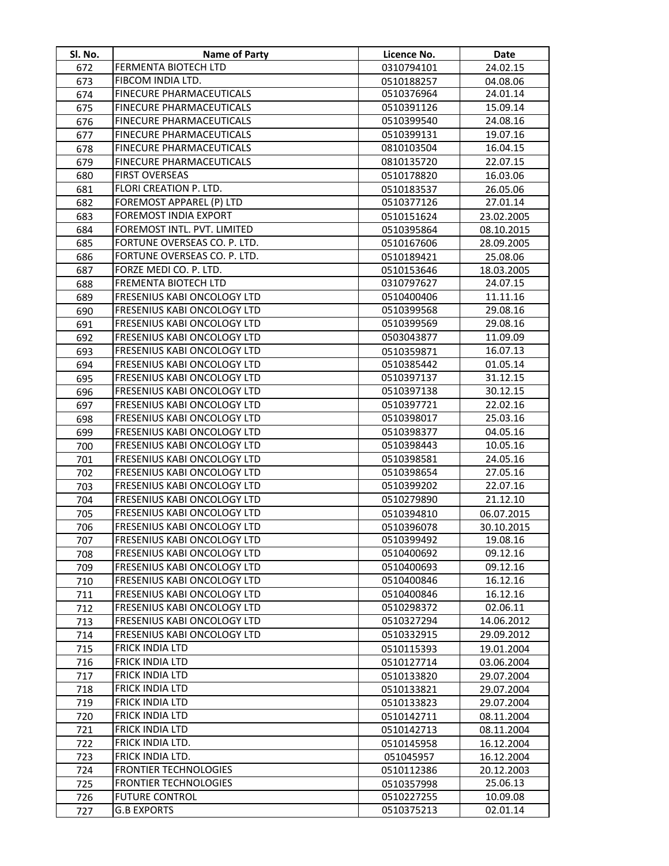| SI. No. | Name of Party                      | Licence No. | Date       |
|---------|------------------------------------|-------------|------------|
| 672     | FERMENTA BIOTECH LTD               | 0310794101  | 24.02.15   |
| 673     | FIBCOM INDIA LTD.                  | 0510188257  | 04.08.06   |
| 674     | FINECURE PHARMACEUTICALS           | 0510376964  | 24.01.14   |
| 675     | <b>FINECURE PHARMACEUTICALS</b>    | 0510391126  | 15.09.14   |
| 676     | <b>FINECURE PHARMACEUTICALS</b>    | 0510399540  | 24.08.16   |
| 677     | <b>FINECURE PHARMACEUTICALS</b>    | 0510399131  | 19.07.16   |
| 678     | <b>FINECURE PHARMACEUTICALS</b>    | 0810103504  | 16.04.15   |
| 679     | FINECURE PHARMACEUTICALS           | 0810135720  | 22.07.15   |
| 680     | <b>FIRST OVERSEAS</b>              | 0510178820  | 16.03.06   |
| 681     | FLORI CREATION P. LTD.             | 0510183537  | 26.05.06   |
| 682     | <b>FOREMOST APPAREL (P) LTD</b>    | 0510377126  | 27.01.14   |
| 683     | <b>FOREMOST INDIA EXPORT</b>       | 0510151624  | 23.02.2005 |
| 684     | FOREMOST INTL. PVT. LIMITED        | 0510395864  | 08.10.2015 |
| 685     | FORTUNE OVERSEAS CO. P. LTD.       | 0510167606  | 28.09.2005 |
| 686     | FORTUNE OVERSEAS CO. P. LTD.       | 0510189421  | 25.08.06   |
| 687     | FORZE MEDI CO. P. LTD.             | 0510153646  | 18.03.2005 |
| 688     | FREMENTA BIOTECH LTD               | 0310797627  | 24.07.15   |
| 689     | FRESENIUS KABI ONCOLOGY LTD        | 0510400406  | 11.11.16   |
| 690     | FRESENIUS KABI ONCOLOGY LTD        | 0510399568  | 29.08.16   |
| 691     | FRESENIUS KABI ONCOLOGY LTD        | 0510399569  | 29.08.16   |
| 692     | FRESENIUS KABI ONCOLOGY LTD        | 0503043877  | 11.09.09   |
| 693     | <b>FRESENIUS KABI ONCOLOGY LTD</b> | 0510359871  | 16.07.13   |
| 694     | <b>FRESENIUS KABI ONCOLOGY LTD</b> | 0510385442  | 01.05.14   |
| 695     | FRESENIUS KABI ONCOLOGY LTD        | 0510397137  | 31.12.15   |
| 696     | FRESENIUS KABI ONCOLOGY LTD        | 0510397138  | 30.12.15   |
| 697     | FRESENIUS KABI ONCOLOGY LTD        | 0510397721  | 22.02.16   |
| 698     | FRESENIUS KABI ONCOLOGY LTD        | 0510398017  | 25.03.16   |
| 699     | FRESENIUS KABI ONCOLOGY LTD        | 0510398377  | 04.05.16   |
| 700     | FRESENIUS KABI ONCOLOGY LTD        | 0510398443  | 10.05.16   |
| 701     | FRESENIUS KABI ONCOLOGY LTD        | 0510398581  | 24.05.16   |
| 702     | FRESENIUS KABI ONCOLOGY LTD        | 0510398654  | 27.05.16   |
| 703     | FRESENIUS KABI ONCOLOGY LTD        | 0510399202  | 22.07.16   |
| 704     | FRESENIUS KABI ONCOLOGY LTD        | 0510279890  | 21.12.10   |
| 705     | FRESENIUS KABI ONCOLOGY LTD        | 0510394810  | 06.07.2015 |
| 706     | FRESENIUS KABI ONCOLOGY LTD        | 0510396078  | 30.10.2015 |
| 707     | <b>FRESENIUS KABI ONCOLOGY LTD</b> | 0510399492  | 19.08.16   |
| 708     | FRESENIUS KABI ONCOLOGY LTD        | 0510400692  | 09.12.16   |
| 709     | <b>FRESENIUS KABI ONCOLOGY LTD</b> | 0510400693  | 09.12.16   |
| 710     | FRESENIUS KABI ONCOLOGY LTD        | 0510400846  | 16.12.16   |
| 711     | <b>FRESENIUS KABI ONCOLOGY LTD</b> | 0510400846  | 16.12.16   |
| 712     | FRESENIUS KABI ONCOLOGY LTD        | 0510298372  | 02.06.11   |
| 713     | FRESENIUS KABI ONCOLOGY LTD        | 0510327294  | 14.06.2012 |
| 714     | FRESENIUS KABI ONCOLOGY LTD        | 0510332915  | 29.09.2012 |
| 715     | <b>FRICK INDIA LTD</b>             | 0510115393  | 19.01.2004 |
| 716     | <b>FRICK INDIA LTD</b>             | 0510127714  | 03.06.2004 |
| 717     | <b>FRICK INDIA LTD</b>             | 0510133820  | 29.07.2004 |
| 718     | <b>FRICK INDIA LTD</b>             | 0510133821  | 29.07.2004 |
| 719     | <b>FRICK INDIA LTD</b>             | 0510133823  | 29.07.2004 |
| 720     | <b>FRICK INDIA LTD</b>             | 0510142711  | 08.11.2004 |
| 721     | FRICK INDIA LTD                    | 0510142713  | 08.11.2004 |
| 722     | FRICK INDIA LTD.                   | 0510145958  | 16.12.2004 |
| 723     | <b>FRICK INDIA LTD.</b>            | 051045957   | 16.12.2004 |
| 724     | <b>FRONTIER TECHNOLOGIES</b>       | 0510112386  | 20.12.2003 |
| 725     | <b>FRONTIER TECHNOLOGIES</b>       | 0510357998  | 25.06.13   |
| 726     | <b>FUTURE CONTROL</b>              | 0510227255  | 10.09.08   |
| 727     | <b>G.B EXPORTS</b>                 | 0510375213  | 02.01.14   |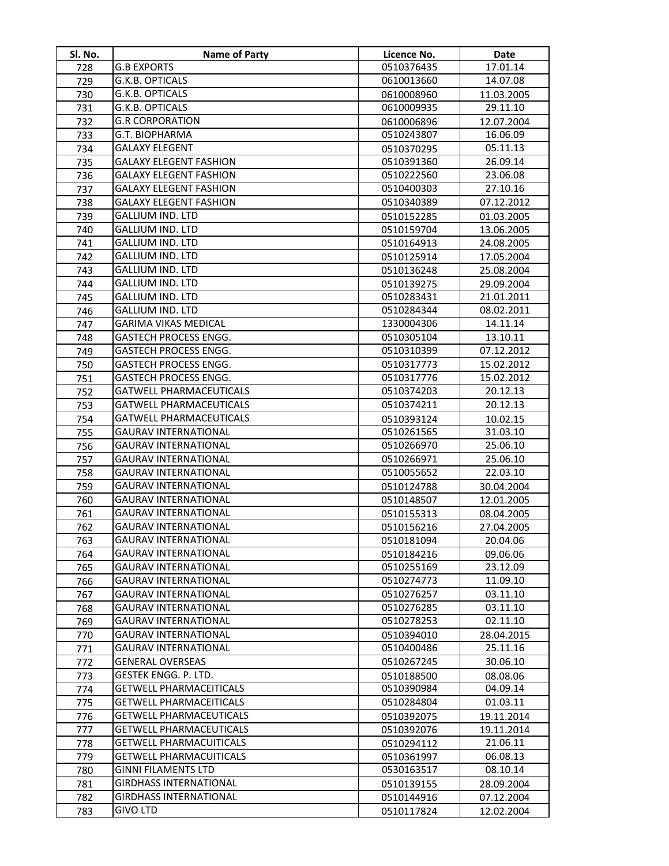| Sl. No.    | Name of Party                                                | Licence No.              | Date                     |
|------------|--------------------------------------------------------------|--------------------------|--------------------------|
| 728        | <b>G.B EXPORTS</b>                                           | 0510376435               | 17.01.14                 |
| 729        | G.K.B. OPTICALS                                              | 0610013660               | 14.07.08                 |
| 730        | G.K.B. OPTICALS                                              | 0610008960               | 11.03.2005               |
| 731        | G.K.B. OPTICALS                                              | 0610009935               | 29.11.10                 |
| 732        | <b>G.R CORPORATION</b>                                       | 0610006896               | 12.07.2004               |
| 733        | G.T. BIOPHARMA                                               | 0510243807               | 16.06.09                 |
| 734        | <b>GALAXY ELEGENT</b>                                        | 0510370295               | 05.11.13                 |
| 735        | <b>GALAXY ELEGENT FASHION</b>                                | 0510391360               | 26.09.14                 |
| 736        | <b>GALAXY ELEGENT FASHION</b>                                | 0510222560               | 23.06.08                 |
| 737        | <b>GALAXY ELEGENT FASHION</b>                                | 0510400303               | 27.10.16                 |
| 738        | <b>GALAXY ELEGENT FASHION</b>                                | 0510340389               | 07.12.2012               |
| 739        | <b>GALLIUM IND. LTD</b>                                      | 0510152285               | 01.03.2005               |
| 740        | <b>GALLIUM IND. LTD</b>                                      | 0510159704               | 13.06.2005               |
| 741        | <b>GALLIUM IND. LTD</b>                                      | 0510164913               | 24.08.2005               |
| 742        | <b>GALLIUM IND. LTD</b>                                      | 0510125914               | 17.05.2004               |
| 743        | <b>GALLIUM IND. LTD</b>                                      | 0510136248               | 25.08.2004               |
| 744        | <b>GALLIUM IND. LTD</b>                                      | 0510139275               | 29.09.2004               |
| 745        | <b>GALLIUM IND. LTD</b>                                      | 0510283431               | 21.01.2011               |
| 746        | <b>GALLIUM IND. LTD</b>                                      | 0510284344               | 08.02.2011               |
| 747        | <b>GARIMA VIKAS MEDICAL</b>                                  | 1330004306               | 14.11.14                 |
| 748        | <b>GASTECH PROCESS ENGG.</b>                                 | 0510305104               | 13.10.11                 |
| 749        | <b>GASTECH PROCESS ENGG.</b>                                 | 0510310399               | 07.12.2012               |
| 750        | <b>GASTECH PROCESS ENGG.</b>                                 | 0510317773               | 15.02.2012               |
| 751        | <b>GASTECH PROCESS ENGG.</b>                                 | 0510317776               | 15.02.2012               |
| 752        | <b>GATWELL PHARMACEUTICALS</b>                               | 0510374203               | 20.12.13                 |
| 753        | <b>GATWELL PHARMACEUTICALS</b>                               | 0510374211               | 20.12.13                 |
| 754        | <b>GATWELL PHARMACEUTICALS</b>                               | 0510393124               | 10.02.15                 |
| 755        | <b>GAURAV INTERNATIONAL</b>                                  | 0510261565               | 31.03.10                 |
| 756        | <b>GAURAV INTERNATIONAL</b>                                  | 0510266970               | 25.06.10                 |
| 757        | <b>GAURAV INTERNATIONAL</b>                                  | 0510266971               | 25.06.10                 |
| 758        | <b>GAURAV INTERNATIONAL</b>                                  | 0510055652               | 22.03.10                 |
| 759        | <b>GAURAV INTERNATIONAL</b>                                  | 0510124788               | 30.04.2004               |
| 760        | <b>GAURAV INTERNATIONAL</b>                                  | 0510148507               | 12.01.2005               |
| 761        | <b>GAURAV INTERNATIONAL</b>                                  | 0510155313               | 08.04.2005               |
| 762        | GAURAV INTERNATIONAL                                         | 0510156216               | 27.04.2005               |
| 763        | <b>GAURAV INTERNATIONAL</b>                                  | 0510181094               | 20.04.06                 |
| 764        | <b>GAURAV INTERNATIONAL</b>                                  | 0510184216               | 09.06.06                 |
| 765        | <b>GAURAV INTERNATIONAL</b>                                  | 0510255169               | 23.12.09                 |
| 766        | <b>GAURAV INTERNATIONAL</b>                                  | 0510274773               | 11.09.10                 |
| 767        | <b>GAURAV INTERNATIONAL</b>                                  | 0510276257               | 03.11.10                 |
| 768        | <b>GAURAV INTERNATIONAL</b>                                  | 0510276285               | 03.11.10                 |
| 769        | <b>GAURAV INTERNATIONAL</b>                                  | 0510278253               | 02.11.10                 |
| 770        | <b>GAURAV INTERNATIONAL</b>                                  | 0510394010               | 28.04.2015               |
| 771        | <b>GAURAV INTERNATIONAL</b>                                  | 0510400486               | 25.11.16                 |
| 772        | <b>GENERAL OVERSEAS</b>                                      | 0510267245               | 30.06.10                 |
| 773        | GESTEK ENGG. P. LTD.                                         | 0510188500               | 08.08.06                 |
| 774        | <b>GETWELL PHARMACEITICALS</b>                               | 0510390984               | 04.09.14                 |
| 775        | <b>GETWELL PHARMACEITICALS</b>                               | 0510284804               | 01.03.11                 |
| 776        | <b>GETWELL PHARMACEUTICALS</b>                               | 0510392075               | 19.11.2014               |
| 777        | <b>GETWELL PHARMACEUTICALS</b>                               | 0510392076               | 19.11.2014               |
| 778        | <b>GETWELL PHARMACUITICALS</b>                               | 0510294112               | 21.06.11                 |
| 779        | <b>GETWELL PHARMACUITICALS</b><br><b>GINNI FILAMENTS LTD</b> | 0510361997<br>0530163517 | 06.08.13<br>08.10.14     |
| 780<br>781 | <b>GIRDHASS INTERNATIONAL</b>                                | 0510139155               |                          |
| 782        | <b>GIRDHASS INTERNATIONAL</b>                                | 0510144916               | 28.09.2004<br>07.12.2004 |
| 783        | <b>GIVO LTD</b>                                              | 0510117824               | 12.02.2004               |
|            |                                                              |                          |                          |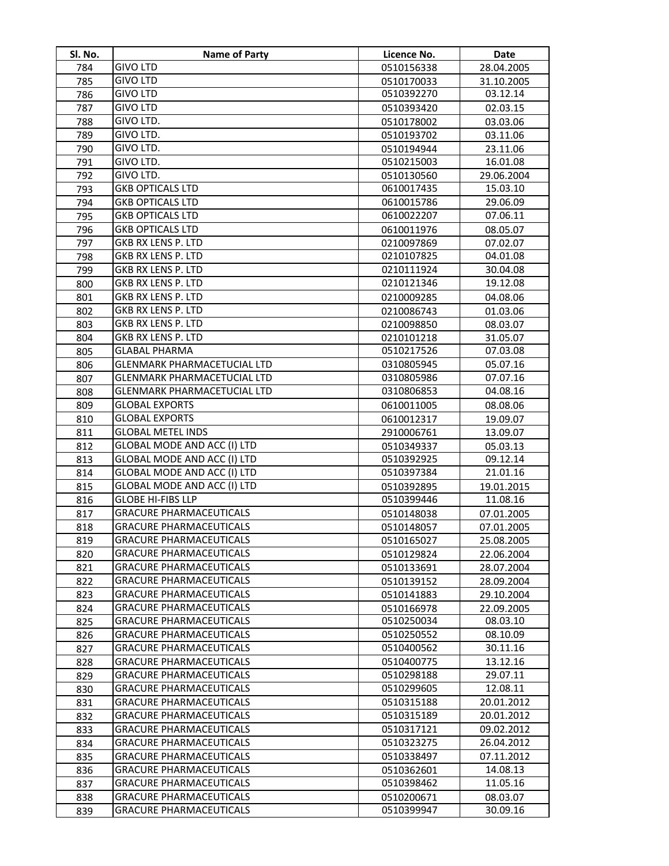| <b>GIVO LTD</b><br>784<br>28.04.2005<br>0510156338<br><b>GIVO LTD</b><br>785<br>0510170033<br>31.10.2005<br><b>GIVO LTD</b><br>0510392270<br>03.12.14<br>786<br><b>GIVO LTD</b><br>787<br>0510393420<br>02.03.15<br>GIVO LTD.<br>788<br>0510178002<br>03.03.06<br>GIVO LTD.<br>789<br>0510193702<br>03.11.06<br>GIVO LTD.<br>790<br>0510194944<br>23.11.06<br>GIVO LTD.<br>0510215003<br>16.01.08<br>791<br>GIVO LTD.<br>792<br>29.06.2004<br>0510130560<br><b>GKB OPTICALS LTD</b><br>15.03.10<br>0610017435<br>793<br><b>GKB OPTICALS LTD</b><br>29.06.09<br>794<br>0610015786<br><b>GKB OPTICALS LTD</b><br>07.06.11<br>795<br>0610022207<br><b>GKB OPTICALS LTD</b><br>796<br>0610011976<br>08.05.07<br>GKB RX LENS P. LTD<br>797<br>0210097869<br>07.02.07<br>GKB RX LENS P. LTD<br>0210107825<br>04.01.08<br>798<br>GKB RX LENS P. LTD<br>0210111924<br>30.04.08<br>799<br>GKB RX LENS P. LTD<br>0210121346<br>19.12.08<br>800<br>GKB RX LENS P. LTD<br>801<br>0210009285<br>04.08.06<br>GKB RX LENS P. LTD<br>802<br>0210086743<br>01.03.06<br><b>GKB RX LENS P. LTD</b><br>803<br>0210098850<br>08.03.07<br><b>GKB RX LENS P. LTD</b><br>804<br>0210101218<br>31.05.07<br><b>GLABAL PHARMA</b><br>07.03.08<br>805<br>0510217526<br><b>GLENMARK PHARMACETUCIAL LTD</b><br>0310805945<br>05.07.16<br>806<br><b>GLENMARK PHARMACETUCIAL LTD</b><br>0310805986<br>07.07.16<br>807<br><b>GLENMARK PHARMACETUCIAL LTD</b><br>0310806853<br>04.08.16<br>808<br><b>GLOBAL EXPORTS</b><br>809<br>08.08.06<br>0610011005<br><b>GLOBAL EXPORTS</b><br>810<br>19.09.07<br>0610012317<br><b>GLOBAL METEL INDS</b><br>811<br>2910006761<br>13.09.07<br>GLOBAL MODE AND ACC (I) LTD<br>812<br>05.03.13<br>0510349337<br>GLOBAL MODE AND ACC (I) LTD<br>09.12.14<br>813<br>0510392925<br>GLOBAL MODE AND ACC (I) LTD<br>0510397384<br>21.01.16<br>814<br>GLOBAL MODE AND ACC (I) LTD<br>815<br>19.01.2015<br>0510392895<br><b>GLOBE HI-FIBS LLP</b><br>0510399446<br>11.08.16<br>816<br><b>GRACURE PHARMACEUTICALS</b><br>817<br>0510148038<br>07.01.2005<br><b>GRACURE PHARMACEUTICALS</b><br>818<br>07.01.2005<br>0510148057<br>819<br><b>GRACURE PHARMACEUTICALS</b><br>0510165027<br>25.08.2005<br><b>GRACURE PHARMACEUTICALS</b><br>820<br>0510129824<br>22.06.2004<br><b>GRACURE PHARMACEUTICALS</b><br>821<br>0510133691<br>28.07.2004<br><b>GRACURE PHARMACEUTICALS</b><br>822<br>0510139152<br>28.09.2004<br><b>GRACURE PHARMACEUTICALS</b><br>823<br>0510141883<br>29.10.2004<br><b>GRACURE PHARMACEUTICALS</b><br>824<br>0510166978<br>22.09.2005<br><b>GRACURE PHARMACEUTICALS</b><br>0510250034<br>08.03.10<br>825<br><b>GRACURE PHARMACEUTICALS</b><br>0510250552<br>08.10.09<br>826<br><b>GRACURE PHARMACEUTICALS</b><br>30.11.16<br>0510400562<br>827<br>13.12.16<br><b>GRACURE PHARMACEUTICALS</b><br>0510400775<br>828<br><b>GRACURE PHARMACEUTICALS</b><br>0510298188<br>29.07.11<br>829<br><b>GRACURE PHARMACEUTICALS</b><br>12.08.11<br>830<br>0510299605<br><b>GRACURE PHARMACEUTICALS</b><br>0510315188<br>20.01.2012<br>831<br><b>GRACURE PHARMACEUTICALS</b><br>0510315189<br>20.01.2012<br>832<br><b>GRACURE PHARMACEUTICALS</b><br>0510317121<br>09.02.2012<br>833<br><b>GRACURE PHARMACEUTICALS</b><br>0510323275<br>26.04.2012<br>834<br><b>GRACURE PHARMACEUTICALS</b><br>0510338497<br>07.11.2012<br>835<br><b>GRACURE PHARMACEUTICALS</b><br>14.08.13<br>836<br>0510362601<br>11.05.16<br><b>GRACURE PHARMACEUTICALS</b><br>0510398462<br>837 | SI. No. | <b>Name of Party</b>           | Licence No. | <b>Date</b> |
|-----------------------------------------------------------------------------------------------------------------------------------------------------------------------------------------------------------------------------------------------------------------------------------------------------------------------------------------------------------------------------------------------------------------------------------------------------------------------------------------------------------------------------------------------------------------------------------------------------------------------------------------------------------------------------------------------------------------------------------------------------------------------------------------------------------------------------------------------------------------------------------------------------------------------------------------------------------------------------------------------------------------------------------------------------------------------------------------------------------------------------------------------------------------------------------------------------------------------------------------------------------------------------------------------------------------------------------------------------------------------------------------------------------------------------------------------------------------------------------------------------------------------------------------------------------------------------------------------------------------------------------------------------------------------------------------------------------------------------------------------------------------------------------------------------------------------------------------------------------------------------------------------------------------------------------------------------------------------------------------------------------------------------------------------------------------------------------------------------------------------------------------------------------------------------------------------------------------------------------------------------------------------------------------------------------------------------------------------------------------------------------------------------------------------------------------------------------------------------------------------------------------------------------------------------------------------------------------------------------------------------------------------------------------------------------------------------------------------------------------------------------------------------------------------------------------------------------------------------------------------------------------------------------------------------------------------------------------------------------------------------------------------------------------------------------------------------------------------------------------------------------------------------------------------------------------------------------------------------------------------------------------------------------------------------------------------------------------------------------------------------------------------------------------------------------------------------------------------|---------|--------------------------------|-------------|-------------|
|                                                                                                                                                                                                                                                                                                                                                                                                                                                                                                                                                                                                                                                                                                                                                                                                                                                                                                                                                                                                                                                                                                                                                                                                                                                                                                                                                                                                                                                                                                                                                                                                                                                                                                                                                                                                                                                                                                                                                                                                                                                                                                                                                                                                                                                                                                                                                                                                                                                                                                                                                                                                                                                                                                                                                                                                                                                                                                                                                                                                                                                                                                                                                                                                                                                                                                                                                                                                                                                                       |         |                                |             |             |
|                                                                                                                                                                                                                                                                                                                                                                                                                                                                                                                                                                                                                                                                                                                                                                                                                                                                                                                                                                                                                                                                                                                                                                                                                                                                                                                                                                                                                                                                                                                                                                                                                                                                                                                                                                                                                                                                                                                                                                                                                                                                                                                                                                                                                                                                                                                                                                                                                                                                                                                                                                                                                                                                                                                                                                                                                                                                                                                                                                                                                                                                                                                                                                                                                                                                                                                                                                                                                                                                       |         |                                |             |             |
|                                                                                                                                                                                                                                                                                                                                                                                                                                                                                                                                                                                                                                                                                                                                                                                                                                                                                                                                                                                                                                                                                                                                                                                                                                                                                                                                                                                                                                                                                                                                                                                                                                                                                                                                                                                                                                                                                                                                                                                                                                                                                                                                                                                                                                                                                                                                                                                                                                                                                                                                                                                                                                                                                                                                                                                                                                                                                                                                                                                                                                                                                                                                                                                                                                                                                                                                                                                                                                                                       |         |                                |             |             |
|                                                                                                                                                                                                                                                                                                                                                                                                                                                                                                                                                                                                                                                                                                                                                                                                                                                                                                                                                                                                                                                                                                                                                                                                                                                                                                                                                                                                                                                                                                                                                                                                                                                                                                                                                                                                                                                                                                                                                                                                                                                                                                                                                                                                                                                                                                                                                                                                                                                                                                                                                                                                                                                                                                                                                                                                                                                                                                                                                                                                                                                                                                                                                                                                                                                                                                                                                                                                                                                                       |         |                                |             |             |
|                                                                                                                                                                                                                                                                                                                                                                                                                                                                                                                                                                                                                                                                                                                                                                                                                                                                                                                                                                                                                                                                                                                                                                                                                                                                                                                                                                                                                                                                                                                                                                                                                                                                                                                                                                                                                                                                                                                                                                                                                                                                                                                                                                                                                                                                                                                                                                                                                                                                                                                                                                                                                                                                                                                                                                                                                                                                                                                                                                                                                                                                                                                                                                                                                                                                                                                                                                                                                                                                       |         |                                |             |             |
|                                                                                                                                                                                                                                                                                                                                                                                                                                                                                                                                                                                                                                                                                                                                                                                                                                                                                                                                                                                                                                                                                                                                                                                                                                                                                                                                                                                                                                                                                                                                                                                                                                                                                                                                                                                                                                                                                                                                                                                                                                                                                                                                                                                                                                                                                                                                                                                                                                                                                                                                                                                                                                                                                                                                                                                                                                                                                                                                                                                                                                                                                                                                                                                                                                                                                                                                                                                                                                                                       |         |                                |             |             |
|                                                                                                                                                                                                                                                                                                                                                                                                                                                                                                                                                                                                                                                                                                                                                                                                                                                                                                                                                                                                                                                                                                                                                                                                                                                                                                                                                                                                                                                                                                                                                                                                                                                                                                                                                                                                                                                                                                                                                                                                                                                                                                                                                                                                                                                                                                                                                                                                                                                                                                                                                                                                                                                                                                                                                                                                                                                                                                                                                                                                                                                                                                                                                                                                                                                                                                                                                                                                                                                                       |         |                                |             |             |
|                                                                                                                                                                                                                                                                                                                                                                                                                                                                                                                                                                                                                                                                                                                                                                                                                                                                                                                                                                                                                                                                                                                                                                                                                                                                                                                                                                                                                                                                                                                                                                                                                                                                                                                                                                                                                                                                                                                                                                                                                                                                                                                                                                                                                                                                                                                                                                                                                                                                                                                                                                                                                                                                                                                                                                                                                                                                                                                                                                                                                                                                                                                                                                                                                                                                                                                                                                                                                                                                       |         |                                |             |             |
|                                                                                                                                                                                                                                                                                                                                                                                                                                                                                                                                                                                                                                                                                                                                                                                                                                                                                                                                                                                                                                                                                                                                                                                                                                                                                                                                                                                                                                                                                                                                                                                                                                                                                                                                                                                                                                                                                                                                                                                                                                                                                                                                                                                                                                                                                                                                                                                                                                                                                                                                                                                                                                                                                                                                                                                                                                                                                                                                                                                                                                                                                                                                                                                                                                                                                                                                                                                                                                                                       |         |                                |             |             |
|                                                                                                                                                                                                                                                                                                                                                                                                                                                                                                                                                                                                                                                                                                                                                                                                                                                                                                                                                                                                                                                                                                                                                                                                                                                                                                                                                                                                                                                                                                                                                                                                                                                                                                                                                                                                                                                                                                                                                                                                                                                                                                                                                                                                                                                                                                                                                                                                                                                                                                                                                                                                                                                                                                                                                                                                                                                                                                                                                                                                                                                                                                                                                                                                                                                                                                                                                                                                                                                                       |         |                                |             |             |
|                                                                                                                                                                                                                                                                                                                                                                                                                                                                                                                                                                                                                                                                                                                                                                                                                                                                                                                                                                                                                                                                                                                                                                                                                                                                                                                                                                                                                                                                                                                                                                                                                                                                                                                                                                                                                                                                                                                                                                                                                                                                                                                                                                                                                                                                                                                                                                                                                                                                                                                                                                                                                                                                                                                                                                                                                                                                                                                                                                                                                                                                                                                                                                                                                                                                                                                                                                                                                                                                       |         |                                |             |             |
|                                                                                                                                                                                                                                                                                                                                                                                                                                                                                                                                                                                                                                                                                                                                                                                                                                                                                                                                                                                                                                                                                                                                                                                                                                                                                                                                                                                                                                                                                                                                                                                                                                                                                                                                                                                                                                                                                                                                                                                                                                                                                                                                                                                                                                                                                                                                                                                                                                                                                                                                                                                                                                                                                                                                                                                                                                                                                                                                                                                                                                                                                                                                                                                                                                                                                                                                                                                                                                                                       |         |                                |             |             |
|                                                                                                                                                                                                                                                                                                                                                                                                                                                                                                                                                                                                                                                                                                                                                                                                                                                                                                                                                                                                                                                                                                                                                                                                                                                                                                                                                                                                                                                                                                                                                                                                                                                                                                                                                                                                                                                                                                                                                                                                                                                                                                                                                                                                                                                                                                                                                                                                                                                                                                                                                                                                                                                                                                                                                                                                                                                                                                                                                                                                                                                                                                                                                                                                                                                                                                                                                                                                                                                                       |         |                                |             |             |
|                                                                                                                                                                                                                                                                                                                                                                                                                                                                                                                                                                                                                                                                                                                                                                                                                                                                                                                                                                                                                                                                                                                                                                                                                                                                                                                                                                                                                                                                                                                                                                                                                                                                                                                                                                                                                                                                                                                                                                                                                                                                                                                                                                                                                                                                                                                                                                                                                                                                                                                                                                                                                                                                                                                                                                                                                                                                                                                                                                                                                                                                                                                                                                                                                                                                                                                                                                                                                                                                       |         |                                |             |             |
|                                                                                                                                                                                                                                                                                                                                                                                                                                                                                                                                                                                                                                                                                                                                                                                                                                                                                                                                                                                                                                                                                                                                                                                                                                                                                                                                                                                                                                                                                                                                                                                                                                                                                                                                                                                                                                                                                                                                                                                                                                                                                                                                                                                                                                                                                                                                                                                                                                                                                                                                                                                                                                                                                                                                                                                                                                                                                                                                                                                                                                                                                                                                                                                                                                                                                                                                                                                                                                                                       |         |                                |             |             |
|                                                                                                                                                                                                                                                                                                                                                                                                                                                                                                                                                                                                                                                                                                                                                                                                                                                                                                                                                                                                                                                                                                                                                                                                                                                                                                                                                                                                                                                                                                                                                                                                                                                                                                                                                                                                                                                                                                                                                                                                                                                                                                                                                                                                                                                                                                                                                                                                                                                                                                                                                                                                                                                                                                                                                                                                                                                                                                                                                                                                                                                                                                                                                                                                                                                                                                                                                                                                                                                                       |         |                                |             |             |
|                                                                                                                                                                                                                                                                                                                                                                                                                                                                                                                                                                                                                                                                                                                                                                                                                                                                                                                                                                                                                                                                                                                                                                                                                                                                                                                                                                                                                                                                                                                                                                                                                                                                                                                                                                                                                                                                                                                                                                                                                                                                                                                                                                                                                                                                                                                                                                                                                                                                                                                                                                                                                                                                                                                                                                                                                                                                                                                                                                                                                                                                                                                                                                                                                                                                                                                                                                                                                                                                       |         |                                |             |             |
|                                                                                                                                                                                                                                                                                                                                                                                                                                                                                                                                                                                                                                                                                                                                                                                                                                                                                                                                                                                                                                                                                                                                                                                                                                                                                                                                                                                                                                                                                                                                                                                                                                                                                                                                                                                                                                                                                                                                                                                                                                                                                                                                                                                                                                                                                                                                                                                                                                                                                                                                                                                                                                                                                                                                                                                                                                                                                                                                                                                                                                                                                                                                                                                                                                                                                                                                                                                                                                                                       |         |                                |             |             |
|                                                                                                                                                                                                                                                                                                                                                                                                                                                                                                                                                                                                                                                                                                                                                                                                                                                                                                                                                                                                                                                                                                                                                                                                                                                                                                                                                                                                                                                                                                                                                                                                                                                                                                                                                                                                                                                                                                                                                                                                                                                                                                                                                                                                                                                                                                                                                                                                                                                                                                                                                                                                                                                                                                                                                                                                                                                                                                                                                                                                                                                                                                                                                                                                                                                                                                                                                                                                                                                                       |         |                                |             |             |
|                                                                                                                                                                                                                                                                                                                                                                                                                                                                                                                                                                                                                                                                                                                                                                                                                                                                                                                                                                                                                                                                                                                                                                                                                                                                                                                                                                                                                                                                                                                                                                                                                                                                                                                                                                                                                                                                                                                                                                                                                                                                                                                                                                                                                                                                                                                                                                                                                                                                                                                                                                                                                                                                                                                                                                                                                                                                                                                                                                                                                                                                                                                                                                                                                                                                                                                                                                                                                                                                       |         |                                |             |             |
|                                                                                                                                                                                                                                                                                                                                                                                                                                                                                                                                                                                                                                                                                                                                                                                                                                                                                                                                                                                                                                                                                                                                                                                                                                                                                                                                                                                                                                                                                                                                                                                                                                                                                                                                                                                                                                                                                                                                                                                                                                                                                                                                                                                                                                                                                                                                                                                                                                                                                                                                                                                                                                                                                                                                                                                                                                                                                                                                                                                                                                                                                                                                                                                                                                                                                                                                                                                                                                                                       |         |                                |             |             |
|                                                                                                                                                                                                                                                                                                                                                                                                                                                                                                                                                                                                                                                                                                                                                                                                                                                                                                                                                                                                                                                                                                                                                                                                                                                                                                                                                                                                                                                                                                                                                                                                                                                                                                                                                                                                                                                                                                                                                                                                                                                                                                                                                                                                                                                                                                                                                                                                                                                                                                                                                                                                                                                                                                                                                                                                                                                                                                                                                                                                                                                                                                                                                                                                                                                                                                                                                                                                                                                                       |         |                                |             |             |
|                                                                                                                                                                                                                                                                                                                                                                                                                                                                                                                                                                                                                                                                                                                                                                                                                                                                                                                                                                                                                                                                                                                                                                                                                                                                                                                                                                                                                                                                                                                                                                                                                                                                                                                                                                                                                                                                                                                                                                                                                                                                                                                                                                                                                                                                                                                                                                                                                                                                                                                                                                                                                                                                                                                                                                                                                                                                                                                                                                                                                                                                                                                                                                                                                                                                                                                                                                                                                                                                       |         |                                |             |             |
|                                                                                                                                                                                                                                                                                                                                                                                                                                                                                                                                                                                                                                                                                                                                                                                                                                                                                                                                                                                                                                                                                                                                                                                                                                                                                                                                                                                                                                                                                                                                                                                                                                                                                                                                                                                                                                                                                                                                                                                                                                                                                                                                                                                                                                                                                                                                                                                                                                                                                                                                                                                                                                                                                                                                                                                                                                                                                                                                                                                                                                                                                                                                                                                                                                                                                                                                                                                                                                                                       |         |                                |             |             |
|                                                                                                                                                                                                                                                                                                                                                                                                                                                                                                                                                                                                                                                                                                                                                                                                                                                                                                                                                                                                                                                                                                                                                                                                                                                                                                                                                                                                                                                                                                                                                                                                                                                                                                                                                                                                                                                                                                                                                                                                                                                                                                                                                                                                                                                                                                                                                                                                                                                                                                                                                                                                                                                                                                                                                                                                                                                                                                                                                                                                                                                                                                                                                                                                                                                                                                                                                                                                                                                                       |         |                                |             |             |
|                                                                                                                                                                                                                                                                                                                                                                                                                                                                                                                                                                                                                                                                                                                                                                                                                                                                                                                                                                                                                                                                                                                                                                                                                                                                                                                                                                                                                                                                                                                                                                                                                                                                                                                                                                                                                                                                                                                                                                                                                                                                                                                                                                                                                                                                                                                                                                                                                                                                                                                                                                                                                                                                                                                                                                                                                                                                                                                                                                                                                                                                                                                                                                                                                                                                                                                                                                                                                                                                       |         |                                |             |             |
|                                                                                                                                                                                                                                                                                                                                                                                                                                                                                                                                                                                                                                                                                                                                                                                                                                                                                                                                                                                                                                                                                                                                                                                                                                                                                                                                                                                                                                                                                                                                                                                                                                                                                                                                                                                                                                                                                                                                                                                                                                                                                                                                                                                                                                                                                                                                                                                                                                                                                                                                                                                                                                                                                                                                                                                                                                                                                                                                                                                                                                                                                                                                                                                                                                                                                                                                                                                                                                                                       |         |                                |             |             |
|                                                                                                                                                                                                                                                                                                                                                                                                                                                                                                                                                                                                                                                                                                                                                                                                                                                                                                                                                                                                                                                                                                                                                                                                                                                                                                                                                                                                                                                                                                                                                                                                                                                                                                                                                                                                                                                                                                                                                                                                                                                                                                                                                                                                                                                                                                                                                                                                                                                                                                                                                                                                                                                                                                                                                                                                                                                                                                                                                                                                                                                                                                                                                                                                                                                                                                                                                                                                                                                                       |         |                                |             |             |
|                                                                                                                                                                                                                                                                                                                                                                                                                                                                                                                                                                                                                                                                                                                                                                                                                                                                                                                                                                                                                                                                                                                                                                                                                                                                                                                                                                                                                                                                                                                                                                                                                                                                                                                                                                                                                                                                                                                                                                                                                                                                                                                                                                                                                                                                                                                                                                                                                                                                                                                                                                                                                                                                                                                                                                                                                                                                                                                                                                                                                                                                                                                                                                                                                                                                                                                                                                                                                                                                       |         |                                |             |             |
|                                                                                                                                                                                                                                                                                                                                                                                                                                                                                                                                                                                                                                                                                                                                                                                                                                                                                                                                                                                                                                                                                                                                                                                                                                                                                                                                                                                                                                                                                                                                                                                                                                                                                                                                                                                                                                                                                                                                                                                                                                                                                                                                                                                                                                                                                                                                                                                                                                                                                                                                                                                                                                                                                                                                                                                                                                                                                                                                                                                                                                                                                                                                                                                                                                                                                                                                                                                                                                                                       |         |                                |             |             |
|                                                                                                                                                                                                                                                                                                                                                                                                                                                                                                                                                                                                                                                                                                                                                                                                                                                                                                                                                                                                                                                                                                                                                                                                                                                                                                                                                                                                                                                                                                                                                                                                                                                                                                                                                                                                                                                                                                                                                                                                                                                                                                                                                                                                                                                                                                                                                                                                                                                                                                                                                                                                                                                                                                                                                                                                                                                                                                                                                                                                                                                                                                                                                                                                                                                                                                                                                                                                                                                                       |         |                                |             |             |
|                                                                                                                                                                                                                                                                                                                                                                                                                                                                                                                                                                                                                                                                                                                                                                                                                                                                                                                                                                                                                                                                                                                                                                                                                                                                                                                                                                                                                                                                                                                                                                                                                                                                                                                                                                                                                                                                                                                                                                                                                                                                                                                                                                                                                                                                                                                                                                                                                                                                                                                                                                                                                                                                                                                                                                                                                                                                                                                                                                                                                                                                                                                                                                                                                                                                                                                                                                                                                                                                       |         |                                |             |             |
|                                                                                                                                                                                                                                                                                                                                                                                                                                                                                                                                                                                                                                                                                                                                                                                                                                                                                                                                                                                                                                                                                                                                                                                                                                                                                                                                                                                                                                                                                                                                                                                                                                                                                                                                                                                                                                                                                                                                                                                                                                                                                                                                                                                                                                                                                                                                                                                                                                                                                                                                                                                                                                                                                                                                                                                                                                                                                                                                                                                                                                                                                                                                                                                                                                                                                                                                                                                                                                                                       |         |                                |             |             |
|                                                                                                                                                                                                                                                                                                                                                                                                                                                                                                                                                                                                                                                                                                                                                                                                                                                                                                                                                                                                                                                                                                                                                                                                                                                                                                                                                                                                                                                                                                                                                                                                                                                                                                                                                                                                                                                                                                                                                                                                                                                                                                                                                                                                                                                                                                                                                                                                                                                                                                                                                                                                                                                                                                                                                                                                                                                                                                                                                                                                                                                                                                                                                                                                                                                                                                                                                                                                                                                                       |         |                                |             |             |
|                                                                                                                                                                                                                                                                                                                                                                                                                                                                                                                                                                                                                                                                                                                                                                                                                                                                                                                                                                                                                                                                                                                                                                                                                                                                                                                                                                                                                                                                                                                                                                                                                                                                                                                                                                                                                                                                                                                                                                                                                                                                                                                                                                                                                                                                                                                                                                                                                                                                                                                                                                                                                                                                                                                                                                                                                                                                                                                                                                                                                                                                                                                                                                                                                                                                                                                                                                                                                                                                       |         |                                |             |             |
|                                                                                                                                                                                                                                                                                                                                                                                                                                                                                                                                                                                                                                                                                                                                                                                                                                                                                                                                                                                                                                                                                                                                                                                                                                                                                                                                                                                                                                                                                                                                                                                                                                                                                                                                                                                                                                                                                                                                                                                                                                                                                                                                                                                                                                                                                                                                                                                                                                                                                                                                                                                                                                                                                                                                                                                                                                                                                                                                                                                                                                                                                                                                                                                                                                                                                                                                                                                                                                                                       |         |                                |             |             |
|                                                                                                                                                                                                                                                                                                                                                                                                                                                                                                                                                                                                                                                                                                                                                                                                                                                                                                                                                                                                                                                                                                                                                                                                                                                                                                                                                                                                                                                                                                                                                                                                                                                                                                                                                                                                                                                                                                                                                                                                                                                                                                                                                                                                                                                                                                                                                                                                                                                                                                                                                                                                                                                                                                                                                                                                                                                                                                                                                                                                                                                                                                                                                                                                                                                                                                                                                                                                                                                                       |         |                                |             |             |
|                                                                                                                                                                                                                                                                                                                                                                                                                                                                                                                                                                                                                                                                                                                                                                                                                                                                                                                                                                                                                                                                                                                                                                                                                                                                                                                                                                                                                                                                                                                                                                                                                                                                                                                                                                                                                                                                                                                                                                                                                                                                                                                                                                                                                                                                                                                                                                                                                                                                                                                                                                                                                                                                                                                                                                                                                                                                                                                                                                                                                                                                                                                                                                                                                                                                                                                                                                                                                                                                       |         |                                |             |             |
|                                                                                                                                                                                                                                                                                                                                                                                                                                                                                                                                                                                                                                                                                                                                                                                                                                                                                                                                                                                                                                                                                                                                                                                                                                                                                                                                                                                                                                                                                                                                                                                                                                                                                                                                                                                                                                                                                                                                                                                                                                                                                                                                                                                                                                                                                                                                                                                                                                                                                                                                                                                                                                                                                                                                                                                                                                                                                                                                                                                                                                                                                                                                                                                                                                                                                                                                                                                                                                                                       |         |                                |             |             |
|                                                                                                                                                                                                                                                                                                                                                                                                                                                                                                                                                                                                                                                                                                                                                                                                                                                                                                                                                                                                                                                                                                                                                                                                                                                                                                                                                                                                                                                                                                                                                                                                                                                                                                                                                                                                                                                                                                                                                                                                                                                                                                                                                                                                                                                                                                                                                                                                                                                                                                                                                                                                                                                                                                                                                                                                                                                                                                                                                                                                                                                                                                                                                                                                                                                                                                                                                                                                                                                                       |         |                                |             |             |
|                                                                                                                                                                                                                                                                                                                                                                                                                                                                                                                                                                                                                                                                                                                                                                                                                                                                                                                                                                                                                                                                                                                                                                                                                                                                                                                                                                                                                                                                                                                                                                                                                                                                                                                                                                                                                                                                                                                                                                                                                                                                                                                                                                                                                                                                                                                                                                                                                                                                                                                                                                                                                                                                                                                                                                                                                                                                                                                                                                                                                                                                                                                                                                                                                                                                                                                                                                                                                                                                       |         |                                |             |             |
|                                                                                                                                                                                                                                                                                                                                                                                                                                                                                                                                                                                                                                                                                                                                                                                                                                                                                                                                                                                                                                                                                                                                                                                                                                                                                                                                                                                                                                                                                                                                                                                                                                                                                                                                                                                                                                                                                                                                                                                                                                                                                                                                                                                                                                                                                                                                                                                                                                                                                                                                                                                                                                                                                                                                                                                                                                                                                                                                                                                                                                                                                                                                                                                                                                                                                                                                                                                                                                                                       |         |                                |             |             |
|                                                                                                                                                                                                                                                                                                                                                                                                                                                                                                                                                                                                                                                                                                                                                                                                                                                                                                                                                                                                                                                                                                                                                                                                                                                                                                                                                                                                                                                                                                                                                                                                                                                                                                                                                                                                                                                                                                                                                                                                                                                                                                                                                                                                                                                                                                                                                                                                                                                                                                                                                                                                                                                                                                                                                                                                                                                                                                                                                                                                                                                                                                                                                                                                                                                                                                                                                                                                                                                                       |         |                                |             |             |
|                                                                                                                                                                                                                                                                                                                                                                                                                                                                                                                                                                                                                                                                                                                                                                                                                                                                                                                                                                                                                                                                                                                                                                                                                                                                                                                                                                                                                                                                                                                                                                                                                                                                                                                                                                                                                                                                                                                                                                                                                                                                                                                                                                                                                                                                                                                                                                                                                                                                                                                                                                                                                                                                                                                                                                                                                                                                                                                                                                                                                                                                                                                                                                                                                                                                                                                                                                                                                                                                       |         |                                |             |             |
|                                                                                                                                                                                                                                                                                                                                                                                                                                                                                                                                                                                                                                                                                                                                                                                                                                                                                                                                                                                                                                                                                                                                                                                                                                                                                                                                                                                                                                                                                                                                                                                                                                                                                                                                                                                                                                                                                                                                                                                                                                                                                                                                                                                                                                                                                                                                                                                                                                                                                                                                                                                                                                                                                                                                                                                                                                                                                                                                                                                                                                                                                                                                                                                                                                                                                                                                                                                                                                                                       |         |                                |             |             |
|                                                                                                                                                                                                                                                                                                                                                                                                                                                                                                                                                                                                                                                                                                                                                                                                                                                                                                                                                                                                                                                                                                                                                                                                                                                                                                                                                                                                                                                                                                                                                                                                                                                                                                                                                                                                                                                                                                                                                                                                                                                                                                                                                                                                                                                                                                                                                                                                                                                                                                                                                                                                                                                                                                                                                                                                                                                                                                                                                                                                                                                                                                                                                                                                                                                                                                                                                                                                                                                                       |         |                                |             |             |
|                                                                                                                                                                                                                                                                                                                                                                                                                                                                                                                                                                                                                                                                                                                                                                                                                                                                                                                                                                                                                                                                                                                                                                                                                                                                                                                                                                                                                                                                                                                                                                                                                                                                                                                                                                                                                                                                                                                                                                                                                                                                                                                                                                                                                                                                                                                                                                                                                                                                                                                                                                                                                                                                                                                                                                                                                                                                                                                                                                                                                                                                                                                                                                                                                                                                                                                                                                                                                                                                       |         |                                |             |             |
|                                                                                                                                                                                                                                                                                                                                                                                                                                                                                                                                                                                                                                                                                                                                                                                                                                                                                                                                                                                                                                                                                                                                                                                                                                                                                                                                                                                                                                                                                                                                                                                                                                                                                                                                                                                                                                                                                                                                                                                                                                                                                                                                                                                                                                                                                                                                                                                                                                                                                                                                                                                                                                                                                                                                                                                                                                                                                                                                                                                                                                                                                                                                                                                                                                                                                                                                                                                                                                                                       |         |                                |             |             |
|                                                                                                                                                                                                                                                                                                                                                                                                                                                                                                                                                                                                                                                                                                                                                                                                                                                                                                                                                                                                                                                                                                                                                                                                                                                                                                                                                                                                                                                                                                                                                                                                                                                                                                                                                                                                                                                                                                                                                                                                                                                                                                                                                                                                                                                                                                                                                                                                                                                                                                                                                                                                                                                                                                                                                                                                                                                                                                                                                                                                                                                                                                                                                                                                                                                                                                                                                                                                                                                                       |         |                                |             |             |
|                                                                                                                                                                                                                                                                                                                                                                                                                                                                                                                                                                                                                                                                                                                                                                                                                                                                                                                                                                                                                                                                                                                                                                                                                                                                                                                                                                                                                                                                                                                                                                                                                                                                                                                                                                                                                                                                                                                                                                                                                                                                                                                                                                                                                                                                                                                                                                                                                                                                                                                                                                                                                                                                                                                                                                                                                                                                                                                                                                                                                                                                                                                                                                                                                                                                                                                                                                                                                                                                       |         |                                |             |             |
|                                                                                                                                                                                                                                                                                                                                                                                                                                                                                                                                                                                                                                                                                                                                                                                                                                                                                                                                                                                                                                                                                                                                                                                                                                                                                                                                                                                                                                                                                                                                                                                                                                                                                                                                                                                                                                                                                                                                                                                                                                                                                                                                                                                                                                                                                                                                                                                                                                                                                                                                                                                                                                                                                                                                                                                                                                                                                                                                                                                                                                                                                                                                                                                                                                                                                                                                                                                                                                                                       |         |                                |             |             |
|                                                                                                                                                                                                                                                                                                                                                                                                                                                                                                                                                                                                                                                                                                                                                                                                                                                                                                                                                                                                                                                                                                                                                                                                                                                                                                                                                                                                                                                                                                                                                                                                                                                                                                                                                                                                                                                                                                                                                                                                                                                                                                                                                                                                                                                                                                                                                                                                                                                                                                                                                                                                                                                                                                                                                                                                                                                                                                                                                                                                                                                                                                                                                                                                                                                                                                                                                                                                                                                                       |         |                                |             |             |
|                                                                                                                                                                                                                                                                                                                                                                                                                                                                                                                                                                                                                                                                                                                                                                                                                                                                                                                                                                                                                                                                                                                                                                                                                                                                                                                                                                                                                                                                                                                                                                                                                                                                                                                                                                                                                                                                                                                                                                                                                                                                                                                                                                                                                                                                                                                                                                                                                                                                                                                                                                                                                                                                                                                                                                                                                                                                                                                                                                                                                                                                                                                                                                                                                                                                                                                                                                                                                                                                       |         |                                |             |             |
| 838<br>08.03.07<br>0510200671                                                                                                                                                                                                                                                                                                                                                                                                                                                                                                                                                                                                                                                                                                                                                                                                                                                                                                                                                                                                                                                                                                                                                                                                                                                                                                                                                                                                                                                                                                                                                                                                                                                                                                                                                                                                                                                                                                                                                                                                                                                                                                                                                                                                                                                                                                                                                                                                                                                                                                                                                                                                                                                                                                                                                                                                                                                                                                                                                                                                                                                                                                                                                                                                                                                                                                                                                                                                                                         |         | <b>GRACURE PHARMACEUTICALS</b> |             |             |
| <b>GRACURE PHARMACEUTICALS</b><br>30.09.16<br>0510399947<br>839                                                                                                                                                                                                                                                                                                                                                                                                                                                                                                                                                                                                                                                                                                                                                                                                                                                                                                                                                                                                                                                                                                                                                                                                                                                                                                                                                                                                                                                                                                                                                                                                                                                                                                                                                                                                                                                                                                                                                                                                                                                                                                                                                                                                                                                                                                                                                                                                                                                                                                                                                                                                                                                                                                                                                                                                                                                                                                                                                                                                                                                                                                                                                                                                                                                                                                                                                                                                       |         |                                |             |             |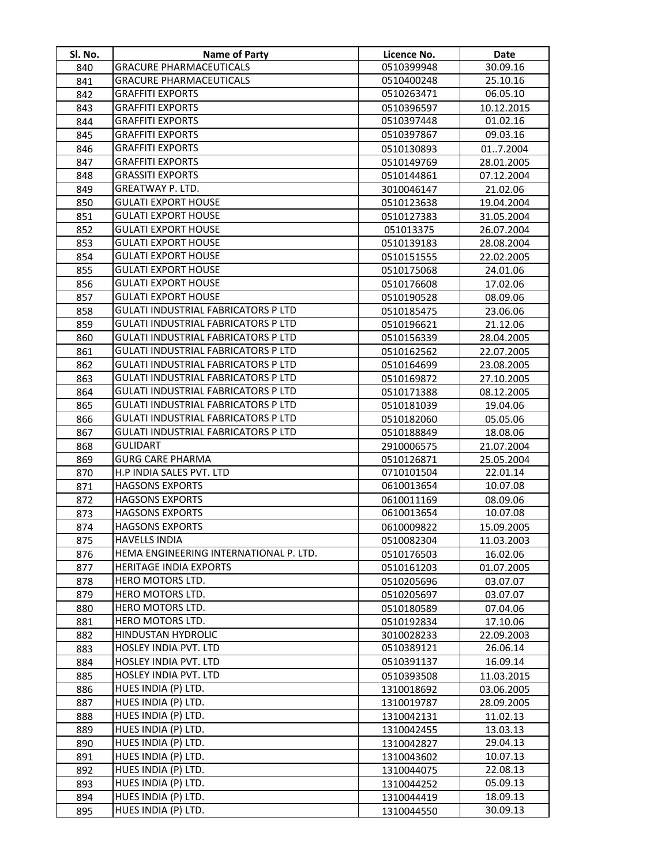| Sl. No.    | <b>Name of Party</b>                                                                     | Licence No.              | Date                     |
|------------|------------------------------------------------------------------------------------------|--------------------------|--------------------------|
| 840        | <b>GRACURE PHARMACEUTICALS</b>                                                           | 0510399948               | 30.09.16                 |
| 841        | <b>GRACURE PHARMACEUTICALS</b>                                                           | 0510400248               | 25.10.16                 |
| 842        | GRAFFITI EXPORTS                                                                         | 0510263471               | 06.05.10                 |
| 843        | <b>GRAFFITI EXPORTS</b>                                                                  | 0510396597               | 10.12.2015               |
| 844        | <b>GRAFFITI EXPORTS</b>                                                                  | 0510397448               | 01.02.16                 |
| 845        | <b>GRAFFITI EXPORTS</b>                                                                  | 0510397867               | 09.03.16                 |
| 846        | <b>GRAFFITI EXPORTS</b>                                                                  | 0510130893               | 017.2004                 |
| 847        | <b>GRAFFITI EXPORTS</b>                                                                  | 0510149769               | 28.01.2005               |
| 848        | <b>GRASSITI EXPORTS</b>                                                                  | 0510144861               | 07.12.2004               |
| 849        | GREATWAY P. LTD.                                                                         | 3010046147               | 21.02.06                 |
| 850        | <b>GULATI EXPORT HOUSE</b>                                                               | 0510123638               | 19.04.2004               |
| 851        | <b>GULATI EXPORT HOUSE</b>                                                               | 0510127383               | 31.05.2004               |
| 852        | <b>GULATI EXPORT HOUSE</b>                                                               | 051013375                | 26.07.2004               |
| 853        | <b>GULATI EXPORT HOUSE</b>                                                               | 0510139183               | 28.08.2004               |
| 854        | <b>GULATI EXPORT HOUSE</b>                                                               | 0510151555               | 22.02.2005               |
| 855        | <b>GULATI EXPORT HOUSE</b>                                                               | 0510175068               | 24.01.06                 |
| 856        | <b>GULATI EXPORT HOUSE</b>                                                               | 0510176608               | 17.02.06                 |
| 857        | <b>GULATI EXPORT HOUSE</b>                                                               | 0510190528               | 08.09.06                 |
| 858        | GULATI INDUSTRIAL FABRICATORS P LTD                                                      | 0510185475               | 23.06.06                 |
| 859        | GULATI INDUSTRIAL FABRICATORS P LTD                                                      | 0510196621               | 21.12.06                 |
| 860        | <b>GULATI INDUSTRIAL FABRICATORS P LTD</b>                                               | 0510156339               | 28.04.2005               |
| 861        | GULATI INDUSTRIAL FABRICATORS P LTD                                                      | 0510162562               | 22.07.2005               |
| 862        | <b>GULATI INDUSTRIAL FABRICATORS P LTD</b>                                               | 0510164699               | 23.08.2005               |
| 863        | <b>GULATI INDUSTRIAL FABRICATORS P LTD</b>                                               | 0510169872               | 27.10.2005               |
| 864        | <b>GULATI INDUSTRIAL FABRICATORS P LTD</b>                                               | 0510171388               | 08.12.2005               |
| 865        | GULATI INDUSTRIAL FABRICATORS P LTD                                                      | 0510181039               | 19.04.06                 |
| 866        | <b>GULATI INDUSTRIAL FABRICATORS P LTD</b><br><b>GULATI INDUSTRIAL FABRICATORS P LTD</b> | 0510182060               | 05.05.06                 |
| 867        | <b>GULIDART</b>                                                                          | 0510188849               | 18.08.06                 |
| 868<br>869 | <b>GURG CARE PHARMA</b>                                                                  | 2910006575<br>0510126871 | 21.07.2004<br>25.05.2004 |
| 870        | H.P INDIA SALES PVT. LTD                                                                 | 0710101504               | 22.01.14                 |
| 871        | <b>HAGSONS EXPORTS</b>                                                                   | 0610013654               | 10.07.08                 |
| 872        | <b>HAGSONS EXPORTS</b>                                                                   | 0610011169               | 08.09.06                 |
| 873        | <b>HAGSONS EXPORTS</b>                                                                   | 0610013654               | 10.07.08                 |
| 874        | <b>HAGSONS EXPORTS</b>                                                                   | 0610009822               | 15.09.2005               |
| 875        | <b>HAVELLS INDIA</b>                                                                     | 0510082304               | 11.03.2003               |
| 876        | HEMA ENGINEERING INTERNATIONAL P. LTD.                                                   | 0510176503               | 16.02.06                 |
| 877        | <b>HERITAGE INDIA EXPORTS</b>                                                            | 0510161203               | 01.07.2005               |
| 878        | HERO MOTORS LTD.                                                                         | 0510205696               | 03.07.07                 |
| 879        | HERO MOTORS LTD.                                                                         | 0510205697               | 03.07.07                 |
| 880        | HERO MOTORS LTD.                                                                         | 0510180589               | 07.04.06                 |
| 881        | HERO MOTORS LTD.                                                                         | 0510192834               | 17.10.06                 |
| 882        | <b>HINDUSTAN HYDROLIC</b>                                                                | 3010028233               | 22.09.2003               |
| 883        | HOSLEY INDIA PVT. LTD                                                                    | 0510389121               | 26.06.14                 |
| 884        | HOSLEY INDIA PVT. LTD                                                                    | 0510391137               | 16.09.14                 |
| 885        | HOSLEY INDIA PVT. LTD                                                                    | 0510393508               | 11.03.2015               |
| 886        | HUES INDIA (P) LTD.                                                                      | 1310018692               | 03.06.2005               |
| 887        | HUES INDIA (P) LTD.                                                                      | 1310019787               | 28.09.2005               |
| 888        | HUES INDIA (P) LTD.                                                                      | 1310042131               | 11.02.13                 |
| 889        | HUES INDIA (P) LTD.                                                                      | 1310042455               | 13.03.13                 |
| 890        | HUES INDIA (P) LTD.                                                                      | 1310042827               | 29.04.13                 |
| 891        | HUES INDIA (P) LTD.                                                                      | 1310043602               | 10.07.13                 |
| 892        | HUES INDIA (P) LTD.                                                                      | 1310044075               | 22.08.13                 |
| 893        | HUES INDIA (P) LTD.                                                                      | 1310044252               | 05.09.13                 |
| 894        | HUES INDIA (P) LTD.                                                                      | 1310044419               | 18.09.13                 |
| 895        | HUES INDIA (P) LTD.                                                                      | 1310044550               | 30.09.13                 |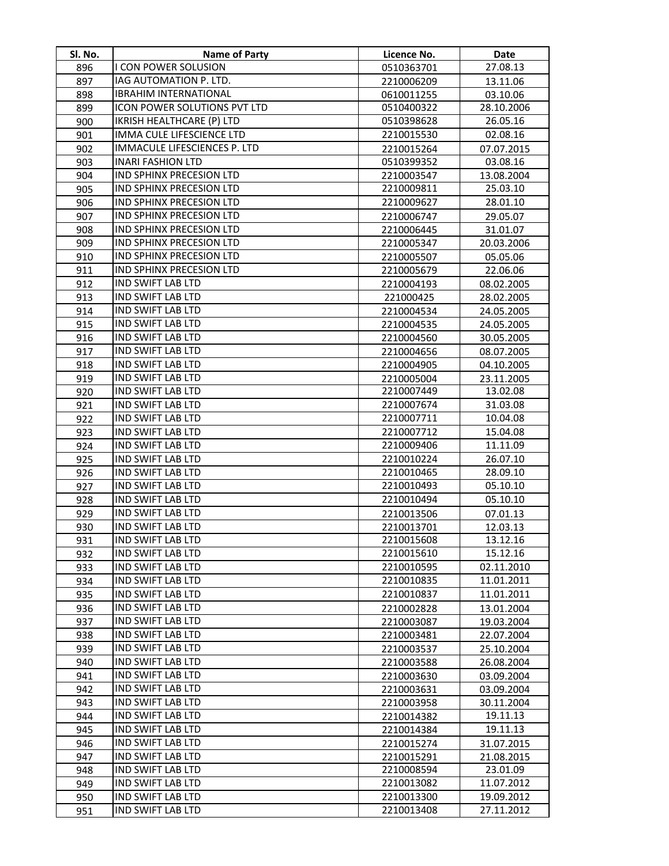| I CON POWER SOLUSION<br>27.08.13<br>896<br>0510363701<br>IAG AUTOMATION P. LTD.<br>897<br>2210006209<br>13.11.06<br><b>IBRAHIM INTERNATIONAL</b><br>898<br>0610011255<br>03.10.06<br>ICON POWER SOLUTIONS PVT LTD<br>28.10.2006<br>899<br>0510400322<br>IKRISH HEALTHCARE (P) LTD<br>26.05.16<br>900<br>0510398628<br>IMMA CULE LIFESCIENCE LTD<br>2210015530<br>02.08.16<br>901<br>IMMACULE LIFESCIENCES P. LTD<br>902<br>2210015264<br>07.07.2015<br><b>INARI FASHION LTD</b><br>0510399352<br>03.08.16<br>903<br><b>IND SPHINX PRECESION LTD</b><br>904<br>13.08.2004<br>2210003547<br>IND SPHINX PRECESION LTD<br>25.03.10<br>2210009811<br>905<br><b>IND SPHINX PRECESION LTD</b><br>906<br>2210009627<br>28.01.10<br>IND SPHINX PRECESION LTD<br>907<br>2210006747<br>29.05.07<br>IND SPHINX PRECESION LTD<br>908<br>31.01.07<br>2210006445<br>IND SPHINX PRECESION LTD<br>909<br>20.03.2006<br>2210005347<br><b>IND SPHINX PRECESION LTD</b><br>910<br>2210005507<br>05.05.06<br>IND SPHINX PRECESION LTD<br>911<br>2210005679<br>22.06.06<br>IND SWIFT LAB LTD<br>912<br>2210004193<br>08.02.2005<br>IND SWIFT LAB LTD<br>913<br>221000425<br>28.02.2005<br><b>IND SWIFT LAB LTD</b><br>914<br>2210004534<br>24.05.2005<br>IND SWIFT LAB LTD<br>915<br>24.05.2005<br>2210004535<br><b>IND SWIFT LAB LTD</b><br>916<br>2210004560<br>30.05.2005<br><b>IND SWIFT LAB LTD</b><br>917<br>08.07.2005<br>2210004656<br><b>IND SWIFT LAB LTD</b><br>918<br>2210004905<br>04.10.2005 | SI. No. | Name of Party            | Licence No. | Date |
|--------------------------------------------------------------------------------------------------------------------------------------------------------------------------------------------------------------------------------------------------------------------------------------------------------------------------------------------------------------------------------------------------------------------------------------------------------------------------------------------------------------------------------------------------------------------------------------------------------------------------------------------------------------------------------------------------------------------------------------------------------------------------------------------------------------------------------------------------------------------------------------------------------------------------------------------------------------------------------------------------------------------------------------------------------------------------------------------------------------------------------------------------------------------------------------------------------------------------------------------------------------------------------------------------------------------------------------------------------------------------------------------------------------------------------------------------------------------------------------|---------|--------------------------|-------------|------|
|                                                                                                                                                                                                                                                                                                                                                                                                                                                                                                                                                                                                                                                                                                                                                                                                                                                                                                                                                                                                                                                                                                                                                                                                                                                                                                                                                                                                                                                                                      |         |                          |             |      |
|                                                                                                                                                                                                                                                                                                                                                                                                                                                                                                                                                                                                                                                                                                                                                                                                                                                                                                                                                                                                                                                                                                                                                                                                                                                                                                                                                                                                                                                                                      |         |                          |             |      |
|                                                                                                                                                                                                                                                                                                                                                                                                                                                                                                                                                                                                                                                                                                                                                                                                                                                                                                                                                                                                                                                                                                                                                                                                                                                                                                                                                                                                                                                                                      |         |                          |             |      |
|                                                                                                                                                                                                                                                                                                                                                                                                                                                                                                                                                                                                                                                                                                                                                                                                                                                                                                                                                                                                                                                                                                                                                                                                                                                                                                                                                                                                                                                                                      |         |                          |             |      |
|                                                                                                                                                                                                                                                                                                                                                                                                                                                                                                                                                                                                                                                                                                                                                                                                                                                                                                                                                                                                                                                                                                                                                                                                                                                                                                                                                                                                                                                                                      |         |                          |             |      |
|                                                                                                                                                                                                                                                                                                                                                                                                                                                                                                                                                                                                                                                                                                                                                                                                                                                                                                                                                                                                                                                                                                                                                                                                                                                                                                                                                                                                                                                                                      |         |                          |             |      |
|                                                                                                                                                                                                                                                                                                                                                                                                                                                                                                                                                                                                                                                                                                                                                                                                                                                                                                                                                                                                                                                                                                                                                                                                                                                                                                                                                                                                                                                                                      |         |                          |             |      |
|                                                                                                                                                                                                                                                                                                                                                                                                                                                                                                                                                                                                                                                                                                                                                                                                                                                                                                                                                                                                                                                                                                                                                                                                                                                                                                                                                                                                                                                                                      |         |                          |             |      |
|                                                                                                                                                                                                                                                                                                                                                                                                                                                                                                                                                                                                                                                                                                                                                                                                                                                                                                                                                                                                                                                                                                                                                                                                                                                                                                                                                                                                                                                                                      |         |                          |             |      |
|                                                                                                                                                                                                                                                                                                                                                                                                                                                                                                                                                                                                                                                                                                                                                                                                                                                                                                                                                                                                                                                                                                                                                                                                                                                                                                                                                                                                                                                                                      |         |                          |             |      |
|                                                                                                                                                                                                                                                                                                                                                                                                                                                                                                                                                                                                                                                                                                                                                                                                                                                                                                                                                                                                                                                                                                                                                                                                                                                                                                                                                                                                                                                                                      |         |                          |             |      |
|                                                                                                                                                                                                                                                                                                                                                                                                                                                                                                                                                                                                                                                                                                                                                                                                                                                                                                                                                                                                                                                                                                                                                                                                                                                                                                                                                                                                                                                                                      |         |                          |             |      |
|                                                                                                                                                                                                                                                                                                                                                                                                                                                                                                                                                                                                                                                                                                                                                                                                                                                                                                                                                                                                                                                                                                                                                                                                                                                                                                                                                                                                                                                                                      |         |                          |             |      |
|                                                                                                                                                                                                                                                                                                                                                                                                                                                                                                                                                                                                                                                                                                                                                                                                                                                                                                                                                                                                                                                                                                                                                                                                                                                                                                                                                                                                                                                                                      |         |                          |             |      |
|                                                                                                                                                                                                                                                                                                                                                                                                                                                                                                                                                                                                                                                                                                                                                                                                                                                                                                                                                                                                                                                                                                                                                                                                                                                                                                                                                                                                                                                                                      |         |                          |             |      |
|                                                                                                                                                                                                                                                                                                                                                                                                                                                                                                                                                                                                                                                                                                                                                                                                                                                                                                                                                                                                                                                                                                                                                                                                                                                                                                                                                                                                                                                                                      |         |                          |             |      |
|                                                                                                                                                                                                                                                                                                                                                                                                                                                                                                                                                                                                                                                                                                                                                                                                                                                                                                                                                                                                                                                                                                                                                                                                                                                                                                                                                                                                                                                                                      |         |                          |             |      |
|                                                                                                                                                                                                                                                                                                                                                                                                                                                                                                                                                                                                                                                                                                                                                                                                                                                                                                                                                                                                                                                                                                                                                                                                                                                                                                                                                                                                                                                                                      |         |                          |             |      |
|                                                                                                                                                                                                                                                                                                                                                                                                                                                                                                                                                                                                                                                                                                                                                                                                                                                                                                                                                                                                                                                                                                                                                                                                                                                                                                                                                                                                                                                                                      |         |                          |             |      |
|                                                                                                                                                                                                                                                                                                                                                                                                                                                                                                                                                                                                                                                                                                                                                                                                                                                                                                                                                                                                                                                                                                                                                                                                                                                                                                                                                                                                                                                                                      |         |                          |             |      |
|                                                                                                                                                                                                                                                                                                                                                                                                                                                                                                                                                                                                                                                                                                                                                                                                                                                                                                                                                                                                                                                                                                                                                                                                                                                                                                                                                                                                                                                                                      |         |                          |             |      |
|                                                                                                                                                                                                                                                                                                                                                                                                                                                                                                                                                                                                                                                                                                                                                                                                                                                                                                                                                                                                                                                                                                                                                                                                                                                                                                                                                                                                                                                                                      |         |                          |             |      |
|                                                                                                                                                                                                                                                                                                                                                                                                                                                                                                                                                                                                                                                                                                                                                                                                                                                                                                                                                                                                                                                                                                                                                                                                                                                                                                                                                                                                                                                                                      |         |                          |             |      |
| 23.11.2005<br>2210005004                                                                                                                                                                                                                                                                                                                                                                                                                                                                                                                                                                                                                                                                                                                                                                                                                                                                                                                                                                                                                                                                                                                                                                                                                                                                                                                                                                                                                                                             | 919     | <b>IND SWIFT LAB LTD</b> |             |      |
| <b>IND SWIFT LAB LTD</b><br>920<br>2210007449<br>13.02.08                                                                                                                                                                                                                                                                                                                                                                                                                                                                                                                                                                                                                                                                                                                                                                                                                                                                                                                                                                                                                                                                                                                                                                                                                                                                                                                                                                                                                            |         |                          |             |      |
| <b>IND SWIFT LAB LTD</b><br>2210007674<br>921<br>31.03.08                                                                                                                                                                                                                                                                                                                                                                                                                                                                                                                                                                                                                                                                                                                                                                                                                                                                                                                                                                                                                                                                                                                                                                                                                                                                                                                                                                                                                            |         |                          |             |      |
| <b>IND SWIFT LAB LTD</b><br>2210007711<br>10.04.08<br>922                                                                                                                                                                                                                                                                                                                                                                                                                                                                                                                                                                                                                                                                                                                                                                                                                                                                                                                                                                                                                                                                                                                                                                                                                                                                                                                                                                                                                            |         |                          |             |      |
| <b>IND SWIFT LAB LTD</b><br>15.04.08<br>923<br>2210007712                                                                                                                                                                                                                                                                                                                                                                                                                                                                                                                                                                                                                                                                                                                                                                                                                                                                                                                                                                                                                                                                                                                                                                                                                                                                                                                                                                                                                            |         |                          |             |      |
| <b>IND SWIFT LAB LTD</b><br>11.11.09<br>924<br>2210009406                                                                                                                                                                                                                                                                                                                                                                                                                                                                                                                                                                                                                                                                                                                                                                                                                                                                                                                                                                                                                                                                                                                                                                                                                                                                                                                                                                                                                            |         |                          |             |      |
| <b>IND SWIFT LAB LTD</b><br>2210010224<br>925<br>26.07.10                                                                                                                                                                                                                                                                                                                                                                                                                                                                                                                                                                                                                                                                                                                                                                                                                                                                                                                                                                                                                                                                                                                                                                                                                                                                                                                                                                                                                            |         |                          |             |      |
| 926<br><b>IND SWIFT LAB LTD</b><br>2210010465<br>28.09.10                                                                                                                                                                                                                                                                                                                                                                                                                                                                                                                                                                                                                                                                                                                                                                                                                                                                                                                                                                                                                                                                                                                                                                                                                                                                                                                                                                                                                            |         |                          |             |      |
| <b>IND SWIFT LAB LTD</b><br>2210010493<br>05.10.10<br>927                                                                                                                                                                                                                                                                                                                                                                                                                                                                                                                                                                                                                                                                                                                                                                                                                                                                                                                                                                                                                                                                                                                                                                                                                                                                                                                                                                                                                            |         |                          |             |      |
| <b>IND SWIFT LAB LTD</b><br>2210010494<br>05.10.10<br>928                                                                                                                                                                                                                                                                                                                                                                                                                                                                                                                                                                                                                                                                                                                                                                                                                                                                                                                                                                                                                                                                                                                                                                                                                                                                                                                                                                                                                            |         |                          |             |      |
| IND SWIFT LAB LTD<br>929<br>2210013506<br>07.01.13                                                                                                                                                                                                                                                                                                                                                                                                                                                                                                                                                                                                                                                                                                                                                                                                                                                                                                                                                                                                                                                                                                                                                                                                                                                                                                                                                                                                                                   |         |                          |             |      |
| <b>IND SWIFT LAB LTD</b><br>930<br>2210013701<br>12.03.13                                                                                                                                                                                                                                                                                                                                                                                                                                                                                                                                                                                                                                                                                                                                                                                                                                                                                                                                                                                                                                                                                                                                                                                                                                                                                                                                                                                                                            |         |                          |             |      |
| 931<br><b>IND SWIFT LAB LTD</b><br>2210015608<br>13.12.16                                                                                                                                                                                                                                                                                                                                                                                                                                                                                                                                                                                                                                                                                                                                                                                                                                                                                                                                                                                                                                                                                                                                                                                                                                                                                                                                                                                                                            |         |                          |             |      |
| <b>IND SWIFT LAB LTD</b><br>2210015610<br>15.12.16<br>932                                                                                                                                                                                                                                                                                                                                                                                                                                                                                                                                                                                                                                                                                                                                                                                                                                                                                                                                                                                                                                                                                                                                                                                                                                                                                                                                                                                                                            |         |                          |             |      |
| <b>IND SWIFT LAB LTD</b><br>2210010595<br>02.11.2010<br>933                                                                                                                                                                                                                                                                                                                                                                                                                                                                                                                                                                                                                                                                                                                                                                                                                                                                                                                                                                                                                                                                                                                                                                                                                                                                                                                                                                                                                          |         |                          |             |      |
| <b>IND SWIFT LAB LTD</b><br>2210010835<br>11.01.2011<br>934                                                                                                                                                                                                                                                                                                                                                                                                                                                                                                                                                                                                                                                                                                                                                                                                                                                                                                                                                                                                                                                                                                                                                                                                                                                                                                                                                                                                                          |         |                          |             |      |
| <b>IND SWIFT LAB LTD</b><br>11.01.2011<br>2210010837<br>935                                                                                                                                                                                                                                                                                                                                                                                                                                                                                                                                                                                                                                                                                                                                                                                                                                                                                                                                                                                                                                                                                                                                                                                                                                                                                                                                                                                                                          |         |                          |             |      |
| <b>IND SWIFT LAB LTD</b><br>936<br>2210002828<br>13.01.2004                                                                                                                                                                                                                                                                                                                                                                                                                                                                                                                                                                                                                                                                                                                                                                                                                                                                                                                                                                                                                                                                                                                                                                                                                                                                                                                                                                                                                          |         |                          |             |      |
| <b>IND SWIFT LAB LTD</b><br>937<br>2210003087<br>19.03.2004                                                                                                                                                                                                                                                                                                                                                                                                                                                                                                                                                                                                                                                                                                                                                                                                                                                                                                                                                                                                                                                                                                                                                                                                                                                                                                                                                                                                                          |         |                          |             |      |
| <b>IND SWIFT LAB LTD</b><br>938<br>2210003481<br>22.07.2004                                                                                                                                                                                                                                                                                                                                                                                                                                                                                                                                                                                                                                                                                                                                                                                                                                                                                                                                                                                                                                                                                                                                                                                                                                                                                                                                                                                                                          |         |                          |             |      |
| <b>IND SWIFT LAB LTD</b><br>939<br>2210003537<br>25.10.2004                                                                                                                                                                                                                                                                                                                                                                                                                                                                                                                                                                                                                                                                                                                                                                                                                                                                                                                                                                                                                                                                                                                                                                                                                                                                                                                                                                                                                          |         |                          |             |      |
| <b>IND SWIFT LAB LTD</b><br>940<br>2210003588<br>26.08.2004                                                                                                                                                                                                                                                                                                                                                                                                                                                                                                                                                                                                                                                                                                                                                                                                                                                                                                                                                                                                                                                                                                                                                                                                                                                                                                                                                                                                                          |         |                          |             |      |
| <b>IND SWIFT LAB LTD</b><br>941<br>2210003630<br>03.09.2004                                                                                                                                                                                                                                                                                                                                                                                                                                                                                                                                                                                                                                                                                                                                                                                                                                                                                                                                                                                                                                                                                                                                                                                                                                                                                                                                                                                                                          |         |                          |             |      |
| <b>IND SWIFT LAB LTD</b><br>942<br>2210003631<br>03.09.2004                                                                                                                                                                                                                                                                                                                                                                                                                                                                                                                                                                                                                                                                                                                                                                                                                                                                                                                                                                                                                                                                                                                                                                                                                                                                                                                                                                                                                          |         |                          |             |      |
| <b>IND SWIFT LAB LTD</b><br>943<br>30.11.2004<br>2210003958                                                                                                                                                                                                                                                                                                                                                                                                                                                                                                                                                                                                                                                                                                                                                                                                                                                                                                                                                                                                                                                                                                                                                                                                                                                                                                                                                                                                                          |         |                          |             |      |
| <b>IND SWIFT LAB LTD</b><br>19.11.13<br>944<br>2210014382                                                                                                                                                                                                                                                                                                                                                                                                                                                                                                                                                                                                                                                                                                                                                                                                                                                                                                                                                                                                                                                                                                                                                                                                                                                                                                                                                                                                                            |         |                          |             |      |
| <b>IND SWIFT LAB LTD</b><br>19.11.13<br>945<br>2210014384                                                                                                                                                                                                                                                                                                                                                                                                                                                                                                                                                                                                                                                                                                                                                                                                                                                                                                                                                                                                                                                                                                                                                                                                                                                                                                                                                                                                                            |         |                          |             |      |
| <b>IND SWIFT LAB LTD</b><br>946<br>2210015274<br>31.07.2015<br><b>IND SWIFT LAB LTD</b>                                                                                                                                                                                                                                                                                                                                                                                                                                                                                                                                                                                                                                                                                                                                                                                                                                                                                                                                                                                                                                                                                                                                                                                                                                                                                                                                                                                              |         |                          |             |      |
| 947<br>21.08.2015<br>2210015291<br><b>IND SWIFT LAB LTD</b><br>2210008594<br>23.01.09<br>948                                                                                                                                                                                                                                                                                                                                                                                                                                                                                                                                                                                                                                                                                                                                                                                                                                                                                                                                                                                                                                                                                                                                                                                                                                                                                                                                                                                         |         |                          |             |      |
| <b>IND SWIFT LAB LTD</b><br>2210013082<br>11.07.2012<br>949                                                                                                                                                                                                                                                                                                                                                                                                                                                                                                                                                                                                                                                                                                                                                                                                                                                                                                                                                                                                                                                                                                                                                                                                                                                                                                                                                                                                                          |         |                          |             |      |
| <b>IND SWIFT LAB LTD</b><br>2210013300<br>19.09.2012<br>950                                                                                                                                                                                                                                                                                                                                                                                                                                                                                                                                                                                                                                                                                                                                                                                                                                                                                                                                                                                                                                                                                                                                                                                                                                                                                                                                                                                                                          |         |                          |             |      |
| <b>IND SWIFT LAB LTD</b><br>2210013408<br>27.11.2012<br>951                                                                                                                                                                                                                                                                                                                                                                                                                                                                                                                                                                                                                                                                                                                                                                                                                                                                                                                                                                                                                                                                                                                                                                                                                                                                                                                                                                                                                          |         |                          |             |      |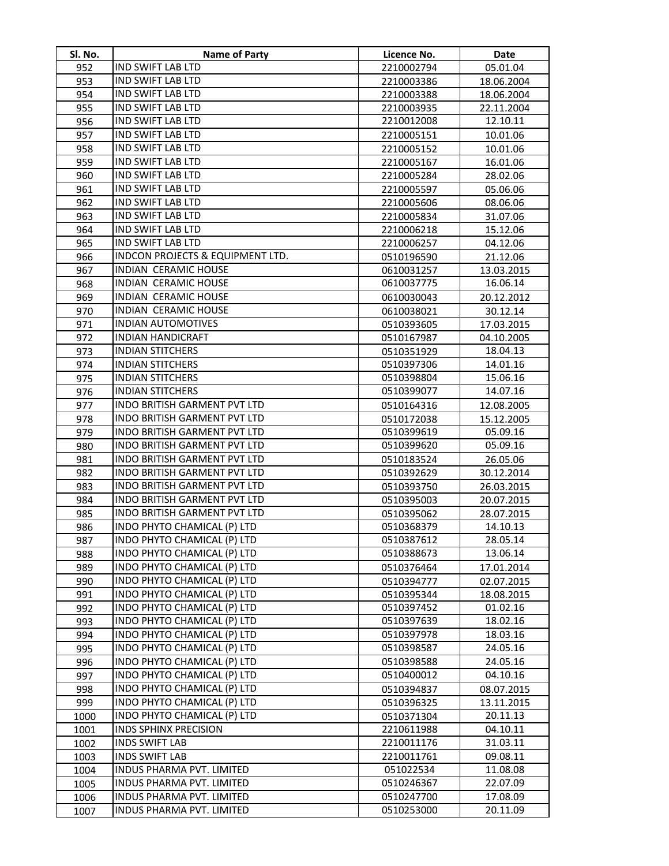| SI. No.      | <b>Name of Party</b>                                       | Licence No.              | Date                   |
|--------------|------------------------------------------------------------|--------------------------|------------------------|
| 952          | IND SWIFT LAB LTD                                          | 2210002794               | 05.01.04               |
| 953          | IND SWIFT LAB LTD                                          | 2210003386               | 18.06.2004             |
| 954          | IND SWIFT LAB LTD                                          | 2210003388               | 18.06.2004             |
| 955          | <b>IND SWIFT LAB LTD</b>                                   | 2210003935               | 22.11.2004             |
| 956          | IND SWIFT LAB LTD                                          | 2210012008               | 12.10.11               |
| 957          | <b>IND SWIFT LAB LTD</b>                                   | 2210005151               | 10.01.06               |
| 958          | <b>IND SWIFT LAB LTD</b>                                   | 2210005152               | 10.01.06               |
| 959          | IND SWIFT LAB LTD                                          | 2210005167               | 16.01.06               |
| 960          | IND SWIFT LAB LTD                                          | 2210005284               | 28.02.06               |
| 961          | IND SWIFT LAB LTD                                          | 2210005597               | 05.06.06               |
| 962          | IND SWIFT LAB LTD                                          | 2210005606               | 08.06.06               |
| 963          | IND SWIFT LAB LTD                                          | 2210005834               | 31.07.06               |
| 964          | IND SWIFT LAB LTD                                          | 2210006218               | 15.12.06               |
| 965          | IND SWIFT LAB LTD                                          | 2210006257               | 04.12.06               |
| 966          | INDCON PROJECTS & EQUIPMENT LTD.                           | 0510196590               | 21.12.06               |
| 967          | INDIAN CERAMIC HOUSE                                       | 0610031257               | 13.03.2015             |
| 968          | <b>INDIAN CERAMIC HOUSE</b>                                | 0610037775               | 16.06.14               |
| 969          | <b>INDIAN CERAMIC HOUSE</b>                                | 0610030043               | 20.12.2012             |
| 970          | <b>INDIAN CERAMIC HOUSE</b>                                | 0610038021               | 30.12.14               |
| 971          | <b>INDIAN AUTOMOTIVES</b>                                  | 0510393605               | 17.03.2015             |
| 972          | <b>INDIAN HANDICRAFT</b>                                   | 0510167987               | 04.10.2005             |
| 973          | <b>INDIAN STITCHERS</b>                                    | 0510351929               | 18.04.13               |
| 974          | <b>INDIAN STITCHERS</b>                                    | 0510397306               | 14.01.16               |
| 975          | <b>INDIAN STITCHERS</b>                                    | 0510398804               | 15.06.16               |
| 976          | <b>INDIAN STITCHERS</b>                                    | 0510399077               | 14.07.16               |
| 977          | INDO BRITISH GARMENT PVT LTD                               | 0510164316               | 12.08.2005             |
| 978          | <b>INDO BRITISH GARMENT PVT LTD</b>                        | 0510172038               | 15.12.2005             |
| 979          | INDO BRITISH GARMENT PVT LTD                               | 0510399619               | 05.09.16               |
| 980          | INDO BRITISH GARMENT PVT LTD                               | 0510399620               | 05.09.16               |
| 981          | INDO BRITISH GARMENT PVT LTD                               | 0510183524               | 26.05.06               |
| 982          | INDO BRITISH GARMENT PVT LTD                               | 0510392629               | 30.12.2014             |
| 983          | INDO BRITISH GARMENT PVT LTD                               | 0510393750               | 26.03.2015             |
| 984          | INDO BRITISH GARMENT PVT LTD                               | 0510395003               | 20.07.2015             |
| 985          | INDO BRITISH GARMENT PVT LTD                               | 0510395062               | 28.07.2015             |
| 986          | INDO PHYTO CHAMICAL (P) LTD                                | 0510368379               | 14.10.13               |
| 987          | INDO PHYTO CHAMICAL (P) LTD                                | 0510387612               | 28.05.14               |
| 988          | INDO PHYTO CHAMICAL (P) LTD                                | 0510388673               | 13.06.14               |
| 989          | INDO PHYTO CHAMICAL (P) LTD                                | 0510376464               | 17.01.2014             |
| 990          | INDO PHYTO CHAMICAL (P) LTD                                | 0510394777               | 02.07.2015             |
| 991          | INDO PHYTO CHAMICAL (P) LTD                                | 0510395344               | 18.08.2015             |
| 992          | INDO PHYTO CHAMICAL (P) LTD                                | 0510397452               | 01.02.16               |
| 993          | INDO PHYTO CHAMICAL (P) LTD                                | 0510397639               | 18.02.16               |
| 994          | INDO PHYTO CHAMICAL (P) LTD                                | 0510397978               | 18.03.16               |
| 995          | INDO PHYTO CHAMICAL (P) LTD                                | 0510398587               | 24.05.16               |
| 996          | INDO PHYTO CHAMICAL (P) LTD                                | 0510398588               | 24.05.16               |
| 997          | INDO PHYTO CHAMICAL (P) LTD<br>INDO PHYTO CHAMICAL (P) LTD | 0510400012               | 04.10.16               |
| 998          | INDO PHYTO CHAMICAL (P) LTD                                | 0510394837               | 08.07.2015             |
| 999<br>1000  | INDO PHYTO CHAMICAL (P) LTD                                | 0510396325               | 13.11.2015<br>20.11.13 |
|              | <b>INDS SPHINX PRECISION</b>                               | 0510371304<br>2210611988 | 04.10.11               |
| 1001<br>1002 | <b>INDS SWIFT LAB</b>                                      | 2210011176               | 31.03.11               |
| 1003         | <b>INDS SWIFT LAB</b>                                      | 2210011761               | 09.08.11               |
| 1004         | INDUS PHARMA PVT. LIMITED                                  | 051022534                | 11.08.08               |
| 1005         | <b>INDUS PHARMA PVT. LIMITED</b>                           | 0510246367               | 22.07.09               |
| 1006         | INDUS PHARMA PVT. LIMITED                                  | 0510247700               | 17.08.09               |
| 1007         | INDUS PHARMA PVT. LIMITED                                  | 0510253000               | 20.11.09               |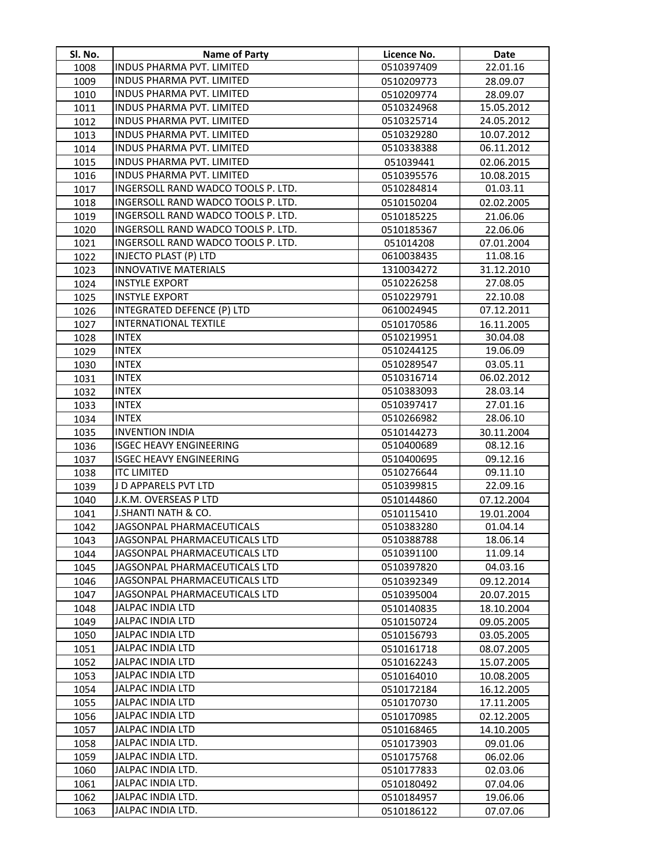| Sl. No.      | <b>Name of Party</b>                                                  | Licence No.              | Date                     |
|--------------|-----------------------------------------------------------------------|--------------------------|--------------------------|
| 1008         | INDUS PHARMA PVT. LIMITED                                             | 0510397409               | 22.01.16                 |
| 1009         | <b>INDUS PHARMA PVT. LIMITED</b>                                      | 0510209773               | 28.09.07                 |
| 1010         | <b>INDUS PHARMA PVT. LIMITED</b>                                      | 0510209774               | 28.09.07                 |
| 1011         | INDUS PHARMA PVT. LIMITED                                             | 0510324968               | 15.05.2012               |
| 1012         | INDUS PHARMA PVT. LIMITED                                             | 0510325714               | 24.05.2012               |
| 1013         | INDUS PHARMA PVT. LIMITED                                             | 0510329280               | 10.07.2012               |
| 1014         | INDUS PHARMA PVT. LIMITED                                             | 0510338388               | 06.11.2012               |
| 1015         | INDUS PHARMA PVT. LIMITED                                             | 051039441                | 02.06.2015               |
| 1016         | INDUS PHARMA PVT. LIMITED                                             | 0510395576               | 10.08.2015               |
| 1017         | INGERSOLL RAND WADCO TOOLS P. LTD.                                    | 0510284814               | 01.03.11                 |
| 1018         | INGERSOLL RAND WADCO TOOLS P. LTD.                                    | 0510150204               | 02.02.2005               |
| 1019         | INGERSOLL RAND WADCO TOOLS P. LTD.                                    | 0510185225               | 21.06.06                 |
| 1020         | INGERSOLL RAND WADCO TOOLS P. LTD.                                    | 0510185367               | 22.06.06                 |
| 1021         | INGERSOLL RAND WADCO TOOLS P. LTD.                                    | 051014208                | 07.01.2004               |
| 1022         | <b>INJECTO PLAST (P) LTD</b>                                          | 0610038435               | 11.08.16                 |
| 1023         | <b>INNOVATIVE MATERIALS</b>                                           | 1310034272               | 31.12.2010               |
| 1024         | <b>INSTYLE EXPORT</b>                                                 | 0510226258               | 27.08.05                 |
| 1025         | <b>INSTYLE EXPORT</b>                                                 | 0510229791               | 22.10.08                 |
| 1026         | <b>INTEGRATED DEFENCE (P) LTD</b>                                     | 0610024945               | 07.12.2011               |
| 1027         | <b>INTERNATIONAL TEXTILE</b>                                          | 0510170586               | 16.11.2005               |
| 1028         | <b>INTEX</b>                                                          | 0510219951               | 30.04.08                 |
| 1029         | <b>INTEX</b>                                                          | 0510244125               | 19.06.09                 |
| 1030         | <b>INTEX</b>                                                          | 0510289547               | 03.05.11                 |
| 1031         | <b>INTEX</b>                                                          | 0510316714               | 06.02.2012               |
| 1032         | <b>INTEX</b>                                                          | 0510383093               | 28.03.14                 |
| 1033         | <b>INTEX</b>                                                          | 0510397417               | 27.01.16                 |
| 1034         | <b>INTEX</b>                                                          | 0510266982               | 28.06.10                 |
| 1035         | <b>INVENTION INDIA</b>                                                | 0510144273               | 30.11.2004               |
| 1036         | <b>ISGEC HEAVY ENGINEERING</b>                                        | 0510400689               | 08.12.16                 |
| 1037         | <b>ISGEC HEAVY ENGINEERING</b>                                        | 0510400695               | 09.12.16                 |
| 1038         | <b>ITC LIMITED</b>                                                    | 0510276644               | 09.11.10                 |
| 1039         | J D APPARELS PVT LTD                                                  | 0510399815               | 22.09.16                 |
| 1040         | J.K.M. OVERSEAS P LTD                                                 | 0510144860               | 07.12.2004               |
| 1041         | J.SHANTI NATH & CO.                                                   | 0510115410               | 19.01.2004               |
| 1042         | JAGSONPAL PHARMACEUTICALS                                             | 0510383280               | 01.04.14                 |
| 1043         | JAGSONPAL PHARMACEUTICALS LTD                                         | 0510388788               | 18.06.14                 |
| 1044         | JAGSONPAL PHARMACEUTICALS LTD                                         | 0510391100               | 11.09.14                 |
| 1045         | JAGSONPAL PHARMACEUTICALS LTD                                         | 0510397820               | 04.03.16                 |
| 1046         | JAGSONPAL PHARMACEUTICALS LTD<br><b>JAGSONPAL PHARMACEUTICALS LTD</b> | 0510392349               | 09.12.2014               |
| 1047         |                                                                       | 0510395004               | 20.07.2015               |
| 1048         | <b>JALPAC INDIA LTD</b><br><b>JALPAC INDIA LTD</b>                    | 0510140835               | 18.10.2004               |
| 1049         | <b>JALPAC INDIA LTD</b>                                               | 0510150724               | 09.05.2005               |
| 1050         | <b>JALPAC INDIA LTD</b>                                               | 0510156793               | 03.05.2005               |
| 1051         | <b>JALPAC INDIA LTD</b>                                               | 0510161718               | 08.07.2005               |
| 1052         | JALPAC INDIA LTD                                                      | 0510162243               | 15.07.2005               |
| 1053         | JALPAC INDIA LTD                                                      | 0510164010               | 10.08.2005               |
| 1054         | JALPAC INDIA LTD                                                      | 0510172184               | 16.12.2005               |
| 1055<br>1056 | JALPAC INDIA LTD                                                      | 0510170730<br>0510170985 | 17.11.2005<br>02.12.2005 |
| 1057         | JALPAC INDIA LTD                                                      |                          |                          |
| 1058         | JALPAC INDIA LTD.                                                     | 0510168465<br>0510173903 | 14.10.2005<br>09.01.06   |
| 1059         | JALPAC INDIA LTD.                                                     | 0510175768               | 06.02.06                 |
| 1060         | JALPAC INDIA LTD.                                                     | 0510177833               | 02.03.06                 |
| 1061         | JALPAC INDIA LTD.                                                     | 0510180492               | 07.04.06                 |
| 1062         | JALPAC INDIA LTD.                                                     | 0510184957               | 19.06.06                 |
| 1063         | JALPAC INDIA LTD.                                                     | 0510186122               | 07.07.06                 |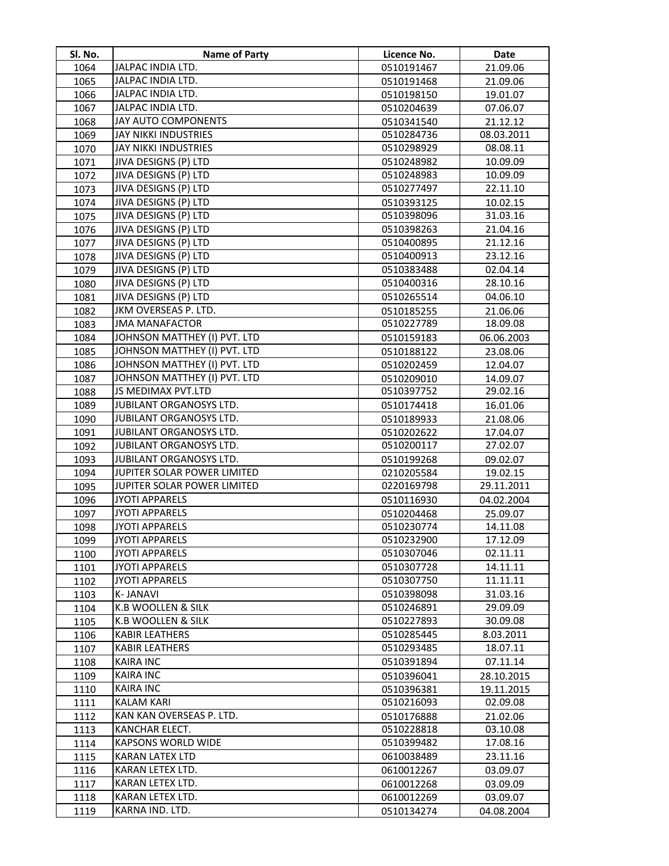| Sl. No. | <b>Name of Party</b>         | Licence No. | <b>Date</b> |
|---------|------------------------------|-------------|-------------|
| 1064    | JALPAC INDIA LTD.            | 0510191467  | 21.09.06    |
| 1065    | JALPAC INDIA LTD.            | 0510191468  | 21.09.06    |
| 1066    | JALPAC INDIA LTD.            | 0510198150  | 19.01.07    |
| 1067    | JALPAC INDIA LTD.            | 0510204639  | 07.06.07    |
| 1068    | <b>JAY AUTO COMPONENTS</b>   | 0510341540  | 21.12.12    |
| 1069    | <b>JAY NIKKI INDUSTRIES</b>  | 0510284736  | 08.03.2011  |
| 1070    | JAY NIKKI INDUSTRIES         | 0510298929  | 08.08.11    |
| 1071    | JIVA DESIGNS (P) LTD         | 0510248982  | 10.09.09    |
| 1072    | JIVA DESIGNS (P) LTD         | 0510248983  | 10.09.09    |
| 1073    | JIVA DESIGNS (P) LTD         | 0510277497  | 22.11.10    |
| 1074    | JIVA DESIGNS (P) LTD         | 0510393125  | 10.02.15    |
| 1075    | JIVA DESIGNS (P) LTD         | 0510398096  | 31.03.16    |
| 1076    | JIVA DESIGNS (P) LTD         | 0510398263  | 21.04.16    |
| 1077    | JIVA DESIGNS (P) LTD         | 0510400895  | 21.12.16    |
| 1078    | JIVA DESIGNS (P) LTD         | 0510400913  | 23.12.16    |
| 1079    | JIVA DESIGNS (P) LTD         | 0510383488  | 02.04.14    |
| 1080    | JIVA DESIGNS (P) LTD         | 0510400316  | 28.10.16    |
| 1081    | JIVA DESIGNS (P) LTD         | 0510265514  | 04.06.10    |
| 1082    | JKM OVERSEAS P. LTD.         | 0510185255  | 21.06.06    |
| 1083    | <b>JMA MANAFACTOR</b>        | 0510227789  | 18.09.08    |
| 1084    | JOHNSON MATTHEY (I) PVT. LTD | 0510159183  | 06.06.2003  |
| 1085    | JOHNSON MATTHEY (I) PVT. LTD | 0510188122  | 23.08.06    |
| 1086    | JOHNSON MATTHEY (I) PVT. LTD | 0510202459  | 12.04.07    |
| 1087    | JOHNSON MATTHEY (I) PVT. LTD | 0510209010  | 14.09.07    |
| 1088    | JS MEDIMAX PVT.LTD           | 0510397752  | 29.02.16    |
| 1089    | JUBILANT ORGANOSYS LTD.      | 0510174418  | 16.01.06    |
| 1090    | JUBILANT ORGANOSYS LTD.      | 0510189933  | 21.08.06    |
| 1091    | JUBILANT ORGANOSYS LTD.      | 0510202622  | 17.04.07    |
| 1092    | JUBILANT ORGANOSYS LTD.      | 0510200117  | 27.02.07    |
| 1093    | JUBILANT ORGANOSYS LTD.      | 0510199268  | 09.02.07    |
| 1094    | JUPITER SOLAR POWER LIMITED  | 0210205584  | 19.02.15    |
| 1095    | JUPITER SOLAR POWER LIMITED  | 0220169798  | 29.11.2011  |
| 1096    | <b>JYOTI APPARELS</b>        | 0510116930  | 04.02.2004  |
| 1097    | <b>JYOTI APPARELS</b>        | 0510204468  | 25.09.07    |
| 1098    | <b>JYOTI APPARELS</b>        | 0510230774  | 14.11.08    |
| 1099    | <b>JYOTI APPARELS</b>        | 0510232900  | 17.12.09    |
| 1100    | <b>JYOTI APPARELS</b>        | 0510307046  | 02.11.11    |
| 1101    | <b>JYOTI APPARELS</b>        | 0510307728  | 14.11.11    |
| 1102    | <b>JYOTI APPARELS</b>        | 0510307750  | 11.11.11    |
| 1103    | <b>K-JANAVI</b>              | 0510398098  | 31.03.16    |
| 1104    | K.B WOOLLEN & SILK           | 0510246891  | 29.09.09    |
| 1105    | K.B WOOLLEN & SILK           | 0510227893  | 30.09.08    |
| 1106    | <b>KABIR LEATHERS</b>        | 0510285445  | 8.03.2011   |
| 1107    | <b>KABIR LEATHERS</b>        | 0510293485  | 18.07.11    |
| 1108    | <b>KAIRA INC</b>             | 0510391894  | 07.11.14    |
| 1109    | <b>KAIRA INC</b>             | 0510396041  | 28.10.2015  |
| 1110    | <b>KAIRA INC</b>             | 0510396381  | 19.11.2015  |
| 1111    | <b>KALAM KARI</b>            | 0510216093  | 02.09.08    |
| 1112    | KAN KAN OVERSEAS P. LTD.     | 0510176888  | 21.02.06    |
| 1113    | KANCHAR ELECT.               | 0510228818  | 03.10.08    |
| 1114    | KAPSONS WORLD WIDE           | 0510399482  | 17.08.16    |
| 1115    | <b>KARAN LATEX LTD</b>       | 0610038489  | 23.11.16    |
| 1116    | KARAN LETEX LTD.             | 0610012267  | 03.09.07    |
| 1117    | KARAN LETEX LTD.             | 0610012268  | 03.09.09    |
| 1118    | KARAN LETEX LTD.             | 0610012269  | 03.09.07    |
| 1119    | KARNA IND. LTD.              | 0510134274  | 04.08.2004  |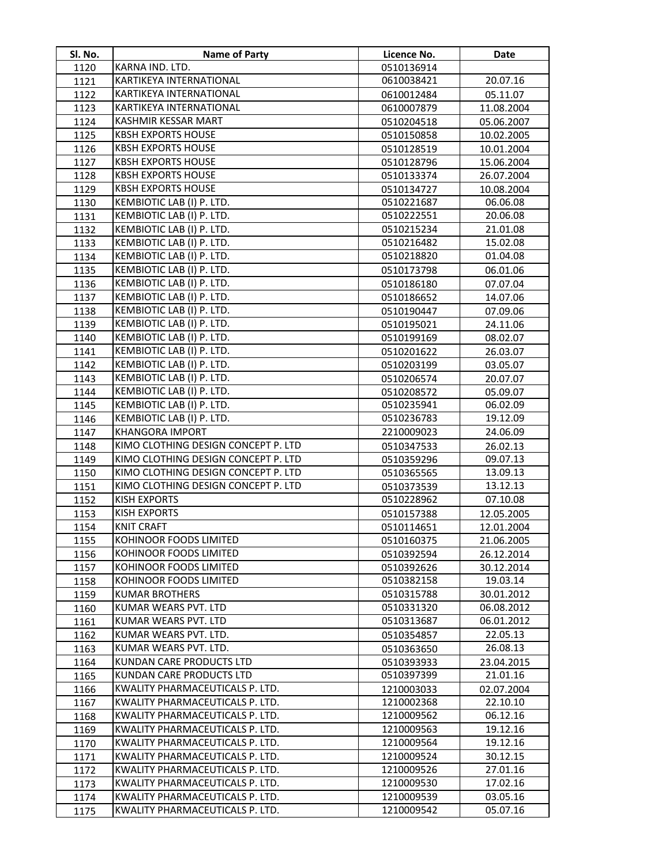| SI. No.      | Name of Party                                               | Licence No.              | Date                   |
|--------------|-------------------------------------------------------------|--------------------------|------------------------|
| 1120         | KARNA IND. LTD.                                             | 0510136914               |                        |
| 1121         | KARTIKEYA INTERNATIONAL                                     | 0610038421               | 20.07.16               |
| 1122         | KARTIKEYA INTERNATIONAL                                     | 0610012484               | 05.11.07               |
| 1123         | KARTIKEYA INTERNATIONAL                                     | 0610007879               | 11.08.2004             |
| 1124         | KASHMIR KESSAR MART                                         | 0510204518               | 05.06.2007             |
| 1125         | <b>KBSH EXPORTS HOUSE</b>                                   | 0510150858               | 10.02.2005             |
| 1126         | <b>KBSH EXPORTS HOUSE</b>                                   | 0510128519               | 10.01.2004             |
| 1127         | <b>KBSH EXPORTS HOUSE</b>                                   | 0510128796               | 15.06.2004             |
| 1128         | <b>KBSH EXPORTS HOUSE</b>                                   | 0510133374               | 26.07.2004             |
| 1129         | <b>KBSH EXPORTS HOUSE</b>                                   | 0510134727               | 10.08.2004             |
| 1130         | KEMBIOTIC LAB (I) P. LTD.                                   | 0510221687               | 06.06.08               |
| 1131         | KEMBIOTIC LAB (I) P. LTD.                                   | 0510222551               | 20.06.08               |
| 1132         | KEMBIOTIC LAB (I) P. LTD.                                   | 0510215234               | 21.01.08               |
| 1133         | KEMBIOTIC LAB (I) P. LTD.                                   | 0510216482               | 15.02.08               |
| 1134         | KEMBIOTIC LAB (I) P. LTD.                                   | 0510218820               | 01.04.08               |
| 1135         | KEMBIOTIC LAB (I) P. LTD.                                   | 0510173798               | 06.01.06               |
| 1136         | KEMBIOTIC LAB (I) P. LTD.                                   | 0510186180               | 07.07.04               |
| 1137         | KEMBIOTIC LAB (I) P. LTD.                                   | 0510186652               | 14.07.06               |
| 1138         | KEMBIOTIC LAB (I) P. LTD.                                   | 0510190447               | 07.09.06               |
| 1139         | KEMBIOTIC LAB (I) P. LTD.                                   | 0510195021               | 24.11.06               |
| 1140         | KEMBIOTIC LAB (I) P. LTD.                                   | 0510199169               | 08.02.07               |
| 1141         | KEMBIOTIC LAB (I) P. LTD.                                   | 0510201622               | 26.03.07               |
| 1142         | KEMBIOTIC LAB (I) P. LTD.                                   | 0510203199               | 03.05.07               |
| 1143         | KEMBIOTIC LAB (I) P. LTD.                                   | 0510206574               | 20.07.07               |
| 1144         | KEMBIOTIC LAB (I) P. LTD.                                   | 0510208572               | 05.09.07               |
| 1145         | KEMBIOTIC LAB (I) P. LTD.                                   | 0510235941               | 06.02.09               |
| 1146         | KEMBIOTIC LAB (I) P. LTD.                                   | 0510236783               | 19.12.09               |
| 1147         | <b>KHANGORA IMPORT</b>                                      | 2210009023               | 24.06.09               |
| 1148         | KIMO CLOTHING DESIGN CONCEPT P. LTD                         | 0510347533               | 26.02.13               |
| 1149         | KIMO CLOTHING DESIGN CONCEPT P. LTD                         | 0510359296               | 09.07.13               |
| 1150         | KIMO CLOTHING DESIGN CONCEPT P. LTD                         | 0510365565               | 13.09.13               |
| 1151         | KIMO CLOTHING DESIGN CONCEPT P. LTD                         | 0510373539               | 13.12.13               |
| 1152         | <b>KISH EXPORTS</b>                                         | 0510228962               | 07.10.08               |
| 1153         | <b>KISH EXPORTS</b>                                         | 0510157388               | 12.05.2005             |
| 1154         | <b>KNIT CRAFT</b>                                           | 0510114651               | 12.01.2004             |
| 1155         | KOHINOOR FOODS LIMITED                                      | 0510160375               | 21.06.2005             |
| 1156         | KOHINOOR FOODS LIMITED                                      | 0510392594               | 26.12.2014             |
| 1157         | KOHINOOR FOODS LIMITED                                      | 0510392626               | 30.12.2014             |
| 1158         | KOHINOOR FOODS LIMITED                                      | 0510382158               | 19.03.14               |
| 1159         | <b>KUMAR BROTHERS</b>                                       | 0510315788               | 30.01.2012             |
| 1160         | KUMAR WEARS PVT. LTD                                        | 0510331320               | 06.08.2012             |
| 1161         | KUMAR WEARS PVT. LTD                                        | 0510313687               | 06.01.2012             |
| 1162         | KUMAR WEARS PVT. LTD.                                       | 0510354857               | 22.05.13               |
| 1163         | KUMAR WEARS PVT. LTD.<br>KUNDAN CARE PRODUCTS LTD           | 0510363650               | 26.08.13               |
| 1164         |                                                             | 0510393933               | 23.04.2015             |
| 1165         | KUNDAN CARE PRODUCTS LTD<br>KWALITY PHARMACEUTICALS P. LTD. | 0510397399               | 21.01.16               |
| 1166         | KWALITY PHARMACEUTICALS P. LTD.                             | 1210003033<br>1210002368 | 02.07.2004<br>22.10.10 |
| 1167<br>1168 | KWALITY PHARMACEUTICALS P. LTD.                             | 1210009562               | 06.12.16               |
| 1169         | KWALITY PHARMACEUTICALS P. LTD.                             | 1210009563               | 19.12.16               |
| 1170         | KWALITY PHARMACEUTICALS P. LTD.                             | 1210009564               | 19.12.16               |
| 1171         | KWALITY PHARMACEUTICALS P. LTD.                             | 1210009524               | 30.12.15               |
| 1172         | KWALITY PHARMACEUTICALS P. LTD.                             | 1210009526               | 27.01.16               |
| 1173         | KWALITY PHARMACEUTICALS P. LTD.                             | 1210009530               | 17.02.16               |
| 1174         | KWALITY PHARMACEUTICALS P. LTD.                             | 1210009539               | 03.05.16               |
| 1175         | KWALITY PHARMACEUTICALS P. LTD.                             | 1210009542               | 05.07.16               |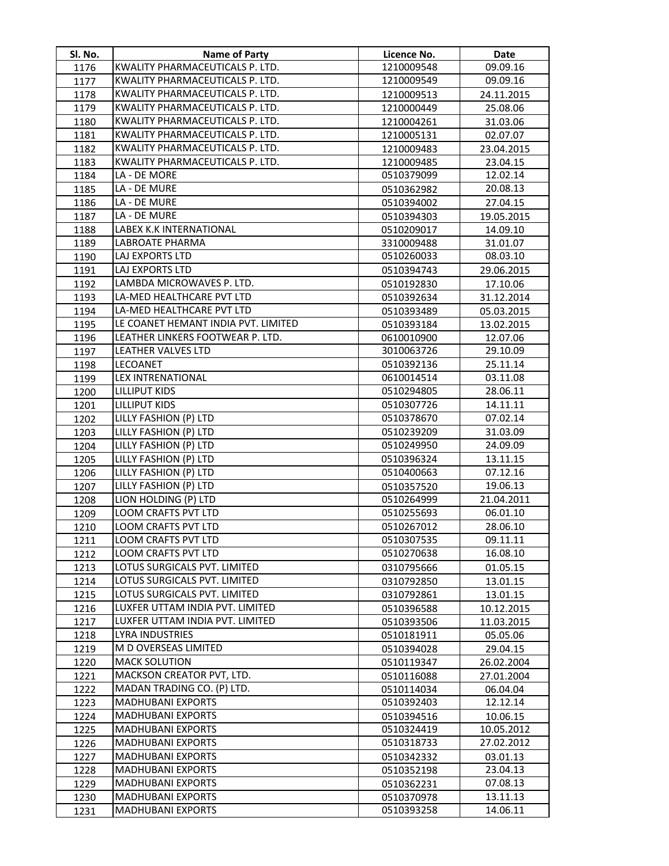| Sl. No.      | Name of Party                                        | Licence No.              | Date                   |
|--------------|------------------------------------------------------|--------------------------|------------------------|
| 1176         | KWALITY PHARMACEUTICALS P. LTD.                      | 1210009548               | 09.09.16               |
| 1177         | KWALITY PHARMACEUTICALS P. LTD.                      | 1210009549               | 09.09.16               |
| 1178         | KWALITY PHARMACEUTICALS P. LTD.                      | 1210009513               | 24.11.2015             |
| 1179         | KWALITY PHARMACEUTICALS P. LTD.                      | 1210000449               | 25.08.06               |
| 1180         | KWALITY PHARMACEUTICALS P. LTD.                      | 1210004261               | 31.03.06               |
| 1181         | KWALITY PHARMACEUTICALS P. LTD.                      | 1210005131               | 02.07.07               |
| 1182         | KWALITY PHARMACEUTICALS P. LTD.                      | 1210009483               | 23.04.2015             |
| 1183         | KWALITY PHARMACEUTICALS P. LTD.                      | 1210009485               | 23.04.15               |
| 1184         | LA - DE MORE                                         | 0510379099               | 12.02.14               |
| 1185         | LA - DE MURE                                         | 0510362982               | 20.08.13               |
| 1186         | LA - DE MURE                                         | 0510394002               | 27.04.15               |
| 1187         | LA - DE MURE                                         | 0510394303               | 19.05.2015             |
| 1188         | LABEX K.K INTERNATIONAL                              | 0510209017               | 14.09.10               |
| 1189         | LABROATE PHARMA                                      | 3310009488               | 31.01.07               |
| 1190         | LAJ EXPORTS LTD                                      | 0510260033               | 08.03.10               |
| 1191         | LAJ EXPORTS LTD                                      | 0510394743               | 29.06.2015             |
| 1192         | LAMBDA MICROWAVES P. LTD.                            | 0510192830               | 17.10.06               |
| 1193         | LA-MED HEALTHCARE PVT LTD                            | 0510392634               | 31.12.2014             |
| 1194         | LA-MED HEALTHCARE PVT LTD                            | 0510393489               | 05.03.2015             |
| 1195         | LE COANET HEMANT INDIA PVT. LIMITED                  | 0510393184               | 13.02.2015             |
| 1196         | LEATHER LINKERS FOOTWEAR P. LTD.                     | 0610010900               | 12.07.06               |
| 1197         | <b>LEATHER VALVES LTD</b>                            | 3010063726               | 29.10.09               |
| 1198         | LECOANET                                             | 0510392136               | 25.11.14               |
| 1199         | <b>LEX INTRENATIONAL</b>                             | 0610014514               | 03.11.08               |
| 1200         | <b>LILLIPUT KIDS</b>                                 | 0510294805               | 28.06.11               |
| 1201         | <b>LILLIPUT KIDS</b>                                 | 0510307726               | 14.11.11               |
| 1202         | LILLY FASHION (P) LTD                                | 0510378670               | 07.02.14               |
| 1203         | LILLY FASHION (P) LTD                                | 0510239209               | 31.03.09               |
| 1204         | LILLY FASHION (P) LTD                                | 0510249950               | 24.09.09               |
| 1205         | LILLY FASHION (P) LTD                                | 0510396324               | 13.11.15               |
| 1206         | LILLY FASHION (P) LTD                                | 0510400663               | 07.12.16               |
| 1207         | LILLY FASHION (P) LTD                                | 0510357520               | 19.06.13               |
| 1208         | LION HOLDING (P) LTD                                 | 0510264999               | 21.04.2011             |
| 1209         | LOOM CRAFTS PVT LTD                                  | 0510255693               | 06.01.10               |
| 1210         | LOOM CRAFTS PVT LTD                                  | 0510267012               | 28.06.10               |
| 1211         | LOOM CRAFTS PVT LTD                                  | 0510307535               | 09.11.11               |
| 1212         | LOOM CRAFTS PVT LTD                                  | 0510270638               | 16.08.10               |
| 1213         | LOTUS SURGICALS PVT. LIMITED                         | 0310795666               | 01.05.15               |
| 1214         | LOTUS SURGICALS PVT. LIMITED                         | 0310792850               | 13.01.15               |
| 1215         | LOTUS SURGICALS PVT. LIMITED                         | 0310792861               | 13.01.15               |
| 1216         | LUXFER UTTAM INDIA PVT. LIMITED                      | 0510396588               | 10.12.2015             |
| 1217         | LUXFER UTTAM INDIA PVT. LIMITED                      | 0510393506               | 11.03.2015             |
| 1218         | LYRA INDUSTRIES                                      | 0510181911               | 05.05.06               |
| 1219         | M D OVERSEAS LIMITED                                 | 0510394028               | 29.04.15               |
| 1220         | <b>MACK SOLUTION</b>                                 | 0510119347               | 26.02.2004             |
| 1221         | MACKSON CREATOR PVT, LTD.                            | 0510116088               | 27.01.2004             |
| 1222         | MADAN TRADING CO. (P) LTD.                           | 0510114034               | 06.04.04               |
| 1223         | <b>MADHUBANI EXPORTS</b><br><b>MADHUBANI EXPORTS</b> | 0510392403               | 12.12.14               |
| 1224         | <b>MADHUBANI EXPORTS</b>                             | 0510394516<br>0510324419 | 10.06.15<br>10.05.2012 |
| 1225         | <b>MADHUBANI EXPORTS</b>                             | 0510318733               | 27.02.2012             |
| 1226<br>1227 | MADHUBANI EXPORTS                                    | 0510342332               | 03.01.13               |
| 1228         | <b>MADHUBANI EXPORTS</b>                             | 0510352198               | 23.04.13               |
| 1229         | <b>MADHUBANI EXPORTS</b>                             | 0510362231               | 07.08.13               |
| 1230         | <b>MADHUBANI EXPORTS</b>                             | 0510370978               | 13.11.13               |
| 1231         | <b>MADHUBANI EXPORTS</b>                             | 0510393258               | 14.06.11               |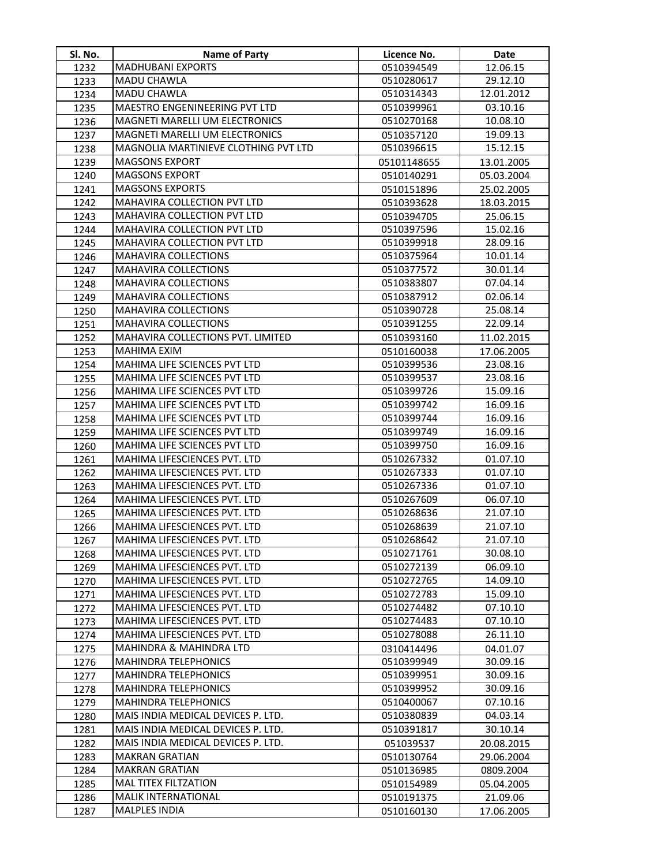| Sl. No.      | <b>Name of Party</b>                                         | Licence No.              | Date                 |
|--------------|--------------------------------------------------------------|--------------------------|----------------------|
| 1232         | <b>MADHUBANI EXPORTS</b>                                     | 0510394549               | 12.06.15             |
| 1233         | MADU CHAWLA                                                  | 0510280617               | 29.12.10             |
| 1234         | MADU CHAWLA                                                  | 0510314343               | 12.01.2012           |
| 1235         | MAESTRO ENGENINEERING PVT LTD                                | 0510399961               | 03.10.16             |
| 1236         | MAGNETI MARELLI UM ELECTRONICS                               | 0510270168               | 10.08.10             |
| 1237         | MAGNETI MARELLI UM ELECTRONICS                               | 0510357120               | 19.09.13             |
| 1238         | MAGNOLIA MARTINIEVE CLOTHING PVT LTD                         | 0510396615               | 15.12.15             |
| 1239         | <b>MAGSONS EXPORT</b>                                        | 05101148655              | 13.01.2005           |
| 1240         | <b>MAGSONS EXPORT</b>                                        | 0510140291               | 05.03.2004           |
| 1241         | <b>MAGSONS EXPORTS</b>                                       | 0510151896               | 25.02.2005           |
| 1242         | MAHAVIRA COLLECTION PVT LTD                                  | 0510393628               | 18.03.2015           |
| 1243         | MAHAVIRA COLLECTION PVT LTD                                  | 0510394705               | 25.06.15             |
| 1244         | MAHAVIRA COLLECTION PVT LTD                                  | 0510397596               | 15.02.16             |
| 1245         | MAHAVIRA COLLECTION PVT LTD                                  | 0510399918               | 28.09.16             |
| 1246         | MAHAVIRA COLLECTIONS                                         | 0510375964               | 10.01.14             |
| 1247         | MAHAVIRA COLLECTIONS                                         | 0510377572               | 30.01.14             |
| 1248         | MAHAVIRA COLLECTIONS                                         | 0510383807               | 07.04.14             |
| 1249         | <b>MAHAVIRA COLLECTIONS</b>                                  | 0510387912               | 02.06.14             |
| 1250         | MAHAVIRA COLLECTIONS                                         | 0510390728               | 25.08.14             |
| 1251         | <b>MAHAVIRA COLLECTIONS</b>                                  | 0510391255               | 22.09.14             |
| 1252         | MAHAVIRA COLLECTIONS PVT. LIMITED                            | 0510393160               | 11.02.2015           |
| 1253         | <b>MAHIMA EXIM</b>                                           | 0510160038               | 17.06.2005           |
| 1254         | MAHIMA LIFE SCIENCES PVT LTD                                 | 0510399536               | 23.08.16             |
| 1255         | MAHIMA LIFE SCIENCES PVT LTD                                 | 0510399537               | 23.08.16             |
| 1256         | MAHIMA LIFE SCIENCES PVT LTD                                 | 0510399726               | 15.09.16             |
| 1257         | MAHIMA LIFE SCIENCES PVT LTD                                 | 0510399742               | 16.09.16             |
| 1258         | MAHIMA LIFE SCIENCES PVT LTD                                 | 0510399744               | 16.09.16             |
| 1259         | MAHIMA LIFE SCIENCES PVT LTD                                 | 0510399749               | 16.09.16             |
| 1260         | MAHIMA LIFE SCIENCES PVT LTD                                 | 0510399750               | 16.09.16             |
| 1261         | MAHIMA LIFESCIENCES PVT. LTD                                 | 0510267332               | 01.07.10             |
| 1262         | MAHIMA LIFESCIENCES PVT. LTD                                 | 0510267333               | 01.07.10             |
| 1263         | MAHIMA LIFESCIENCES PVT. LTD                                 | 0510267336               | 01.07.10             |
| 1264         | MAHIMA LIFESCIENCES PVT. LTD                                 | 0510267609               | 06.07.10             |
| 1265         | MAHIMA LIFESCIENCES PVT. LTD                                 | 0510268636               | 21.07.10             |
| 1266         | <b>MAHIMA LIFESCIENCES PVT. LTD</b>                          | 0510268639               | 21.07.10             |
| 1267         | MAHIMA LIFESCIENCES PVT. LTD                                 | 0510268642               | 21.07.10             |
| 1268         | MAHIMA LIFESCIENCES PVT. LTD                                 | 0510271761               | 30.08.10             |
| 1269         | MAHIMA LIFESCIENCES PVT. LTD                                 | 0510272139               | 06.09.10             |
| 1270         | MAHIMA LIFESCIENCES PVT. LTD<br>MAHIMA LIFESCIENCES PVT. LTD | 0510272765               | 14.09.10<br>15.09.10 |
| 1271         | MAHIMA LIFESCIENCES PVT. LTD                                 | 0510272783<br>0510274482 | 07.10.10             |
| 1272<br>1273 | MAHIMA LIFESCIENCES PVT. LTD                                 | 0510274483               | 07.10.10             |
|              | MAHIMA LIFESCIENCES PVT. LTD                                 | 0510278088               | 26.11.10             |
| 1274<br>1275 | MAHINDRA & MAHINDRA LTD                                      | 0310414496               | 04.01.07             |
| 1276         | <b>MAHINDRA TELEPHONICS</b>                                  | 0510399949               | 30.09.16             |
| 1277         | <b>MAHINDRA TELEPHONICS</b>                                  | 0510399951               | 30.09.16             |
| 1278         | <b>MAHINDRA TELEPHONICS</b>                                  | 0510399952               | 30.09.16             |
| 1279         | <b>MAHINDRA TELEPHONICS</b>                                  | 0510400067               | 07.10.16             |
| 1280         | MAIS INDIA MEDICAL DEVICES P. LTD.                           | 0510380839               | 04.03.14             |
| 1281         | MAIS INDIA MEDICAL DEVICES P. LTD.                           | 0510391817               | 30.10.14             |
| 1282         | MAIS INDIA MEDICAL DEVICES P. LTD.                           | 051039537                | 20.08.2015           |
| 1283         | <b>MAKRAN GRATIAN</b>                                        | 0510130764               | 29.06.2004           |
| 1284         | <b>MAKRAN GRATIAN</b>                                        | 0510136985               | 0809.2004            |
| 1285         | <b>MAL TITEX FILTZATION</b>                                  | 0510154989               | 05.04.2005           |
| 1286         | <b>MALIK INTERNATIONAL</b>                                   | 0510191375               | 21.09.06             |
| 1287         | <b>MALPLES INDIA</b>                                         | 0510160130               | 17.06.2005           |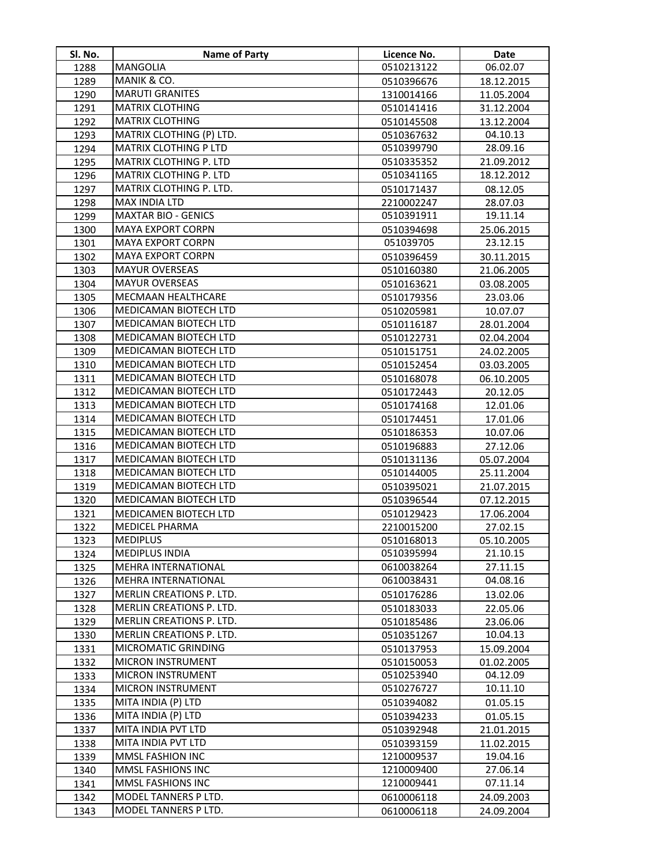| Sl. No. | <b>Name of Party</b>         | Licence No. | Date       |
|---------|------------------------------|-------------|------------|
| 1288    | MANGOLIA                     | 0510213122  | 06.02.07   |
| 1289    | MANIK & CO.                  | 0510396676  | 18.12.2015 |
| 1290    | <b>MARUTI GRANITES</b>       | 1310014166  | 11.05.2004 |
| 1291    | <b>MATRIX CLOTHING</b>       | 0510141416  | 31.12.2004 |
| 1292    | <b>MATRIX CLOTHING</b>       | 0510145508  | 13.12.2004 |
| 1293    | MATRIX CLOTHING (P) LTD.     | 0510367632  | 04.10.13   |
| 1294    | <b>MATRIX CLOTHING P LTD</b> | 0510399790  | 28.09.16   |
| 1295    | MATRIX CLOTHING P. LTD       | 0510335352  | 21.09.2012 |
| 1296    | MATRIX CLOTHING P. LTD       | 0510341165  | 18.12.2012 |
| 1297    | MATRIX CLOTHING P. LTD.      | 0510171437  | 08.12.05   |
| 1298    | MAX INDIA LTD                | 2210002247  | 28.07.03   |
| 1299    | <b>MAXTAR BIO - GENICS</b>   | 0510391911  | 19.11.14   |
| 1300    | <b>MAYA EXPORT CORPN</b>     | 0510394698  | 25.06.2015 |
| 1301    | <b>MAYA EXPORT CORPN</b>     | 051039705   | 23.12.15   |
| 1302    | <b>MAYA EXPORT CORPN</b>     | 0510396459  | 30.11.2015 |
| 1303    | <b>MAYUR OVERSEAS</b>        | 0510160380  | 21.06.2005 |
| 1304    | <b>MAYUR OVERSEAS</b>        | 0510163621  | 03.08.2005 |
| 1305    | MECMAAN HEALTHCARE           | 0510179356  | 23.03.06   |
| 1306    | <b>MEDICAMAN BIOTECH LTD</b> | 0510205981  | 10.07.07   |
| 1307    | <b>MEDICAMAN BIOTECH LTD</b> | 0510116187  | 28.01.2004 |
| 1308    | MEDICAMAN BIOTECH LTD        | 0510122731  | 02.04.2004 |
| 1309    | <b>MEDICAMAN BIOTECH LTD</b> | 0510151751  | 24.02.2005 |
| 1310    | <b>MEDICAMAN BIOTECH LTD</b> | 0510152454  | 03.03.2005 |
| 1311    | <b>MEDICAMAN BIOTECH LTD</b> | 0510168078  | 06.10.2005 |
| 1312    | <b>MEDICAMAN BIOTECH LTD</b> | 0510172443  | 20.12.05   |
| 1313    | MEDICAMAN BIOTECH LTD        | 0510174168  | 12.01.06   |
| 1314    | <b>MEDICAMAN BIOTECH LTD</b> | 0510174451  | 17.01.06   |
| 1315    | <b>MEDICAMAN BIOTECH LTD</b> | 0510186353  | 10.07.06   |
| 1316    | MEDICAMAN BIOTECH LTD        | 0510196883  | 27.12.06   |
| 1317    | MEDICAMAN BIOTECH LTD        | 0510131136  | 05.07.2004 |
| 1318    | MEDICAMAN BIOTECH LTD        | 0510144005  | 25.11.2004 |
| 1319    | MEDICAMAN BIOTECH LTD        | 0510395021  | 21.07.2015 |
| 1320    | <b>MEDICAMAN BIOTECH LTD</b> | 0510396544  | 07.12.2015 |
| 1321    | <b>MEDICAMEN BIOTECH LTD</b> | 0510129423  | 17.06.2004 |
| 1322    | <b>MEDICEL PHARMA</b>        | 2210015200  | 27.02.15   |
| 1323    | <b>MEDIPLUS</b>              | 0510168013  | 05.10.2005 |
| 1324    | <b>MEDIPLUS INDIA</b>        | 0510395994  | 21.10.15   |
| 1325    | <b>MEHRA INTERNATIONAL</b>   | 0610038264  | 27.11.15   |
| 1326    | <b>MEHRA INTERNATIONAL</b>   | 0610038431  | 04.08.16   |
| 1327    | MERLIN CREATIONS P. LTD.     | 0510176286  | 13.02.06   |
| 1328    | MERLIN CREATIONS P. LTD.     | 0510183033  | 22.05.06   |
| 1329    | MERLIN CREATIONS P. LTD.     | 0510185486  | 23.06.06   |
| 1330    | MERLIN CREATIONS P. LTD.     | 0510351267  | 10.04.13   |
| 1331    | MICROMATIC GRINDING          | 0510137953  | 15.09.2004 |
| 1332    | <b>MICRON INSTRUMENT</b>     | 0510150053  | 01.02.2005 |
| 1333    | <b>MICRON INSTRUMENT</b>     | 0510253940  | 04.12.09   |
| 1334    | MICRON INSTRUMENT            | 0510276727  | 10.11.10   |
| 1335    | MITA INDIA (P) LTD           | 0510394082  | 01.05.15   |
| 1336    | MITA INDIA (P) LTD           | 0510394233  | 01.05.15   |
| 1337    | MITA INDIA PVT LTD           | 0510392948  | 21.01.2015 |
| 1338    | MITA INDIA PVT LTD           | 0510393159  | 11.02.2015 |
| 1339    | MMSL FASHION INC             | 1210009537  | 19.04.16   |
| 1340    | MMSL FASHIONS INC            | 1210009400  | 27.06.14   |
| 1341    | MMSL FASHIONS INC            | 1210009441  | 07.11.14   |
| 1342    | MODEL TANNERS P LTD.         | 0610006118  | 24.09.2003 |
| 1343    | MODEL TANNERS P LTD.         | 0610006118  | 24.09.2004 |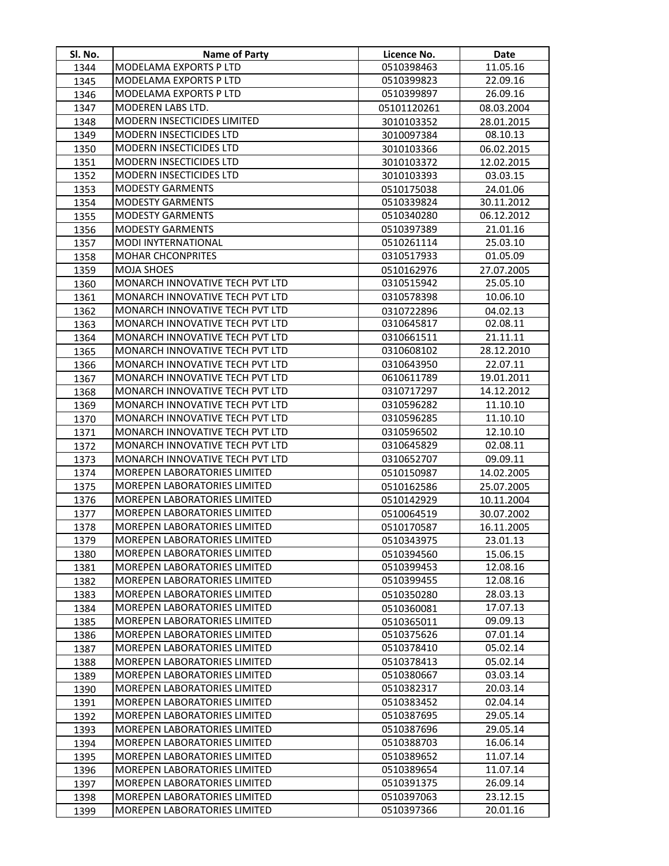| Sl. No.      | <b>Name of Party</b>                                                | Licence No.              | Date                 |
|--------------|---------------------------------------------------------------------|--------------------------|----------------------|
| 1344         | MODELAMA EXPORTS P LTD                                              | 0510398463               | 11.05.16             |
| 1345         | <b>MODELAMA EXPORTS P LTD</b>                                       | 0510399823               | 22.09.16             |
| 1346         | <b>MODELAMA EXPORTS P LTD</b>                                       | 0510399897               | 26.09.16             |
| 1347         | MODEREN LABS LTD.                                                   | 05101120261              | 08.03.2004           |
| 1348         | <b>MODERN INSECTICIDES LIMITED</b>                                  | 3010103352               | 28.01.2015           |
| 1349         | MODERN INSECTICIDES LTD                                             | 3010097384               | 08.10.13             |
| 1350         | <b>MODERN INSECTICIDES LTD</b>                                      | 3010103366               | 06.02.2015           |
| 1351         | MODERN INSECTICIDES LTD                                             | 3010103372               | 12.02.2015           |
| 1352         | MODERN INSECTICIDES LTD                                             | 3010103393               | 03.03.15             |
| 1353         | <b>MODESTY GARMENTS</b>                                             | 0510175038               | 24.01.06             |
| 1354         | <b>MODESTY GARMENTS</b>                                             | 0510339824               | 30.11.2012           |
| 1355         | <b>MODESTY GARMENTS</b>                                             | 0510340280               | 06.12.2012           |
| 1356         | <b>MODESTY GARMENTS</b>                                             | 0510397389               | 21.01.16             |
| 1357         | MODI INYTERNATIONAL                                                 | 0510261114               | 25.03.10             |
| 1358         | <b>MOHAR CHCONPRITES</b>                                            | 0310517933               | 01.05.09             |
| 1359         | MOJA SHOES                                                          | 0510162976               | 27.07.2005           |
| 1360         | MONARCH INNOVATIVE TECH PVT LTD                                     | 0310515942               | 25.05.10             |
| 1361         | MONARCH INNOVATIVE TECH PVT LTD                                     | 0310578398               | 10.06.10             |
| 1362         | MONARCH INNOVATIVE TECH PVT LTD                                     | 0310722896               | 04.02.13             |
| 1363         | MONARCH INNOVATIVE TECH PVT LTD                                     | 0310645817               | 02.08.11             |
| 1364         | MONARCH INNOVATIVE TECH PVT LTD                                     | 0310661511               | 21.11.11             |
| 1365         | MONARCH INNOVATIVE TECH PVT LTD                                     | 0310608102               | 28.12.2010           |
| 1366         | MONARCH INNOVATIVE TECH PVT LTD                                     | 0310643950               | 22.07.11             |
| 1367         | MONARCH INNOVATIVE TECH PVT LTD                                     | 0610611789               | 19.01.2011           |
| 1368         | MONARCH INNOVATIVE TECH PVT LTD                                     | 0310717297               | 14.12.2012           |
| 1369         | MONARCH INNOVATIVE TECH PVT LTD                                     | 0310596282               | 11.10.10             |
| 1370         | MONARCH INNOVATIVE TECH PVT LTD                                     | 0310596285               | 11.10.10             |
| 1371         | MONARCH INNOVATIVE TECH PVT LTD                                     | 0310596502               | 12.10.10             |
| 1372         | MONARCH INNOVATIVE TECH PVT LTD                                     | 0310645829               | 02.08.11             |
| 1373         | MONARCH INNOVATIVE TECH PVT LTD                                     | 0310652707               | 09.09.11             |
| 1374         | MOREPEN LABORATORIES LIMITED                                        | 0510150987               | 14.02.2005           |
| 1375         | MOREPEN LABORATORIES LIMITED                                        | 0510162586               | 25.07.2005           |
| 1376         | MOREPEN LABORATORIES LIMITED<br><b>MOREPEN LABORATORIES LIMITED</b> | 0510142929               | 10.11.2004           |
| 1377         | <b>MOREPEN LABORATORIES LIMITED</b>                                 | 0510064519               | 30.07.2002           |
| 1378         |                                                                     | 0510170587               | 16.11.2005           |
| 1379         | <b>MOREPEN LABORATORIES LIMITED</b><br>MOREPEN LABORATORIES LIMITED | 0510343975               | 23.01.13             |
| 1380         | <b>MOREPEN LABORATORIES LIMITED</b>                                 | 0510394560<br>0510399453 | 15.06.15<br>12.08.16 |
| 1381<br>1382 | <b>MOREPEN LABORATORIES LIMITED</b>                                 | 0510399455               | 12.08.16             |
| 1383         | <b>MOREPEN LABORATORIES LIMITED</b>                                 | 0510350280               | 28.03.13             |
| 1384         | <b>MOREPEN LABORATORIES LIMITED</b>                                 | 0510360081               | 17.07.13             |
| 1385         | <b>MOREPEN LABORATORIES LIMITED</b>                                 | 0510365011               | 09.09.13             |
| 1386         | <b>MOREPEN LABORATORIES LIMITED</b>                                 | 0510375626               | 07.01.14             |
| 1387         | <b>MOREPEN LABORATORIES LIMITED</b>                                 | 0510378410               | 05.02.14             |
| 1388         | <b>MOREPEN LABORATORIES LIMITED</b>                                 | 0510378413               | 05.02.14             |
| 1389         | <b>MOREPEN LABORATORIES LIMITED</b>                                 | 0510380667               | 03.03.14             |
| 1390         | MOREPEN LABORATORIES LIMITED                                        | 0510382317               | 20.03.14             |
| 1391         | <b>MOREPEN LABORATORIES LIMITED</b>                                 | 0510383452               | 02.04.14             |
| 1392         | <b>MOREPEN LABORATORIES LIMITED</b>                                 | 0510387695               | 29.05.14             |
| 1393         | <b>MOREPEN LABORATORIES LIMITED</b>                                 | 0510387696               | 29.05.14             |
| 1394         | MOREPEN LABORATORIES LIMITED                                        | 0510388703               | 16.06.14             |
| 1395         | <b>MOREPEN LABORATORIES LIMITED</b>                                 | 0510389652               | 11.07.14             |
| 1396         | MOREPEN LABORATORIES LIMITED                                        | 0510389654               | 11.07.14             |
| 1397         | <b>MOREPEN LABORATORIES LIMITED</b>                                 | 0510391375               | 26.09.14             |
| 1398         | <b>MOREPEN LABORATORIES LIMITED</b>                                 | 0510397063               | 23.12.15             |
| 1399         | <b>MOREPEN LABORATORIES LIMITED</b>                                 | 0510397366               | 20.01.16             |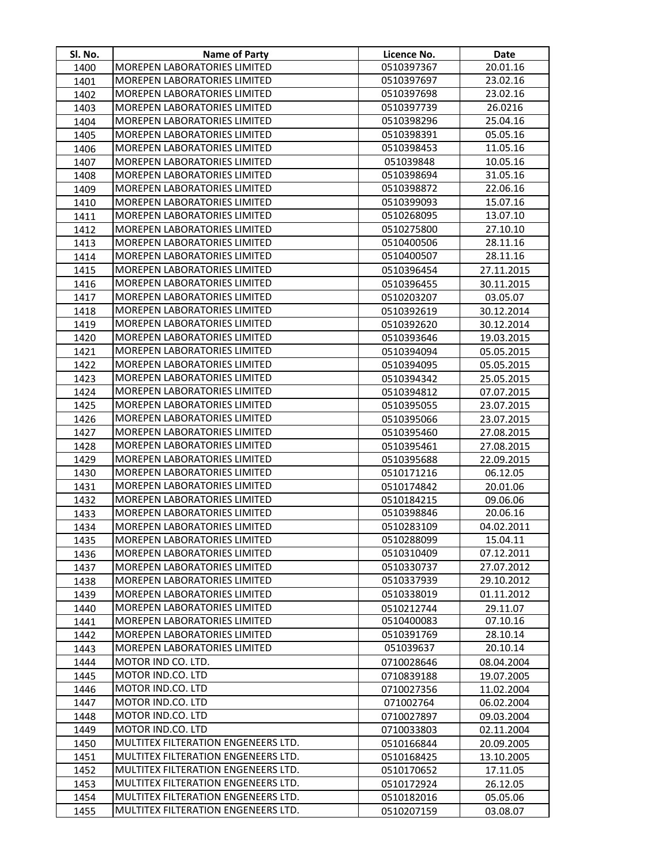| SI. No. | <b>Name of Party</b>                                                       | Licence No. | Date       |
|---------|----------------------------------------------------------------------------|-------------|------------|
| 1400    | MOREPEN LABORATORIES LIMITED                                               | 0510397367  | 20.01.16   |
| 1401    | <b>MOREPEN LABORATORIES LIMITED</b>                                        | 0510397697  | 23.02.16   |
| 1402    | MOREPEN LABORATORIES LIMITED                                               | 0510397698  | 23.02.16   |
| 1403    | MOREPEN LABORATORIES LIMITED                                               | 0510397739  | 26.0216    |
| 1404    | MOREPEN LABORATORIES LIMITED                                               | 0510398296  | 25.04.16   |
| 1405    | <b>MOREPEN LABORATORIES LIMITED</b>                                        | 0510398391  | 05.05.16   |
| 1406    | MOREPEN LABORATORIES LIMITED                                               | 0510398453  | 11.05.16   |
| 1407    | MOREPEN LABORATORIES LIMITED                                               | 051039848   | 10.05.16   |
| 1408    | MOREPEN LABORATORIES LIMITED                                               | 0510398694  | 31.05.16   |
| 1409    | MOREPEN LABORATORIES LIMITED                                               | 0510398872  | 22.06.16   |
| 1410    | <b>MOREPEN LABORATORIES LIMITED</b>                                        | 0510399093  | 15.07.16   |
| 1411    | MOREPEN LABORATORIES LIMITED                                               | 0510268095  | 13.07.10   |
| 1412    | MOREPEN LABORATORIES LIMITED                                               | 0510275800  | 27.10.10   |
| 1413    | MOREPEN LABORATORIES LIMITED                                               | 0510400506  | 28.11.16   |
| 1414    | <b>MOREPEN LABORATORIES LIMITED</b>                                        | 0510400507  | 28.11.16   |
| 1415    | MOREPEN LABORATORIES LIMITED                                               | 0510396454  | 27.11.2015 |
| 1416    | MOREPEN LABORATORIES LIMITED                                               | 0510396455  | 30.11.2015 |
| 1417    | MOREPEN LABORATORIES LIMITED                                               | 0510203207  | 03.05.07   |
| 1418    | <b>MOREPEN LABORATORIES LIMITED</b>                                        | 0510392619  | 30.12.2014 |
| 1419    | MOREPEN LABORATORIES LIMITED                                               | 0510392620  | 30.12.2014 |
| 1420    | <b>MOREPEN LABORATORIES LIMITED</b>                                        | 0510393646  | 19.03.2015 |
| 1421    | MOREPEN LABORATORIES LIMITED                                               | 0510394094  | 05.05.2015 |
| 1422    | MOREPEN LABORATORIES LIMITED                                               | 0510394095  | 05.05.2015 |
| 1423    | MOREPEN LABORATORIES LIMITED                                               | 0510394342  | 25.05.2015 |
| 1424    | MOREPEN LABORATORIES LIMITED                                               | 0510394812  | 07.07.2015 |
| 1425    | MOREPEN LABORATORIES LIMITED                                               | 0510395055  | 23.07.2015 |
| 1426    | MOREPEN LABORATORIES LIMITED                                               | 0510395066  | 23.07.2015 |
| 1427    | <b>MOREPEN LABORATORIES LIMITED</b>                                        | 0510395460  | 27.08.2015 |
| 1428    | <b>MOREPEN LABORATORIES LIMITED</b>                                        | 0510395461  | 27.08.2015 |
| 1429    | MOREPEN LABORATORIES LIMITED                                               | 0510395688  | 22.09.2015 |
| 1430    | <b>MOREPEN LABORATORIES LIMITED</b>                                        | 0510171216  | 06.12.05   |
| 1431    | MOREPEN LABORATORIES LIMITED                                               | 0510174842  | 20.01.06   |
| 1432    | MOREPEN LABORATORIES LIMITED                                               | 0510184215  | 09.06.06   |
| 1433    | <b>MOREPEN LABORATORIES LIMITED</b>                                        | 0510398846  | 20.06.16   |
| 1434    | <b>MOREPEN LABORATORIES LIMITED</b>                                        | 0510283109  | 04.02.2011 |
| 1435    | <b>MOREPEN LABORATORIES LIMITED</b>                                        | 0510288099  | 15.04.11   |
| 1436    | <b>MOREPEN LABORATORIES LIMITED</b>                                        | 0510310409  | 07.12.2011 |
| 1437    | MOREPEN LABORATORIES LIMITED                                               | 0510330737  | 27.07.2012 |
| 1438    | MOREPEN LABORATORIES LIMITED                                               | 0510337939  | 29.10.2012 |
| 1439    | MOREPEN LABORATORIES LIMITED                                               | 0510338019  | 01.11.2012 |
| 1440    | MOREPEN LABORATORIES LIMITED                                               | 0510212744  | 29.11.07   |
| 1441    | MOREPEN LABORATORIES LIMITED                                               | 0510400083  | 07.10.16   |
| 1442    | MOREPEN LABORATORIES LIMITED                                               | 0510391769  | 28.10.14   |
| 1443    | <b>MOREPEN LABORATORIES LIMITED</b>                                        | 051039637   | 20.10.14   |
| 1444    | MOTOR IND CO. LTD.                                                         | 0710028646  | 08.04.2004 |
| 1445    | MOTOR IND.CO. LTD                                                          | 0710839188  | 19.07.2005 |
| 1446    | MOTOR IND.CO. LTD                                                          | 0710027356  | 11.02.2004 |
| 1447    | MOTOR IND.CO. LTD                                                          | 071002764   | 06.02.2004 |
| 1448    | MOTOR IND.CO. LTD                                                          | 0710027897  | 09.03.2004 |
| 1449    | MOTOR IND.CO. LTD                                                          | 0710033803  | 02.11.2004 |
| 1450    | MULTITEX FILTERATION ENGENEERS LTD.                                        | 0510166844  | 20.09.2005 |
| 1451    | <b>MULTITEX FILTERATION ENGENEERS LTD.</b>                                 | 0510168425  | 13.10.2005 |
| 1452    | MULTITEX FILTERATION ENGENEERS LTD.                                        | 0510170652  | 17.11.05   |
| 1453    | MULTITEX FILTERATION ENGENEERS LTD.<br>MULTITEX FILTERATION ENGENEERS LTD. | 0510172924  | 26.12.05   |
| 1454    | MULTITEX FILTERATION ENGENEERS LTD.                                        | 0510182016  | 05.05.06   |
| 1455    |                                                                            | 0510207159  | 03.08.07   |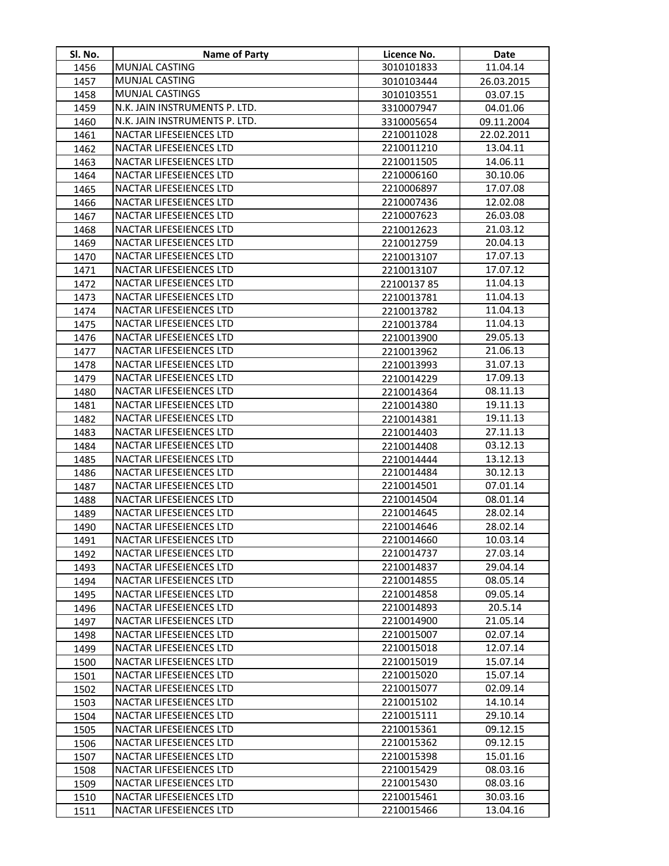| SI. No.      | Name of Party                                      | Licence No.              | Date                |
|--------------|----------------------------------------------------|--------------------------|---------------------|
| 1456         | MUNJAL CASTING                                     | 3010101833               | 11.04.14            |
| 1457         | <b>MUNJAL CASTING</b>                              | 3010103444               | 26.03.2015          |
| 1458         | MUNJAL CASTINGS                                    | 3010103551               | 03.07.15            |
| 1459         | N.K. JAIN INSTRUMENTS P. LTD.                      | 3310007947               | 04.01.06            |
| 1460         | N.K. JAIN INSTRUMENTS P. LTD.                      | 3310005654               | 09.11.2004          |
| 1461         | NACTAR LIFESEIENCES LTD                            | 2210011028               | 22.02.2011          |
| 1462         | NACTAR LIFESEIENCES LTD                            | 2210011210               | 13.04.11            |
| 1463         | NACTAR LIFESEIENCES LTD                            | 2210011505               | 14.06.11            |
| 1464         | NACTAR LIFESEIENCES LTD                            | 2210006160               | 30.10.06            |
| 1465         | NACTAR LIFESEIENCES LTD                            | 2210006897               | 17.07.08            |
| 1466         | NACTAR LIFESEIENCES LTD                            | 2210007436               | 12.02.08            |
| 1467         | NACTAR LIFESEIENCES LTD                            | 2210007623               | 26.03.08            |
| 1468         | NACTAR LIFESEIENCES LTD                            | 2210012623               | 21.03.12            |
| 1469         | NACTAR LIFESEIENCES LTD                            | 2210012759               | 20.04.13            |
| 1470         | NACTAR LIFESEIENCES LTD                            | 2210013107               | 17.07.13            |
| 1471         | NACTAR LIFESEIENCES LTD                            | 2210013107               | 17.07.12            |
| 1472         | NACTAR LIFESEIENCES LTD                            | 2210013785               | 11.04.13            |
| 1473         | NACTAR LIFESEIENCES LTD                            | 2210013781               | 11.04.13            |
| 1474         | NACTAR LIFESEIENCES LTD                            | 2210013782               | 11.04.13            |
| 1475         | NACTAR LIFESEIENCES LTD                            | 2210013784               | 11.04.13            |
| 1476         | NACTAR LIFESEIENCES LTD                            | 2210013900               | 29.05.13            |
| 1477         | NACTAR LIFESEIENCES LTD                            | 2210013962               | 21.06.13            |
| 1478         | NACTAR LIFESEIENCES LTD                            | 2210013993               | 31.07.13            |
| 1479         | NACTAR LIFESEIENCES LTD                            | 2210014229               | 17.09.13            |
| 1480         | NACTAR LIFESEIENCES LTD                            | 2210014364               | 08.11.13            |
| 1481         | NACTAR LIFESEIENCES LTD                            | 2210014380               | 19.11.13            |
| 1482         | NACTAR LIFESEIENCES LTD                            | 2210014381               | 19.11.13            |
| 1483         | NACTAR LIFESEIENCES LTD                            | 2210014403               | 27.11.13            |
| 1484         | NACTAR LIFESEIENCES LTD                            | 2210014408               | 03.12.13            |
| 1485         | NACTAR LIFESEIENCES LTD                            | 2210014444               | 13.12.13            |
| 1486         | NACTAR LIFESEIENCES LTD                            | 2210014484               | 30.12.13            |
| 1487         | NACTAR LIFESEIENCES LTD                            | 2210014501               | 07.01.14            |
| 1488         | NACTAR LIFESEIENCES LTD                            | 2210014504               | 08.01.14            |
| 1489         | NACTAR LIFESEIENCES LTD                            | 2210014645               | 28.02.14            |
| 1490         | NACTAR LIFESEIENCES LTD                            | 2210014646               | 28.02.14            |
| 1491         | <b>NACTAR LIFESEIENCES LTD</b>                     | 2210014660               | 10.03.14            |
| 1492         | NACTAR LIFESEIENCES LTD                            | 2210014737               | 27.03.14            |
| 1493         | NACTAR LIFESEIENCES LTD                            | 2210014837               | 29.04.14            |
| 1494         | NACTAR LIFESEIENCES LTD                            | 2210014855               | 08.05.14            |
| 1495         | NACTAR LIFESEIENCES LTD                            | 2210014858<br>2210014893 | 09.05.14            |
| 1496         | NACTAR LIFESEIENCES LTD<br>NACTAR LIFESEIENCES LTD | 2210014900               | 20.5.14<br>21.05.14 |
| 1497<br>1498 | NACTAR LIFESEIENCES LTD                            | 2210015007               | 02.07.14            |
| 1499         | NACTAR LIFESEIENCES LTD                            | 2210015018               | 12.07.14            |
| 1500         | NACTAR LIFESEIENCES LTD                            | 2210015019               | 15.07.14            |
| 1501         | NACTAR LIFESEIENCES LTD                            | 2210015020               | 15.07.14            |
| 1502         | NACTAR LIFESEIENCES LTD                            | 2210015077               | 02.09.14            |
| 1503         | NACTAR LIFESEIENCES LTD                            | 2210015102               | 14.10.14            |
| 1504         | NACTAR LIFESEIENCES LTD                            | 2210015111               | 29.10.14            |
| 1505         | <b>NACTAR LIFESEIENCES LTD</b>                     | 2210015361               | 09.12.15            |
| 1506         | NACTAR LIFESEIENCES LTD                            | 2210015362               | 09.12.15            |
| 1507         | NACTAR LIFESEIENCES LTD                            | 2210015398               | 15.01.16            |
| 1508         | NACTAR LIFESEIENCES LTD                            | 2210015429               | 08.03.16            |
| 1509         | NACTAR LIFESEIENCES LTD                            | 2210015430               | 08.03.16            |
| 1510         | NACTAR LIFESEIENCES LTD                            | 2210015461               | 30.03.16            |
| 1511         | NACTAR LIFESEIENCES LTD                            | 2210015466               | 13.04.16            |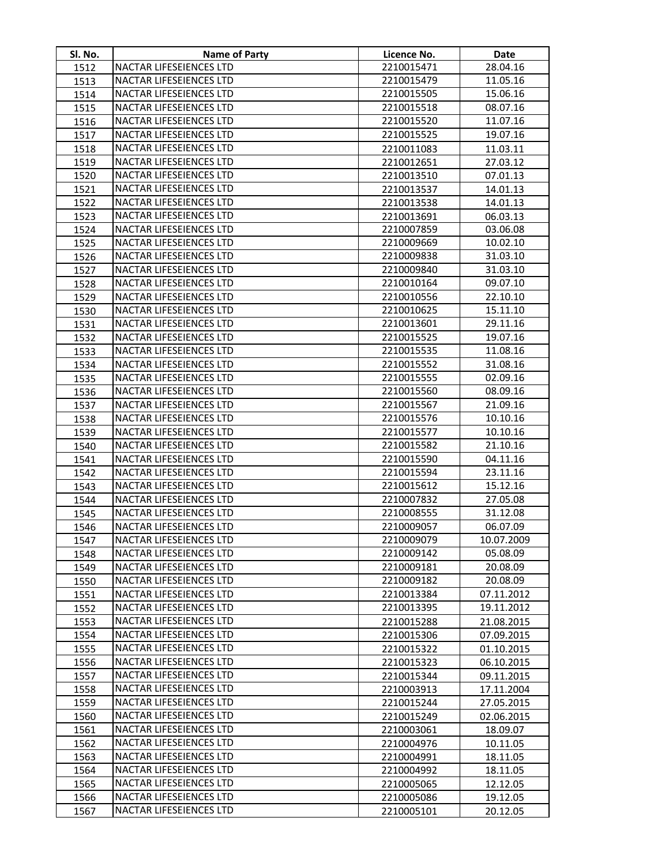| SI. No.      | <b>Name of Party</b>                                      | Licence No.              | Date                 |
|--------------|-----------------------------------------------------------|--------------------------|----------------------|
| 1512         | NACTAR LIFESEIENCES LTD                                   | 2210015471               | 28.04.16             |
| 1513         | <b>NACTAR LIFESEIENCES LTD</b>                            | 2210015479               | 11.05.16             |
| 1514         | <b>NACTAR LIFESEIENCES LTD</b>                            | 2210015505               | 15.06.16             |
| 1515         | <b>NACTAR LIFESEIENCES LTD</b>                            | 2210015518               | 08.07.16             |
| 1516         | NACTAR LIFESEIENCES LTD                                   | 2210015520               | 11.07.16             |
| 1517         | NACTAR LIFESEIENCES LTD                                   | 2210015525               | 19.07.16             |
| 1518         | NACTAR LIFESEIENCES LTD                                   | 2210011083               | 11.03.11             |
| 1519         | NACTAR LIFESEIENCES LTD                                   | 2210012651               | 27.03.12             |
| 1520         | NACTAR LIFESEIENCES LTD                                   | 2210013510               | 07.01.13             |
| 1521         | NACTAR LIFESEIENCES LTD                                   | 2210013537               | 14.01.13             |
| 1522         | NACTAR LIFESEIENCES LTD                                   | 2210013538               | 14.01.13             |
| 1523         | NACTAR LIFESEIENCES LTD                                   | 2210013691               | 06.03.13             |
| 1524         | NACTAR LIFESEIENCES LTD                                   | 2210007859               | 03.06.08             |
| 1525         | NACTAR LIFESEIENCES LTD                                   | 2210009669               | 10.02.10             |
| 1526         | NACTAR LIFESEIENCES LTD                                   | 2210009838               | 31.03.10             |
| 1527         | NACTAR LIFESEIENCES LTD                                   | 2210009840               | 31.03.10             |
| 1528         | NACTAR LIFESEIENCES LTD                                   | 2210010164               | 09.07.10             |
| 1529         | NACTAR LIFESEIENCES LTD                                   | 2210010556               | 22.10.10             |
| 1530         | <b>NACTAR LIFESEIENCES LTD</b>                            | 2210010625               | 15.11.10             |
| 1531         | NACTAR LIFESEIENCES LTD                                   | 2210013601               | 29.11.16             |
| 1532         | NACTAR LIFESEIENCES LTD                                   | 2210015525               | 19.07.16             |
| 1533         | NACTAR LIFESEIENCES LTD                                   | 2210015535               | 11.08.16             |
| 1534         | NACTAR LIFESEIENCES LTD                                   | 2210015552               | 31.08.16             |
| 1535         | <b>NACTAR LIFESEIENCES LTD</b>                            | 2210015555               | 02.09.16             |
| 1536         | NACTAR LIFESEIENCES LTD                                   | 2210015560               | 08.09.16             |
| 1537         | NACTAR LIFESEIENCES LTD                                   | 2210015567               | 21.09.16             |
| 1538         | <b>NACTAR LIFESEIENCES LTD</b>                            | 2210015576               | 10.10.16             |
| 1539         | NACTAR LIFESEIENCES LTD<br><b>NACTAR LIFESEIENCES LTD</b> | 2210015577<br>2210015582 | 10.10.16<br>21.10.16 |
| 1540         | <b>NACTAR LIFESEIENCES LTD</b>                            | 2210015590               | 04.11.16             |
| 1541<br>1542 | <b>NACTAR LIFESEIENCES LTD</b>                            | 2210015594               | 23.11.16             |
| 1543         | NACTAR LIFESEIENCES LTD                                   | 2210015612               | 15.12.16             |
| 1544         | NACTAR LIFESEIENCES LTD                                   | 2210007832               | 27.05.08             |
| 1545         | NACTAR LIFESEIENCES LTD                                   | 2210008555               | 31.12.08             |
| 1546         | NACTAR LIFESEIENCES LTD                                   | 2210009057               | 06.07.09             |
| 1547         | NACTAR LIFESEIENCES LTD                                   | 2210009079               | 10.07.2009           |
| 1548         | NACTAR LIFESEIENCES LTD                                   | 2210009142               | 05.08.09             |
| 1549         | NACTAR LIFESEIENCES LTD                                   | 2210009181               | 20.08.09             |
| 1550         | NACTAR LIFESEIENCES LTD                                   | 2210009182               | 20.08.09             |
| 1551         | NACTAR LIFESEIENCES LTD                                   | 2210013384               | 07.11.2012           |
| 1552         | NACTAR LIFESEIENCES LTD                                   | 2210013395               | 19.11.2012           |
| 1553         | NACTAR LIFESEIENCES LTD                                   | 2210015288               | 21.08.2015           |
| 1554         | NACTAR LIFESEIENCES LTD                                   | 2210015306               | 07.09.2015           |
| 1555         | <b>NACTAR LIFESEIENCES LTD</b>                            | 2210015322               | 01.10.2015           |
| 1556         | NACTAR LIFESEIENCES LTD                                   | 2210015323               | 06.10.2015           |
| 1557         | <b>NACTAR LIFESEIENCES LTD</b>                            | 2210015344               | 09.11.2015           |
| 1558         | NACTAR LIFESEIENCES LTD                                   | 2210003913               | 17.11.2004           |
| 1559         | <b>NACTAR LIFESEIENCES LTD</b>                            | 2210015244               | 27.05.2015           |
| 1560         | NACTAR LIFESEIENCES LTD                                   | 2210015249               | 02.06.2015           |
| 1561         | NACTAR LIFESEIENCES LTD                                   | 2210003061               | 18.09.07             |
| 1562         | NACTAR LIFESEIENCES LTD                                   | 2210004976               | 10.11.05             |
| 1563         | NACTAR LIFESEIENCES LTD                                   | 2210004991               | 18.11.05             |
| 1564         | NACTAR LIFESEIENCES LTD                                   | 2210004992               | 18.11.05             |
| 1565         | NACTAR LIFESEIENCES LTD                                   | 2210005065               | 12.12.05             |
| 1566         | NACTAR LIFESEIENCES LTD                                   | 2210005086               | 19.12.05             |
| 1567         | NACTAR LIFESEIENCES LTD                                   | 2210005101               | 20.12.05             |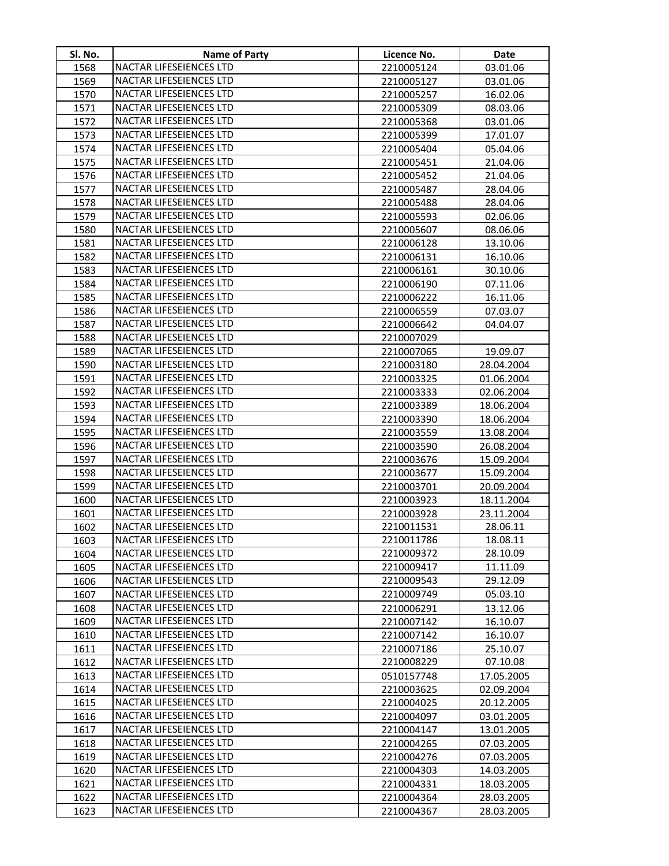| SI. No.      | <b>Name of Party</b>                               | Licence No.              | Date                 |
|--------------|----------------------------------------------------|--------------------------|----------------------|
| 1568         | NACTAR LIFESEIENCES LTD                            | 2210005124               | 03.01.06             |
| 1569         | NACTAR LIFESEIENCES LTD                            | 2210005127               | 03.01.06             |
| 1570         | NACTAR LIFESEIENCES LTD                            | 2210005257               | 16.02.06             |
| 1571         | NACTAR LIFESEIENCES LTD                            | 2210005309               | 08.03.06             |
| 1572         | NACTAR LIFESEIENCES LTD                            | 2210005368               | 03.01.06             |
| 1573         | NACTAR LIFESEIENCES LTD                            | 2210005399               | 17.01.07             |
| 1574         | NACTAR LIFESEIENCES LTD                            | 2210005404               | 05.04.06             |
| 1575         | NACTAR LIFESEIENCES LTD                            | 2210005451               | 21.04.06             |
| 1576         | NACTAR LIFESEIENCES LTD                            | 2210005452               | 21.04.06             |
| 1577         | NACTAR LIFESEIENCES LTD                            | 2210005487               | 28.04.06             |
| 1578         | NACTAR LIFESEIENCES LTD                            | 2210005488               | 28.04.06             |
| 1579         | NACTAR LIFESEIENCES LTD                            | 2210005593               | 02.06.06             |
| 1580         | NACTAR LIFESEIENCES LTD                            | 2210005607               | 08.06.06             |
| 1581         | NACTAR LIFESEIENCES LTD                            | 2210006128               | 13.10.06             |
| 1582         | NACTAR LIFESEIENCES LTD                            | 2210006131               | 16.10.06             |
| 1583         | NACTAR LIFESEIENCES LTD                            | 2210006161               | 30.10.06             |
| 1584         | NACTAR LIFESEIENCES LTD                            | 2210006190               | 07.11.06             |
| 1585         | NACTAR LIFESEIENCES LTD                            | 2210006222               | 16.11.06             |
| 1586         | NACTAR LIFESEIENCES LTD                            | 2210006559               | 07.03.07             |
| 1587         | NACTAR LIFESEIENCES LTD                            | 2210006642               | 04.04.07             |
| 1588         | <b>NACTAR LIFESEIENCES LTD</b>                     | 2210007029               |                      |
| 1589         | NACTAR LIFESEIENCES LTD                            | 2210007065               | 19.09.07             |
| 1590         | NACTAR LIFESEIENCES LTD                            | 2210003180               | 28.04.2004           |
| 1591         | NACTAR LIFESEIENCES LTD                            | 2210003325               | 01.06.2004           |
| 1592         | NACTAR LIFESEIENCES LTD                            | 2210003333               | 02.06.2004           |
| 1593         | NACTAR LIFESEIENCES LTD                            | 2210003389               | 18.06.2004           |
| 1594         | NACTAR LIFESEIENCES LTD                            | 2210003390               | 18.06.2004           |
| 1595         | NACTAR LIFESEIENCES LTD                            | 2210003559               | 13.08.2004           |
| 1596         | NACTAR LIFESEIENCES LTD                            | 2210003590               | 26.08.2004           |
| 1597         | NACTAR LIFESEIENCES LTD                            | 2210003676               | 15.09.2004           |
| 1598         | <b>NACTAR LIFESEIENCES LTD</b>                     | 2210003677               | 15.09.2004           |
| 1599         | NACTAR LIFESEIENCES LTD                            | 2210003701               | 20.09.2004           |
| 1600         | NACTAR LIFESEIENCES LTD                            | 2210003923               | 18.11.2004           |
| 1601         | NACTAR LIFESEIENCES LTD                            | 2210003928               | 23.11.2004           |
| 1602         | NACTAR LIFESEIENCES LTD                            | 2210011531               | 28.06.11             |
| 1603         | NACTAR LIFESEIENCES LTD                            | 2210011786               | 18.08.11             |
| 1604         | NACTAR LIFESEIENCES LTD                            | 2210009372<br>2210009417 | 28.10.09             |
| 1605         | NACTAR LIFESEIENCES LTD<br>NACTAR LIFESEIENCES LTD | 2210009543               | 11.11.09<br>29.12.09 |
| 1606<br>1607 | NACTAR LIFESEIENCES LTD                            | 2210009749               | 05.03.10             |
| 1608         | NACTAR LIFESEIENCES LTD                            | 2210006291               | 13.12.06             |
| 1609         | NACTAR LIFESEIENCES LTD                            | 2210007142               | 16.10.07             |
| 1610         | NACTAR LIFESEIENCES LTD                            | 2210007142               | 16.10.07             |
| 1611         | NACTAR LIFESEIENCES LTD                            | 2210007186               | 25.10.07             |
| 1612         | NACTAR LIFESEIENCES LTD                            | 2210008229               | 07.10.08             |
| 1613         | <b>NACTAR LIFESEIENCES LTD</b>                     | 0510157748               | 17.05.2005           |
| 1614         | NACTAR LIFESEIENCES LTD                            | 2210003625               | 02.09.2004           |
| 1615         | <b>NACTAR LIFESEIENCES LTD</b>                     | 2210004025               | 20.12.2005           |
| 1616         | NACTAR LIFESEIENCES LTD                            | 2210004097               | 03.01.2005           |
| 1617         | NACTAR LIFESEIENCES LTD                            | 2210004147               | 13.01.2005           |
| 1618         | NACTAR LIFESEIENCES LTD                            | 2210004265               | 07.03.2005           |
| 1619         | NACTAR LIFESEIENCES LTD                            | 2210004276               | 07.03.2005           |
| 1620         | NACTAR LIFESEIENCES LTD                            | 2210004303               | 14.03.2005           |
| 1621         | NACTAR LIFESEIENCES LTD                            | 2210004331               | 18.03.2005           |
| 1622         | NACTAR LIFESEIENCES LTD                            | 2210004364               | 28.03.2005           |
| 1623         | NACTAR LIFESEIENCES LTD                            | 2210004367               | 28.03.2005           |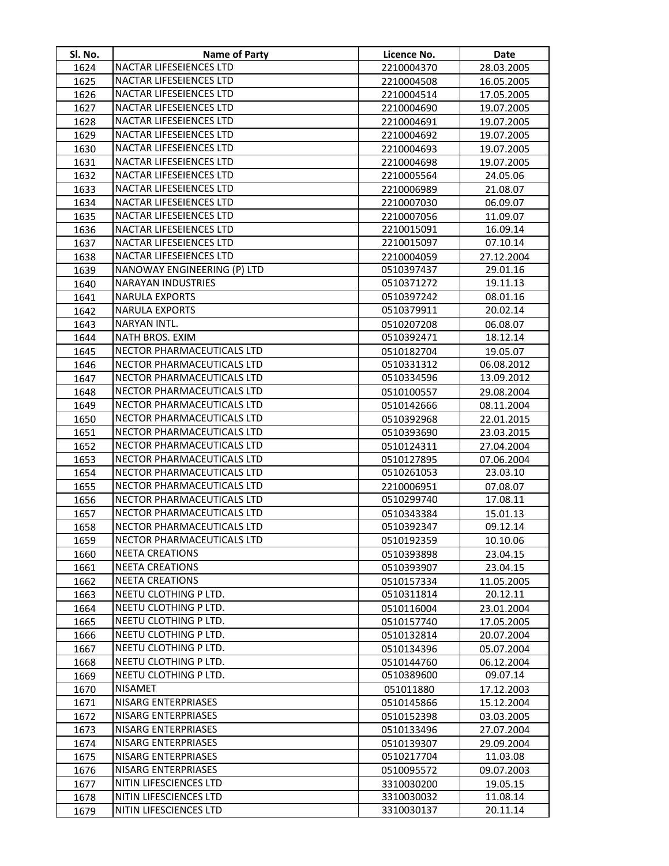| Sl. No.      | <b>Name of Party</b>                            | Licence No.              | Date                     |
|--------------|-------------------------------------------------|--------------------------|--------------------------|
| 1624         | NACTAR LIFESEIENCES LTD                         | 2210004370               | 28.03.2005               |
| 1625         | NACTAR LIFESEIENCES LTD                         | 2210004508               | 16.05.2005               |
| 1626         | NACTAR LIFESEIENCES LTD                         | 2210004514               | 17.05.2005               |
| 1627         | NACTAR LIFESEIENCES LTD                         | 2210004690               | 19.07.2005               |
| 1628         | NACTAR LIFESEIENCES LTD                         | 2210004691               | 19.07.2005               |
| 1629         | NACTAR LIFESEIENCES LTD                         | 2210004692               | 19.07.2005               |
| 1630         | NACTAR LIFESEIENCES LTD                         | 2210004693               | 19.07.2005               |
| 1631         | NACTAR LIFESEIENCES LTD                         | 2210004698               | 19.07.2005               |
| 1632         | NACTAR LIFESEIENCES LTD                         | 2210005564               | 24.05.06                 |
| 1633         | NACTAR LIFESEIENCES LTD                         | 2210006989               | 21.08.07                 |
| 1634         | NACTAR LIFESEIENCES LTD                         | 2210007030               | 06.09.07                 |
| 1635         | NACTAR LIFESEIENCES LTD                         | 2210007056               | 11.09.07                 |
| 1636         | NACTAR LIFESEIENCES LTD                         | 2210015091               | 16.09.14                 |
| 1637         | NACTAR LIFESEIENCES LTD                         | 2210015097               | 07.10.14                 |
| 1638         | NACTAR LIFESEIENCES LTD                         | 2210004059               | 27.12.2004               |
| 1639         | NANOWAY ENGINEERING (P) LTD                     | 0510397437               | 29.01.16                 |
| 1640         | <b>NARAYAN INDUSTRIES</b>                       | 0510371272               | 19.11.13                 |
| 1641         | <b>NARULA EXPORTS</b>                           | 0510397242               | 08.01.16                 |
| 1642         | <b>NARULA EXPORTS</b>                           | 0510379911               | 20.02.14                 |
| 1643         | NARYAN INTL.                                    | 0510207208               | 06.08.07                 |
| 1644         | NATH BROS. EXIM                                 | 0510392471               | 18.12.14                 |
| 1645         | NECTOR PHARMACEUTICALS LTD                      | 0510182704               | 19.05.07                 |
| 1646         | NECTOR PHARMACEUTICALS LTD                      | 0510331312               | 06.08.2012               |
| 1647         | NECTOR PHARMACEUTICALS LTD                      | 0510334596               | 13.09.2012               |
| 1648         | NECTOR PHARMACEUTICALS LTD                      | 0510100557               | 29.08.2004               |
| 1649         | NECTOR PHARMACEUTICALS LTD                      | 0510142666               | 08.11.2004               |
| 1650         | NECTOR PHARMACEUTICALS LTD                      | 0510392968               | 22.01.2015               |
| 1651         | NECTOR PHARMACEUTICALS LTD                      | 0510393690               | 23.03.2015               |
| 1652         | NECTOR PHARMACEUTICALS LTD                      | 0510124311               | 27.04.2004               |
| 1653         | NECTOR PHARMACEUTICALS LTD                      | 0510127895               | 07.06.2004               |
| 1654         | NECTOR PHARMACEUTICALS LTD                      | 0510261053               | 23.03.10                 |
| 1655         | NECTOR PHARMACEUTICALS LTD                      | 2210006951               | 07.08.07                 |
| 1656         | NECTOR PHARMACEUTICALS LTD                      | 0510299740               | 17.08.11                 |
| 1657         | NECTOR PHARMACEUTICALS LTD                      | 0510343384               | 15.01.13                 |
| 1658         | NECTOR PHARMACEUTICALS LTD                      | 0510392347               | 09.12.14                 |
| 1659         | NECTOR PHARMACEUTICALS LTD                      | 0510192359               | 10.10.06                 |
| 1660         | <b>NEETA CREATIONS</b>                          | 0510393898               | 23.04.15                 |
| 1661         | <b>NEETA CREATIONS</b>                          | 0510393907               | 23.04.15                 |
| 1662         | <b>NEETA CREATIONS</b><br>NEETU CLOTHING P LTD. | 0510157334<br>0510311814 | 11.05.2005<br>20.12.11   |
| 1663         |                                                 |                          |                          |
| 1664         | NEETU CLOTHING P LTD.<br>NEETU CLOTHING P LTD.  | 0510116004<br>0510157740 | 23.01.2004               |
| 1665<br>1666 | NEETU CLOTHING P LTD.                           |                          | 17.05.2005<br>20.07.2004 |
| 1667         | NEETU CLOTHING P LTD.                           | 0510132814<br>0510134396 | 05.07.2004               |
| 1668         | NEETU CLOTHING P LTD.                           | 0510144760               | 06.12.2004               |
| 1669         | NEETU CLOTHING P LTD.                           | 0510389600               | 09.07.14                 |
| 1670         | <b>NISAMET</b>                                  |                          |                          |
| 1671         | NISARG ENTERPRIASES                             | 051011880<br>0510145866  | 17.12.2003<br>15.12.2004 |
| 1672         | NISARG ENTERPRIASES                             | 0510152398               | 03.03.2005               |
| 1673         | NISARG ENTERPRIASES                             | 0510133496               | 27.07.2004               |
| 1674         | NISARG ENTERPRIASES                             | 0510139307               | 29.09.2004               |
| 1675         | NISARG ENTERPRIASES                             | 0510217704               | 11.03.08                 |
| 1676         | NISARG ENTERPRIASES                             | 0510095572               | 09.07.2003               |
| 1677         | NITIN LIFESCIENCES LTD                          | 3310030200               | 19.05.15                 |
| 1678         | NITIN LIFESCIENCES LTD                          | 3310030032               | 11.08.14                 |
| 1679         | NITIN LIFESCIENCES LTD                          | 3310030137               | 20.11.14                 |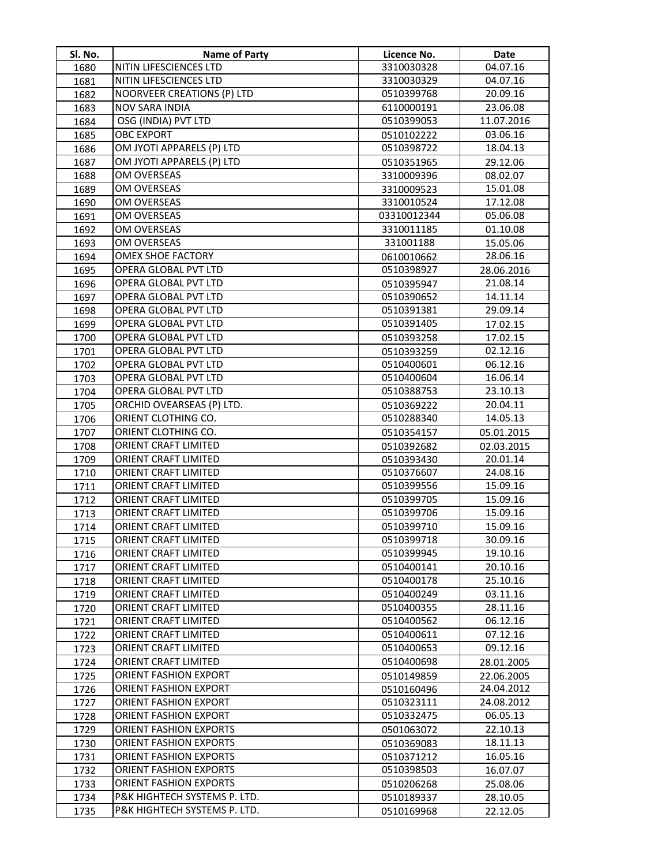| Sl. No.      | <b>Name of Party</b>                         | Licence No.              | Date                 |
|--------------|----------------------------------------------|--------------------------|----------------------|
| 1680         | NITIN LIFESCIENCES LTD                       | 3310030328               | 04.07.16             |
| 1681         | NITIN LIFESCIENCES LTD                       | 3310030329               | 04.07.16             |
| 1682         | NOORVEER CREATIONS (P) LTD                   | 0510399768               | 20.09.16             |
| 1683         | NOV SARA INDIA                               | 6110000191               | 23.06.08             |
| 1684         | OSG (INDIA) PVT LTD                          | 0510399053               | 11.07.2016           |
| 1685         | <b>OBC EXPORT</b>                            | 0510102222               | 03.06.16             |
| 1686         | OM JYOTI APPARELS (P) LTD                    | 0510398722               | 18.04.13             |
| 1687         | OM JYOTI APPARELS (P) LTD                    | 0510351965               | 29.12.06             |
| 1688         | OM OVERSEAS                                  | 3310009396               | 08.02.07             |
| 1689         | OM OVERSEAS                                  | 3310009523               | 15.01.08             |
| 1690         | OM OVERSEAS                                  | 3310010524               | 17.12.08             |
| 1691         | OM OVERSEAS                                  | 03310012344              | 05.06.08             |
| 1692         | OM OVERSEAS                                  | 3310011185               | 01.10.08             |
| 1693         | OM OVERSEAS                                  | 331001188                | 15.05.06             |
| 1694         | OMEX SHOE FACTORY                            | 0610010662               | 28.06.16             |
| 1695         | OPERA GLOBAL PVT LTD                         | 0510398927               | 28.06.2016           |
| 1696         | OPERA GLOBAL PVT LTD                         | 0510395947               | 21.08.14             |
| 1697         | OPERA GLOBAL PVT LTD                         | 0510390652               | 14.11.14             |
| 1698         | OPERA GLOBAL PVT LTD                         | 0510391381               | 29.09.14             |
| 1699         | OPERA GLOBAL PVT LTD                         | 0510391405               | 17.02.15             |
| 1700         | OPERA GLOBAL PVT LTD                         | 0510393258               | 17.02.15             |
| 1701         | OPERA GLOBAL PVT LTD                         | 0510393259               | 02.12.16             |
| 1702         | OPERA GLOBAL PVT LTD                         | 0510400601               | 06.12.16             |
| 1703         | OPERA GLOBAL PVT LTD                         | 0510400604               | 16.06.14             |
| 1704         | OPERA GLOBAL PVT LTD                         | 0510388753               | 23.10.13             |
| 1705         | ORCHID OVEARSEAS (P) LTD.                    | 0510369222               | 20.04.11             |
| 1706         | ORIENT CLOTHING CO.                          | 0510288340               | 14.05.13             |
| 1707         | ORIENT CLOTHING CO.                          | 0510354157               | 05.01.2015           |
| 1708         | ORIENT CRAFT LIMITED                         | 0510392682               | 02.03.2015           |
| 1709         | ORIENT CRAFT LIMITED                         | 0510393430               | 20.01.14             |
| 1710         | ORIENT CRAFT LIMITED                         | 0510376607               | 24.08.16             |
| 1711         | ORIENT CRAFT LIMITED                         | 0510399556               | 15.09.16             |
| 1712         | ORIENT CRAFT LIMITED                         | 0510399705               | 15.09.16             |
| 1713         | ORIENT CRAFT LIMITED                         | 0510399706               | 15.09.16             |
| 1714         | ORIENT CRAFT LIMITED                         | 0510399710               | 15.09.16             |
| 1715         | ORIENT CRAFT LIMITED                         | 0510399718               | 30.09.16             |
| 1716         | ORIENT CRAFT LIMITED                         | 0510399945               | 19.10.16             |
| 1717         | ORIENT CRAFT LIMITED                         | 0510400141               | 20.10.16<br>25.10.16 |
| 1718         | ORIENT CRAFT LIMITED<br>ORIENT CRAFT LIMITED | 0510400178<br>0510400249 | 03.11.16             |
| 1719         | ORIENT CRAFT LIMITED                         | 0510400355               | 28.11.16             |
| 1720<br>1721 | ORIENT CRAFT LIMITED                         | 0510400562               | 06.12.16             |
| 1722         | ORIENT CRAFT LIMITED                         | 0510400611               | 07.12.16             |
| 1723         | ORIENT CRAFT LIMITED                         | 0510400653               | 09.12.16             |
| 1724         | ORIENT CRAFT LIMITED                         | 0510400698               | 28.01.2005           |
| 1725         | <b>ORIENT FASHION EXPORT</b>                 | 0510149859               | 22.06.2005           |
| 1726         | ORIENT FASHION EXPORT                        | 0510160496               | 24.04.2012           |
| 1727         | <b>ORIENT FASHION EXPORT</b>                 | 0510323111               | 24.08.2012           |
| 1728         | <b>ORIENT FASHION EXPORT</b>                 | 0510332475               | 06.05.13             |
| 1729         | <b>ORIENT FASHION EXPORTS</b>                | 0501063072               | 22.10.13             |
| 1730         | ORIENT FASHION EXPORTS                       | 0510369083               | 18.11.13             |
| 1731         | <b>ORIENT FASHION EXPORTS</b>                | 0510371212               | 16.05.16             |
| 1732         | <b>ORIENT FASHION EXPORTS</b>                | 0510398503               | 16.07.07             |
| 1733         | <b>ORIENT FASHION EXPORTS</b>                | 0510206268               | 25.08.06             |
| 1734         | P&K HIGHTECH SYSTEMS P. LTD.                 | 0510189337               | 28.10.05             |
| 1735         | P&K HIGHTECH SYSTEMS P. LTD.                 | 0510169968               | 22.12.05             |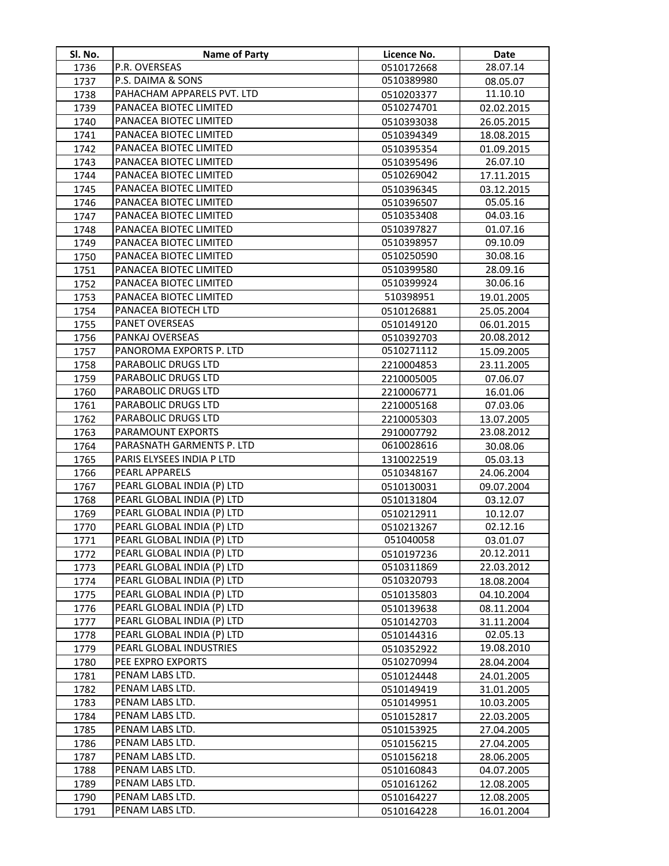| Sl. No.      | <b>Name of Party</b>                                     | Licence No.              | Date                     |
|--------------|----------------------------------------------------------|--------------------------|--------------------------|
| 1736         | P.R. OVERSEAS                                            | 0510172668               | 28.07.14                 |
| 1737         | P.S. DAIMA & SONS                                        | 0510389980               | 08.05.07                 |
| 1738         | PAHACHAM APPARELS PVT. LTD                               | 0510203377               | 11.10.10                 |
| 1739         | PANACEA BIOTEC LIMITED                                   | 0510274701               | 02.02.2015               |
| 1740         | PANACEA BIOTEC LIMITED                                   | 0510393038               | 26.05.2015               |
| 1741         | PANACEA BIOTEC LIMITED                                   | 0510394349               | 18.08.2015               |
| 1742         | PANACEA BIOTEC LIMITED                                   | 0510395354               | 01.09.2015               |
| 1743         | PANACEA BIOTEC LIMITED                                   | 0510395496               | 26.07.10                 |
| 1744         | PANACEA BIOTEC LIMITED                                   | 0510269042               | 17.11.2015               |
| 1745         | PANACEA BIOTEC LIMITED                                   | 0510396345               | 03.12.2015               |
| 1746         | PANACEA BIOTEC LIMITED                                   | 0510396507               | 05.05.16                 |
| 1747         | PANACEA BIOTEC LIMITED                                   | 0510353408               | 04.03.16                 |
| 1748         | PANACEA BIOTEC LIMITED                                   | 0510397827               | 01.07.16                 |
| 1749         | PANACEA BIOTEC LIMITED                                   | 0510398957               | 09.10.09                 |
| 1750         | PANACEA BIOTEC LIMITED                                   | 0510250590               | 30.08.16                 |
| 1751         | PANACEA BIOTEC LIMITED                                   | 0510399580               | 28.09.16                 |
| 1752         | PANACEA BIOTEC LIMITED                                   | 0510399924               | 30.06.16                 |
| 1753         | PANACEA BIOTEC LIMITED                                   | 510398951                | 19.01.2005               |
| 1754         | PANACEA BIOTECH LTD                                      | 0510126881               | 25.05.2004               |
| 1755         | PANET OVERSEAS                                           | 0510149120               | 06.01.2015               |
| 1756         | PANKAJ OVERSEAS                                          | 0510392703               | 20.08.2012               |
| 1757         | PANOROMA EXPORTS P. LTD                                  | 0510271112               | 15.09.2005               |
| 1758         | PARABOLIC DRUGS LTD                                      | 2210004853               | 23.11.2005               |
| 1759         | PARABOLIC DRUGS LTD                                      | 2210005005               | 07.06.07                 |
| 1760         | PARABOLIC DRUGS LTD                                      | 2210006771               | 16.01.06                 |
| 1761         | PARABOLIC DRUGS LTD                                      | 2210005168               | 07.03.06                 |
| 1762         | PARABOLIC DRUGS LTD                                      | 2210005303               | 13.07.2005               |
| 1763         | PARAMOUNT EXPORTS                                        | 2910007792               | 23.08.2012               |
| 1764         | PARASNATH GARMENTS P. LTD                                | 0610028616               | 30.08.06                 |
| 1765         | PARIS ELYSEES INDIA P LTD                                | 1310022519               | 05.03.13                 |
| 1766         | PEARL APPARELS                                           | 0510348167               | 24.06.2004               |
| 1767         | PEARL GLOBAL INDIA (P) LTD                               | 0510130031               | 09.07.2004               |
| 1768         | PEARL GLOBAL INDIA (P) LTD                               | 0510131804               | 03.12.07                 |
| 1769         | PEARL GLOBAL INDIA (P) LTD                               | 0510212911               | 10.12.07                 |
| 1770         | PEARL GLOBAL INDIA (P) LTD                               | 0510213267               | 02.12.16                 |
| 1771         | PEARL GLOBAL INDIA (P) LTD                               | 051040058                | 03.01.07                 |
| 1772         | PEARL GLOBAL INDIA (P) LTD                               | 0510197236               | 20.12.2011               |
| 1773         | PEARL GLOBAL INDIA (P) LTD                               | 0510311869               | 22.03.2012               |
| 1774         | PEARL GLOBAL INDIA (P) LTD                               | 0510320793               | 18.08.2004               |
| 1775         | PEARL GLOBAL INDIA (P) LTD                               | 0510135803               | 04.10.2004               |
| 1776         | PEARL GLOBAL INDIA (P) LTD<br>PEARL GLOBAL INDIA (P) LTD | 0510139638               | 08.11.2004               |
| 1777         | PEARL GLOBAL INDIA (P) LTD                               | 0510142703               | 31.11.2004               |
| 1778         | PEARL GLOBAL INDUSTRIES                                  | 0510144316               | 02.05.13                 |
| 1779         | PEE EXPRO EXPORTS                                        | 0510352922<br>0510270994 | 19.08.2010               |
| 1780         | PENAM LABS LTD.                                          | 0510124448               | 28.04.2004               |
| 1781         | PENAM LABS LTD.                                          |                          | 24.01.2005               |
| 1782<br>1783 | PENAM LABS LTD.                                          | 0510149419<br>0510149951 | 31.01.2005<br>10.03.2005 |
| 1784         | PENAM LABS LTD.                                          | 0510152817               | 22.03.2005               |
| 1785         | PENAM LABS LTD.                                          | 0510153925               | 27.04.2005               |
| 1786         | PENAM LABS LTD.                                          | 0510156215               | 27.04.2005               |
| 1787         | PENAM LABS LTD.                                          | 0510156218               | 28.06.2005               |
| 1788         | PENAM LABS LTD.                                          | 0510160843               | 04.07.2005               |
| 1789         | PENAM LABS LTD.                                          | 0510161262               | 12.08.2005               |
| 1790         | PENAM LABS LTD.                                          | 0510164227               | 12.08.2005               |
| 1791         | PENAM LABS LTD.                                          | 0510164228               | 16.01.2004               |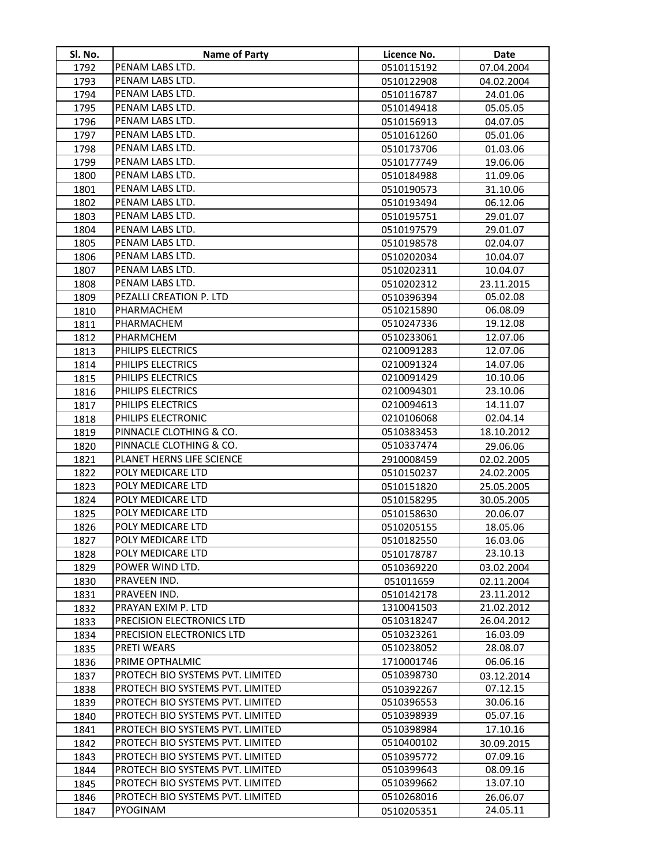| Sl. No. | <b>Name of Party</b>             | Licence No. | <b>Date</b> |
|---------|----------------------------------|-------------|-------------|
| 1792    | PENAM LABS LTD.                  | 0510115192  | 07.04.2004  |
| 1793    | PENAM LABS LTD.                  | 0510122908  | 04.02.2004  |
| 1794    | PENAM LABS LTD.                  | 0510116787  | 24.01.06    |
| 1795    | PENAM LABS LTD.                  | 0510149418  | 05.05.05    |
| 1796    | PENAM LABS LTD.                  | 0510156913  | 04.07.05    |
| 1797    | PENAM LABS LTD.                  | 0510161260  | 05.01.06    |
| 1798    | PENAM LABS LTD.                  | 0510173706  | 01.03.06    |
| 1799    | PENAM LABS LTD.                  | 0510177749  | 19.06.06    |
| 1800    | PENAM LABS LTD.                  | 0510184988  | 11.09.06    |
| 1801    | PENAM LABS LTD.                  | 0510190573  | 31.10.06    |
| 1802    | PENAM LABS LTD.                  | 0510193494  | 06.12.06    |
| 1803    | PENAM LABS LTD.                  | 0510195751  | 29.01.07    |
| 1804    | PENAM LABS LTD.                  | 0510197579  | 29.01.07    |
| 1805    | PENAM LABS LTD.                  | 0510198578  | 02.04.07    |
| 1806    | PENAM LABS LTD.                  | 0510202034  | 10.04.07    |
| 1807    | PENAM LABS LTD.                  | 0510202311  | 10.04.07    |
| 1808    | PENAM LABS LTD.                  | 0510202312  | 23.11.2015  |
| 1809    | PEZALLI CREATION P. LTD          | 0510396394  | 05.02.08    |
| 1810    | PHARMACHEM                       | 0510215890  | 06.08.09    |
| 1811    | PHARMACHEM                       | 0510247336  | 19.12.08    |
| 1812    | PHARMCHEM                        | 0510233061  | 12.07.06    |
| 1813    | PHILIPS ELECTRICS                | 0210091283  | 12.07.06    |
| 1814    | PHILIPS ELECTRICS                | 0210091324  | 14.07.06    |
| 1815    | PHILIPS ELECTRICS                | 0210091429  | 10.10.06    |
| 1816    | PHILIPS ELECTRICS                | 0210094301  | 23.10.06    |
| 1817    | PHILIPS ELECTRICS                | 0210094613  | 14.11.07    |
| 1818    | PHILIPS ELECTRONIC               | 0210106068  | 02.04.14    |
| 1819    | PINNACLE CLOTHING & CO.          | 0510383453  | 18.10.2012  |
| 1820    | PINNACLE CLOTHING & CO.          | 0510337474  | 29.06.06    |
| 1821    | PLANET HERNS LIFE SCIENCE        | 2910008459  | 02.02.2005  |
| 1822    | POLY MEDICARE LTD                | 0510150237  | 24.02.2005  |
| 1823    | POLY MEDICARE LTD                | 0510151820  | 25.05.2005  |
| 1824    | POLY MEDICARE LTD                | 0510158295  | 30.05.2005  |
| 1825    | POLY MEDICARE LTD                | 0510158630  | 20.06.07    |
| 1826    | POLY MEDICARE LTD                | 0510205155  | 18.05.06    |
| 1827    | POLY MEDICARE LTD                | 0510182550  | 16.03.06    |
| 1828    | POLY MEDICARE LTD                | 0510178787  | 23.10.13    |
| 1829    | POWER WIND LTD.                  | 0510369220  | 03.02.2004  |
| 1830    | PRAVEEN IND.                     | 051011659   | 02.11.2004  |
| 1831    | PRAVEEN IND.                     | 0510142178  | 23.11.2012  |
| 1832    | PRAYAN EXIM P. LTD               | 1310041503  | 21.02.2012  |
| 1833    | PRECISION ELECTRONICS LTD        | 0510318247  | 26.04.2012  |
| 1834    | PRECISION ELECTRONICS LTD        | 0510323261  | 16.03.09    |
| 1835    | <b>PRETI WEARS</b>               | 0510238052  | 28.08.07    |
| 1836    | PRIME OPTHALMIC                  | 1710001746  | 06.06.16    |
| 1837    | PROTECH BIO SYSTEMS PVT. LIMITED | 0510398730  | 03.12.2014  |
| 1838    | PROTECH BIO SYSTEMS PVT. LIMITED | 0510392267  | 07.12.15    |
| 1839    | PROTECH BIO SYSTEMS PVT. LIMITED | 0510396553  | 30.06.16    |
| 1840    | PROTECH BIO SYSTEMS PVT. LIMITED | 0510398939  | 05.07.16    |
| 1841    | PROTECH BIO SYSTEMS PVT. LIMITED | 0510398984  | 17.10.16    |
| 1842    | PROTECH BIO SYSTEMS PVT. LIMITED | 0510400102  | 30.09.2015  |
| 1843    | PROTECH BIO SYSTEMS PVT. LIMITED | 0510395772  | 07.09.16    |
| 1844    | PROTECH BIO SYSTEMS PVT. LIMITED | 0510399643  | 08.09.16    |
| 1845    | PROTECH BIO SYSTEMS PVT. LIMITED | 0510399662  | 13.07.10    |
| 1846    | PROTECH BIO SYSTEMS PVT. LIMITED | 0510268016  | 26.06.07    |
| 1847    | PYOGINAM                         | 0510205351  | 24.05.11    |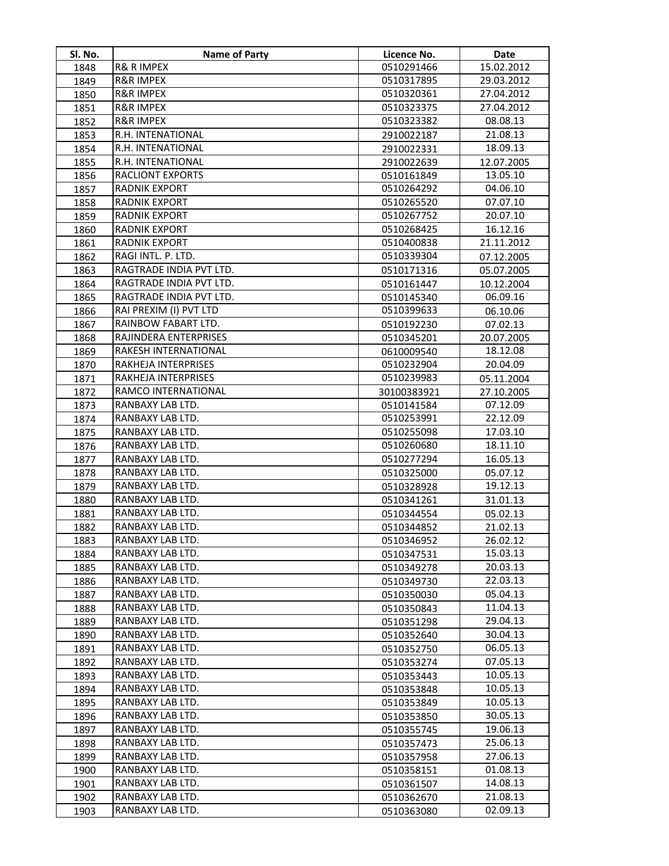| Sl. No. | <b>Name of Party</b>                 | Licence No. | Date                 |
|---------|--------------------------------------|-------------|----------------------|
| 1848    | <b>R&amp; R IMPEX</b>                | 0510291466  | 15.02.2012           |
| 1849    | <b>R&amp;R IMPEX</b>                 | 0510317895  | 29.03.2012           |
| 1850    | <b>R&amp;R IMPEX</b>                 | 0510320361  | 27.04.2012           |
| 1851    | <b>R&amp;R IMPEX</b>                 | 0510323375  | 27.04.2012           |
| 1852    | <b>R&amp;R IMPEX</b>                 | 0510323382  | 08.08.13             |
| 1853    | R.H. INTENATIONAL                    | 2910022187  | 21.08.13             |
| 1854    | R.H. INTENATIONAL                    | 2910022331  | 18.09.13             |
| 1855    | R.H. INTENATIONAL                    | 2910022639  | 12.07.2005           |
| 1856    | <b>RACLIONT EXPORTS</b>              | 0510161849  | 13.05.10             |
| 1857    | <b>RADNIK EXPORT</b>                 | 0510264292  | 04.06.10             |
| 1858    | RADNIK EXPORT                        | 0510265520  | 07.07.10             |
| 1859    | RADNIK EXPORT                        | 0510267752  | 20.07.10             |
| 1860    | <b>RADNIK EXPORT</b>                 | 0510268425  | 16.12.16             |
| 1861    | <b>RADNIK EXPORT</b>                 | 0510400838  | 21.11.2012           |
| 1862    | RAGI INTL. P. LTD.                   | 0510339304  | 07.12.2005           |
| 1863    | RAGTRADE INDIA PVT LTD.              | 0510171316  | 05.07.2005           |
| 1864    | RAGTRADE INDIA PVT LTD.              | 0510161447  | 10.12.2004           |
| 1865    | RAGTRADE INDIA PVT LTD.              | 0510145340  | 06.09.16             |
| 1866    | RAI PREXIM (I) PVT LTD               | 0510399633  | 06.10.06             |
| 1867    | RAINBOW FABART LTD.                  | 0510192230  | 07.02.13             |
| 1868    | RAJINDERA ENTERPRISES                | 0510345201  | 20.07.2005           |
| 1869    | RAKESH INTERNATIONAL                 | 0610009540  | 18.12.08             |
| 1870    | RAKHEJA INTERPRISES                  | 0510232904  | 20.04.09             |
| 1871    | RAKHEJA INTERPRISES                  | 0510239983  | 05.11.2004           |
| 1872    | RAMCO INTERNATIONAL                  | 30100383921 | 27.10.2005           |
| 1873    | RANBAXY LAB LTD.                     | 0510141584  | 07.12.09             |
| 1874    | RANBAXY LAB LTD.                     | 0510253991  | 22.12.09             |
| 1875    | RANBAXY LAB LTD.                     | 0510255098  | 17.03.10             |
| 1876    | RANBAXY LAB LTD.                     | 0510260680  | 18.11.10             |
| 1877    | RANBAXY LAB LTD.                     | 0510277294  | 16.05.13             |
| 1878    | RANBAXY LAB LTD.                     | 0510325000  | 05.07.12             |
| 1879    | RANBAXY LAB LTD.                     | 0510328928  | 19.12.13             |
| 1880    | RANBAXY LAB LTD.                     | 0510341261  | 31.01.13             |
| 1881    | RANBAXY LAB LTD.                     | 0510344554  | 05.02.13             |
| 1882    | RANBAXY LAB LTD.                     | 0510344852  | 21.02.13             |
| 1883    | RANBAXY LAB LTD.                     | 0510346952  | 26.02.12             |
| 1884    | RANBAXY LAB LTD.                     | 0510347531  | 15.03.13             |
| 1885    | RANBAXY LAB LTD.                     | 0510349278  | 20.03.13             |
| 1886    | RANBAXY LAB LTD.                     | 0510349730  | 22.03.13             |
| 1887    | RANBAXY LAB LTD.                     | 0510350030  | 05.04.13             |
| 1888    | RANBAXY LAB LTD.                     | 0510350843  | 11.04.13             |
| 1889    | RANBAXY LAB LTD.                     | 0510351298  | 29.04.13             |
| 1890    | RANBAXY LAB LTD.                     | 0510352640  | 30.04.13             |
| 1891    | RANBAXY LAB LTD.                     | 0510352750  | 06.05.13             |
| 1892    | RANBAXY LAB LTD.                     | 0510353274  | 07.05.13             |
| 1893    | RANBAXY LAB LTD.                     | 0510353443  | 10.05.13             |
| 1894    | RANBAXY LAB LTD.                     | 0510353848  | 10.05.13             |
| 1895    | RANBAXY LAB LTD.                     | 0510353849  | 10.05.13             |
| 1896    | RANBAXY LAB LTD.                     | 0510353850  | 30.05.13             |
| 1897    | RANBAXY LAB LTD.                     | 0510355745  | 19.06.13             |
| 1898    | RANBAXY LAB LTD.                     | 0510357473  | 25.06.13             |
| 1899    | RANBAXY LAB LTD.                     | 0510357958  | 27.06.13             |
| 1900    | RANBAXY LAB LTD.                     | 0510358151  | 01.08.13             |
| 1901    | RANBAXY LAB LTD.<br>RANBAXY LAB LTD. | 0510361507  | 14.08.13<br>21.08.13 |
| 1902    | RANBAXY LAB LTD.                     | 0510362670  | 02.09.13             |
| 1903    |                                      | 0510363080  |                      |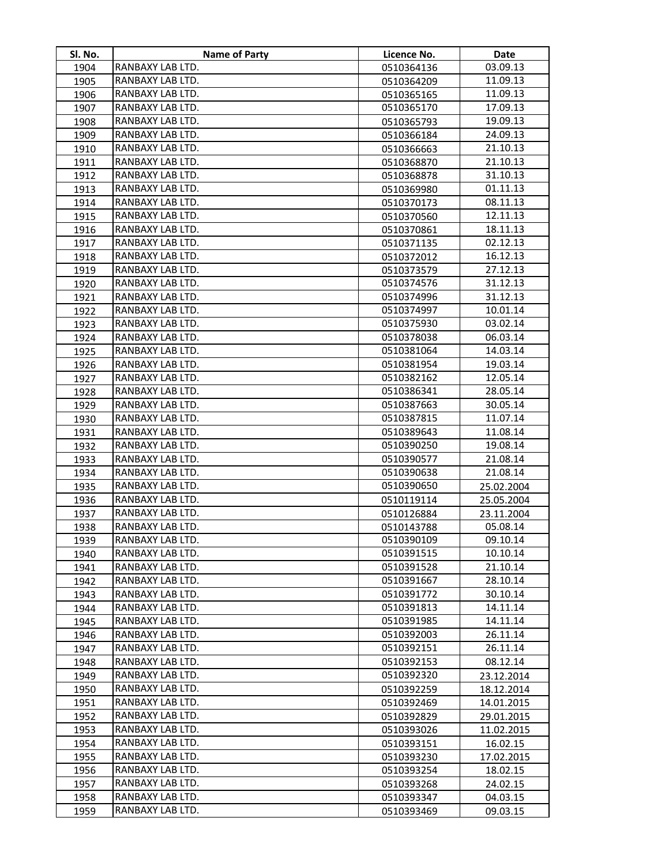| SI. No.      | <b>Name of Party</b>                 | Licence No.              | Date                 |
|--------------|--------------------------------------|--------------------------|----------------------|
| 1904         | RANBAXY LAB LTD.                     | 0510364136               | 03.09.13             |
| 1905         | RANBAXY LAB LTD.                     | 0510364209               | 11.09.13             |
| 1906         | RANBAXY LAB LTD.                     | 0510365165               | 11.09.13             |
| 1907         | RANBAXY LAB LTD.                     | 0510365170               | 17.09.13             |
| 1908         | RANBAXY LAB LTD.                     | 0510365793               | 19.09.13             |
| 1909         | RANBAXY LAB LTD.                     | 0510366184               | 24.09.13             |
| 1910         | RANBAXY LAB LTD.                     | 0510366663               | 21.10.13             |
| 1911         | RANBAXY LAB LTD.                     | 0510368870               | 21.10.13             |
| 1912         | RANBAXY LAB LTD.                     | 0510368878               | 31.10.13             |
| 1913         | RANBAXY LAB LTD.                     | 0510369980               | 01.11.13             |
| 1914         | RANBAXY LAB LTD.                     | 0510370173               | 08.11.13             |
| 1915         | RANBAXY LAB LTD.                     | 0510370560               | 12.11.13             |
| 1916         | RANBAXY LAB LTD.                     | 0510370861               | 18.11.13             |
| 1917         | RANBAXY LAB LTD.                     | 0510371135               | 02.12.13             |
| 1918         | RANBAXY LAB LTD.                     | 0510372012               | 16.12.13             |
| 1919         | RANBAXY LAB LTD.                     | 0510373579               | 27.12.13             |
| 1920         | RANBAXY LAB LTD.                     | 0510374576               | 31.12.13             |
| 1921         | RANBAXY LAB LTD.                     | 0510374996               | 31.12.13             |
| 1922         | RANBAXY LAB LTD.                     | 0510374997               | 10.01.14             |
| 1923         | RANBAXY LAB LTD.                     | 0510375930               | 03.02.14             |
| 1924         | RANBAXY LAB LTD.                     | 0510378038               | 06.03.14             |
| 1925         | RANBAXY LAB LTD.                     | 0510381064               | 14.03.14             |
| 1926         | RANBAXY LAB LTD.                     | 0510381954               | 19.03.14             |
| 1927         | RANBAXY LAB LTD.                     | 0510382162               | 12.05.14             |
| 1928         | RANBAXY LAB LTD.                     | 0510386341               | 28.05.14             |
| 1929         | RANBAXY LAB LTD.                     | 0510387663               | 30.05.14             |
| 1930         | RANBAXY LAB LTD.                     | 0510387815               | 11.07.14             |
| 1931         | RANBAXY LAB LTD.                     | 0510389643               | 11.08.14             |
| 1932         | RANBAXY LAB LTD.                     | 0510390250               | 19.08.14             |
| 1933         | RANBAXY LAB LTD.                     | 0510390577               | 21.08.14             |
| 1934         | RANBAXY LAB LTD.                     | 0510390638               | 21.08.14             |
| 1935         | RANBAXY LAB LTD.                     | 0510390650               | 25.02.2004           |
| 1936         | RANBAXY LAB LTD.                     | 0510119114               | 25.05.2004           |
| 1937         | RANBAXY LAB LTD.                     | 0510126884               | 23.11.2004           |
| 1938         | RANBAXY LAB LTD.                     | 0510143788               | 05.08.14             |
| 1939         | RANBAXY LAB LTD.                     | 0510390109               | 09.10.14             |
| 1940         | RANBAXY LAB LTD.<br>RANBAXY LAB LTD. | 0510391515               | 10.10.14             |
| 1941         | RANBAXY LAB LTD.                     | 0510391528<br>0510391667 | 21.10.14<br>28.10.14 |
| 1942<br>1943 | RANBAXY LAB LTD.                     | 0510391772               | 30.10.14             |
| 1944         | RANBAXY LAB LTD.                     | 0510391813               | 14.11.14             |
| 1945         | RANBAXY LAB LTD.                     | 0510391985               | 14.11.14             |
| 1946         | RANBAXY LAB LTD.                     | 0510392003               | 26.11.14             |
| 1947         | RANBAXY LAB LTD.                     | 0510392151               | 26.11.14             |
| 1948         | RANBAXY LAB LTD.                     | 0510392153               | 08.12.14             |
| 1949         | RANBAXY LAB LTD.                     | 0510392320               | 23.12.2014           |
| 1950         | RANBAXY LAB LTD.                     | 0510392259               | 18.12.2014           |
| 1951         | RANBAXY LAB LTD.                     | 0510392469               | 14.01.2015           |
| 1952         | RANBAXY LAB LTD.                     | 0510392829               | 29.01.2015           |
| 1953         | RANBAXY LAB LTD.                     | 0510393026               | 11.02.2015           |
| 1954         | RANBAXY LAB LTD.                     | 0510393151               | 16.02.15             |
| 1955         | RANBAXY LAB LTD.                     | 0510393230               | 17.02.2015           |
| 1956         | RANBAXY LAB LTD.                     | 0510393254               | 18.02.15             |
| 1957         | RANBAXY LAB LTD.                     | 0510393268               | 24.02.15             |
| 1958         | RANBAXY LAB LTD.                     | 0510393347               | 04.03.15             |
| 1959         | RANBAXY LAB LTD.                     | 0510393469               | 09.03.15             |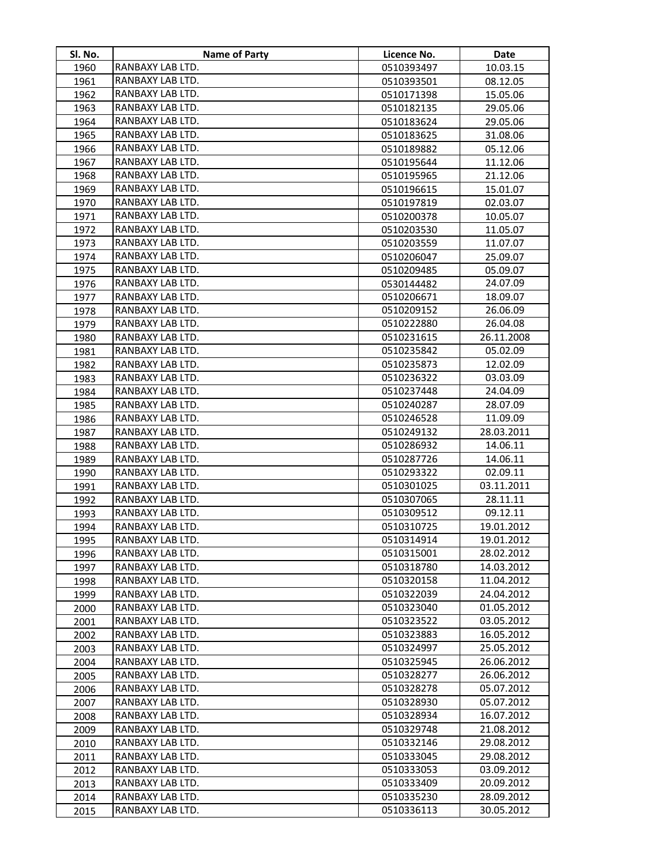| SI. No.      | <b>Name of Party</b>                 | Licence No.              | Date                     |
|--------------|--------------------------------------|--------------------------|--------------------------|
| 1960         | RANBAXY LAB LTD.                     | 0510393497               | 10.03.15                 |
| 1961         | RANBAXY LAB LTD.                     | 0510393501               | 08.12.05                 |
| 1962         | RANBAXY LAB LTD.                     | 0510171398               | 15.05.06                 |
| 1963         | RANBAXY LAB LTD.                     | 0510182135               | 29.05.06                 |
| 1964         | RANBAXY LAB LTD.                     | 0510183624               | 29.05.06                 |
| 1965         | RANBAXY LAB LTD.                     | 0510183625               | 31.08.06                 |
| 1966         | RANBAXY LAB LTD.                     | 0510189882               | 05.12.06                 |
| 1967         | RANBAXY LAB LTD.                     | 0510195644               | 11.12.06                 |
| 1968         | RANBAXY LAB LTD.                     | 0510195965               | 21.12.06                 |
| 1969         | RANBAXY LAB LTD.                     | 0510196615               | 15.01.07                 |
| 1970         | RANBAXY LAB LTD.                     | 0510197819               | 02.03.07                 |
| 1971         | RANBAXY LAB LTD.                     | 0510200378               | 10.05.07                 |
| 1972         | RANBAXY LAB LTD.                     | 0510203530               | 11.05.07                 |
| 1973         | RANBAXY LAB LTD.                     | 0510203559               | 11.07.07                 |
| 1974         | RANBAXY LAB LTD.                     | 0510206047               | 25.09.07                 |
| 1975         | RANBAXY LAB LTD.                     | 0510209485               | 05.09.07                 |
| 1976         | RANBAXY LAB LTD.                     | 0530144482               | 24.07.09                 |
| 1977         | RANBAXY LAB LTD.                     | 0510206671               | 18.09.07                 |
| 1978         | RANBAXY LAB LTD.                     | 0510209152               | 26.06.09                 |
| 1979         | RANBAXY LAB LTD.                     | 0510222880               | 26.04.08                 |
| 1980         | RANBAXY LAB LTD.                     | 0510231615               | 26.11.2008               |
| 1981         | RANBAXY LAB LTD.                     | 0510235842               | 05.02.09                 |
| 1982         | RANBAXY LAB LTD.                     | 0510235873               | 12.02.09                 |
| 1983         | RANBAXY LAB LTD.                     | 0510236322               | 03.03.09                 |
| 1984         | RANBAXY LAB LTD.                     | 0510237448               | 24.04.09                 |
| 1985         | RANBAXY LAB LTD.                     | 0510240287               | 28.07.09                 |
| 1986         | RANBAXY LAB LTD.                     | 0510246528               | 11.09.09                 |
| 1987         | RANBAXY LAB LTD.                     | 0510249132               | 28.03.2011               |
| 1988         | RANBAXY LAB LTD.                     | 0510286932               | 14.06.11                 |
| 1989         | RANBAXY LAB LTD.                     | 0510287726               | 14.06.11                 |
| 1990         | RANBAXY LAB LTD.                     | 0510293322               | 02.09.11                 |
| 1991         | RANBAXY LAB LTD.                     | 0510301025               | 03.11.2011               |
| 1992         | RANBAXY LAB LTD.                     | 0510307065               | 28.11.11                 |
| 1993         | RANBAXY LAB LTD.                     | 0510309512               | 09.12.11                 |
| 1994         | RANBAXY LAB LTD.                     | 0510310725               | 19.01.2012               |
| 1995         | RANBAXY LAB LTD.                     | 0510314914               | 19.01.2012               |
| 1996         | RANBAXY LAB LTD.                     | 0510315001               | 28.02.2012               |
| 1997         | RANBAXY LAB LTD.                     | 0510318780               | 14.03.2012               |
| 1998         | RANBAXY LAB LTD.                     | 0510320158               | 11.04.2012               |
| 1999         | RANBAXY LAB LTD.                     | 0510322039               | 24.04.2012               |
| 2000         | RANBAXY LAB LTD.                     | 0510323040<br>0510323522 | 01.05.2012               |
| 2001         | RANBAXY LAB LTD.<br>RANBAXY LAB LTD. |                          | 03.05.2012               |
| 2002         |                                      | 0510323883               | 16.05.2012               |
| 2003         | RANBAXY LAB LTD.                     | 0510324997               | 25.05.2012               |
| 2004         | RANBAXY LAB LTD.                     | 0510325945               | 26.06.2012               |
| 2005         | RANBAXY LAB LTD.                     | 0510328277               | 26.06.2012               |
| 2006         | RANBAXY LAB LTD.<br>RANBAXY LAB LTD. | 0510328278<br>0510328930 | 05.07.2012<br>05.07.2012 |
| 2007         | RANBAXY LAB LTD.                     | 0510328934               | 16.07.2012               |
| 2008         | RANBAXY LAB LTD.                     | 0510329748               | 21.08.2012               |
| 2009<br>2010 | RANBAXY LAB LTD.                     | 0510332146               | 29.08.2012               |
| 2011         | RANBAXY LAB LTD.                     | 0510333045               | 29.08.2012               |
| 2012         | RANBAXY LAB LTD.                     | 0510333053               | 03.09.2012               |
| 2013         | RANBAXY LAB LTD.                     | 0510333409               | 20.09.2012               |
| 2014         | RANBAXY LAB LTD.                     | 0510335230               | 28.09.2012               |
| 2015         | RANBAXY LAB LTD.                     | 0510336113               | 30.05.2012               |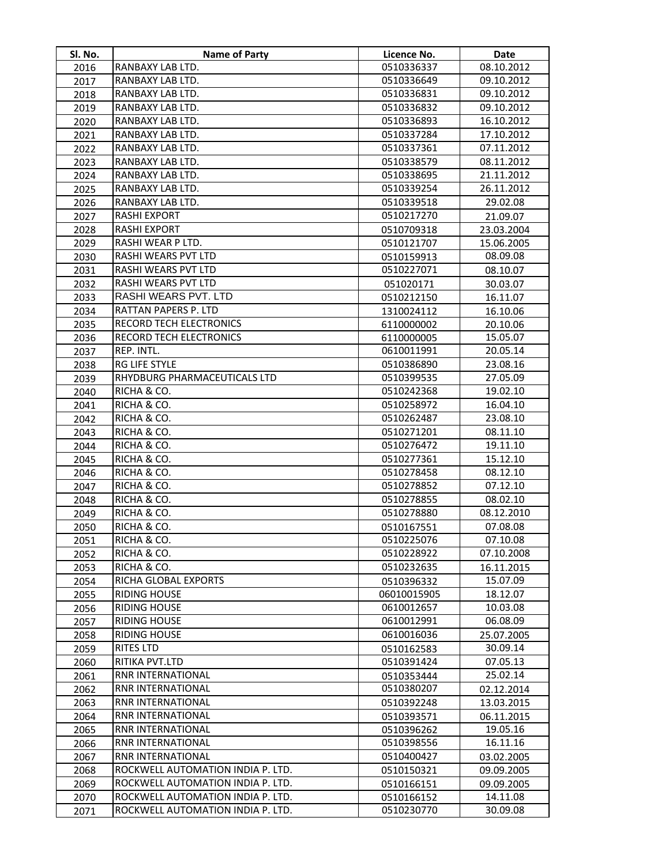| Sl. No. | <b>Name of Party</b>              | Licence No. | Date       |
|---------|-----------------------------------|-------------|------------|
| 2016    | RANBAXY LAB LTD.                  | 0510336337  | 08.10.2012 |
| 2017    | RANBAXY LAB LTD.                  | 0510336649  | 09.10.2012 |
| 2018    | RANBAXY LAB LTD.                  | 0510336831  | 09.10.2012 |
| 2019    | RANBAXY LAB LTD.                  | 0510336832  | 09.10.2012 |
| 2020    | RANBAXY LAB LTD.                  | 0510336893  | 16.10.2012 |
| 2021    | RANBAXY LAB LTD.                  | 0510337284  | 17.10.2012 |
| 2022    | RANBAXY LAB LTD.                  | 0510337361  | 07.11.2012 |
| 2023    | RANBAXY LAB LTD.                  | 0510338579  | 08.11.2012 |
| 2024    | RANBAXY LAB LTD.                  | 0510338695  | 21.11.2012 |
| 2025    | RANBAXY LAB LTD.                  | 0510339254  | 26.11.2012 |
| 2026    | RANBAXY LAB LTD.                  | 0510339518  | 29.02.08   |
| 2027    | <b>RASHI EXPORT</b>               | 0510217270  | 21.09.07   |
| 2028    | <b>RASHI EXPORT</b>               | 0510709318  | 23.03.2004 |
| 2029    | RASHI WEAR P LTD.                 | 0510121707  | 15.06.2005 |
| 2030    | RASHI WEARS PVT LTD               | 0510159913  | 08.09.08   |
| 2031    | RASHI WEARS PVT LTD               | 0510227071  | 08.10.07   |
| 2032    | <b>RASHI WEARS PVT LTD</b>        | 051020171   | 30.03.07   |
| 2033    | RASHI WEARS PVT. LTD              | 0510212150  | 16.11.07   |
| 2034    | RATTAN PAPERS P. LTD              | 1310024112  | 16.10.06   |
| 2035    | RECORD TECH ELECTRONICS           | 6110000002  | 20.10.06   |
| 2036    | RECORD TECH ELECTRONICS           | 6110000005  | 15.05.07   |
| 2037    | REP. INTL.                        | 0610011991  | 20.05.14   |
| 2038    | <b>RG LIFE STYLE</b>              | 0510386890  | 23.08.16   |
| 2039    | RHYDBURG PHARMACEUTICALS LTD      | 0510399535  | 27.05.09   |
| 2040    | RICHA & CO.                       | 0510242368  | 19.02.10   |
| 2041    | RICHA & CO.                       | 0510258972  | 16.04.10   |
| 2042    | RICHA & CO.                       | 0510262487  | 23.08.10   |
| 2043    | RICHA & CO.                       | 0510271201  | 08.11.10   |
| 2044    | RICHA & CO.                       | 0510276472  | 19.11.10   |
| 2045    | RICHA & CO.                       | 0510277361  | 15.12.10   |
| 2046    | RICHA & CO.                       | 0510278458  | 08.12.10   |
| 2047    | RICHA & CO.                       | 0510278852  | 07.12.10   |
| 2048    | RICHA & CO.                       | 0510278855  | 08.02.10   |
| 2049    | RICHA & CO.                       | 0510278880  | 08.12.2010 |
| 2050    | RICHA & CO.                       | 0510167551  | 07.08.08   |
| 2051    | RICHA & CO.                       | 0510225076  | 07.10.08   |
| 2052    | RICHA & CO.                       | 0510228922  | 07.10.2008 |
| 2053    | RICHA & CO.                       | 0510232635  | 16.11.2015 |
| 2054    | RICHA GLOBAL EXPORTS              | 0510396332  | 15.07.09   |
| 2055    | <b>RIDING HOUSE</b>               | 06010015905 | 18.12.07   |
| 2056    | <b>RIDING HOUSE</b>               | 0610012657  | 10.03.08   |
| 2057    | <b>RIDING HOUSE</b>               | 0610012991  | 06.08.09   |
| 2058    | <b>RIDING HOUSE</b>               | 0610016036  | 25.07.2005 |
| 2059    | RITES LTD                         | 0510162583  | 30.09.14   |
| 2060    | RITIKA PVT.LTD                    | 0510391424  | 07.05.13   |
| 2061    | <b>RNR INTERNATIONAL</b>          | 0510353444  | 25.02.14   |
| 2062    | RNR INTERNATIONAL                 | 0510380207  | 02.12.2014 |
| 2063    | RNR INTERNATIONAL                 | 0510392248  | 13.03.2015 |
| 2064    | RNR INTERNATIONAL                 | 0510393571  | 06.11.2015 |
| 2065    | RNR INTERNATIONAL                 | 0510396262  | 19.05.16   |
| 2066    | RNR INTERNATIONAL                 | 0510398556  | 16.11.16   |
| 2067    | RNR INTERNATIONAL                 | 0510400427  | 03.02.2005 |
| 2068    | ROCKWELL AUTOMATION INDIA P. LTD. | 0510150321  | 09.09.2005 |
| 2069    | ROCKWELL AUTOMATION INDIA P. LTD. | 0510166151  | 09.09.2005 |
| 2070    | ROCKWELL AUTOMATION INDIA P. LTD. | 0510166152  | 14.11.08   |
| 2071    | ROCKWELL AUTOMATION INDIA P. LTD. | 0510230770  | 30.09.08   |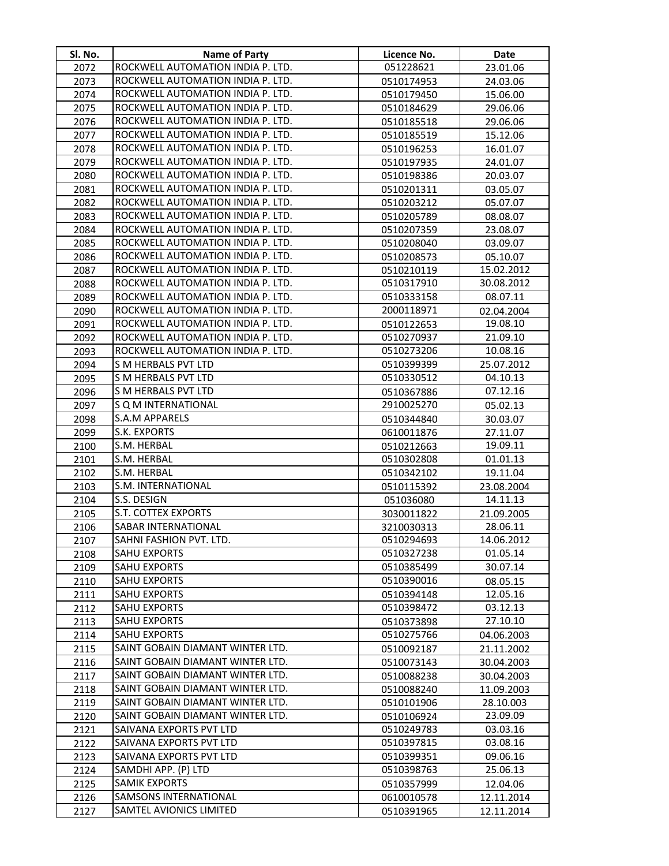| Sl. No.      | Name of Party                              | Licence No.              | <b>Date</b>          |
|--------------|--------------------------------------------|--------------------------|----------------------|
| 2072         | ROCKWELL AUTOMATION INDIA P. LTD.          | 051228621                | 23.01.06             |
| 2073         | ROCKWELL AUTOMATION INDIA P. LTD.          | 0510174953               | 24.03.06             |
| 2074         | ROCKWELL AUTOMATION INDIA P. LTD.          | 0510179450               | 15.06.00             |
| 2075         | ROCKWELL AUTOMATION INDIA P. LTD.          | 0510184629               | 29.06.06             |
| 2076         | ROCKWELL AUTOMATION INDIA P. LTD.          | 0510185518               | 29.06.06             |
| 2077         | ROCKWELL AUTOMATION INDIA P. LTD.          | 0510185519               | 15.12.06             |
| 2078         | ROCKWELL AUTOMATION INDIA P. LTD.          | 0510196253               | 16.01.07             |
| 2079         | ROCKWELL AUTOMATION INDIA P. LTD.          | 0510197935               | 24.01.07             |
| 2080         | ROCKWELL AUTOMATION INDIA P. LTD.          | 0510198386               | 20.03.07             |
| 2081         | ROCKWELL AUTOMATION INDIA P. LTD.          | 0510201311               | 03.05.07             |
| 2082         | ROCKWELL AUTOMATION INDIA P. LTD.          | 0510203212               | 05.07.07             |
| 2083         | ROCKWELL AUTOMATION INDIA P. LTD.          | 0510205789               | 08.08.07             |
| 2084         | ROCKWELL AUTOMATION INDIA P. LTD.          | 0510207359               | 23.08.07             |
| 2085         | ROCKWELL AUTOMATION INDIA P. LTD.          | 0510208040               | 03.09.07             |
| 2086         | ROCKWELL AUTOMATION INDIA P. LTD.          | 0510208573               | 05.10.07             |
| 2087         | ROCKWELL AUTOMATION INDIA P. LTD.          | 0510210119               | 15.02.2012           |
| 2088         | ROCKWELL AUTOMATION INDIA P. LTD.          | 0510317910               | 30.08.2012           |
| 2089         | ROCKWELL AUTOMATION INDIA P. LTD.          | 0510333158               | 08.07.11             |
| 2090         | ROCKWELL AUTOMATION INDIA P. LTD.          | 2000118971               | 02.04.2004           |
| 2091         | ROCKWELL AUTOMATION INDIA P. LTD.          | 0510122653               | 19.08.10             |
| 2092         | ROCKWELL AUTOMATION INDIA P. LTD.          | 0510270937               | 21.09.10             |
| 2093         | ROCKWELL AUTOMATION INDIA P. LTD.          | 0510273206               | 10.08.16             |
| 2094         | <b>S M HERBALS PVT LTD</b>                 | 0510399399               | 25.07.2012           |
| 2095         | S M HERBALS PVT LTD                        | 0510330512               | 04.10.13             |
| 2096         | S M HERBALS PVT LTD                        | 0510367886               | 07.12.16             |
| 2097         | S Q M INTERNATIONAL                        | 2910025270               | 05.02.13             |
| 2098         | <b>S.A.M APPARELS</b>                      | 0510344840               | 30.03.07             |
| 2099         | S.K. EXPORTS                               | 0610011876               | 27.11.07             |
| 2100         | S.M. HERBAL                                | 0510212663               | 19.09.11             |
| 2101         | S.M. HERBAL                                | 0510302808               | 01.01.13             |
| 2102         | S.M. HERBAL                                | 0510342102               | 19.11.04             |
| 2103         | S.M. INTERNATIONAL                         | 0510115392               | 23.08.2004           |
| 2104         | S.S. DESIGN                                | 051036080                | 14.11.13             |
| 2105         | S.T. COTTEX EXPORTS                        | 3030011822               | 21.09.2005           |
| 2106         | SABAR INTERNATIONAL                        | 3210030313               | 28.06.11             |
| 2107         | SAHNI FASHION PVT. LTD.                    | 0510294693               | 14.06.2012           |
| 2108         | <b>SAHU EXPORTS</b>                        | 0510327238               | 01.05.14             |
| 2109         | <b>SAHU EXPORTS</b>                        | 0510385499               | 30.07.14             |
| 2110         | <b>SAHU EXPORTS</b><br><b>SAHU EXPORTS</b> | 0510390016               | 08.05.15<br>12.05.16 |
| 2111         |                                            | 0510394148               |                      |
| 2112         | <b>SAHU EXPORTS</b><br><b>SAHU EXPORTS</b> | 0510398472               | 03.12.13<br>27.10.10 |
| 2113         | <b>SAHU EXPORTS</b>                        | 0510373898<br>0510275766 | 04.06.2003           |
| 2114<br>2115 | SAINT GOBAIN DIAMANT WINTER LTD.           | 0510092187               | 21.11.2002           |
| 2116         | SAINT GOBAIN DIAMANT WINTER LTD.           | 0510073143               | 30.04.2003           |
| 2117         | SAINT GOBAIN DIAMANT WINTER LTD.           | 0510088238               | 30.04.2003           |
| 2118         | SAINT GOBAIN DIAMANT WINTER LTD.           | 0510088240               | 11.09.2003           |
| 2119         | SAINT GOBAIN DIAMANT WINTER LTD.           | 0510101906               | 28.10.003            |
| 2120         | SAINT GOBAIN DIAMANT WINTER LTD.           | 0510106924               | 23.09.09             |
| 2121         | SAIVANA EXPORTS PVT LTD                    | 0510249783               | 03.03.16             |
| 2122         | SAIVANA EXPORTS PVT LTD                    | 0510397815               | 03.08.16             |
| 2123         | SAIVANA EXPORTS PVT LTD                    | 0510399351               | 09.06.16             |
| 2124         | SAMDHI APP. (P) LTD                        | 0510398763               | 25.06.13             |
| 2125         | <b>SAMIK EXPORTS</b>                       | 0510357999               | 12.04.06             |
| 2126         | <b>SAMSONS INTERNATIONAL</b>               | 0610010578               | 12.11.2014           |
| 2127         | <b>SAMTEL AVIONICS LIMITED</b>             | 0510391965               | 12.11.2014           |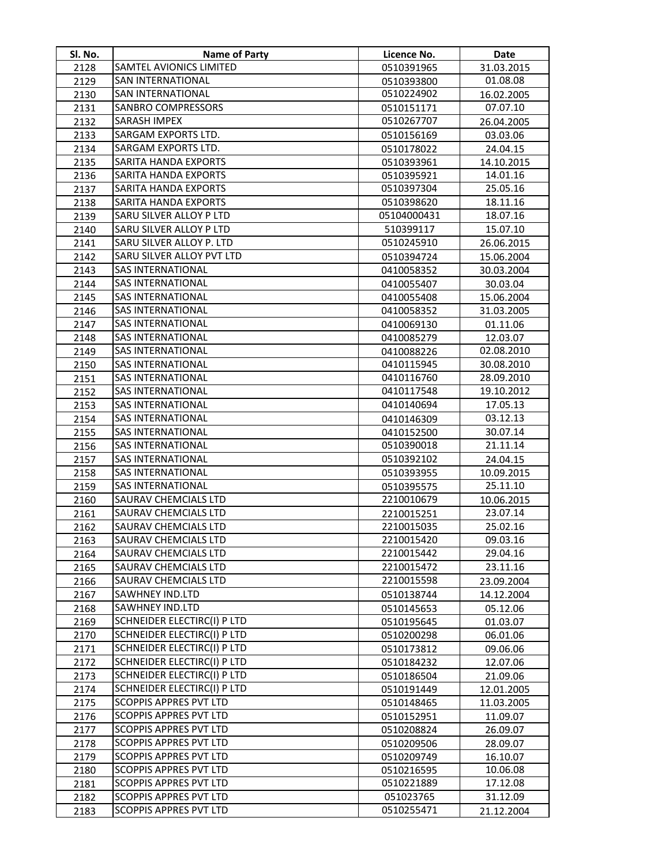| Sl. No.      | <b>Name of Party</b>                                  | Licence No.              | Date                     |
|--------------|-------------------------------------------------------|--------------------------|--------------------------|
| 2128         | SAMTEL AVIONICS LIMITED                               | 0510391965               | 31.03.2015               |
| 2129         | <b>SAN INTERNATIONAL</b>                              | 0510393800               | 01.08.08                 |
| 2130         | <b>SAN INTERNATIONAL</b>                              | 0510224902               | 16.02.2005               |
| 2131         | <b>SANBRO COMPRESSORS</b>                             | 0510151171               | 07.07.10                 |
| 2132         | <b>SARASH IMPEX</b>                                   | 0510267707               | 26.04.2005               |
| 2133         | SARGAM EXPORTS LTD.                                   | 0510156169               | 03.03.06                 |
| 2134         | SARGAM EXPORTS LTD.                                   | 0510178022               | 24.04.15                 |
| 2135         | <b>SARITA HANDA EXPORTS</b>                           | 0510393961               | 14.10.2015               |
| 2136         | SARITA HANDA EXPORTS                                  | 0510395921               | 14.01.16                 |
| 2137         | <b>SARITA HANDA EXPORTS</b>                           | 0510397304               | 25.05.16                 |
| 2138         | <b>SARITA HANDA EXPORTS</b>                           | 0510398620               | 18.11.16                 |
| 2139         | SARU SILVER ALLOY P LTD                               | 05104000431              | 18.07.16                 |
| 2140         | SARU SILVER ALLOY P LTD                               | 510399117                | 15.07.10                 |
| 2141         | SARU SILVER ALLOY P. LTD                              | 0510245910               | 26.06.2015               |
| 2142         | SARU SILVER ALLOY PVT LTD                             | 0510394724               | 15.06.2004               |
| 2143         | <b>SAS INTERNATIONAL</b>                              | 0410058352               | 30.03.2004               |
| 2144         | <b>SAS INTERNATIONAL</b>                              | 0410055407               | 30.03.04                 |
| 2145         | <b>SAS INTERNATIONAL</b>                              | 0410055408               | 15.06.2004               |
| 2146         | <b>SAS INTERNATIONAL</b>                              | 0410058352               | 31.03.2005               |
| 2147         | <b>SAS INTERNATIONAL</b>                              | 0410069130               | 01.11.06                 |
| 2148         | <b>SAS INTERNATIONAL</b>                              | 0410085279               | 12.03.07                 |
| 2149         | <b>SAS INTERNATIONAL</b>                              | 0410088226               | 02.08.2010               |
| 2150         | <b>SAS INTERNATIONAL</b>                              | 0410115945               | 30.08.2010               |
| 2151         | <b>SAS INTERNATIONAL</b>                              | 0410116760               | 28.09.2010               |
| 2152         | <b>SAS INTERNATIONAL</b>                              | 0410117548               | 19.10.2012               |
| 2153         | <b>SAS INTERNATIONAL</b>                              | 0410140694               | 17.05.13                 |
| 2154         | <b>SAS INTERNATIONAL</b>                              | 0410146309               | 03.12.13                 |
| 2155         | <b>SAS INTERNATIONAL</b>                              | 0410152500               | 30.07.14                 |
| 2156         | <b>SAS INTERNATIONAL</b>                              | 0510390018               | 21.11.14                 |
| 2157         | <b>SAS INTERNATIONAL</b>                              | 0510392102               | 24.04.15                 |
| 2158         | <b>SAS INTERNATIONAL</b>                              | 0510393955               | 10.09.2015               |
| 2159         | <b>SAS INTERNATIONAL</b>                              | 0510395575               | 25.11.10                 |
| 2160         | SAURAV CHEMCIALS LTD                                  | 2210010679               | 10.06.2015               |
| 2161         | SAURAV CHEMCIALS LTD                                  | 2210015251               | 23.07.14                 |
| 2162         | <b>SAURAV CHEMCIALS LTD</b>                           | 2210015035               | 25.02.16                 |
| 2163         | SAURAV CHEMCIALS LTD                                  | 2210015420               | 09.03.16                 |
| 2164         | <b>SAURAV CHEMCIALS LTD</b>                           | 2210015442               | 29.04.16                 |
| 2165         | SAURAV CHEMCIALS LTD                                  | 2210015472               | 23.11.16                 |
| 2166         | <b>SAURAV CHEMCIALS LTD</b><br><b>SAWHNEY IND.LTD</b> | 2210015598               | 23.09.2004               |
| 2167         | <b>SAWHNEY IND.LTD</b>                                | 0510138744               | 14.12.2004               |
| 2168         | <b>SCHNEIDER ELECTIRC(I) P LTD</b>                    | 0510145653               | 05.12.06                 |
| 2169<br>2170 | SCHNEIDER ELECTIRC(I) P LTD                           | 0510195645<br>0510200298 | 01.03.07<br>06.01.06     |
| 2171         | SCHNEIDER ELECTIRC(I) P LTD                           | 0510173812               | 09.06.06                 |
| 2172         | SCHNEIDER ELECTIRC(I) P LTD                           | 0510184232               | 12.07.06                 |
| 2173         | SCHNEIDER ELECTIRC(I) P LTD                           | 0510186504               | 21.09.06                 |
| 2174         | <b>SCHNEIDER ELECTIRC(I) P LTD</b>                    |                          |                          |
| 2175         | <b>SCOPPIS APPRES PVT LTD</b>                         | 0510191449<br>0510148465 | 12.01.2005<br>11.03.2005 |
| 2176         | <b>SCOPPIS APPRES PVT LTD</b>                         | 0510152951               | 11.09.07                 |
| 2177         | SCOPPIS APPRES PVT LTD                                | 0510208824               | 26.09.07                 |
| 2178         | <b>SCOPPIS APPRES PVT LTD</b>                         | 0510209506               | 28.09.07                 |
| 2179         | <b>SCOPPIS APPRES PVT LTD</b>                         | 0510209749               | 16.10.07                 |
| 2180         | <b>SCOPPIS APPRES PVT LTD</b>                         | 0510216595               | 10.06.08                 |
| 2181         | <b>SCOPPIS APPRES PVT LTD</b>                         | 0510221889               | 17.12.08                 |
| 2182         | <b>SCOPPIS APPRES PVT LTD</b>                         | 051023765                | 31.12.09                 |
| 2183         | <b>SCOPPIS APPRES PVT LTD</b>                         | 0510255471               | 21.12.2004               |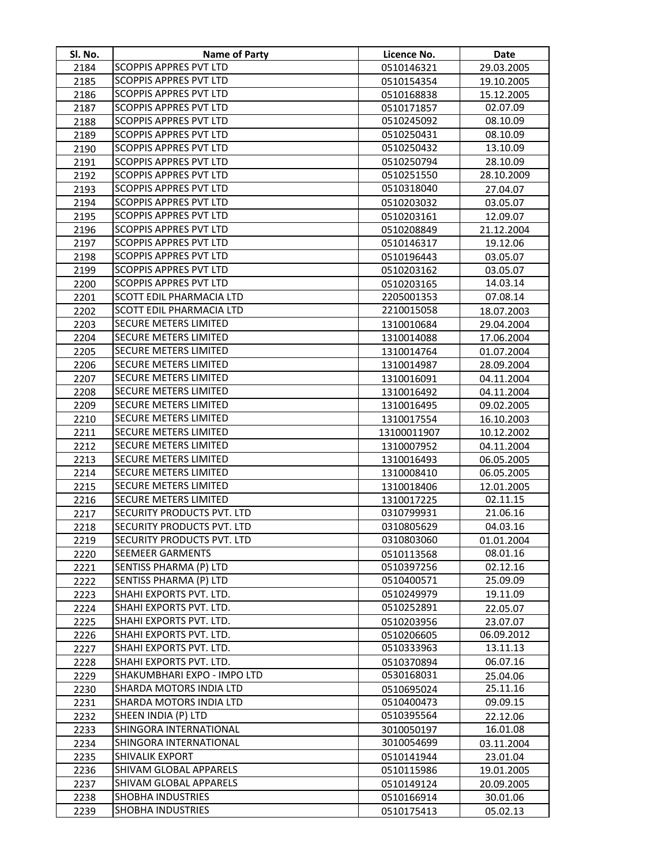| Sl. No.      | <b>Name of Party</b>                             | Licence No.              | Date                   |
|--------------|--------------------------------------------------|--------------------------|------------------------|
| 2184         | <b>SCOPPIS APPRES PVT LTD</b>                    | 0510146321               | 29.03.2005             |
| 2185         | <b>SCOPPIS APPRES PVT LTD</b>                    | 0510154354               | 19.10.2005             |
| 2186         | <b>SCOPPIS APPRES PVT LTD</b>                    | 0510168838               | 15.12.2005             |
| 2187         | <b>SCOPPIS APPRES PVT LTD</b>                    | 0510171857               | 02.07.09               |
| 2188         | <b>SCOPPIS APPRES PVT LTD</b>                    | 0510245092               | 08.10.09               |
| 2189         | <b>SCOPPIS APPRES PVT LTD</b>                    | 0510250431               | 08.10.09               |
| 2190         | <b>SCOPPIS APPRES PVT LTD</b>                    | 0510250432               | 13.10.09               |
| 2191         | <b>SCOPPIS APPRES PVT LTD</b>                    | 0510250794               | 28.10.09               |
| 2192         | <b>SCOPPIS APPRES PVT LTD</b>                    | 0510251550               | 28.10.2009             |
| 2193         | <b>SCOPPIS APPRES PVT LTD</b>                    | 0510318040               | 27.04.07               |
| 2194         | <b>SCOPPIS APPRES PVT LTD</b>                    | 0510203032               | 03.05.07               |
| 2195         | <b>SCOPPIS APPRES PVT LTD</b>                    | 0510203161               | 12.09.07               |
| 2196         | <b>SCOPPIS APPRES PVT LTD</b>                    | 0510208849               | 21.12.2004             |
| 2197         | <b>SCOPPIS APPRES PVT LTD</b>                    | 0510146317               | 19.12.06               |
| 2198         | <b>SCOPPIS APPRES PVT LTD</b>                    | 0510196443               | 03.05.07               |
| 2199         | SCOPPIS APPRES PVT LTD                           | 0510203162               | 03.05.07               |
| 2200         | SCOPPIS APPRES PVT LTD                           | 0510203165               | 14.03.14               |
| 2201         | <b>SCOTT EDIL PHARMACIA LTD</b>                  | 2205001353               | 07.08.14               |
| 2202         | SCOTT EDIL PHARMACIA LTD                         | 2210015058               | 18.07.2003             |
| 2203         | <b>SECURE METERS LIMITED</b>                     | 1310010684               | 29.04.2004             |
| 2204         | <b>SECURE METERS LIMITED</b>                     | 1310014088               | 17.06.2004             |
| 2205         | <b>SECURE METERS LIMITED</b>                     | 1310014764               | 01.07.2004             |
| 2206         | <b>SECURE METERS LIMITED</b>                     | 1310014987               | 28.09.2004             |
| 2207         | <b>SECURE METERS LIMITED</b>                     | 1310016091               | 04.11.2004             |
| 2208         | <b>SECURE METERS LIMITED</b>                     | 1310016492               | 04.11.2004             |
| 2209         | <b>SECURE METERS LIMITED</b>                     | 1310016495               | 09.02.2005             |
| 2210         | <b>SECURE METERS LIMITED</b>                     | 1310017554               | 16.10.2003             |
| 2211         | <b>SECURE METERS LIMITED</b>                     | 13100011907              | 10.12.2002             |
| 2212         | <b>SECURE METERS LIMITED</b>                     | 1310007952               | 04.11.2004             |
| 2213         | <b>SECURE METERS LIMITED</b>                     | 1310016493               | 06.05.2005             |
| 2214         | <b>SECURE METERS LIMITED</b>                     | 1310008410               | 06.05.2005             |
| 2215         | <b>SECURE METERS LIMITED</b>                     | 1310018406               | 12.01.2005             |
| 2216         | <b>SECURE METERS LIMITED</b>                     | 1310017225               | 02.11.15               |
| 2217         | SECURITY PRODUCTS PVT. LTD                       | 0310799931               | 21.06.16               |
| 2218         | SECURITY PRODUCTS PVT. LTD                       | 0310805629               | 04.03.16               |
| 2219         | SECURITY PRODUCTS PVT. LTD                       | 0310803060               | 01.01.2004             |
| 2220         | <b>SEEMEER GARMENTS</b>                          | 0510113568               | 08.01.16               |
| 2221         | SENTISS PHARMA (P) LTD                           | 0510397256               | 02.12.16               |
| 2222         | SENTISS PHARMA (P) LTD                           | 0510400571               | 25.09.09               |
| 2223         | SHAHI EXPORTS PVT. LTD.                          | 0510249979               | 19.11.09               |
| 2224         | SHAHI EXPORTS PVT. LTD.                          | 0510252891               | 22.05.07               |
| 2225         | SHAHI EXPORTS PVT. LTD.                          | 0510203956               | 23.07.07               |
| 2226         | SHAHI EXPORTS PVT. LTD.                          | 0510206605               | 06.09.2012             |
| 2227         | SHAHI EXPORTS PVT. LTD.                          | 0510333963               | 13.11.13               |
| 2228         | SHAHI EXPORTS PVT. LTD.                          | 0510370894               | 06.07.16               |
| 2229         | SHAKUMBHARI EXPO - IMPO LTD                      | 0530168031               | 25.04.06               |
| 2230         | SHARDA MOTORS INDIA LTD                          | 0510695024               | 25.11.16               |
| 2231         | SHARDA MOTORS INDIA LTD                          | 0510400473               | 09.09.15               |
| 2232         | SHEEN INDIA (P) LTD                              | 0510395564               | 22.12.06               |
| 2233         | SHINGORA INTERNATIONAL<br>SHINGORA INTERNATIONAL | 3010050197               | 16.01.08               |
| 2234         | <b>SHIVALIK EXPORT</b>                           | 3010054699               | 03.11.2004             |
| 2235<br>2236 | SHIVAM GLOBAL APPARELS                           | 0510141944               | 23.01.04<br>19.01.2005 |
| 2237         | SHIVAM GLOBAL APPARELS                           | 0510115986<br>0510149124 | 20.09.2005             |
| 2238         | <b>SHOBHA INDUSTRIES</b>                         | 0510166914               | 30.01.06               |
| 2239         | <b>SHOBHA INDUSTRIES</b>                         | 0510175413               | 05.02.13               |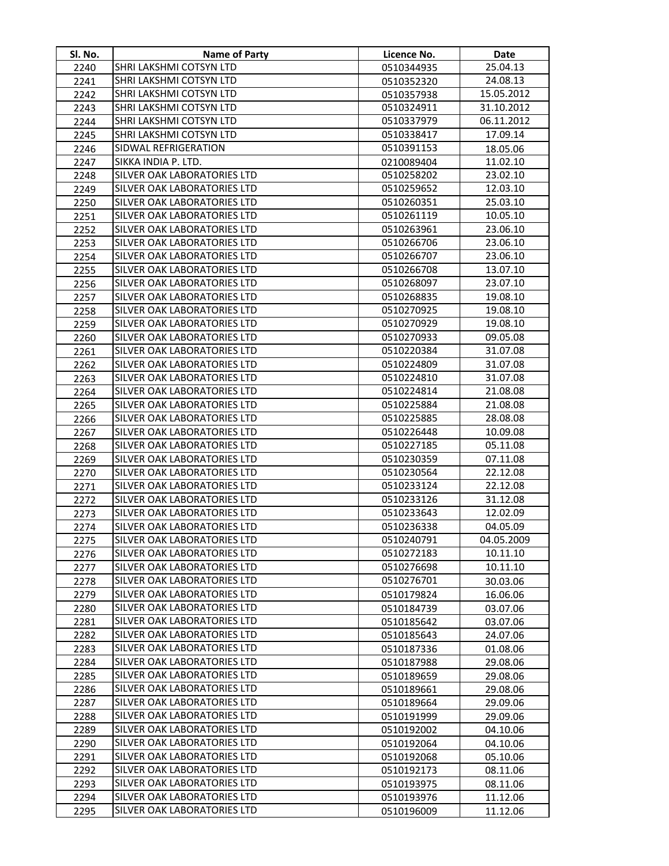| Sl. No. | <b>Name of Party</b>               | Licence No. | Date       |
|---------|------------------------------------|-------------|------------|
| 2240    | SHRI LAKSHMI COTSYN LTD            | 0510344935  | 25.04.13   |
| 2241    | SHRI LAKSHMI COTSYN LTD            | 0510352320  | 24.08.13   |
| 2242    | SHRI LAKSHMI COTSYN LTD            | 0510357938  | 15.05.2012 |
| 2243    | SHRI LAKSHMI COTSYN LTD            | 0510324911  | 31.10.2012 |
| 2244    | SHRI LAKSHMI COTSYN LTD            | 0510337979  | 06.11.2012 |
| 2245    | SHRI LAKSHMI COTSYN LTD            | 0510338417  | 17.09.14   |
| 2246    | SIDWAL REFRIGERATION               | 0510391153  | 18.05.06   |
| 2247    | SIKKA INDIA P. LTD.                | 0210089404  | 11.02.10   |
| 2248    | SILVER OAK LABORATORIES LTD        | 0510258202  | 23.02.10   |
| 2249    | SILVER OAK LABORATORIES LTD        | 0510259652  | 12.03.10   |
| 2250    | SILVER OAK LABORATORIES LTD        | 0510260351  | 25.03.10   |
| 2251    | SILVER OAK LABORATORIES LTD        | 0510261119  | 10.05.10   |
| 2252    | SILVER OAK LABORATORIES LTD        | 0510263961  | 23.06.10   |
| 2253    | SILVER OAK LABORATORIES LTD        | 0510266706  | 23.06.10   |
| 2254    | SILVER OAK LABORATORIES LTD        | 0510266707  | 23.06.10   |
| 2255    | SILVER OAK LABORATORIES LTD        | 0510266708  | 13.07.10   |
| 2256    | SILVER OAK LABORATORIES LTD        | 0510268097  | 23.07.10   |
| 2257    | SILVER OAK LABORATORIES LTD        | 0510268835  | 19.08.10   |
| 2258    | SILVER OAK LABORATORIES LTD        | 0510270925  | 19.08.10   |
| 2259    | SILVER OAK LABORATORIES LTD        | 0510270929  | 19.08.10   |
| 2260    | SILVER OAK LABORATORIES LTD        | 0510270933  | 09.05.08   |
| 2261    | SILVER OAK LABORATORIES LTD        | 0510220384  | 31.07.08   |
| 2262    | <b>SILVER OAK LABORATORIES LTD</b> | 0510224809  | 31.07.08   |
| 2263    | SILVER OAK LABORATORIES LTD        | 0510224810  | 31.07.08   |
| 2264    | SILVER OAK LABORATORIES LTD        | 0510224814  | 21.08.08   |
| 2265    | SILVER OAK LABORATORIES LTD        | 0510225884  | 21.08.08   |
| 2266    | SILVER OAK LABORATORIES LTD        | 0510225885  | 28.08.08   |
| 2267    | SILVER OAK LABORATORIES LTD        | 0510226448  | 10.09.08   |
| 2268    | SILVER OAK LABORATORIES LTD        | 0510227185  | 05.11.08   |
| 2269    | SILVER OAK LABORATORIES LTD        | 0510230359  | 07.11.08   |
| 2270    | <b>SILVER OAK LABORATORIES LTD</b> | 0510230564  | 22.12.08   |
| 2271    | SILVER OAK LABORATORIES LTD        | 0510233124  | 22.12.08   |
| 2272    | SILVER OAK LABORATORIES LTD        | 0510233126  | 31.12.08   |
| 2273    | SILVER OAK LABORATORIES LTD        | 0510233643  | 12.02.09   |
| 2274    | SILVER OAK LABORATORIES LTD        | 0510236338  | 04.05.09   |
| 2275    | SILVER OAK LABORATORIES LTD        | 0510240791  | 04.05.2009 |
| 2276    | SILVER OAK LABORATORIES LTD        | 0510272183  | 10.11.10   |
| 2277    | SILVER OAK LABORATORIES LTD        | 0510276698  | 10.11.10   |
| 2278    | SILVER OAK LABORATORIES LTD        | 0510276701  | 30.03.06   |
| 2279    | SILVER OAK LABORATORIES LTD        | 0510179824  | 16.06.06   |
| 2280    | SILVER OAK LABORATORIES LTD        | 0510184739  | 03.07.06   |
| 2281    | SILVER OAK LABORATORIES LTD        | 0510185642  | 03.07.06   |
| 2282    | SILVER OAK LABORATORIES LTD        | 0510185643  | 24.07.06   |
| 2283    | <b>SILVER OAK LABORATORIES LTD</b> | 0510187336  | 01.08.06   |
| 2284    | SILVER OAK LABORATORIES LTD        | 0510187988  | 29.08.06   |
| 2285    | <b>SILVER OAK LABORATORIES LTD</b> | 0510189659  | 29.08.06   |
| 2286    | SILVER OAK LABORATORIES LTD        | 0510189661  | 29.08.06   |
| 2287    | SILVER OAK LABORATORIES LTD        | 0510189664  | 29.09.06   |
| 2288    | SILVER OAK LABORATORIES LTD        | 0510191999  | 29.09.06   |
| 2289    | SILVER OAK LABORATORIES LTD        | 0510192002  | 04.10.06   |
| 2290    | SILVER OAK LABORATORIES LTD        | 0510192064  | 04.10.06   |
| 2291    | SILVER OAK LABORATORIES LTD        | 0510192068  | 05.10.06   |
| 2292    | SILVER OAK LABORATORIES LTD        | 0510192173  | 08.11.06   |
| 2293    | SILVER OAK LABORATORIES LTD        | 0510193975  | 08.11.06   |
| 2294    | SILVER OAK LABORATORIES LTD        | 0510193976  | 11.12.06   |
| 2295    | SILVER OAK LABORATORIES LTD        | 0510196009  | 11.12.06   |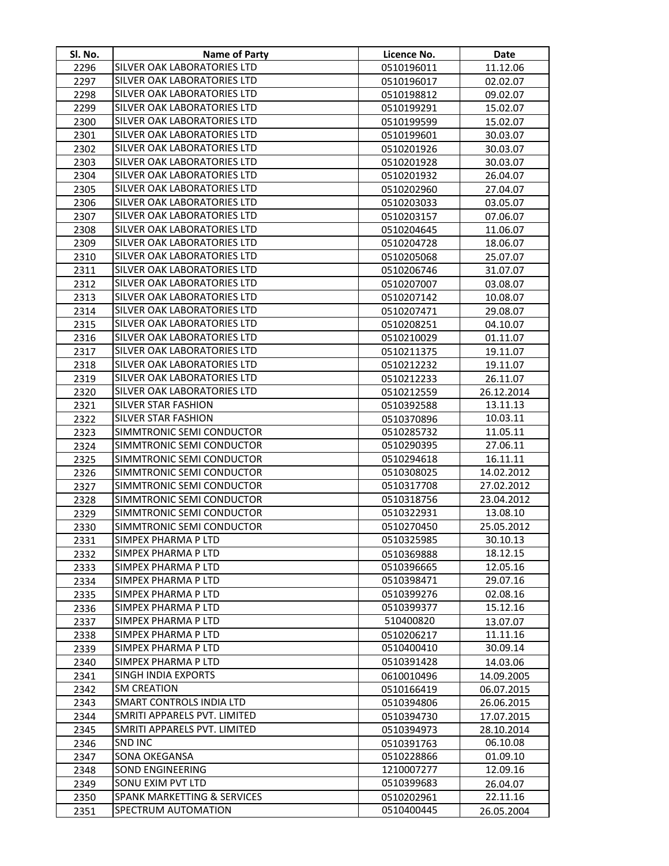| SI. No. | Name of Party                                                      | Licence No.              | <b>Date</b> |
|---------|--------------------------------------------------------------------|--------------------------|-------------|
| 2296    | SILVER OAK LABORATORIES LTD                                        | 0510196011               | 11.12.06    |
| 2297    | SILVER OAK LABORATORIES LTD                                        | 0510196017               | 02.02.07    |
| 2298    | SILVER OAK LABORATORIES LTD                                        | 0510198812               | 09.02.07    |
| 2299    | SILVER OAK LABORATORIES LTD                                        | 0510199291               | 15.02.07    |
| 2300    | SILVER OAK LABORATORIES LTD                                        | 0510199599               | 15.02.07    |
| 2301    | SILVER OAK LABORATORIES LTD                                        | 0510199601               | 30.03.07    |
| 2302    | SILVER OAK LABORATORIES LTD                                        | 0510201926               | 30.03.07    |
| 2303    | SILVER OAK LABORATORIES LTD                                        | 0510201928               | 30.03.07    |
| 2304    | SILVER OAK LABORATORIES LTD                                        | 0510201932               | 26.04.07    |
| 2305    | SILVER OAK LABORATORIES LTD                                        | 0510202960               | 27.04.07    |
| 2306    | <b>SILVER OAK LABORATORIES LTD</b>                                 | 0510203033               | 03.05.07    |
| 2307    | SILVER OAK LABORATORIES LTD                                        | 0510203157               | 07.06.07    |
| 2308    | SILVER OAK LABORATORIES LTD                                        | 0510204645               | 11.06.07    |
| 2309    | SILVER OAK LABORATORIES LTD                                        | 0510204728               | 18.06.07    |
| 2310    | SILVER OAK LABORATORIES LTD                                        | 0510205068               | 25.07.07    |
| 2311    | SILVER OAK LABORATORIES LTD                                        | 0510206746               | 31.07.07    |
| 2312    | SILVER OAK LABORATORIES LTD                                        | 0510207007               | 03.08.07    |
| 2313    | SILVER OAK LABORATORIES LTD                                        | 0510207142               | 10.08.07    |
| 2314    | <b>SILVER OAK LABORATORIES LTD</b>                                 | 0510207471               | 29.08.07    |
| 2315    | SILVER OAK LABORATORIES LTD                                        | 0510208251               | 04.10.07    |
| 2316    | SILVER OAK LABORATORIES LTD                                        | 0510210029               | 01.11.07    |
| 2317    | SILVER OAK LABORATORIES LTD                                        | 0510211375               | 19.11.07    |
| 2318    | <b>SILVER OAK LABORATORIES LTD</b>                                 | 0510212232               | 19.11.07    |
| 2319    | SILVER OAK LABORATORIES LTD                                        | 0510212233               | 26.11.07    |
| 2320    | SILVER OAK LABORATORIES LTD                                        | 0510212559               | 26.12.2014  |
| 2321    | <b>SILVER STAR FASHION</b>                                         | 0510392588               | 13.11.13    |
| 2322    | <b>SILVER STAR FASHION</b>                                         | 0510370896               | 10.03.11    |
| 2323    | SIMMTRONIC SEMI CONDUCTOR                                          | 0510285732               | 11.05.11    |
| 2324    | SIMMTRONIC SEMI CONDUCTOR                                          | 0510290395               | 27.06.11    |
| 2325    | SIMMTRONIC SEMI CONDUCTOR                                          | 0510294618               | 16.11.11    |
| 2326    | SIMMTRONIC SEMI CONDUCTOR                                          | 0510308025               | 14.02.2012  |
| 2327    | SIMMTRONIC SEMI CONDUCTOR                                          | 0510317708               | 27.02.2012  |
| 2328    | SIMMTRONIC SEMI CONDUCTOR                                          | 0510318756               | 23.04.2012  |
| 2329    | SIMMTRONIC SEMI CONDUCTOR                                          | 0510322931               | 13.08.10    |
| 2330    | SIMMTRONIC SEMI CONDUCTOR                                          | 0510270450               | 25.05.2012  |
| 2331    | SIMPEX PHARMA P LTD                                                | 0510325985               | 30.10.13    |
| 2332    | SIMPEX PHARMA P LTD                                                | 0510369888               | 18.12.15    |
| 2333    | SIMPEX PHARMA P LTD                                                | 0510396665               | 12.05.16    |
| 2334    | SIMPEX PHARMA P LTD                                                | 0510398471               | 29.07.16    |
| 2335    | SIMPEX PHARMA P LTD                                                | 0510399276               | 02.08.16    |
| 2336    | SIMPEX PHARMA P LTD                                                | 0510399377               | 15.12.16    |
| 2337    | SIMPEX PHARMA P LTD                                                | 510400820                | 13.07.07    |
| 2338    | SIMPEX PHARMA P LTD                                                | 0510206217               | 11.11.16    |
| 2339    | SIMPEX PHARMA P LTD                                                | 0510400410               | 30.09.14    |
| 2340    | SIMPEX PHARMA P LTD                                                | 0510391428               | 14.03.06    |
| 2341    | <b>SINGH INDIA EXPORTS</b>                                         | 0610010496               | 14.09.2005  |
| 2342    | <b>SM CREATION</b>                                                 | 0510166419               | 06.07.2015  |
| 2343    | <b>SMART CONTROLS INDIA LTD</b>                                    | 0510394806               | 26.06.2015  |
| 2344    | SMRITI APPARELS PVT. LIMITED                                       | 0510394730               | 17.07.2015  |
| 2345    | SMRITI APPARELS PVT. LIMITED                                       | 0510394973               | 28.10.2014  |
| 2346    | <b>SND INC</b>                                                     | 0510391763               | 06.10.08    |
| 2347    | <b>SONA OKEGANSA</b>                                               | 0510228866               | 01.09.10    |
| 2348    | <b>SOND ENGINEERING</b>                                            | 1210007277               | 12.09.16    |
| 2349    | <b>SONU EXIM PVT LTD</b><br><b>SPANK MARKETTING &amp; SERVICES</b> | 0510399683               | 26.04.07    |
| 2350    | <b>SPECTRUM AUTOMATION</b>                                         | 0510202961<br>0510400445 | 22.11.16    |
| 2351    |                                                                    |                          | 26.05.2004  |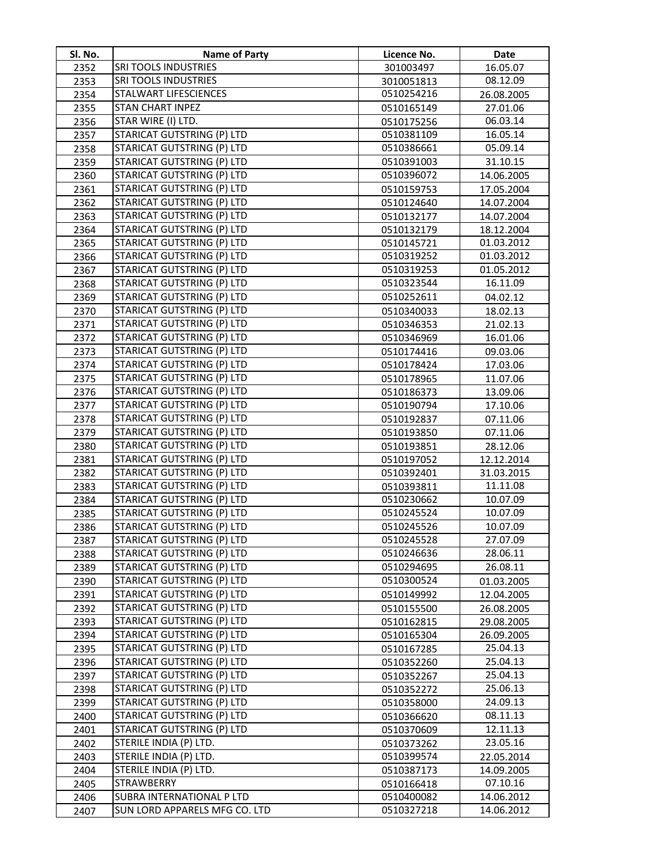| SI. No.      | Name of Party                                    | Licence No.              | <b>Date</b>            |
|--------------|--------------------------------------------------|--------------------------|------------------------|
| 2352         | <b>SRI TOOLS INDUSTRIES</b>                      | 301003497                | 16.05.07               |
| 2353         | <b>SRI TOOLS INDUSTRIES</b>                      | 3010051813               | 08.12.09               |
| 2354         | <b>STALWART LIFESCIENCES</b>                     | 0510254216               | 26.08.2005             |
| 2355         | <b>STAN CHART INPEZ</b>                          | 0510165149               | 27.01.06               |
| 2356         | STAR WIRE (I) LTD.                               | 0510175256               | 06.03.14               |
| 2357         | <b>STARICAT GUTSTRING (P) LTD</b>                | 0510381109               | 16.05.14               |
| 2358         | <b>STARICAT GUTSTRING (P) LTD</b>                | 0510386661               | 05.09.14               |
| 2359         | <b>STARICAT GUTSTRING (P) LTD</b>                | 0510391003               | 31.10.15               |
| 2360         | <b>STARICAT GUTSTRING (P) LTD</b>                | 0510396072               | 14.06.2005             |
| 2361         | <b>STARICAT GUTSTRING (P) LTD</b>                | 0510159753               | 17.05.2004             |
| 2362         | <b>STARICAT GUTSTRING (P) LTD</b>                | 0510124640               | 14.07.2004             |
| 2363         | <b>STARICAT GUTSTRING (P) LTD</b>                | 0510132177               | 14.07.2004             |
| 2364         | <b>STARICAT GUTSTRING (P) LTD</b>                | 0510132179               | 18.12.2004             |
| 2365         | STARICAT GUTSTRING (P) LTD                       | 0510145721               | 01.03.2012             |
| 2366         | <b>STARICAT GUTSTRING (P) LTD</b>                | 0510319252               | 01.03.2012             |
| 2367         | <b>STARICAT GUTSTRING (P) LTD</b>                | 0510319253               | 01.05.2012             |
| 2368         | STARICAT GUTSTRING (P) LTD                       | 0510323544               | 16.11.09               |
| 2369         | STARICAT GUTSTRING (P) LTD                       | 0510252611               | 04.02.12               |
| 2370         | <b>STARICAT GUTSTRING (P) LTD</b>                | 0510340033               | 18.02.13               |
| 2371         | <b>STARICAT GUTSTRING (P) LTD</b>                | 0510346353               | 21.02.13               |
| 2372         | <b>STARICAT GUTSTRING (P) LTD</b>                | 0510346969               | 16.01.06               |
| 2373         | <b>STARICAT GUTSTRING (P) LTD</b>                | 0510174416               | 09.03.06               |
| 2374         | <b>STARICAT GUTSTRING (P) LTD</b>                | 0510178424               | 17.03.06               |
| 2375         | <b>STARICAT GUTSTRING (P) LTD</b>                | 0510178965               | 11.07.06               |
| 2376         | <b>STARICAT GUTSTRING (P) LTD</b>                | 0510186373               | 13.09.06               |
| 2377         | <b>STARICAT GUTSTRING (P) LTD</b>                | 0510190794               | 17.10.06               |
| 2378         | <b>STARICAT GUTSTRING (P) LTD</b>                | 0510192837               | 07.11.06               |
| 2379         | <b>STARICAT GUTSTRING (P) LTD</b>                | 0510193850               | 07.11.06               |
| 2380         | <b>STARICAT GUTSTRING (P) LTD</b>                | 0510193851               | 28.12.06               |
| 2381         | <b>STARICAT GUTSTRING (P) LTD</b>                | 0510197052               | 12.12.2014             |
| 2382         | <b>STARICAT GUTSTRING (P) LTD</b>                | 0510392401               | 31.03.2015             |
| 2383         | STARICAT GUTSTRING (P) LTD                       | 0510393811               | 11.11.08               |
| 2384         | <b>STARICAT GUTSTRING (P) LTD</b>                | 0510230662               | 10.07.09               |
| 2385         | <b>STARICAT GUTSTRING (P) LTD</b>                | 0510245524               | 10.07.09               |
| 2386         | <b>STARICAT GUTSTRING (P) LTD</b>                | 0510245526               | 10.07.09               |
| 2387         | STARICAT GUTSTRING (P) LTD                       | 0510245528               | 27.07.09               |
| 2388         | <b>STARICAT GUTSTRING (P) LTD</b>                | 0510246636               | 28.06.11               |
| 2389         | <b>STARICAT GUTSTRING (P) LTD</b>                | 0510294695               | 26.08.11               |
| 2390         | <b>STARICAT GUTSTRING (P) LTD</b>                | 0510300524               | 01.03.2005             |
| 2391         | <b>STARICAT GUTSTRING (P) LTD</b>                | 0510149992               | 12.04.2005             |
| 2392         | <b>STARICAT GUTSTRING (P) LTD</b>                | 0510155500               | 26.08.2005             |
| 2393         | <b>STARICAT GUTSTRING (P) LTD</b>                | 0510162815               | 29.08.2005             |
| 2394         | <b>STARICAT GUTSTRING (P) LTD</b>                | 0510165304               | 26.09.2005             |
| 2395         | <b>STARICAT GUTSTRING (P) LTD</b>                | 0510167285               | 25.04.13               |
| 2396         | STARICAT GUTSTRING (P) LTD                       | 0510352260               | 25.04.13               |
| 2397         | <b>STARICAT GUTSTRING (P) LTD</b>                | 0510352267               | 25.04.13               |
| 2398         | STARICAT GUTSTRING (P) LTD                       | 0510352272               | 25.06.13               |
| 2399         | STARICAT GUTSTRING (P) LTD                       | 0510358000               | 24.09.13               |
| 2400         | STARICAT GUTSTRING (P) LTD                       | 0510366620               | 08.11.13               |
| 2401         | STARICAT GUTSTRING (P) LTD                       | 0510370609               | 12.11.13               |
| 2402         | STERILE INDIA (P) LTD.<br>STERILE INDIA (P) LTD. | 0510373262               | 23.05.16               |
| 2403         |                                                  | 0510399574               | 22.05.2014             |
| 2404         | STERILE INDIA (P) LTD.<br>STRAWBERRY             | 0510387173               | 14.09.2005<br>07.10.16 |
| 2405<br>2406 | SUBRA INTERNATIONAL P LTD                        | 0510166418<br>0510400082 | 14.06.2012             |
| 2407         | SUN LORD APPARELS MFG CO. LTD                    | 0510327218               | 14.06.2012             |
|              |                                                  |                          |                        |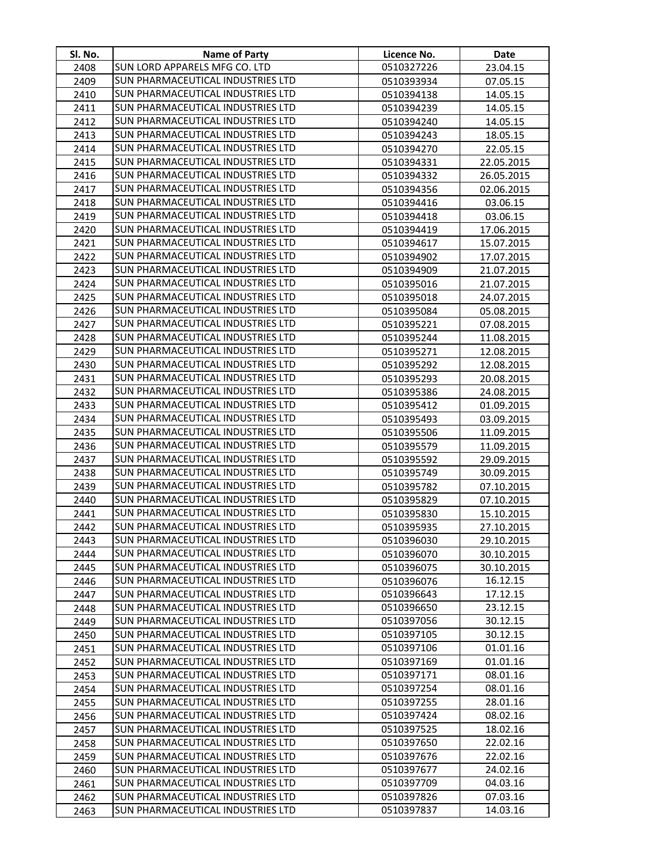| SI. No.      | <b>Name of Party</b>                                                          | Licence No.              | Date                   |
|--------------|-------------------------------------------------------------------------------|--------------------------|------------------------|
| 2408         | SUN LORD APPARELS MFG CO. LTD                                                 | 0510327226               | 23.04.15               |
| 2409         | SUN PHARMACEUTICAL INDUSTRIES LTD                                             | 0510393934               | 07.05.15               |
| 2410         | SUN PHARMACEUTICAL INDUSTRIES LTD                                             | 0510394138               | 14.05.15               |
| 2411         | SUN PHARMACEUTICAL INDUSTRIES LTD                                             | 0510394239               | 14.05.15               |
| 2412         | SUN PHARMACEUTICAL INDUSTRIES LTD                                             | 0510394240               | 14.05.15               |
| 2413         | SUN PHARMACEUTICAL INDUSTRIES LTD                                             | 0510394243               | 18.05.15               |
| 2414         | SUN PHARMACEUTICAL INDUSTRIES LTD                                             | 0510394270               | 22.05.15               |
| 2415         | SUN PHARMACEUTICAL INDUSTRIES LTD                                             | 0510394331               | 22.05.2015             |
| 2416         | SUN PHARMACEUTICAL INDUSTRIES LTD                                             | 0510394332               | 26.05.2015             |
| 2417         | SUN PHARMACEUTICAL INDUSTRIES LTD                                             | 0510394356               | 02.06.2015             |
| 2418         | SUN PHARMACEUTICAL INDUSTRIES LTD                                             | 0510394416               | 03.06.15               |
| 2419         | SUN PHARMACEUTICAL INDUSTRIES LTD                                             | 0510394418               | 03.06.15               |
| 2420         | SUN PHARMACEUTICAL INDUSTRIES LTD                                             | 0510394419               | 17.06.2015             |
| 2421         | SUN PHARMACEUTICAL INDUSTRIES LTD                                             | 0510394617               | 15.07.2015             |
| 2422         | SUN PHARMACEUTICAL INDUSTRIES LTD                                             | 0510394902               | 17.07.2015             |
| 2423         | SUN PHARMACEUTICAL INDUSTRIES LTD                                             | 0510394909               | 21.07.2015             |
| 2424         | SUN PHARMACEUTICAL INDUSTRIES LTD                                             | 0510395016               | 21.07.2015             |
| 2425         | SUN PHARMACEUTICAL INDUSTRIES LTD                                             | 0510395018               | 24.07.2015             |
| 2426         | SUN PHARMACEUTICAL INDUSTRIES LTD                                             | 0510395084               | 05.08.2015             |
| 2427         | <b>SUN PHARMACEUTICAL INDUSTRIES LTD</b>                                      | 0510395221               | 07.08.2015             |
| 2428         | SUN PHARMACEUTICAL INDUSTRIES LTD                                             | 0510395244               | 11.08.2015             |
| 2429         | <b>SUN PHARMACEUTICAL INDUSTRIES LTD</b>                                      | 0510395271               | 12.08.2015             |
| 2430         | <b>SUN PHARMACEUTICAL INDUSTRIES LTD</b>                                      | 0510395292               | 12.08.2015             |
| 2431         | <b>SUN PHARMACEUTICAL INDUSTRIES LTD</b>                                      | 0510395293               | 20.08.2015             |
| 2432         | <b>SUN PHARMACEUTICAL INDUSTRIES LTD</b>                                      | 0510395386               | 24.08.2015             |
| 2433         | <b>SUN PHARMACEUTICAL INDUSTRIES LTD</b>                                      | 0510395412               | 01.09.2015             |
| 2434         | <b>SUN PHARMACEUTICAL INDUSTRIES LTD</b>                                      | 0510395493               | 03.09.2015             |
| 2435         | <b>SUN PHARMACEUTICAL INDUSTRIES LTD</b>                                      | 0510395506               | 11.09.2015             |
| 2436         | <b>SUN PHARMACEUTICAL INDUSTRIES LTD</b>                                      | 0510395579               | 11.09.2015             |
| 2437         | <b>SUN PHARMACEUTICAL INDUSTRIES LTD</b>                                      | 0510395592               | 29.09.2015             |
| 2438         | <b>SUN PHARMACEUTICAL INDUSTRIES LTD</b>                                      | 0510395749               | 30.09.2015             |
| 2439         | SUN PHARMACEUTICAL INDUSTRIES LTD                                             | 0510395782               | 07.10.2015             |
| 2440         | SUN PHARMACEUTICAL INDUSTRIES LTD<br><b>SUN PHARMACEUTICAL INDUSTRIES LTD</b> | 0510395829               | 07.10.2015             |
| 2441         |                                                                               | 0510395830               | 15.10.2015             |
| 2442         | SUN PHARMACEUTICAL INDUSTRIES LTD                                             | 0510395935               | 27.10.2015             |
| 2443         | SUN PHARMACEUTICAL INDUSTRIES LTD<br>SUN PHARMACEUTICAL INDUSTRIES LTD        | 0510396030               | 29.10.2015             |
| 2444<br>2445 | <b>SUN PHARMACEUTICAL INDUSTRIES LTD</b>                                      | 0510396070               | 30.10.2015             |
| 2446         | SUN PHARMACEUTICAL INDUSTRIES LTD                                             | 0510396075<br>0510396076 | 30.10.2015<br>16.12.15 |
| 2447         | SUN PHARMACEUTICAL INDUSTRIES LTD                                             | 0510396643               | 17.12.15               |
| 2448         | SUN PHARMACEUTICAL INDUSTRIES LTD                                             | 0510396650               | 23.12.15               |
| 2449         | <b>SUN PHARMACEUTICAL INDUSTRIES LTD</b>                                      | 0510397056               | 30.12.15               |
| 2450         | <b>SUN PHARMACEUTICAL INDUSTRIES LTD</b>                                      | 0510397105               | 30.12.15               |
| 2451         | SUN PHARMACEUTICAL INDUSTRIES LTD                                             | 0510397106               | 01.01.16               |
| 2452         | <b>SUN PHARMACEUTICAL INDUSTRIES LTD</b>                                      | 0510397169               | 01.01.16               |
| 2453         | SUN PHARMACEUTICAL INDUSTRIES LTD                                             | 0510397171               | 08.01.16               |
| 2454         | <b>SUN PHARMACEUTICAL INDUSTRIES LTD</b>                                      | 0510397254               | 08.01.16               |
| 2455         | SUN PHARMACEUTICAL INDUSTRIES LTD                                             | 0510397255               | 28.01.16               |
| 2456         | SUN PHARMACEUTICAL INDUSTRIES LTD                                             | 0510397424               | 08.02.16               |
| 2457         | SUN PHARMACEUTICAL INDUSTRIES LTD                                             | 0510397525               | 18.02.16               |
| 2458         | <b>SUN PHARMACEUTICAL INDUSTRIES LTD</b>                                      | 0510397650               | 22.02.16               |
| 2459         | SUN PHARMACEUTICAL INDUSTRIES LTD                                             | 0510397676               | 22.02.16               |
| 2460         | <b>SUN PHARMACEUTICAL INDUSTRIES LTD</b>                                      | 0510397677               | 24.02.16               |
| 2461         | SUN PHARMACEUTICAL INDUSTRIES LTD                                             | 0510397709               | 04.03.16               |
| 2462         | <b>SUN PHARMACEUTICAL INDUSTRIES LTD</b>                                      | 0510397826               | 07.03.16               |
| 2463         | <b>SUN PHARMACEUTICAL INDUSTRIES LTD</b>                                      | 0510397837               | 14.03.16               |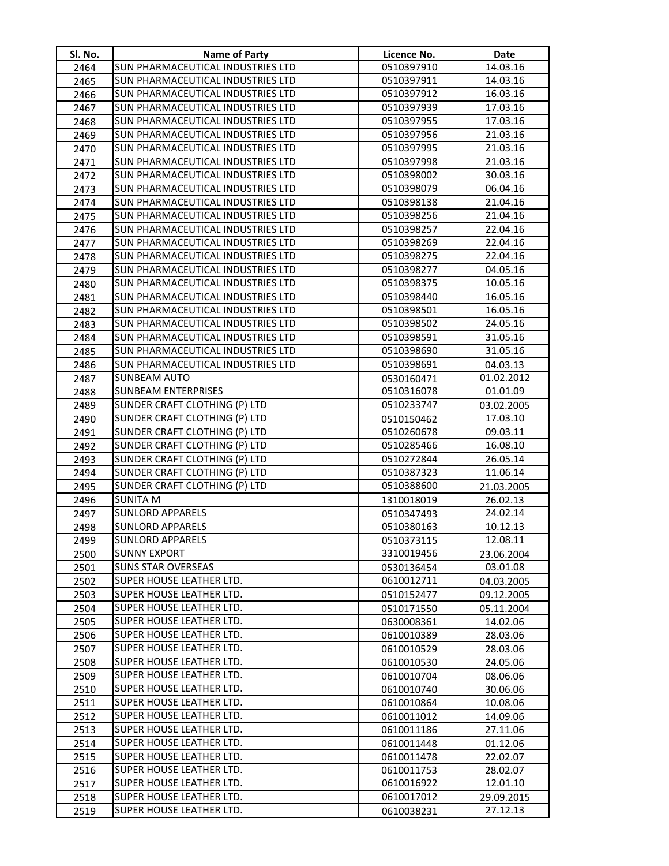| Sl. No.      | <b>Name of Party</b>                                               | Licence No.              | Date                 |
|--------------|--------------------------------------------------------------------|--------------------------|----------------------|
| 2464         | SUN PHARMACEUTICAL INDUSTRIES LTD                                  | 0510397910               | 14.03.16             |
| 2465         | <b>SUN PHARMACEUTICAL INDUSTRIES LTD</b>                           | 0510397911               | 14.03.16             |
| 2466         | <b>SUN PHARMACEUTICAL INDUSTRIES LTD</b>                           | 0510397912               | 16.03.16             |
| 2467         | <b>SUN PHARMACEUTICAL INDUSTRIES LTD</b>                           | 0510397939               | 17.03.16             |
| 2468         | SUN PHARMACEUTICAL INDUSTRIES LTD                                  | 0510397955               | 17.03.16             |
| 2469         | SUN PHARMACEUTICAL INDUSTRIES LTD                                  | 0510397956               | 21.03.16             |
| 2470         | SUN PHARMACEUTICAL INDUSTRIES LTD                                  | 0510397995               | 21.03.16             |
| 2471         | SUN PHARMACEUTICAL INDUSTRIES LTD                                  | 0510397998               | 21.03.16             |
| 2472         | SUN PHARMACEUTICAL INDUSTRIES LTD                                  | 0510398002               | 30.03.16             |
| 2473         | SUN PHARMACEUTICAL INDUSTRIES LTD                                  | 0510398079               | 06.04.16             |
| 2474         | SUN PHARMACEUTICAL INDUSTRIES LTD                                  | 0510398138               | 21.04.16             |
| 2475         | SUN PHARMACEUTICAL INDUSTRIES LTD                                  | 0510398256               | 21.04.16             |
| 2476         | SUN PHARMACEUTICAL INDUSTRIES LTD                                  | 0510398257               | 22.04.16             |
| 2477         | SUN PHARMACEUTICAL INDUSTRIES LTD                                  | 0510398269               | 22.04.16             |
| 2478         | <b>SUN PHARMACEUTICAL INDUSTRIES LTD</b>                           | 0510398275               | 22.04.16             |
| 2479         | <b>SUN PHARMACEUTICAL INDUSTRIES LTD</b>                           | 0510398277               | 04.05.16             |
| 2480         | SUN PHARMACEUTICAL INDUSTRIES LTD                                  | 0510398375               | 10.05.16             |
| 2481         | SUN PHARMACEUTICAL INDUSTRIES LTD                                  | 0510398440               | 16.05.16             |
| 2482         | <b>SUN PHARMACEUTICAL INDUSTRIES LTD</b>                           | 0510398501               | 16.05.16             |
| 2483         | <b>SUN PHARMACEUTICAL INDUSTRIES LTD</b>                           | 0510398502               | 24.05.16             |
| 2484         | <b>SUN PHARMACEUTICAL INDUSTRIES LTD</b>                           | 0510398591               | 31.05.16             |
| 2485         | <b>SUN PHARMACEUTICAL INDUSTRIES LTD</b>                           | 0510398690               | 31.05.16             |
| 2486         | SUN PHARMACEUTICAL INDUSTRIES LTD                                  | 0510398691               | 04.03.13             |
| 2487         | <b>SUNBEAM AUTO</b>                                                | 0530160471               | 01.02.2012           |
| 2488         | <b>SUNBEAM ENTERPRISES</b>                                         | 0510316078               | 01.01.09             |
| 2489         | SUNDER CRAFT CLOTHING (P) LTD                                      | 0510233747               | 03.02.2005           |
| 2490         | SUNDER CRAFT CLOTHING (P) LTD                                      | 0510150462               | 17.03.10             |
| 2491         | SUNDER CRAFT CLOTHING (P) LTD                                      | 0510260678               | 09.03.11             |
| 2492         | SUNDER CRAFT CLOTHING (P) LTD                                      | 0510285466               | 16.08.10             |
| 2493         | SUNDER CRAFT CLOTHING (P) LTD                                      | 0510272844               | 26.05.14             |
| 2494         | SUNDER CRAFT CLOTHING (P) LTD                                      | 0510387323               | 11.06.14             |
| 2495         | SUNDER CRAFT CLOTHING (P) LTD                                      | 0510388600               | 21.03.2005           |
| 2496         | <b>SUNITA M</b>                                                    | 1310018019               | 26.02.13             |
| 2497         | <b>SUNLORD APPARELS</b>                                            | 0510347493               | 24.02.14             |
| 2498         | <b>SUNLORD APPARELS</b>                                            | 0510380163               | 10.12.13             |
| 2499         | <b>SUNLORD APPARELS</b>                                            | 0510373115               | 12.08.11             |
| 2500         | <b>SUNNY EXPORT</b>                                                | 3310019456               | 23.06.2004           |
| 2501         | <b>SUNS STAR OVERSEAS</b>                                          | 0530136454               | 03.01.08             |
| 2502         | SUPER HOUSE LEATHER LTD.                                           | 0610012711               | 04.03.2005           |
| 2503         | <b>SUPER HOUSE LEATHER LTD.</b>                                    | 0510152477               | 09.12.2005           |
| 2504         | <b>SUPER HOUSE LEATHER LTD.</b><br><b>SUPER HOUSE LEATHER LTD.</b> | 0510171550               | 05.11.2004           |
| 2505         | <b>SUPER HOUSE LEATHER LTD.</b>                                    | 0630008361               | 14.02.06             |
| 2506         | <b>SUPER HOUSE LEATHER LTD.</b>                                    | 0610010389               | 28.03.06             |
| 2507         | <b>SUPER HOUSE LEATHER LTD.</b>                                    | 0610010529               | 28.03.06             |
| 2508         | <b>SUPER HOUSE LEATHER LTD.</b>                                    | 0610010530               | 24.05.06             |
| 2509<br>2510 | SUPER HOUSE LEATHER LTD.                                           | 0610010704<br>0610010740 | 08.06.06<br>30.06.06 |
| 2511         | <b>SUPER HOUSE LEATHER LTD.</b>                                    |                          |                      |
| 2512         | <b>SUPER HOUSE LEATHER LTD.</b>                                    | 0610010864<br>0610011012 | 10.08.06<br>14.09.06 |
| 2513         | SUPER HOUSE LEATHER LTD.                                           | 0610011186               | 27.11.06             |
| 2514         | SUPER HOUSE LEATHER LTD.                                           | 0610011448               | 01.12.06             |
| 2515         | SUPER HOUSE LEATHER LTD.                                           | 0610011478               | 22.02.07             |
| 2516         | SUPER HOUSE LEATHER LTD.                                           | 0610011753               | 28.02.07             |
| 2517         | SUPER HOUSE LEATHER LTD.                                           | 0610016922               | 12.01.10             |
| 2518         | SUPER HOUSE LEATHER LTD.                                           | 0610017012               | 29.09.2015           |
| 2519         | <b>SUPER HOUSE LEATHER LTD.</b>                                    | 0610038231               | 27.12.13             |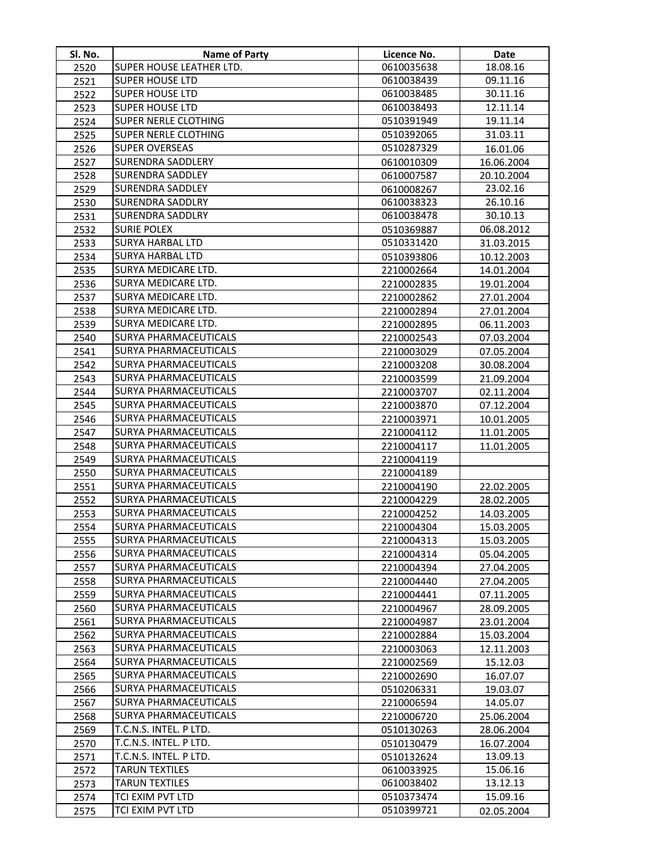| SI. No.      | <b>Name of Party</b>                                         | Licence No.              | Date                     |
|--------------|--------------------------------------------------------------|--------------------------|--------------------------|
| 2520         | SUPER HOUSE LEATHER LTD.                                     | 0610035638               | 18.08.16                 |
| 2521         | <b>SUPER HOUSE LTD</b>                                       | 0610038439               | 09.11.16                 |
| 2522         | <b>SUPER HOUSE LTD</b>                                       | 0610038485               | 30.11.16                 |
| 2523         | <b>SUPER HOUSE LTD</b>                                       | 0610038493               | 12.11.14                 |
| 2524         | <b>SUPER NERLE CLOTHING</b>                                  | 0510391949               | 19.11.14                 |
| 2525         | <b>SUPER NERLE CLOTHING</b>                                  | 0510392065               | 31.03.11                 |
| 2526         | <b>SUPER OVERSEAS</b>                                        | 0510287329               | 16.01.06                 |
| 2527         | <b>SURENDRA SADDLERY</b>                                     | 0610010309               | 16.06.2004               |
| 2528         | <b>SURENDRA SADDLEY</b>                                      | 0610007587               | 20.10.2004               |
| 2529         | <b>SURENDRA SADDLEY</b>                                      | 0610008267               | 23.02.16                 |
| 2530         | <b>SURENDRA SADDLRY</b>                                      | 0610038323               | 26.10.16                 |
| 2531         | <b>SURENDRA SADDLRY</b>                                      | 0610038478               | 30.10.13                 |
| 2532         | <b>SURIE POLEX</b>                                           | 0510369887               | 06.08.2012               |
| 2533         | <b>SURYA HARBAL LTD</b>                                      | 0510331420               | 31.03.2015               |
| 2534         | <b>SURYA HARBAL LTD</b>                                      | 0510393806               | 10.12.2003               |
| 2535         | SURYA MEDICARE LTD.                                          | 2210002664               | 14.01.2004               |
| 2536         | SURYA MEDICARE LTD.                                          | 2210002835               | 19.01.2004               |
| 2537         | SURYA MEDICARE LTD.                                          | 2210002862               | 27.01.2004               |
| 2538         | SURYA MEDICARE LTD.                                          | 2210002894               | 27.01.2004               |
| 2539         | SURYA MEDICARE LTD.                                          | 2210002895               | 06.11.2003               |
| 2540         | <b>SURYA PHARMACEUTICALS</b>                                 | 2210002543               | 07.03.2004               |
| 2541         | <b>SURYA PHARMACEUTICALS</b>                                 | 2210003029               | 07.05.2004               |
| 2542         | <b>SURYA PHARMACEUTICALS</b>                                 | 2210003208               | 30.08.2004               |
| 2543         | <b>SURYA PHARMACEUTICALS</b><br><b>SURYA PHARMACEUTICALS</b> | 2210003599               | 21.09.2004               |
| 2544         | <b>SURYA PHARMACEUTICALS</b>                                 | 2210003707               | 02.11.2004               |
| 2545         | <b>SURYA PHARMACEUTICALS</b>                                 | 2210003870               | 07.12.2004               |
| 2546<br>2547 | <b>SURYA PHARMACEUTICALS</b>                                 | 2210003971               | 10.01.2005               |
| 2548         | <b>SURYA PHARMACEUTICALS</b>                                 | 2210004112<br>2210004117 | 11.01.2005<br>11.01.2005 |
| 2549         | <b>SURYA PHARMACEUTICALS</b>                                 | 2210004119               |                          |
| 2550         | <b>SURYA PHARMACEUTICALS</b>                                 | 2210004189               |                          |
| 2551         | <b>SURYA PHARMACEUTICALS</b>                                 | 2210004190               | 22.02.2005               |
| 2552         | <b>SURYA PHARMACEUTICALS</b>                                 | 2210004229               | 28.02.2005               |
| 2553         | <b>SURYA PHARMACEUTICALS</b>                                 | 2210004252               | 14.03.2005               |
| 2554         | SURYA PHARMACEUTICALS                                        | 2210004304               | 15.03.2005               |
| 2555         | <b>SURYA PHARMACEUTICALS</b>                                 | 2210004313               | 15.03.2005               |
| 2556         | SURYA PHARMACEUTICALS                                        | 2210004314               | 05.04.2005               |
| 2557         | <b>SURYA PHARMACEUTICALS</b>                                 | 2210004394               | 27.04.2005               |
| 2558         | <b>SURYA PHARMACEUTICALS</b>                                 | 2210004440               | 27.04.2005               |
| 2559         | <b>SURYA PHARMACEUTICALS</b>                                 | 2210004441               | 07.11.2005               |
| 2560         | <b>SURYA PHARMACEUTICALS</b>                                 | 2210004967               | 28.09.2005               |
| 2561         | <b>SURYA PHARMACEUTICALS</b>                                 | 2210004987               | 23.01.2004               |
| 2562         | <b>SURYA PHARMACEUTICALS</b>                                 | 2210002884               | 15.03.2004               |
| 2563         | <b>SURYA PHARMACEUTICALS</b>                                 | 2210003063               | 12.11.2003               |
| 2564         | <b>SURYA PHARMACEUTICALS</b>                                 | 2210002569               | 15.12.03                 |
| 2565         | <b>SURYA PHARMACEUTICALS</b>                                 | 2210002690               | 16.07.07                 |
| 2566         | <b>SURYA PHARMACEUTICALS</b>                                 | 0510206331               | 19.03.07                 |
| 2567         | <b>SURYA PHARMACEUTICALS</b>                                 | 2210006594               | 14.05.07                 |
| 2568         | <b>SURYA PHARMACEUTICALS</b>                                 | 2210006720               | 25.06.2004               |
| 2569         | T.C.N.S. INTEL. P LTD.                                       | 0510130263               | 28.06.2004               |
| 2570         | T.C.N.S. INTEL. P LTD.                                       | 0510130479               | 16.07.2004               |
| 2571         | T.C.N.S. INTEL. P LTD.                                       | 0510132624               | 13.09.13                 |
| 2572         | TARUN TEXTILES                                               | 0610033925               | 15.06.16                 |
| 2573         | TARUN TEXTILES                                               | 0610038402               | 13.12.13                 |
| 2574         | TCI EXIM PVT LTD                                             | 0510373474               | 15.09.16                 |
| 2575         | TCI EXIM PVT LTD                                             | 0510399721               | 02.05.2004               |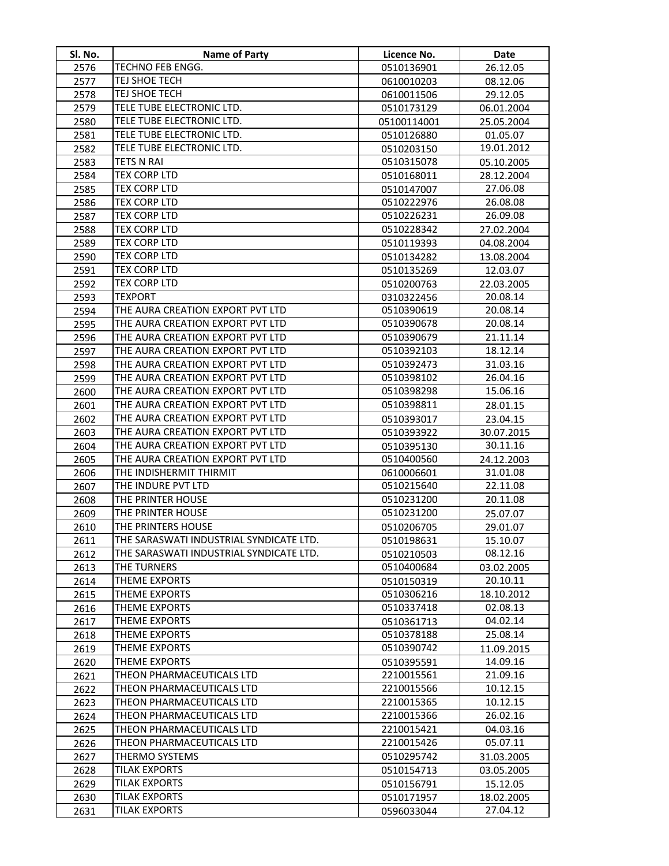| <b>Name of Party</b><br>TECHNO FEB ENGG.<br>2576<br>0510136901<br>26.12.05<br>TEJ SHOE TECH<br>2577<br>0610010203<br>08.12.06<br>TEJ SHOE TECH<br>2578<br>0610011506<br>29.12.05<br>TELE TUBE ELECTRONIC LTD.<br>2579<br>0510173129<br>06.01.2004<br>TELE TUBE ELECTRONIC LTD.<br>2580<br>05100114001<br>25.05.2004<br>TELE TUBE ELECTRONIC LTD.<br>2581<br>0510126880<br>01.05.07<br>TELE TUBE ELECTRONIC LTD.<br>19.01.2012<br>2582<br>0510203150<br><b>TETS N RAI</b><br>0510315078<br>2583<br>05.10.2005 |  |
|--------------------------------------------------------------------------------------------------------------------------------------------------------------------------------------------------------------------------------------------------------------------------------------------------------------------------------------------------------------------------------------------------------------------------------------------------------------------------------------------------------------|--|
|                                                                                                                                                                                                                                                                                                                                                                                                                                                                                                              |  |
|                                                                                                                                                                                                                                                                                                                                                                                                                                                                                                              |  |
|                                                                                                                                                                                                                                                                                                                                                                                                                                                                                                              |  |
|                                                                                                                                                                                                                                                                                                                                                                                                                                                                                                              |  |
|                                                                                                                                                                                                                                                                                                                                                                                                                                                                                                              |  |
|                                                                                                                                                                                                                                                                                                                                                                                                                                                                                                              |  |
|                                                                                                                                                                                                                                                                                                                                                                                                                                                                                                              |  |
|                                                                                                                                                                                                                                                                                                                                                                                                                                                                                                              |  |
| TEX CORP LTD<br>2584<br>28.12.2004<br>0510168011                                                                                                                                                                                                                                                                                                                                                                                                                                                             |  |
| TEX CORP LTD<br>27.06.08<br>2585<br>0510147007                                                                                                                                                                                                                                                                                                                                                                                                                                                               |  |
| <b>TEX CORP LTD</b><br>0510222976<br>26.08.08<br>2586                                                                                                                                                                                                                                                                                                                                                                                                                                                        |  |
| <b>TEX CORP LTD</b><br>26.09.08<br>0510226231<br>2587                                                                                                                                                                                                                                                                                                                                                                                                                                                        |  |
| TEX CORP LTD<br>0510228342<br>2588<br>27.02.2004                                                                                                                                                                                                                                                                                                                                                                                                                                                             |  |
| TEX CORP LTD<br>2589<br>0510119393<br>04.08.2004                                                                                                                                                                                                                                                                                                                                                                                                                                                             |  |
| TEX CORP LTD<br>2590<br>0510134282<br>13.08.2004                                                                                                                                                                                                                                                                                                                                                                                                                                                             |  |
| <b>TEX CORP LTD</b><br>2591<br>0510135269<br>12.03.07                                                                                                                                                                                                                                                                                                                                                                                                                                                        |  |
| TEX CORP LTD<br>2592<br>0510200763<br>22.03.2005                                                                                                                                                                                                                                                                                                                                                                                                                                                             |  |
| <b>TEXPORT</b><br>2593<br>20.08.14<br>0310322456                                                                                                                                                                                                                                                                                                                                                                                                                                                             |  |
| THE AURA CREATION EXPORT PVT LTD<br>20.08.14<br>2594<br>0510390619                                                                                                                                                                                                                                                                                                                                                                                                                                           |  |
| THE AURA CREATION EXPORT PVT LTD<br>0510390678<br>20.08.14<br>2595                                                                                                                                                                                                                                                                                                                                                                                                                                           |  |
| THE AURA CREATION EXPORT PVT LTD<br>21.11.14<br>0510390679<br>2596                                                                                                                                                                                                                                                                                                                                                                                                                                           |  |
| THE AURA CREATION EXPORT PVT LTD<br>0510392103<br>18.12.14<br>2597                                                                                                                                                                                                                                                                                                                                                                                                                                           |  |
| THE AURA CREATION EXPORT PVT LTD<br>0510392473<br>31.03.16<br>2598                                                                                                                                                                                                                                                                                                                                                                                                                                           |  |
| THE AURA CREATION EXPORT PVT LTD<br>0510398102<br>26.04.16<br>2599                                                                                                                                                                                                                                                                                                                                                                                                                                           |  |
| THE AURA CREATION EXPORT PVT LTD<br>0510398298<br>15.06.16<br>2600                                                                                                                                                                                                                                                                                                                                                                                                                                           |  |
| THE AURA CREATION EXPORT PVT LTD<br>0510398811<br>2601<br>28.01.15                                                                                                                                                                                                                                                                                                                                                                                                                                           |  |
| THE AURA CREATION EXPORT PVT LTD<br>2602<br>23.04.15<br>0510393017                                                                                                                                                                                                                                                                                                                                                                                                                                           |  |
| THE AURA CREATION EXPORT PVT LTD<br>2603<br>0510393922<br>30.07.2015                                                                                                                                                                                                                                                                                                                                                                                                                                         |  |
| THE AURA CREATION EXPORT PVT LTD<br>30.11.16<br>2604<br>0510395130                                                                                                                                                                                                                                                                                                                                                                                                                                           |  |
| THE AURA CREATION EXPORT PVT LTD<br>0510400560<br>2605<br>24.12.2003                                                                                                                                                                                                                                                                                                                                                                                                                                         |  |
| THE INDISHERMIT THIRMIT<br>31.01.08<br>2606<br>0610006601                                                                                                                                                                                                                                                                                                                                                                                                                                                    |  |
| THE INDURE PVT LTD<br>0510215640<br>22.11.08<br>2607                                                                                                                                                                                                                                                                                                                                                                                                                                                         |  |
| THE PRINTER HOUSE<br>0510231200<br>20.11.08<br>2608                                                                                                                                                                                                                                                                                                                                                                                                                                                          |  |
| THE PRINTER HOUSE<br>0510231200<br>2609<br>25.07.07                                                                                                                                                                                                                                                                                                                                                                                                                                                          |  |
| THE PRINTERS HOUSE<br>2610<br>0510206705<br>29.01.07                                                                                                                                                                                                                                                                                                                                                                                                                                                         |  |
| 2611<br>THE SARASWATI INDUSTRIAL SYNDICATE LTD.<br>0510198631<br>15.10.07                                                                                                                                                                                                                                                                                                                                                                                                                                    |  |
| THE SARASWATI INDUSTRIAL SYNDICATE LTD.<br>08.12.16<br>2612<br>0510210503                                                                                                                                                                                                                                                                                                                                                                                                                                    |  |
| THE TURNERS<br>0510400684<br>2613<br>03.02.2005                                                                                                                                                                                                                                                                                                                                                                                                                                                              |  |
| THEME EXPORTS<br>20.10.11<br>2614<br>0510150319                                                                                                                                                                                                                                                                                                                                                                                                                                                              |  |
| THEME EXPORTS<br>18.10.2012<br>0510306216<br>2615                                                                                                                                                                                                                                                                                                                                                                                                                                                            |  |
| THEME EXPORTS<br>02.08.13<br>0510337418<br>2616                                                                                                                                                                                                                                                                                                                                                                                                                                                              |  |
| THEME EXPORTS<br>04.02.14<br>2617<br>0510361713                                                                                                                                                                                                                                                                                                                                                                                                                                                              |  |
| <b>THEME EXPORTS</b><br>0510378188<br>25.08.14<br>2618                                                                                                                                                                                                                                                                                                                                                                                                                                                       |  |
| THEME EXPORTS<br>2619<br>0510390742<br>11.09.2015                                                                                                                                                                                                                                                                                                                                                                                                                                                            |  |
| 14.09.16<br>2620<br>THEME EXPORTS<br>0510395591                                                                                                                                                                                                                                                                                                                                                                                                                                                              |  |
| THEON PHARMACEUTICALS LTD<br>2210015561<br>2621<br>21.09.16                                                                                                                                                                                                                                                                                                                                                                                                                                                  |  |
| 10.12.15<br>THEON PHARMACEUTICALS LTD<br>2210015566<br>2622                                                                                                                                                                                                                                                                                                                                                                                                                                                  |  |
| 2210015365<br>10.12.15<br>THEON PHARMACEUTICALS LTD<br>2623                                                                                                                                                                                                                                                                                                                                                                                                                                                  |  |
| THEON PHARMACEUTICALS LTD<br>2210015366<br>26.02.16<br>2624                                                                                                                                                                                                                                                                                                                                                                                                                                                  |  |
| THEON PHARMACEUTICALS LTD<br>2210015421<br>04.03.16<br>2625                                                                                                                                                                                                                                                                                                                                                                                                                                                  |  |
| THEON PHARMACEUTICALS LTD<br>2210015426<br>05.07.11<br>2626<br>THERMO SYSTEMS<br>0510295742                                                                                                                                                                                                                                                                                                                                                                                                                  |  |
| 2627<br>31.03.2005<br><b>TILAK EXPORTS</b><br>2628                                                                                                                                                                                                                                                                                                                                                                                                                                                           |  |
| 0510154713<br>03.05.2005<br><b>TILAK EXPORTS</b><br>2629<br>0510156791<br>15.12.05                                                                                                                                                                                                                                                                                                                                                                                                                           |  |
| <b>TILAK EXPORTS</b><br>2630<br>0510171957<br>18.02.2005                                                                                                                                                                                                                                                                                                                                                                                                                                                     |  |
| <b>TILAK EXPORTS</b><br>27.04.12<br>2631<br>0596033044                                                                                                                                                                                                                                                                                                                                                                                                                                                       |  |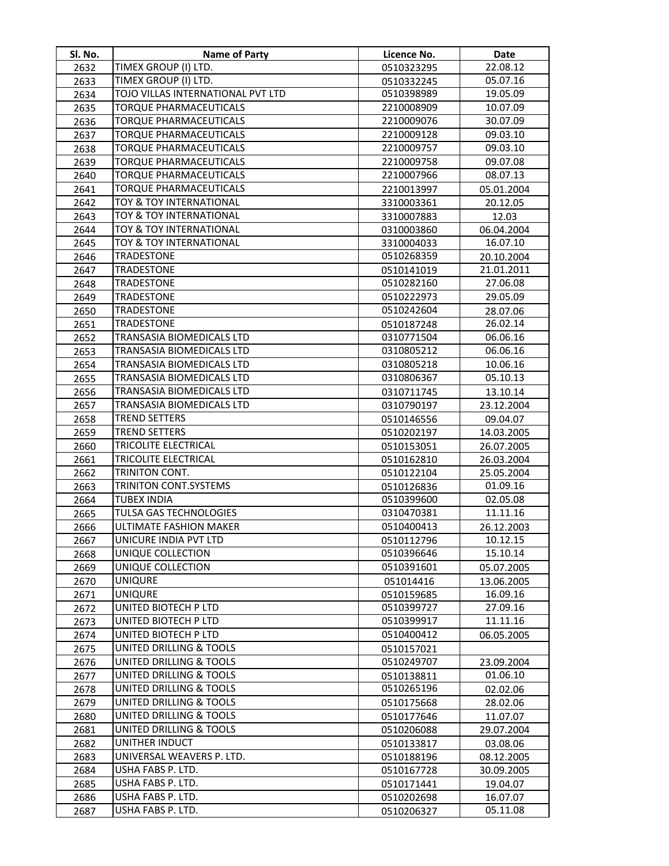| Sl. No.      | Name of Party                          | Licence No.              | Date                 |
|--------------|----------------------------------------|--------------------------|----------------------|
| 2632         | TIMEX GROUP (I) LTD.                   | 0510323295               | 22.08.12             |
| 2633         | TIMEX GROUP (I) LTD.                   | 0510332245               | 05.07.16             |
| 2634         | TOJO VILLAS INTERNATIONAL PVT LTD      | 0510398989               | 19.05.09             |
| 2635         | <b>TORQUE PHARMACEUTICALS</b>          | 2210008909               | 10.07.09             |
| 2636         | <b>TORQUE PHARMACEUTICALS</b>          | 2210009076               | 30.07.09             |
| 2637         | TORQUE PHARMACEUTICALS                 | 2210009128               | 09.03.10             |
| 2638         | TORQUE PHARMACEUTICALS                 | 2210009757               | 09.03.10             |
| 2639         | <b>TORQUE PHARMACEUTICALS</b>          | 2210009758               | 09.07.08             |
| 2640         | <b>TORQUE PHARMACEUTICALS</b>          | 2210007966               | 08.07.13             |
| 2641         | TORQUE PHARMACEUTICALS                 | 2210013997               | 05.01.2004           |
| 2642         | TOY & TOY INTERNATIONAL                | 3310003361               | 20.12.05             |
| 2643         | TOY & TOY INTERNATIONAL                | 3310007883               | 12.03                |
| 2644         | TOY & TOY INTERNATIONAL                | 0310003860               | 06.04.2004           |
| 2645         | TOY & TOY INTERNATIONAL                | 3310004033               | 16.07.10             |
| 2646         | TRADESTONE                             | 0510268359               | 20.10.2004           |
| 2647         | <b>TRADESTONE</b>                      | 0510141019               | 21.01.2011           |
| 2648         | <b>TRADESTONE</b>                      | 0510282160               | 27.06.08             |
| 2649         | TRADESTONE                             | 0510222973               | 29.05.09             |
| 2650         | TRADESTONE                             | 0510242604               | 28.07.06             |
| 2651         | <b>TRADESTONE</b>                      | 0510187248               | 26.02.14             |
| 2652         | TRANSASIA BIOMEDICALS LTD              | 0310771504               | 06.06.16             |
| 2653         | TRANSASIA BIOMEDICALS LTD              | 0310805212               | 06.06.16             |
| 2654         | TRANSASIA BIOMEDICALS LTD              | 0310805218               | 10.06.16             |
| 2655         | TRANSASIA BIOMEDICALS LTD              | 0310806367               | 05.10.13             |
| 2656         | TRANSASIA BIOMEDICALS LTD              | 0310711745               | 13.10.14             |
| 2657         | TRANSASIA BIOMEDICALS LTD              | 0310790197               | 23.12.2004           |
| 2658         | <b>TREND SETTERS</b>                   | 0510146556               | 09.04.07             |
| 2659         | <b>TREND SETTERS</b>                   | 0510202197               | 14.03.2005           |
| 2660         | TRICOLITE ELECTRICAL                   | 0510153051               | 26.07.2005           |
| 2661         | TRICOLITE ELECTRICAL                   | 0510162810               | 26.03.2004           |
| 2662         | TRINITON CONT.                         | 0510122104               | 25.05.2004           |
| 2663         | TRINITON CONT.SYSTEMS                  | 0510126836               | 01.09.16             |
| 2664         | <b>TUBEX INDIA</b>                     | 0510399600               | 02.05.08             |
| 2665         | TULSA GAS TECHNOLOGIES                 | 0310470381               | 11.11.16             |
| 2666         | ULTIMATE FASHION MAKER                 | 0510400413               | 26.12.2003           |
| 2667         | UNICURE INDIA PVT LTD                  | 0510112796               | 10.12.15             |
| 2668         | UNIQUE COLLECTION                      | 0510396646               | 15.10.14             |
| 2669         | UNIQUE COLLECTION                      | 0510391601               | 05.07.2005           |
| 2670         | <b>UNIQURE</b>                         | 051014416                | 13.06.2005           |
| 2671         | <b>UNIQURE</b>                         | 0510159685               | 16.09.16             |
| 2672         | UNITED BIOTECH P LTD                   | 0510399727               | 27.09.16             |
| 2673         | UNITED BIOTECH P LTD                   | 0510399917               | 11.11.16             |
| 2674         | UNITED BIOTECH P LTD                   | 0510400412               | 06.05.2005           |
| 2675         | <b>UNITED DRILLING &amp; TOOLS</b>     | 0510157021               |                      |
| 2676         | UNITED DRILLING & TOOLS                | 0510249707               | 23.09.2004           |
| 2677         | <b>UNITED DRILLING &amp; TOOLS</b>     | 0510138811               | 01.06.10             |
| 2678         | <b>UNITED DRILLING &amp; TOOLS</b>     | 0510265196               | 02.02.06             |
| 2679         | UNITED DRILLING & TOOLS                | 0510175668               | 28.02.06             |
| 2680         | UNITED DRILLING & TOOLS                | 0510177646               | 11.07.07             |
| 2681         | UNITED DRILLING & TOOLS                | 0510206088               | 29.07.2004           |
| 2682         | UNITHER INDUCT                         | 0510133817               | 03.08.06             |
| 2683         | UNIVERSAL WEAVERS P. LTD.              | 0510188196               | 08.12.2005           |
| 2684         | USHA FABS P. LTD.<br>USHA FABS P. LTD. | 0510167728               | 30.09.2005           |
| 2685<br>2686 | USHA FABS P. LTD.                      | 0510171441<br>0510202698 | 19.04.07<br>16.07.07 |
| 2687         | USHA FABS P. LTD.                      | 0510206327               | 05.11.08             |
|              |                                        |                          |                      |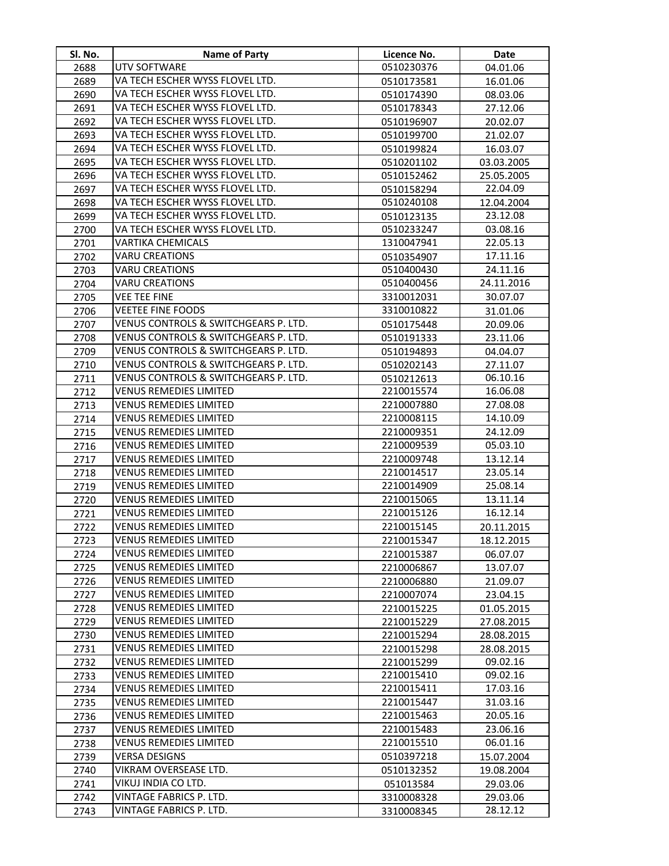| Sl. No.      | <b>Name of Party</b>                                    | Licence No.              | Date                 |
|--------------|---------------------------------------------------------|--------------------------|----------------------|
| 2688         | UTV SOFTWARE                                            | 0510230376               | 04.01.06             |
| 2689         | VA TECH ESCHER WYSS FLOVEL LTD.                         | 0510173581               | 16.01.06             |
| 2690         | VA TECH ESCHER WYSS FLOVEL LTD.                         | 0510174390               | 08.03.06             |
| 2691         | VA TECH ESCHER WYSS FLOVEL LTD.                         | 0510178343               | 27.12.06             |
| 2692         | VA TECH ESCHER WYSS FLOVEL LTD.                         | 0510196907               | 20.02.07             |
| 2693         | VA TECH ESCHER WYSS FLOVEL LTD.                         | 0510199700               | 21.02.07             |
| 2694         | VA TECH ESCHER WYSS FLOVEL LTD.                         | 0510199824               | 16.03.07             |
| 2695         | VA TECH ESCHER WYSS FLOVEL LTD.                         | 0510201102               | 03.03.2005           |
| 2696         | VA TECH ESCHER WYSS FLOVEL LTD.                         | 0510152462               | 25.05.2005           |
| 2697         | VA TECH ESCHER WYSS FLOVEL LTD.                         | 0510158294               | 22.04.09             |
| 2698         | VA TECH ESCHER WYSS FLOVEL LTD.                         | 0510240108               | 12.04.2004           |
| 2699         | VA TECH ESCHER WYSS FLOVEL LTD.                         | 0510123135               | 23.12.08             |
| 2700         | VA TECH ESCHER WYSS FLOVEL LTD.                         | 0510233247               | 03.08.16             |
| 2701         | VARTIKA CHEMICALS                                       | 1310047941               | 22.05.13             |
| 2702         | <b>VARU CREATIONS</b>                                   | 0510354907               | 17.11.16             |
| 2703         | <b>VARU CREATIONS</b>                                   | 0510400430               | 24.11.16             |
| 2704         | <b>VARU CREATIONS</b>                                   | 0510400456               | 24.11.2016           |
| 2705         | <b>VEE TEE FINE</b>                                     | 3310012031               | 30.07.07             |
| 2706         | <b>VEETEE FINE FOODS</b>                                | 3310010822               | 31.01.06             |
| 2707         | VENUS CONTROLS & SWITCHGEARS P. LTD.                    | 0510175448               | 20.09.06             |
| 2708         | VENUS CONTROLS & SWITCHGEARS P. LTD.                    | 0510191333               | 23.11.06             |
| 2709         | VENUS CONTROLS & SWITCHGEARS P. LTD.                    | 0510194893               | 04.04.07             |
| 2710         | VENUS CONTROLS & SWITCHGEARS P. LTD.                    | 0510202143               | 27.11.07             |
| 2711         | VENUS CONTROLS & SWITCHGEARS P. LTD.                    | 0510212613               | 06.10.16             |
| 2712         | <b>VENUS REMEDIES LIMITED</b>                           | 2210015574               | 16.06.08             |
| 2713         | <b>VENUS REMEDIES LIMITED</b>                           | 2210007880               | 27.08.08             |
| 2714         | <b>VENUS REMEDIES LIMITED</b>                           | 2210008115               | 14.10.09             |
| 2715         | <b>VENUS REMEDIES LIMITED</b>                           | 2210009351               | 24.12.09             |
| 2716         | <b>VENUS REMEDIES LIMITED</b>                           | 2210009539               | 05.03.10             |
| 2717         | <b>VENUS REMEDIES LIMITED</b>                           | 2210009748               | 13.12.14             |
| 2718         | <b>VENUS REMEDIES LIMITED</b>                           | 2210014517               | 23.05.14             |
| 2719         | <b>VENUS REMEDIES LIMITED</b>                           | 2210014909               | 25.08.14             |
| 2720         | <b>VENUS REMEDIES LIMITED</b>                           | 2210015065               | 13.11.14             |
| 2721         | VENUS REMEDIES LIMITED                                  | 2210015126               | 16.12.14             |
| 2722         | VENUS REMEDIES LIMITED                                  | 2210015145               | 20.11.2015           |
| 2723         | <b>VENUS REMEDIES LIMITED</b>                           | 2210015347               | 18.12.2015           |
| 2724         | <b>VENUS REMEDIES LIMITED</b>                           | 2210015387               | 06.07.07             |
| 2725         | <b>VENUS REMEDIES LIMITED</b>                           | 2210006867               | 13.07.07             |
| 2726         | <b>VENUS REMEDIES LIMITED</b>                           | 2210006880               | 21.09.07             |
| 2727         | <b>VENUS REMEDIES LIMITED</b>                           | 2210007074               | 23.04.15             |
| 2728         | <b>VENUS REMEDIES LIMITED</b>                           | 2210015225               | 01.05.2015           |
| 2729         | <b>VENUS REMEDIES LIMITED</b>                           | 2210015229               | 27.08.2015           |
| 2730         | <b>VENUS REMEDIES LIMITED</b>                           | 2210015294               | 28.08.2015           |
| 2731         | <b>VENUS REMEDIES LIMITED</b>                           | 2210015298               | 28.08.2015           |
| 2732         | <b>VENUS REMEDIES LIMITED</b>                           | 2210015299               | 09.02.16             |
| 2733         | <b>VENUS REMEDIES LIMITED</b>                           | 2210015410               | 09.02.16             |
| 2734         | <b>VENUS REMEDIES LIMITED</b><br>VENUS REMEDIES LIMITED | 2210015411               | 17.03.16<br>31.03.16 |
| 2735<br>2736 | VENUS REMEDIES LIMITED                                  | 2210015447<br>2210015463 | 20.05.16             |
| 2737         | VENUS REMEDIES LIMITED                                  | 2210015483               | 23.06.16             |
| 2738         | VENUS REMEDIES LIMITED                                  | 2210015510               | 06.01.16             |
| 2739         | VERSA DESIGNS                                           | 0510397218               | 15.07.2004           |
| 2740         | VIKRAM OVERSEASE LTD.                                   | 0510132352               | 19.08.2004           |
| 2741         | VIKUJ INDIA CO LTD.                                     | 051013584                | 29.03.06             |
| 2742         | VINTAGE FABRICS P. LTD.                                 | 3310008328               | 29.03.06             |
| 2743         | VINTAGE FABRICS P. LTD.                                 | 3310008345               | 28.12.12             |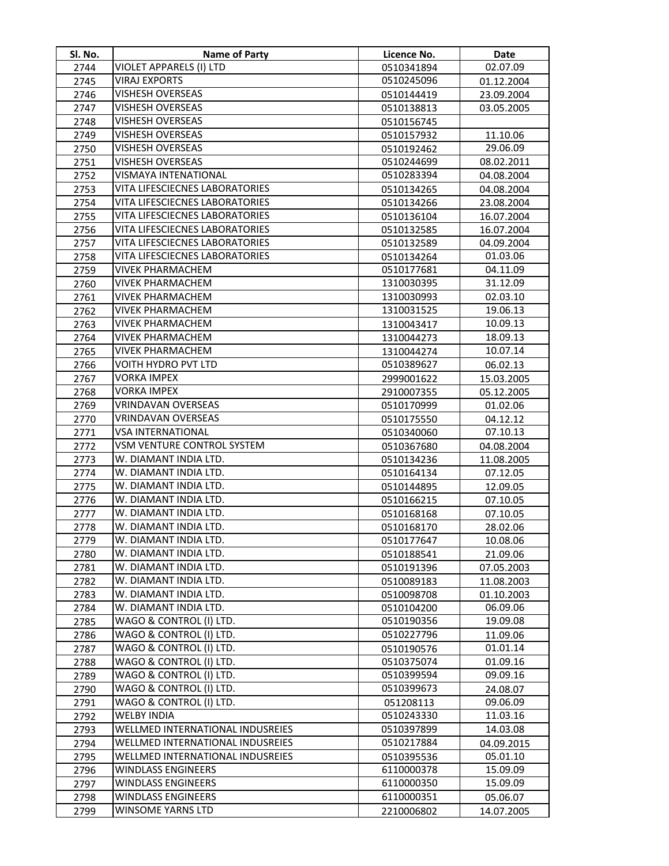| Sl. No.      | <b>Name of Party</b>                                                 | Licence No.              | Date                 |
|--------------|----------------------------------------------------------------------|--------------------------|----------------------|
| 2744         | VIOLET APPARELS (I) LTD                                              | 0510341894               | 02.07.09             |
| 2745         | <b>VIRAJ EXPORTS</b>                                                 | 0510245096               | 01.12.2004           |
| 2746         | VISHESH OVERSEAS                                                     | 0510144419               | 23.09.2004           |
| 2747         | VISHESH OVERSEAS                                                     | 0510138813               | 03.05.2005           |
| 2748         | VISHESH OVERSEAS                                                     | 0510156745               |                      |
| 2749         | <b>VISHESH OVERSEAS</b>                                              | 0510157932               | 11.10.06             |
| 2750         | VISHESH OVERSEAS                                                     | 0510192462               | 29.06.09             |
| 2751         | VISHESH OVERSEAS                                                     | 0510244699               | 08.02.2011           |
| 2752         | VISMAYA INTENATIONAL                                                 | 0510283394               | 04.08.2004           |
| 2753         | VITA LIFESCIECNES LABORATORIES                                       | 0510134265               | 04.08.2004           |
| 2754         | VITA LIFESCIECNES LABORATORIES                                       | 0510134266               | 23.08.2004           |
| 2755         | VITA LIFESCIECNES LABORATORIES                                       | 0510136104               | 16.07.2004           |
| 2756         | VITA LIFESCIECNES LABORATORIES                                       | 0510132585               | 16.07.2004           |
| 2757         | VITA LIFESCIECNES LABORATORIES                                       | 0510132589               | 04.09.2004           |
| 2758         | VITA LIFESCIECNES LABORATORIES                                       | 0510134264               | 01.03.06             |
| 2759         | VIVEK PHARMACHEM                                                     | 0510177681               | 04.11.09             |
| 2760         | VIVEK PHARMACHEM                                                     | 1310030395               | 31.12.09             |
| 2761         | <b>VIVEK PHARMACHEM</b>                                              | 1310030993               | 02.03.10             |
| 2762         | VIVEK PHARMACHEM                                                     | 1310031525               | 19.06.13             |
| 2763         | VIVEK PHARMACHEM                                                     | 1310043417               | 10.09.13             |
| 2764         | <b>VIVEK PHARMACHEM</b>                                              | 1310044273               | 18.09.13             |
| 2765         | <b>VIVEK PHARMACHEM</b>                                              | 1310044274               | 10.07.14             |
| 2766         | VOITH HYDRO PVT LTD                                                  | 0510389627               | 06.02.13             |
| 2767         | <b>VORKA IMPEX</b>                                                   | 2999001622               | 15.03.2005           |
| 2768         | <b>VORKA IMPEX</b>                                                   | 2910007355               | 05.12.2005           |
| 2769         | VRINDAVAN OVERSEAS                                                   | 0510170999               | 01.02.06             |
| 2770         | VRINDAVAN OVERSEAS                                                   | 0510175550               | 04.12.12             |
| 2771         | <b>VSA INTERNATIONAL</b>                                             | 0510340060               | 07.10.13             |
| 2772         | VSM VENTURE CONTROL SYSTEM                                           | 0510367680               | 04.08.2004           |
| 2773         | W. DIAMANT INDIA LTD.                                                | 0510134236               | 11.08.2005           |
| 2774         | W. DIAMANT INDIA LTD.                                                | 0510164134               | 07.12.05             |
| 2775         | W. DIAMANT INDIA LTD.                                                | 0510144895               | 12.09.05             |
| 2776         | W. DIAMANT INDIA LTD.                                                | 0510166215               | 07.10.05             |
| 2777         | W. DIAMANT INDIA LTD.                                                | 0510168168               | 07.10.05             |
| 2778         | W. DIAMANT INDIA LTD.                                                | 0510168170               | 28.02.06             |
| 2779         | W. DIAMANT INDIA LTD.                                                | 0510177647               | 10.08.06             |
| 2780         | W. DIAMANT INDIA LTD.                                                | 0510188541               | 21.09.06             |
| 2781         | W. DIAMANT INDIA LTD.                                                | 0510191396               | 07.05.2003           |
| 2782         | W. DIAMANT INDIA LTD.                                                | 0510089183               | 11.08.2003           |
| 2783         | W. DIAMANT INDIA LTD.                                                | 0510098708               | 01.10.2003           |
| 2784         | W. DIAMANT INDIA LTD.                                                | 0510104200               | 06.09.06             |
| 2785         | WAGO & CONTROL (I) LTD.                                              | 0510190356               | 19.09.08             |
| 2786         | WAGO & CONTROL (I) LTD.                                              | 0510227796               | 11.09.06             |
| 2787         | WAGO & CONTROL (I) LTD.                                              | 0510190576               | 01.01.14             |
| 2788         | WAGO & CONTROL (I) LTD.                                              | 0510375074               | 01.09.16             |
| 2789         | WAGO & CONTROL (I) LTD.                                              | 0510399594               | 09.09.16             |
| 2790         | WAGO & CONTROL (I) LTD.                                              | 0510399673               | 24.08.07             |
| 2791         | WAGO & CONTROL (I) LTD.                                              | 051208113                | 09.06.09             |
| 2792         | <b>WELBY INDIA</b>                                                   | 0510243330               | 11.03.16             |
| 2793         | WELLMED INTERNATIONAL INDUSREIES                                     | 0510397899               | 14.03.08             |
| 2794         | WELLMED INTERNATIONAL INDUSREIES<br>WELLMED INTERNATIONAL INDUSREIES | 0510217884               | 04.09.2015           |
| 2795         |                                                                      | 0510395536               | 05.01.10             |
| 2796<br>2797 | WINDLASS ENGINEERS<br>WINDLASS ENGINEERS                             | 6110000378<br>6110000350 | 15.09.09<br>15.09.09 |
| 2798         | WINDLASS ENGINEERS                                                   | 6110000351               | 05.06.07             |
| 2799         | WINSOME YARNS LTD                                                    | 2210006802               | 14.07.2005           |
|              |                                                                      |                          |                      |